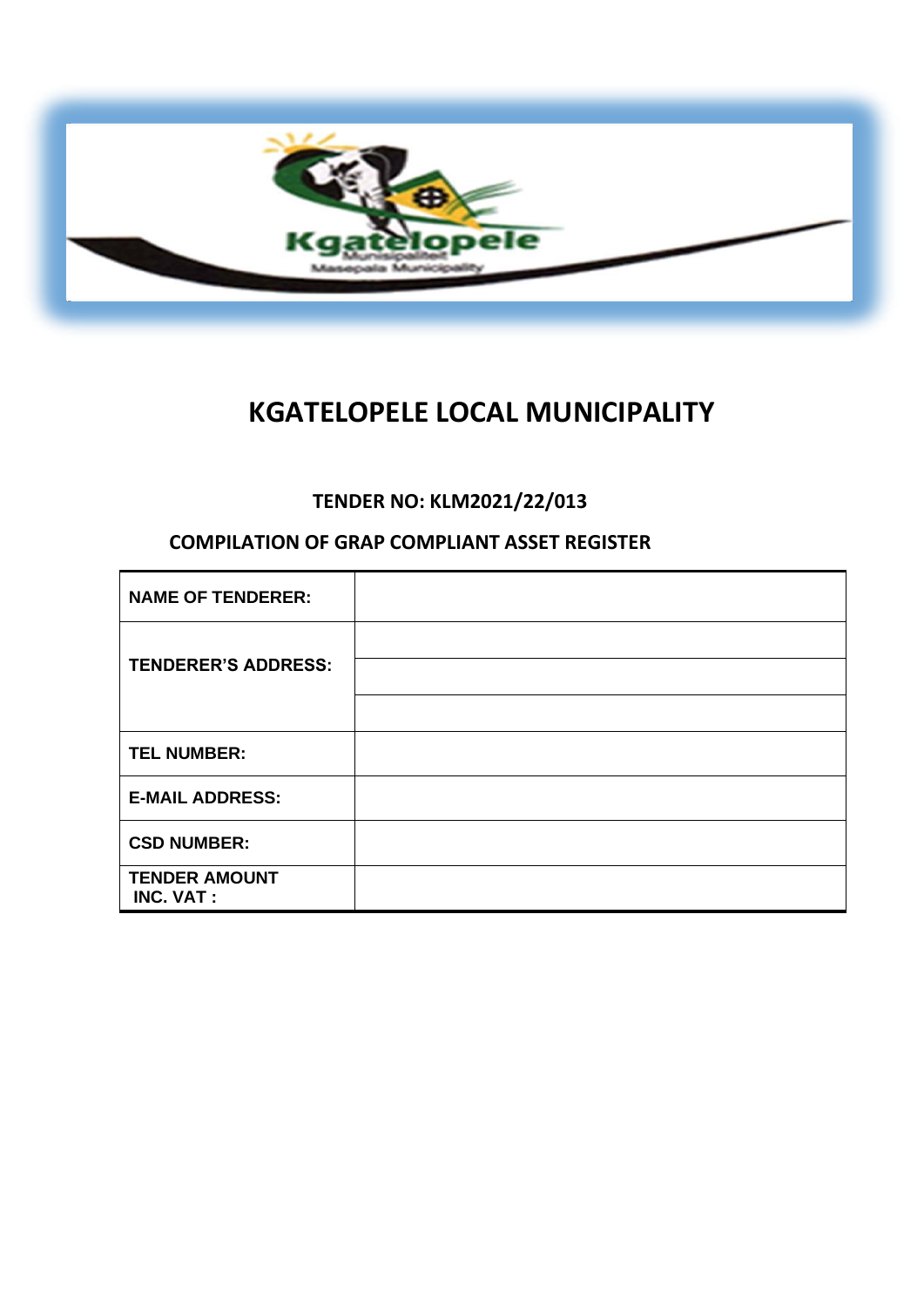

# **KGATELOPELE LOCAL MUNICIPALITY**

# **TENDER NO: KLM2021/22/013**

# **COMPILATION OF GRAP COMPLIANT ASSET REGISTER**

| <b>NAME OF TENDERER:</b>                 |  |
|------------------------------------------|--|
| <b>TENDERER'S ADDRESS:</b>               |  |
|                                          |  |
| <b>TEL NUMBER:</b>                       |  |
| <b>E-MAIL ADDRESS:</b>                   |  |
| <b>CSD NUMBER:</b>                       |  |
| <b>TENDER AMOUNT</b><br><b>INC. VAT:</b> |  |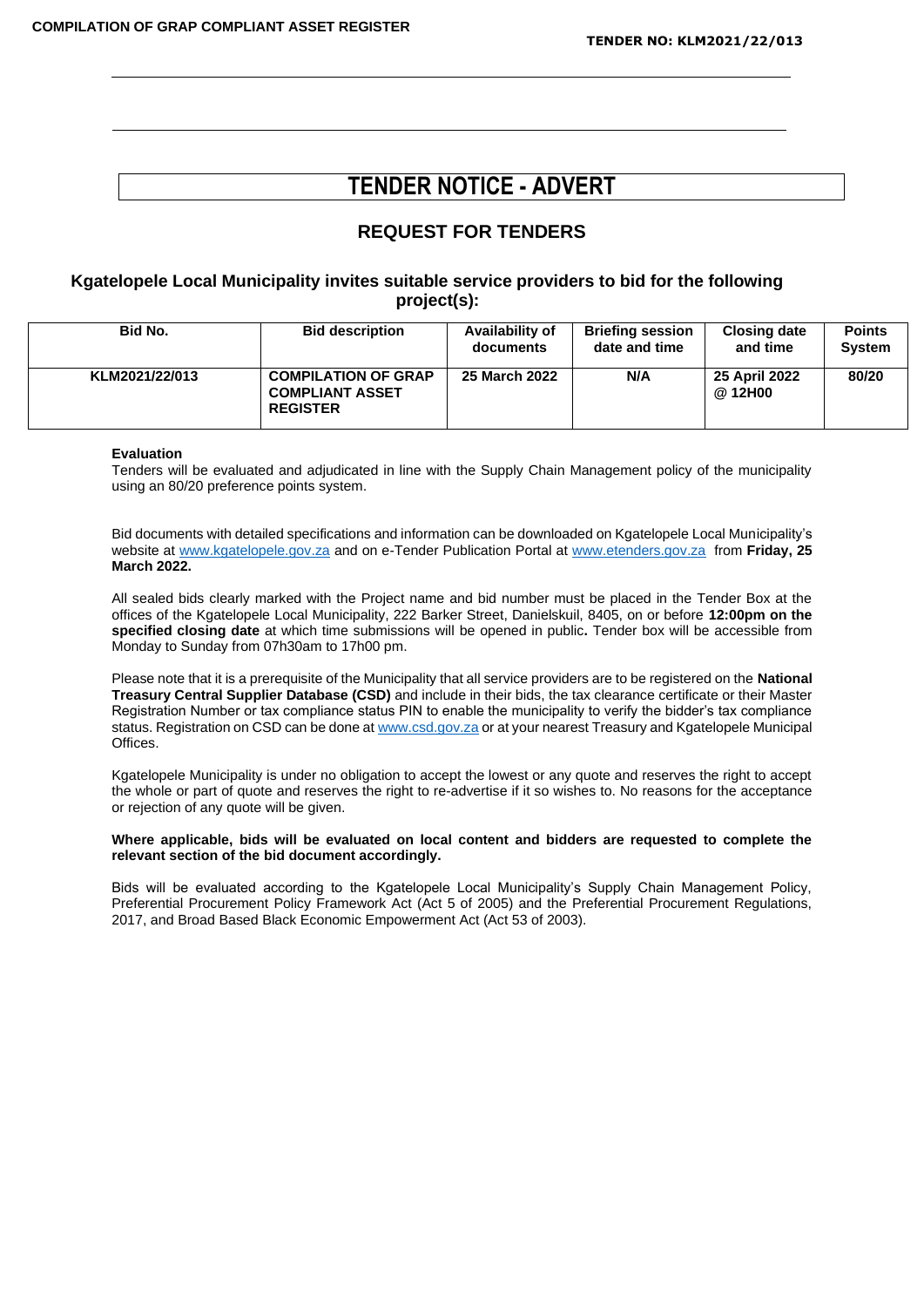# **TENDER NOTICE - ADVERT**

## **REQUEST FOR TENDERS**

#### **Kgatelopele Local Municipality invites suitable service providers to bid for the following project(s):**

| Bid No.        | <b>Bid description</b>                                                  | Availability of<br>documents | <b>Briefing session</b><br>date and time | <b>Closing date</b><br>and time | <b>Points</b><br><b>System</b> |  |
|----------------|-------------------------------------------------------------------------|------------------------------|------------------------------------------|---------------------------------|--------------------------------|--|
| KLM2021/22/013 | <b>COMPILATION OF GRAP</b><br><b>COMPLIANT ASSET</b><br><b>REGISTER</b> | 25 March 2022                | N/A                                      | 25 April 2022<br>@ 12H00        | 80/20                          |  |

#### **Evaluation**

Tenders will be evaluated and adjudicated in line with the Supply Chain Management policy of the municipality using an 80/20 preference points system.

Bid documents with detailed specifications and information can be downloaded on Kgatelopele Local Municipality's website at [www.kgatelopele.gov.za](http://www.kgatelopele.gov.za/) and on e-Tender Publication Portal at [www.etenders.gov.za](http://www.etenders.gov.za/) from **Friday, 25 March 2022.**

All sealed bids clearly marked with the Project name and bid number must be placed in the Tender Box at the offices of the Kgatelopele Local Municipality, 222 Barker Street, Danielskuil, 8405, on or before **12:00pm on the specified closing date** at which time submissions will be opened in public**.** Tender box will be accessible from Monday to Sunday from 07h30am to 17h00 pm.

Please note that it is a prerequisite of the Municipality that all service providers are to be registered on the **National Treasury Central Supplier Database (CSD)** and include in their bids, the tax clearance certificate or their Master Registration Number or tax compliance status PIN to enable the municipality to verify the bidder's tax compliance status. Registration on CSD can be done a[t www.csd.gov.za](http://www.csd.gov.za/) or at your nearest Treasury and Kgatelopele Municipal Offices.

Kgatelopele Municipality is under no obligation to accept the lowest or any quote and reserves the right to accept the whole or part of quote and reserves the right to re-advertise if it so wishes to. No reasons for the acceptance or rejection of any quote will be given.

#### **Where applicable, bids will be evaluated on local content and bidders are requested to complete the relevant section of the bid document accordingly.**

Bids will be evaluated according to the Kgatelopele Local Municipality's Supply Chain Management Policy, Preferential Procurement Policy Framework Act (Act 5 of 2005) and the Preferential Procurement Regulations, 2017, and Broad Based Black Economic Empowerment Act (Act 53 of 2003).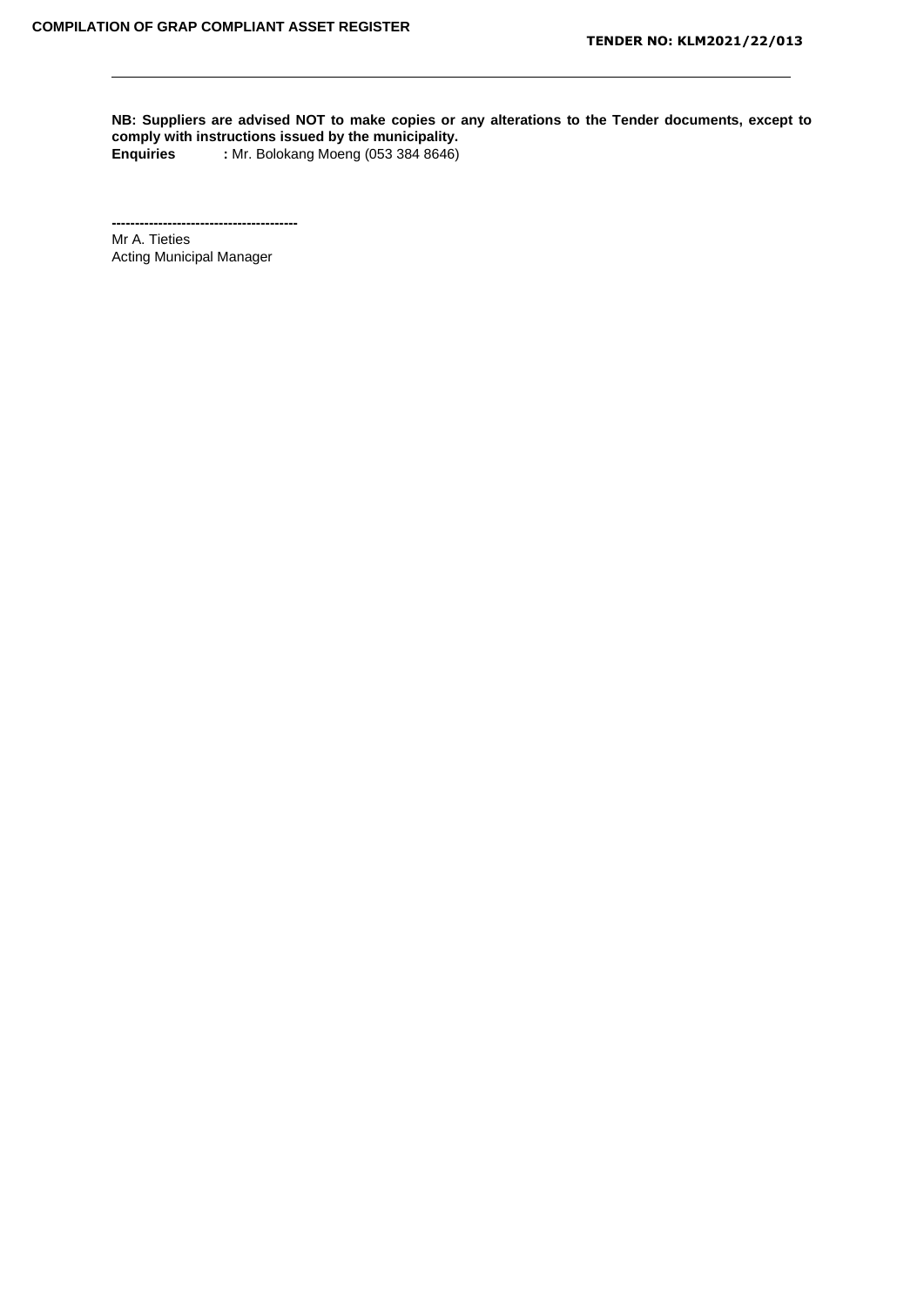**NB: Suppliers are advised NOT to make copies or any alterations to the Tender documents, except to comply with instructions issued by the municipality. Enquiries :** Mr. Bolokang Moeng (053 384 8646)

**----------------------------------------** Mr A. Tieties Acting Municipal Manager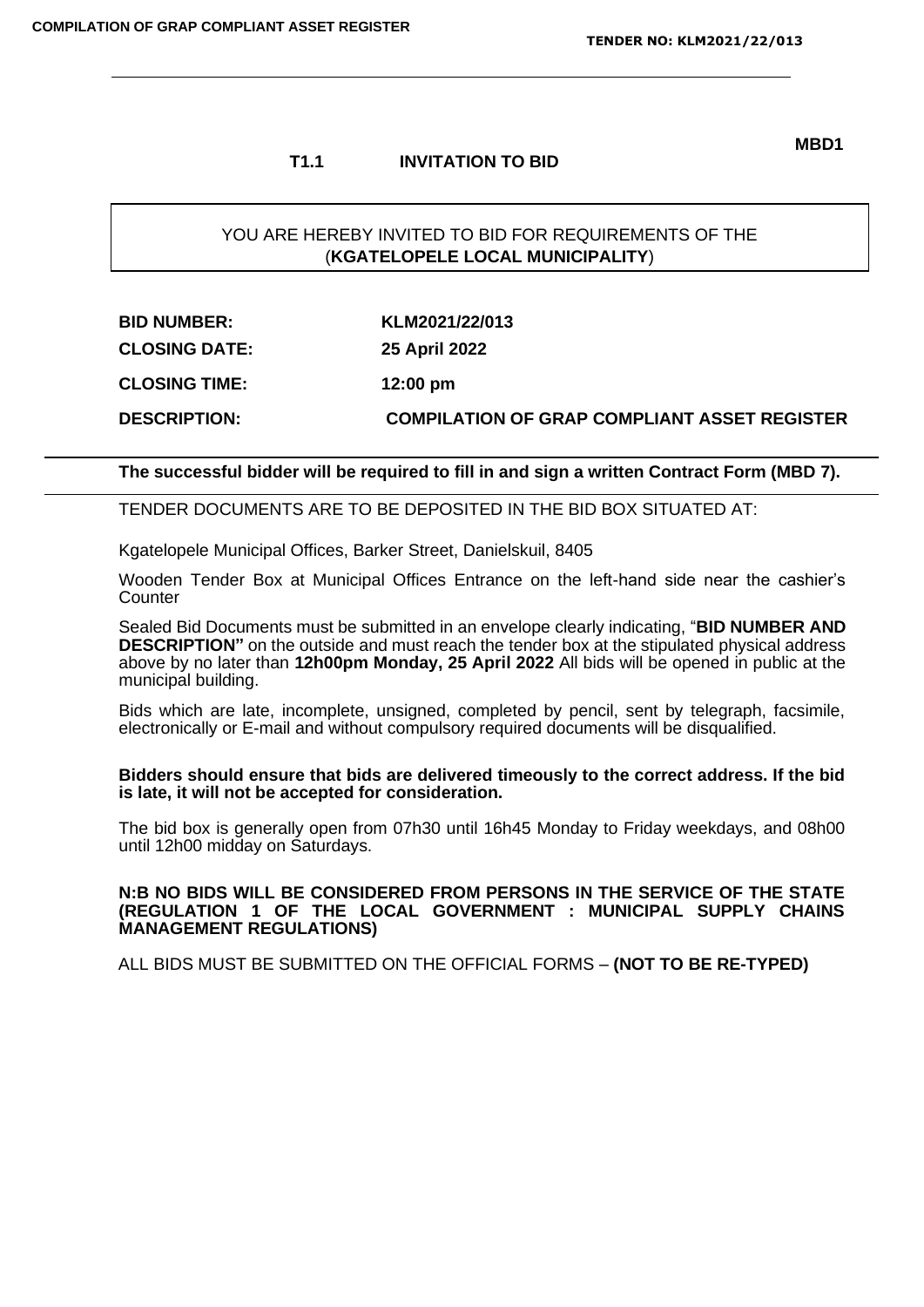#### **T1.1 INVITATION TO BID**

**MBD1**

#### YOU ARE HEREBY INVITED TO BID FOR REQUIREMENTS OF THE (**KGATELOPELE LOCAL MUNICIPALITY**)

| <b>BID NUMBER:</b>   | KLM2021/22/013                                      |
|----------------------|-----------------------------------------------------|
| <b>CLOSING DATE:</b> | <b>25 April 2022</b>                                |
| <b>CLOSING TIME:</b> | $12:00 \text{ pm}$                                  |
| <b>DESCRIPTION:</b>  | <b>COMPILATION OF GRAP COMPLIANT ASSET REGISTER</b> |

**The successful bidder will be required to fill in and sign a written Contract Form (MBD 7).**

TENDER DOCUMENTS ARE TO BE DEPOSITED IN THE BID BOX SITUATED AT:

Kgatelopele Municipal Offices, Barker Street, Danielskuil, 8405

Wooden Tender Box at Municipal Offices Entrance on the left-hand side near the cashier's **Counter** 

Sealed Bid Documents must be submitted in an envelope clearly indicating, "**BID NUMBER AND DESCRIPTION"** on the outside and must reach the tender box at the stipulated physical address above by no later than **12h00pm Monday, 25 April 2022** All bids will be opened in public at the municipal building.

Bids which are late, incomplete, unsigned, completed by pencil, sent by telegraph, facsimile, electronically or E-mail and without compulsory required documents will be disqualified.

#### **Bidders should ensure that bids are delivered timeously to the correct address. If the bid is late, it will not be accepted for consideration.**

The bid box is generally open from 07h30 until 16h45 Monday to Friday weekdays, and 08h00 until 12h00 midday on Saturdays.

#### **N:B NO BIDS WILL BE CONSIDERED FROM PERSONS IN THE SERVICE OF THE STATE (REGULATION 1 OF THE LOCAL GOVERNMENT : MUNICIPAL SUPPLY CHAINS MANAGEMENT REGULATIONS)**

ALL BIDS MUST BE SUBMITTED ON THE OFFICIAL FORMS – **(NOT TO BE RE-TYPED)**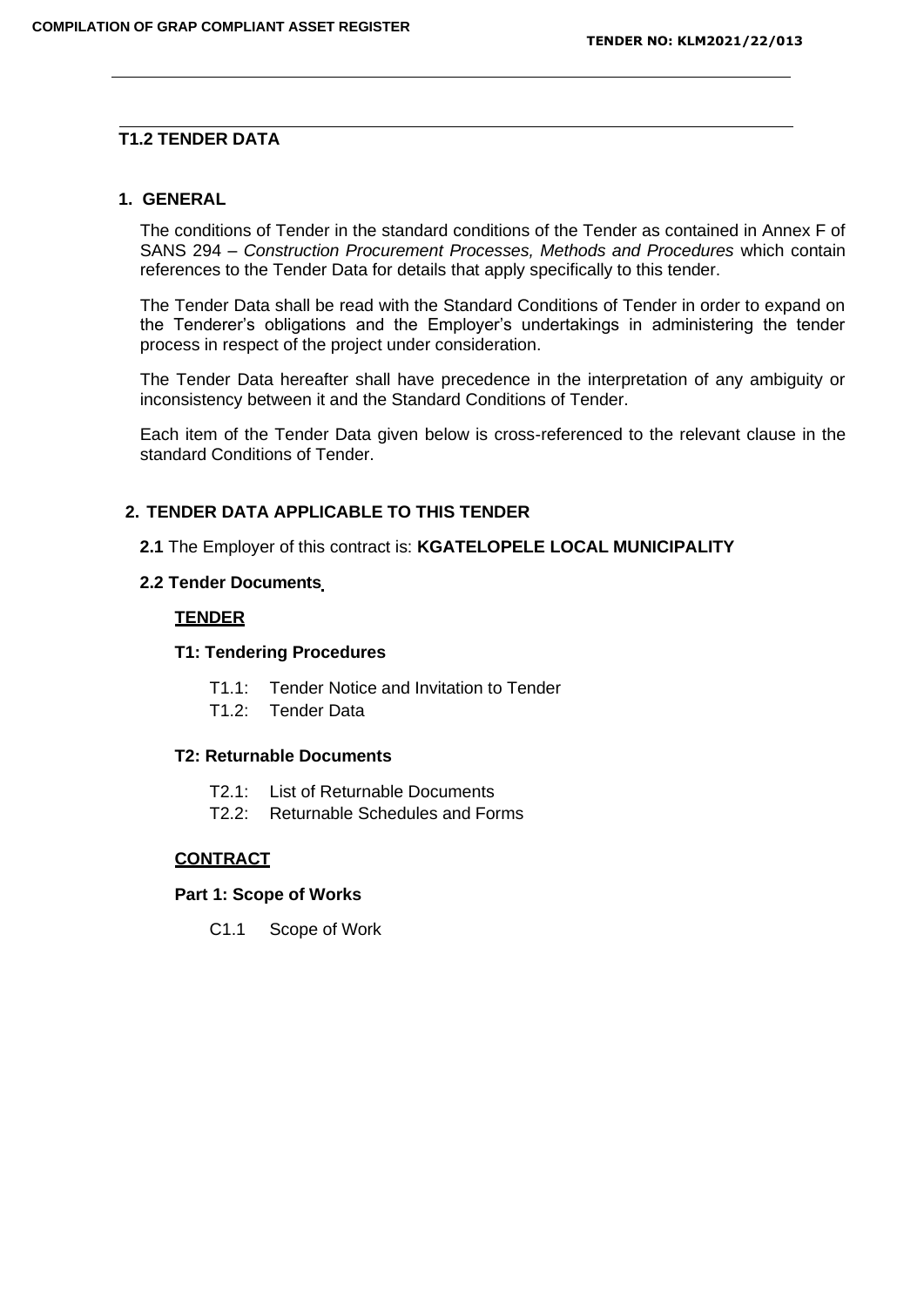#### **T1.2 TENDER DATA**

#### **1. GENERAL**

The conditions of Tender in the standard conditions of the Tender as contained in Annex F of SANS 294 – *Construction Procurement Processes, Methods and Procedures* which contain references to the Tender Data for details that apply specifically to this tender.

The Tender Data shall be read with the Standard Conditions of Tender in order to expand on the Tenderer's obligations and the Employer's undertakings in administering the tender process in respect of the project under consideration.

The Tender Data hereafter shall have precedence in the interpretation of any ambiguity or inconsistency between it and the Standard Conditions of Tender.

Each item of the Tender Data given below is cross-referenced to the relevant clause in the standard Conditions of Tender.

#### **2. TENDER DATA APPLICABLE TO THIS TENDER**

**2.1** The Employer of this contract is: **KGATELOPELE LOCAL MUNICIPALITY**

#### **2.2 Tender Documents**

#### **TENDER**

#### **T1: Tendering Procedures**

- T1.1: Tender Notice and Invitation to Tender
- T1.2: Tender Data

#### **T2: Returnable Documents**

- T2.1: List of Returnable Documents
- T2.2: Returnable Schedules and Forms

#### **CONTRACT**

#### **Part 1: Scope of Works**

C1.1 Scope of Work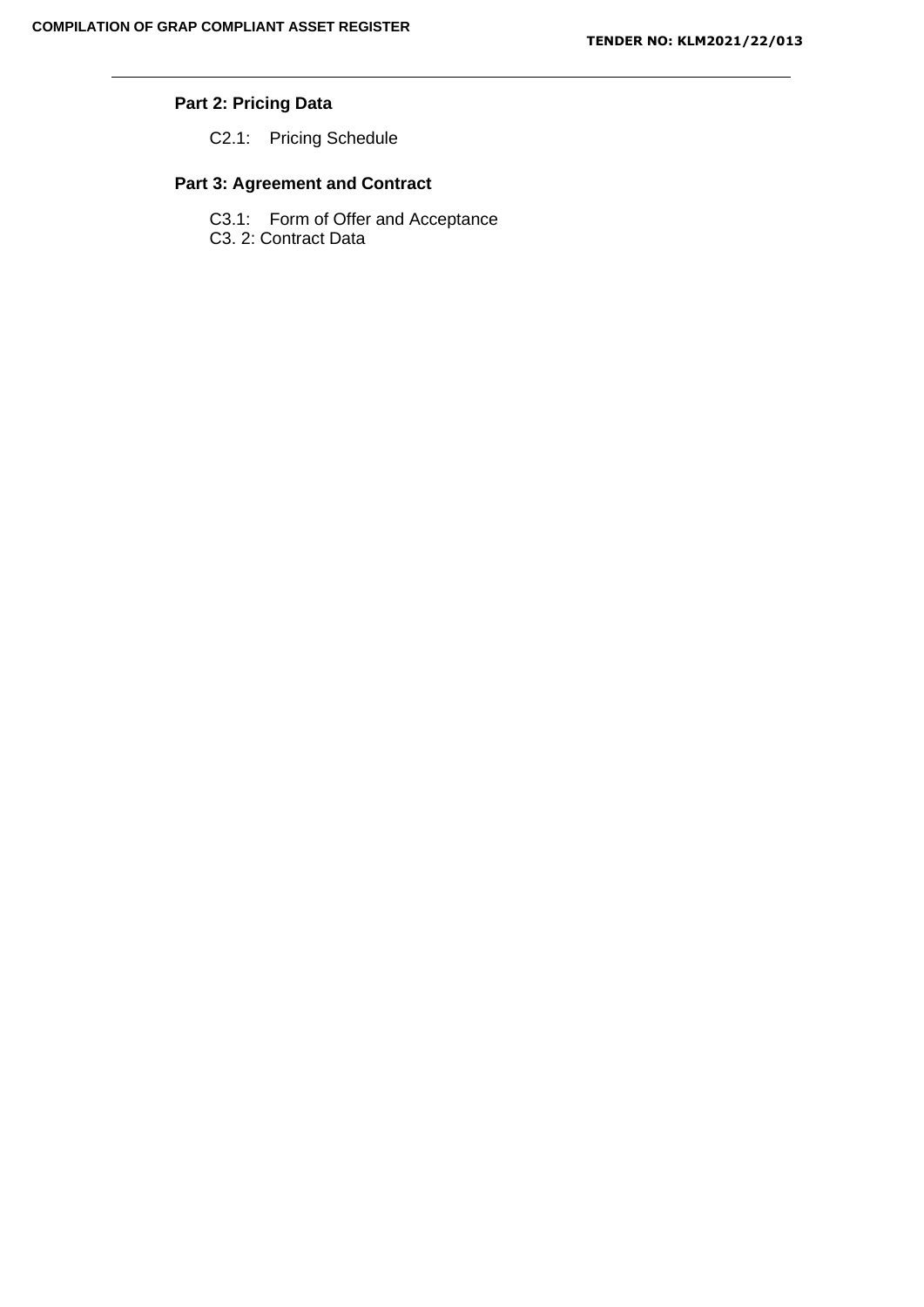# **Part 2: Pricing Data**

C2.1: Pricing Schedule

## **Part 3: Agreement and Contract**

C3.1: Form of Offer and Acceptance

C3. 2: Contract Data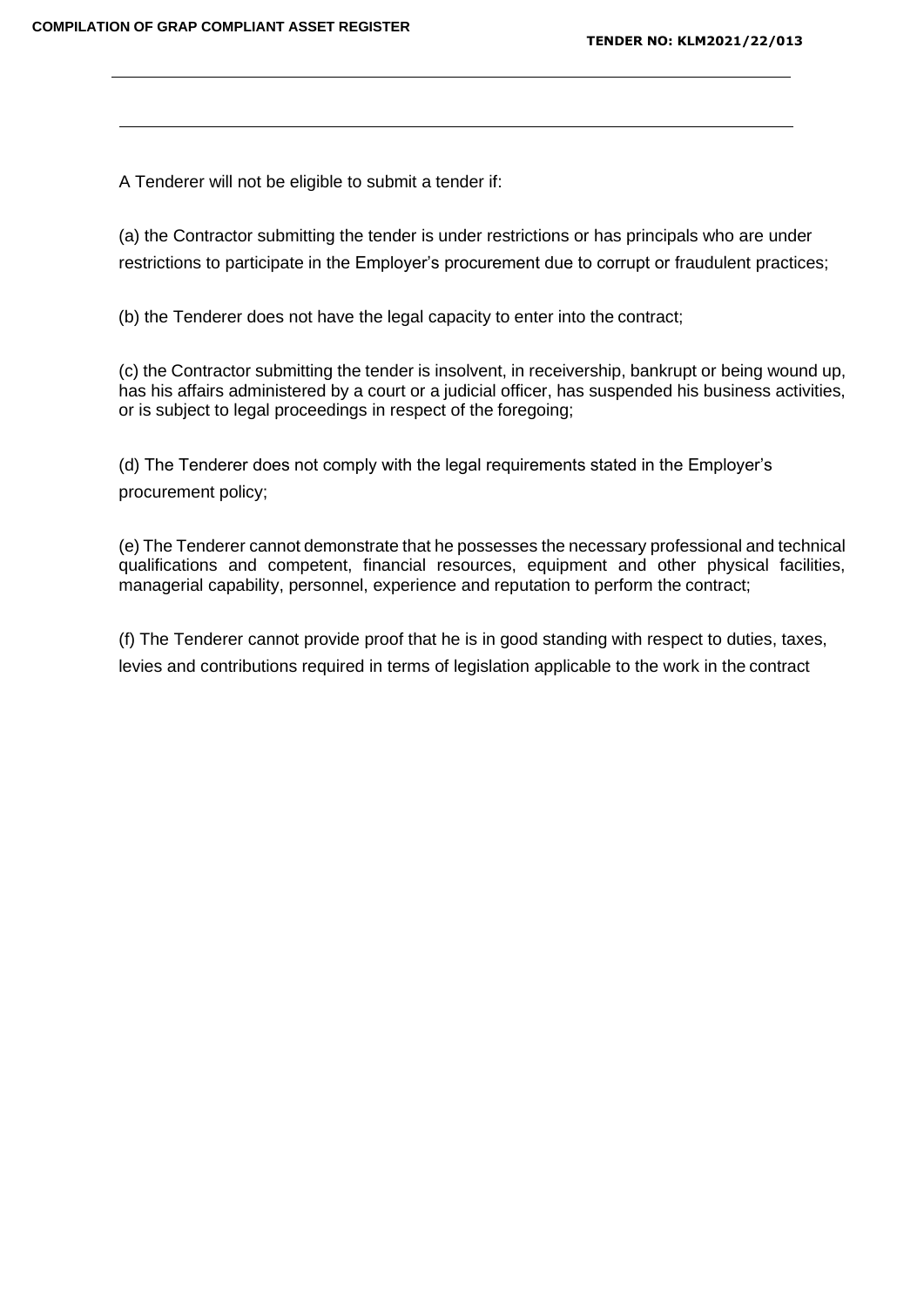A Tenderer will not be eligible to submit a tender if:

(a) the Contractor submitting the tender is under restrictions or has principals who are under restrictions to participate in the Employer's procurement due to corrupt or fraudulent practices;

(b) the Tenderer does not have the legal capacity to enter into the contract;

(c) the Contractor submitting the tender is insolvent, in receivership, bankrupt or being wound up, has his affairs administered by a court or a judicial officer, has suspended his business activities, or is subject to legal proceedings in respect of the foregoing;

(d) The Tenderer does not comply with the legal requirements stated in the Employer's procurement policy;

(e) The Tenderer cannot demonstrate that he possesses the necessary professional and technical qualifications and competent, financial resources, equipment and other physical facilities, managerial capability, personnel, experience and reputation to perform the contract;

(f) The Tenderer cannot provide proof that he is in good standing with respect to duties, taxes, levies and contributions required in terms of legislation applicable to the work in the contract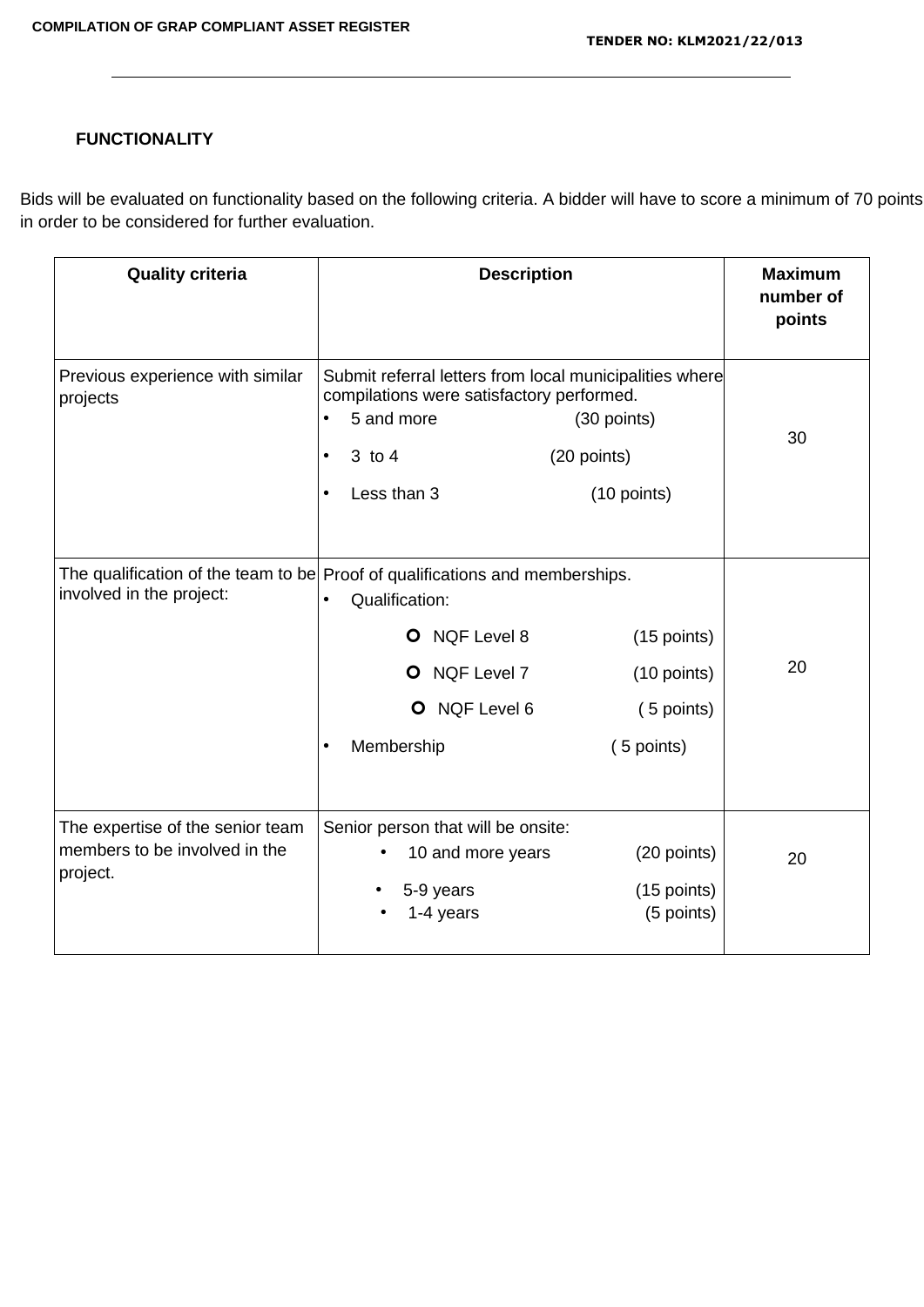# **FUNCTIONALITY**

Bids will be evaluated on functionality based on the following criteria. A bidder will have to score a minimum of 70 points in order to be considered for further evaluation.

| <b>Quality criteria</b>                                                       | <b>Description</b>                                                                                                                                                                                | <b>Maximum</b><br>number of<br>points                        |
|-------------------------------------------------------------------------------|---------------------------------------------------------------------------------------------------------------------------------------------------------------------------------------------------|--------------------------------------------------------------|
| Previous experience with similar<br>projects                                  | Submit referral letters from local municipalities where<br>compilations were satisfactory performed.<br>5 and more<br>$\bullet$<br>(20 points)<br>3 to 4<br>$\bullet$<br>Less than 3<br>$\bullet$ | (30 points)<br>30<br>(10 points)                             |
| involved in the project:                                                      | The qualification of the team to be Proof of qualifications and memberships.<br>Qualification:<br>O NQF Level 8<br>O NQF Level 7<br>O NQF Level 6<br>Membership                                   | (15 points)<br>20<br>(10 points)<br>(5 points)<br>(5 points) |
| The expertise of the senior team<br>members to be involved in the<br>project. | Senior person that will be onsite:<br>10 and more years<br>5-9 years<br>1-4 years                                                                                                                 | (20 points)<br>20<br>(15 points)<br>(5 points)               |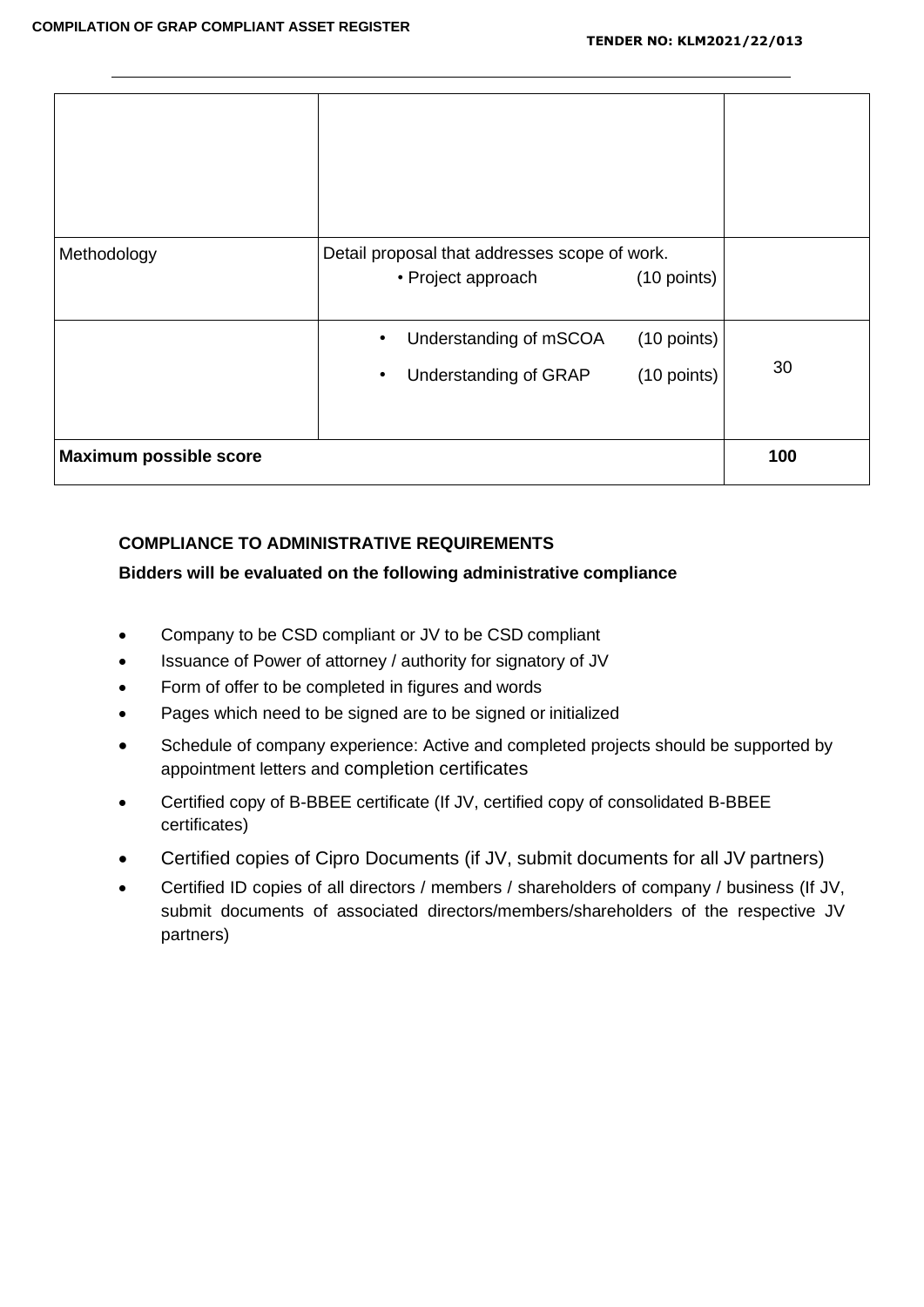| Methodology                   | Detail proposal that addresses scope of work.<br>• Project approach | (10 points)                |     |
|-------------------------------|---------------------------------------------------------------------|----------------------------|-----|
|                               | Understanding of mSCOA<br>Understanding of GRAP<br>٠                | (10 points)<br>(10 points) | 30  |
| <b>Maximum possible score</b> |                                                                     |                            | 100 |

## **COMPLIANCE TO ADMINISTRATIVE REQUIREMENTS**

## **Bidders will be evaluated on the following administrative compliance**

- Company to be CSD compliant or JV to be CSD compliant
- Issuance of Power of attorney / authority for signatory of JV
- Form of offer to be completed in figures and words
- Pages which need to be signed are to be signed or initialized
- Schedule of company experience: Active and completed projects should be supported by appointment letters and completion certificates
- Certified copy of B-BBEE certificate (If JV, certified copy of consolidated B-BBEE certificates)
- Certified copies of Cipro Documents (if JV, submit documents for all JV partners)
- Certified ID copies of all directors / members / shareholders of company / business (If JV, submit documents of associated directors/members/shareholders of the respective JV partners)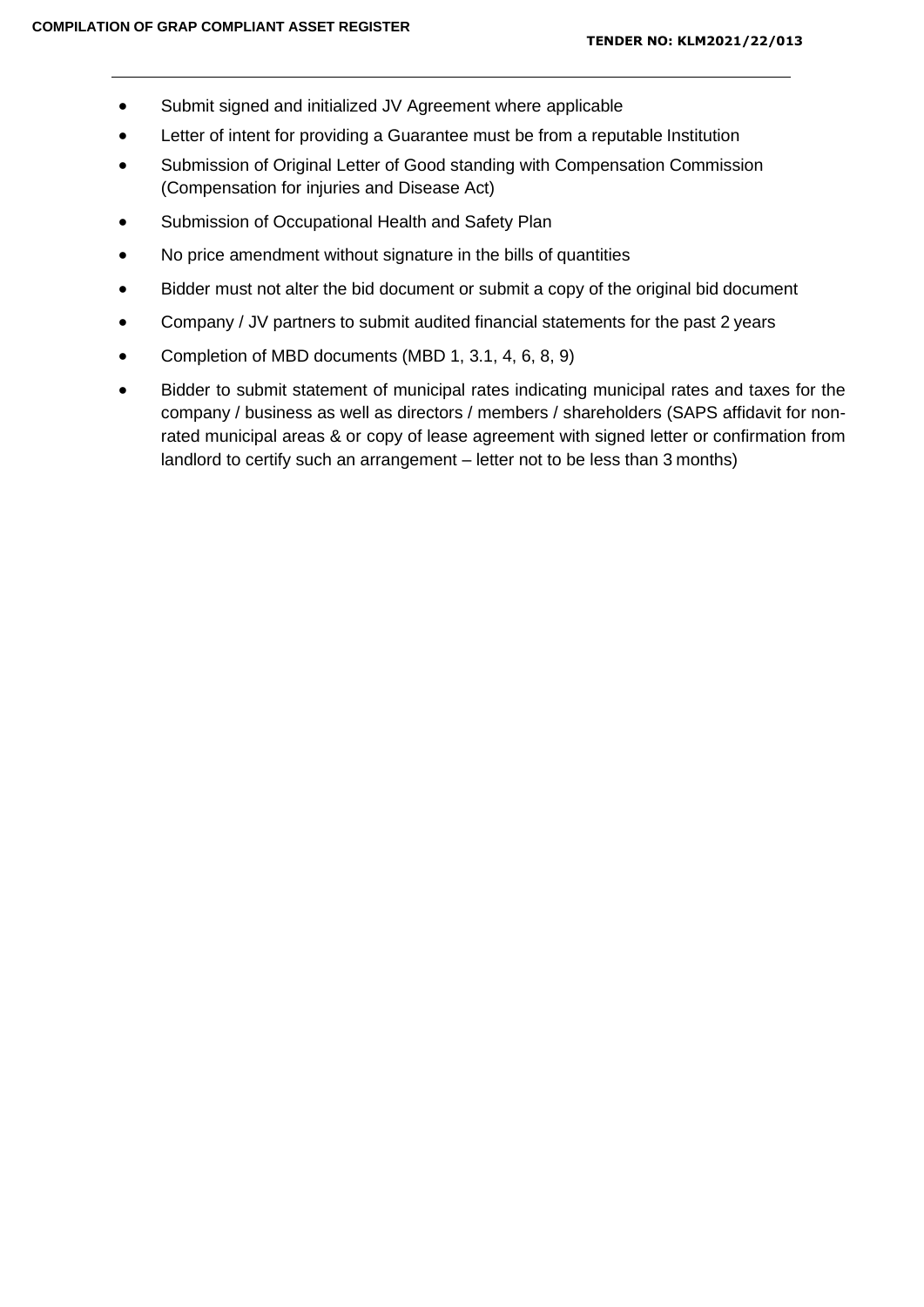- Submit signed and initialized JV Agreement where applicable
- Letter of intent for providing a Guarantee must be from a reputable Institution
- Submission of Original Letter of Good standing with Compensation Commission (Compensation for injuries and Disease Act)
- Submission of Occupational Health and Safety Plan
- No price amendment without signature in the bills of quantities
- Bidder must not alter the bid document or submit a copy of the original bid document
- Company / JV partners to submit audited financial statements for the past 2 years
- Completion of MBD documents (MBD 1, 3.1, 4, 6, 8, 9)
- Bidder to submit statement of municipal rates indicating municipal rates and taxes for the company / business as well as directors / members / shareholders (SAPS affidavit for nonrated municipal areas & or copy of lease agreement with signed letter or confirmation from landlord to certify such an arrangement – letter not to be less than 3 months)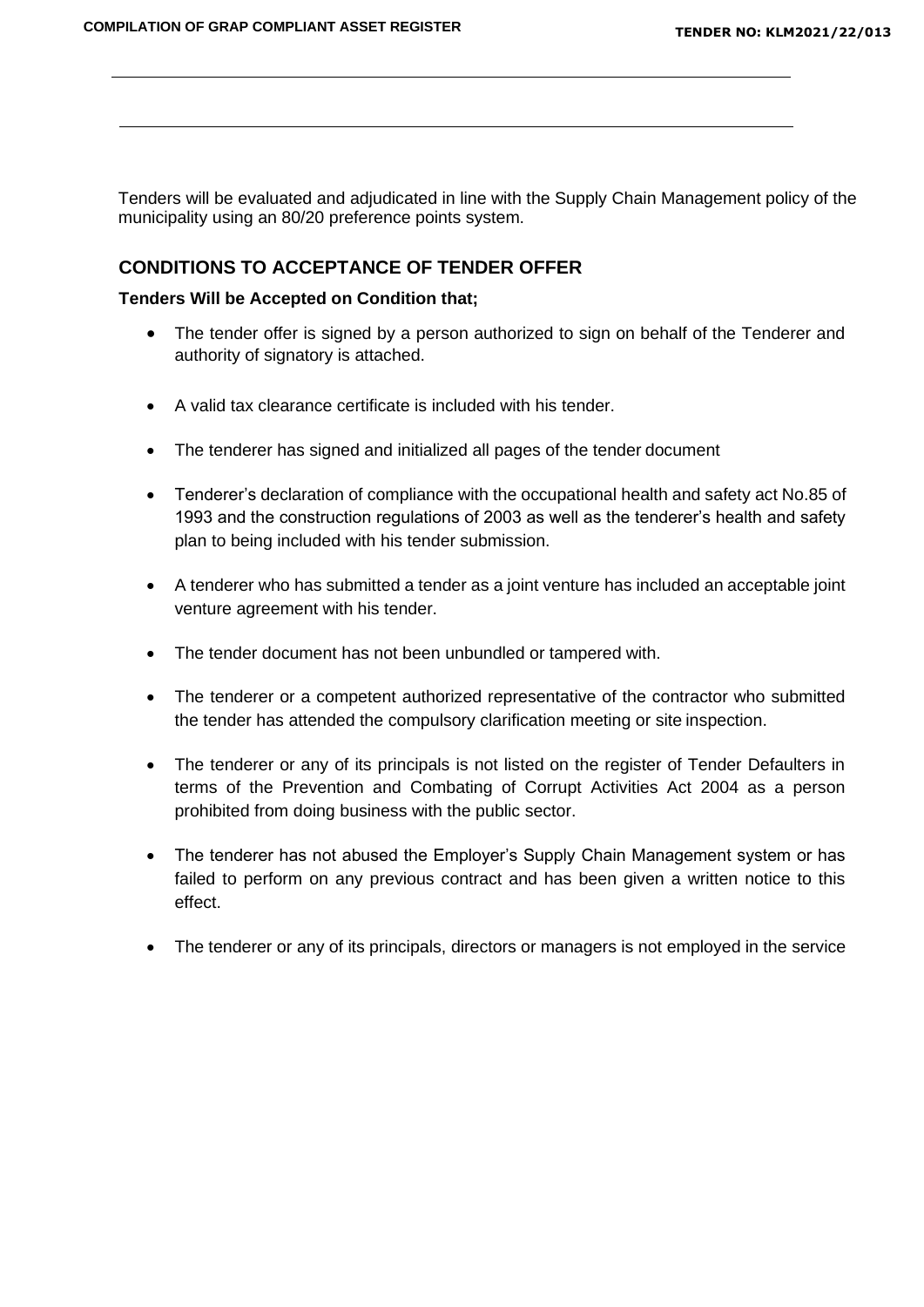Tenders will be evaluated and adjudicated in line with the Supply Chain Management policy of the municipality using an 80/20 preference points system.

## **CONDITIONS TO ACCEPTANCE OF TENDER OFFER**

#### **Tenders Will be Accepted on Condition that;**

- The tender offer is signed by a person authorized to sign on behalf of the Tenderer and authority of signatory is attached.
- A valid tax clearance certificate is included with his tender.
- The tenderer has signed and initialized all pages of the tender document
- Tenderer's declaration of compliance with the occupational health and safety act No.85 of 1993 and the construction regulations of 2003 as well as the tenderer's health and safety plan to being included with his tender submission.
- A tenderer who has submitted a tender as a joint venture has included an acceptable joint venture agreement with his tender.
- The tender document has not been unbundled or tampered with.
- The tenderer or a competent authorized representative of the contractor who submitted the tender has attended the compulsory clarification meeting or site inspection.
- The tenderer or any of its principals is not listed on the register of Tender Defaulters in terms of the Prevention and Combating of Corrupt Activities Act 2004 as a person prohibited from doing business with the public sector.
- The tenderer has not abused the Employer's Supply Chain Management system or has failed to perform on any previous contract and has been given a written notice to this effect.
- The tenderer or any of its principals, directors or managers is not employed in the service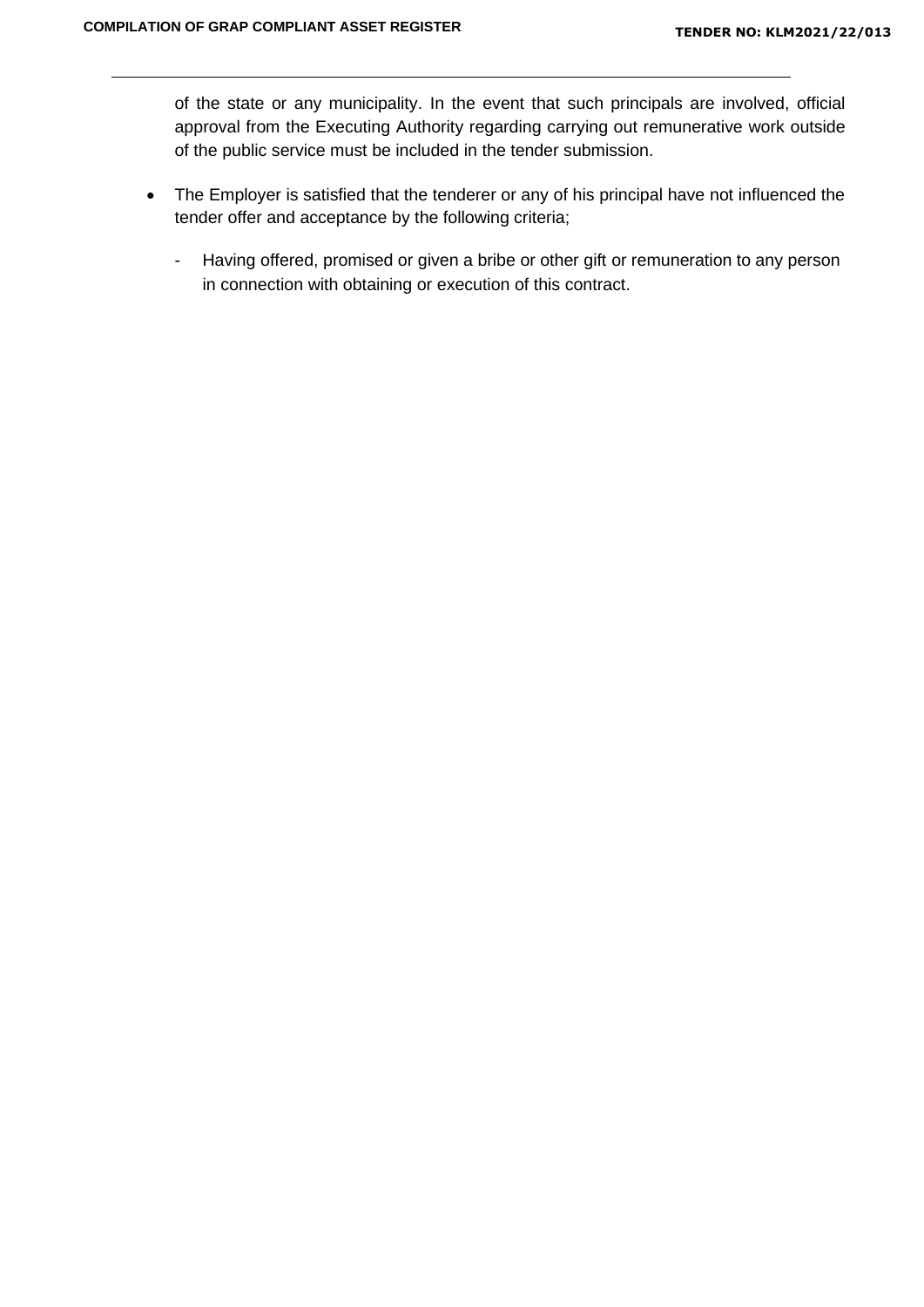of the state or any municipality. In the event that such principals are involved, official approval from the Executing Authority regarding carrying out remunerative work outside of the public service must be included in the tender submission.

- The Employer is satisfied that the tenderer or any of his principal have not influenced the tender offer and acceptance by the following criteria;
	- Having offered, promised or given a bribe or other gift or remuneration to any person in connection with obtaining or execution of this contract.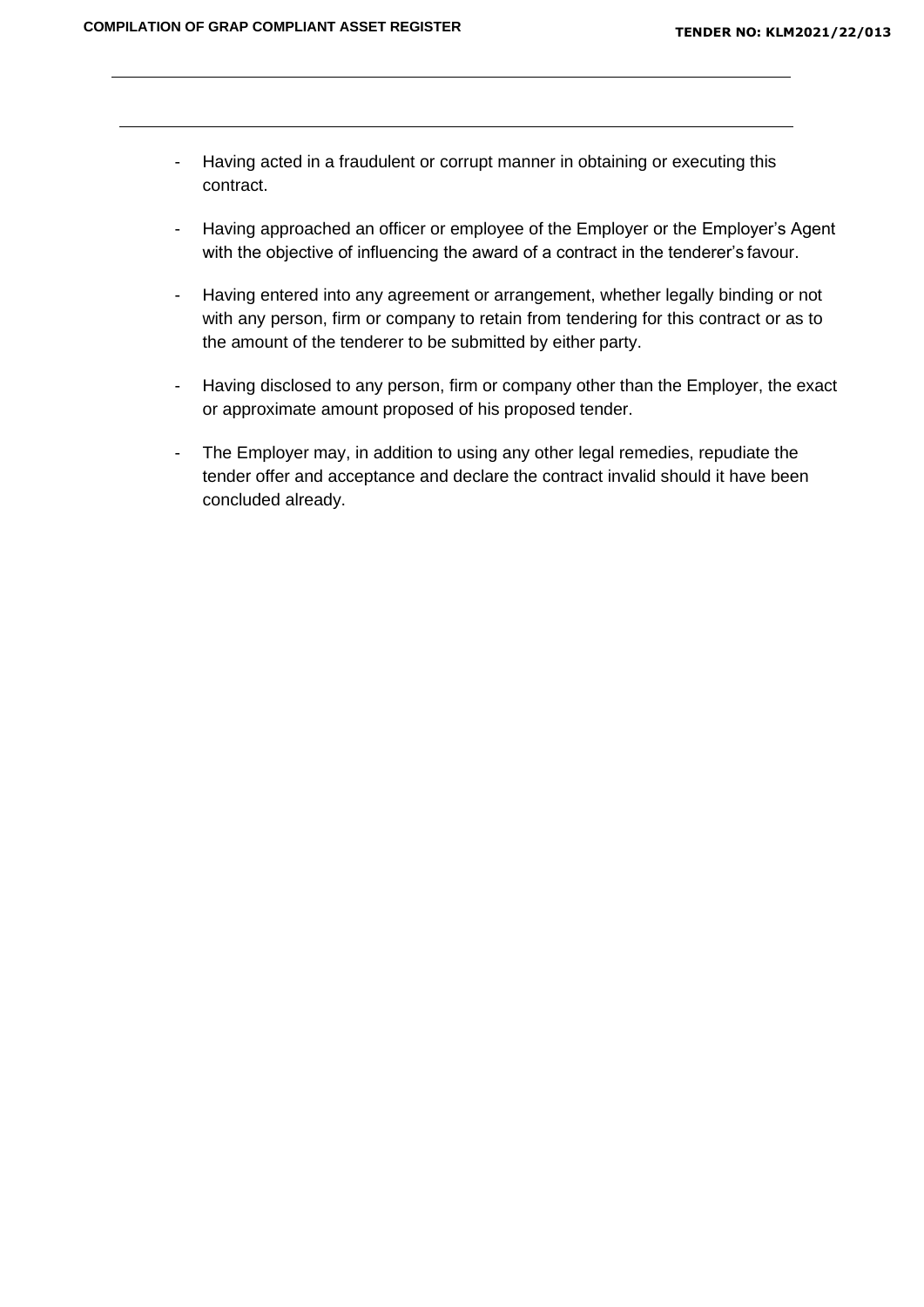- Having acted in a fraudulent or corrupt manner in obtaining or executing this contract.
- Having approached an officer or employee of the Employer or the Employer's Agent with the objective of influencing the award of a contract in the tenderer's favour.
- Having entered into any agreement or arrangement, whether legally binding or not with any person, firm or company to retain from tendering for this contract or as to the amount of the tenderer to be submitted by either party.
- Having disclosed to any person, firm or company other than the Employer, the exact or approximate amount proposed of his proposed tender.
- The Employer may, in addition to using any other legal remedies, repudiate the tender offer and acceptance and declare the contract invalid should it have been concluded already.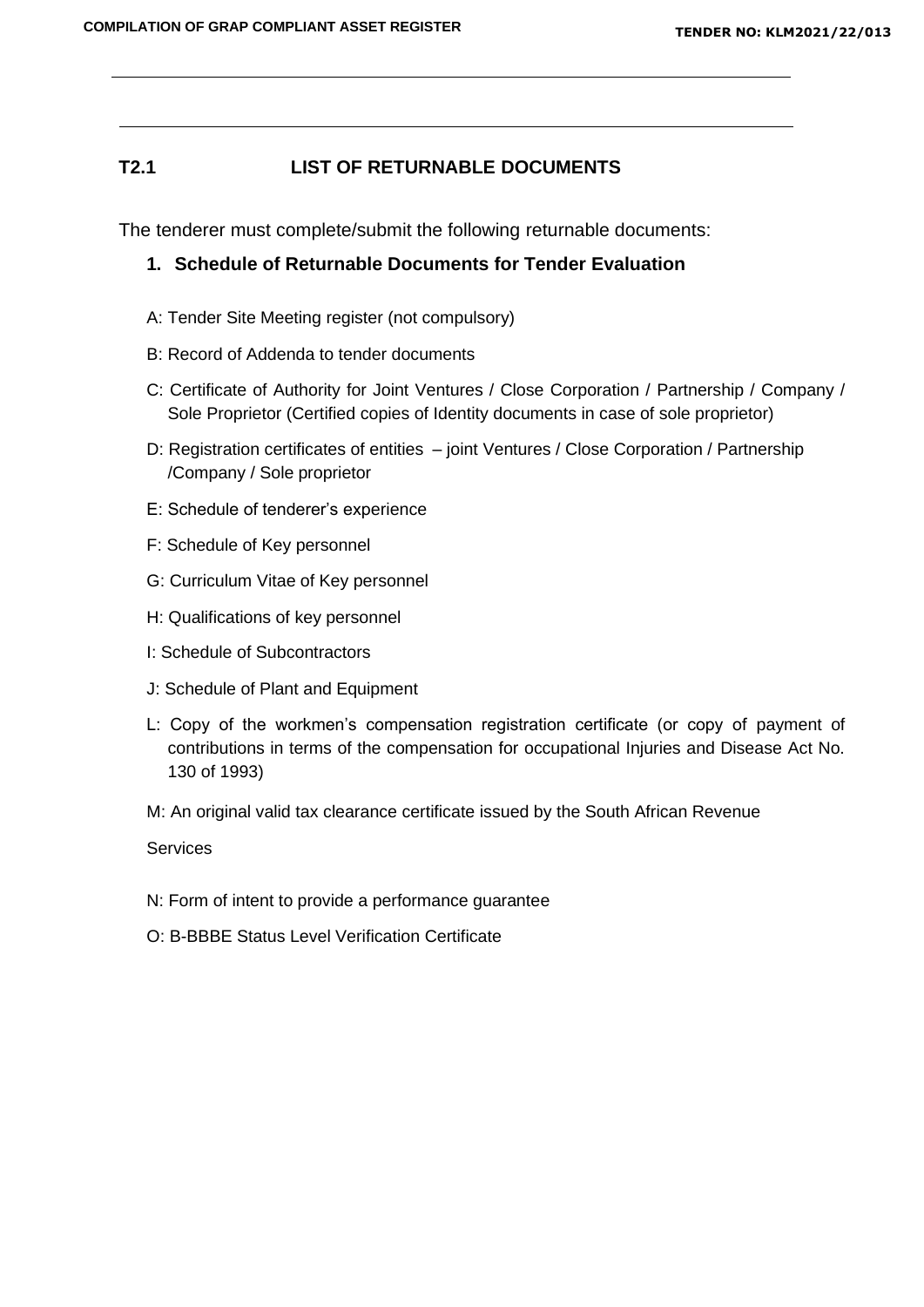## **T2.1 LIST OF RETURNABLE DOCUMENTS**

The tenderer must complete/submit the following returnable documents:

## **1. Schedule of Returnable Documents for Tender Evaluation**

- A: Tender Site Meeting register (not compulsory)
- B: Record of Addenda to tender documents
- C: Certificate of Authority for Joint Ventures / Close Corporation / Partnership / Company / Sole Proprietor (Certified copies of Identity documents in case of sole proprietor)
- D: Registration certificates of entities joint Ventures / Close Corporation / Partnership /Company / Sole proprietor
- E: Schedule of tenderer's experience
- F: Schedule of Key personnel
- G: Curriculum Vitae of Key personnel
- H: Qualifications of key personnel
- I: Schedule of Subcontractors
- J: Schedule of Plant and Equipment
- L: Copy of the workmen's compensation registration certificate (or copy of payment of contributions in terms of the compensation for occupational Injuries and Disease Act No. 130 of 1993)
- M: An original valid tax clearance certificate issued by the South African Revenue

**Services** 

- N: Form of intent to provide a performance guarantee
- O: B-BBBE Status Level Verification Certificate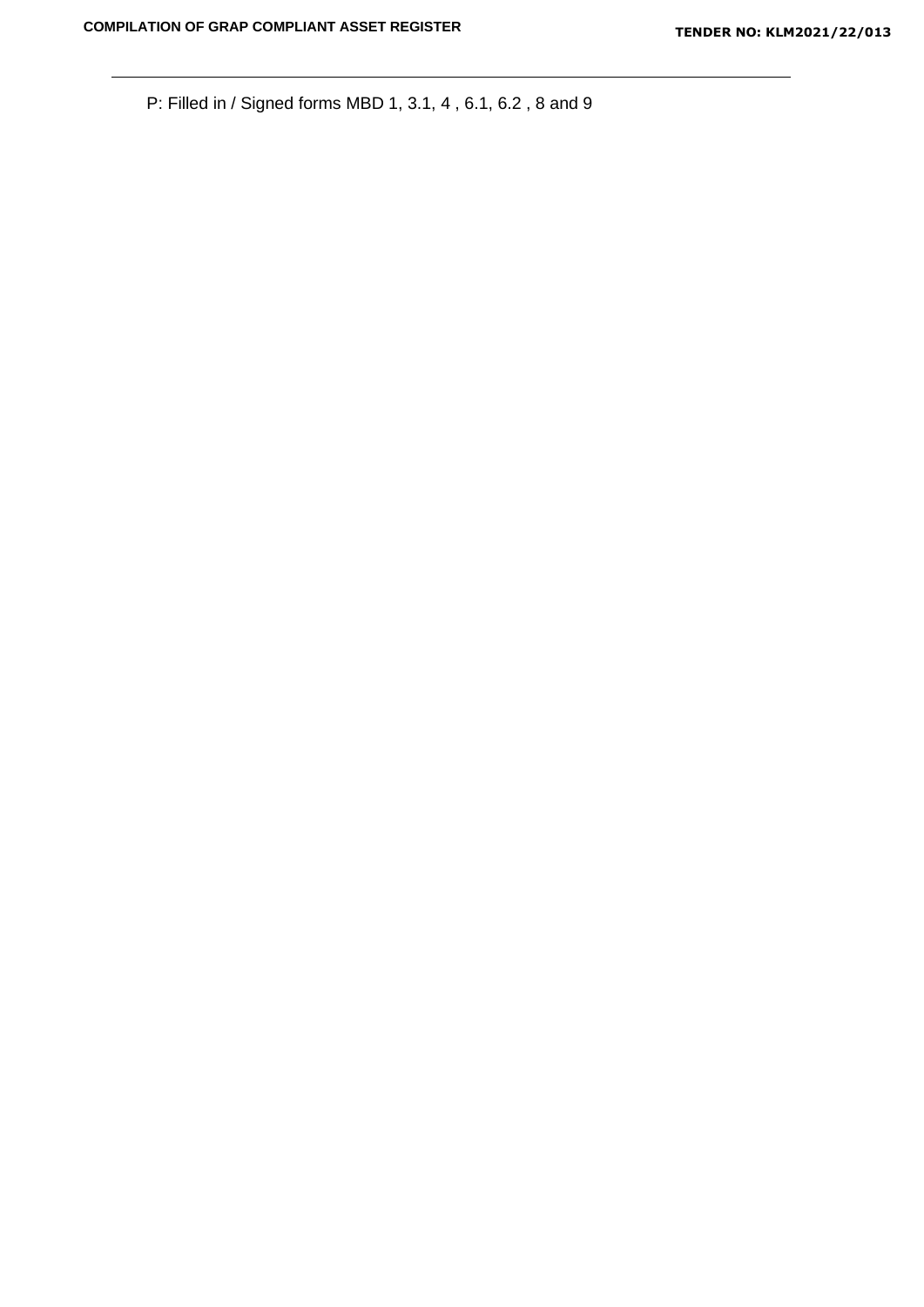P: Filled in / Signed forms MBD 1, 3.1, 4 , 6.1, 6.2 , 8 and 9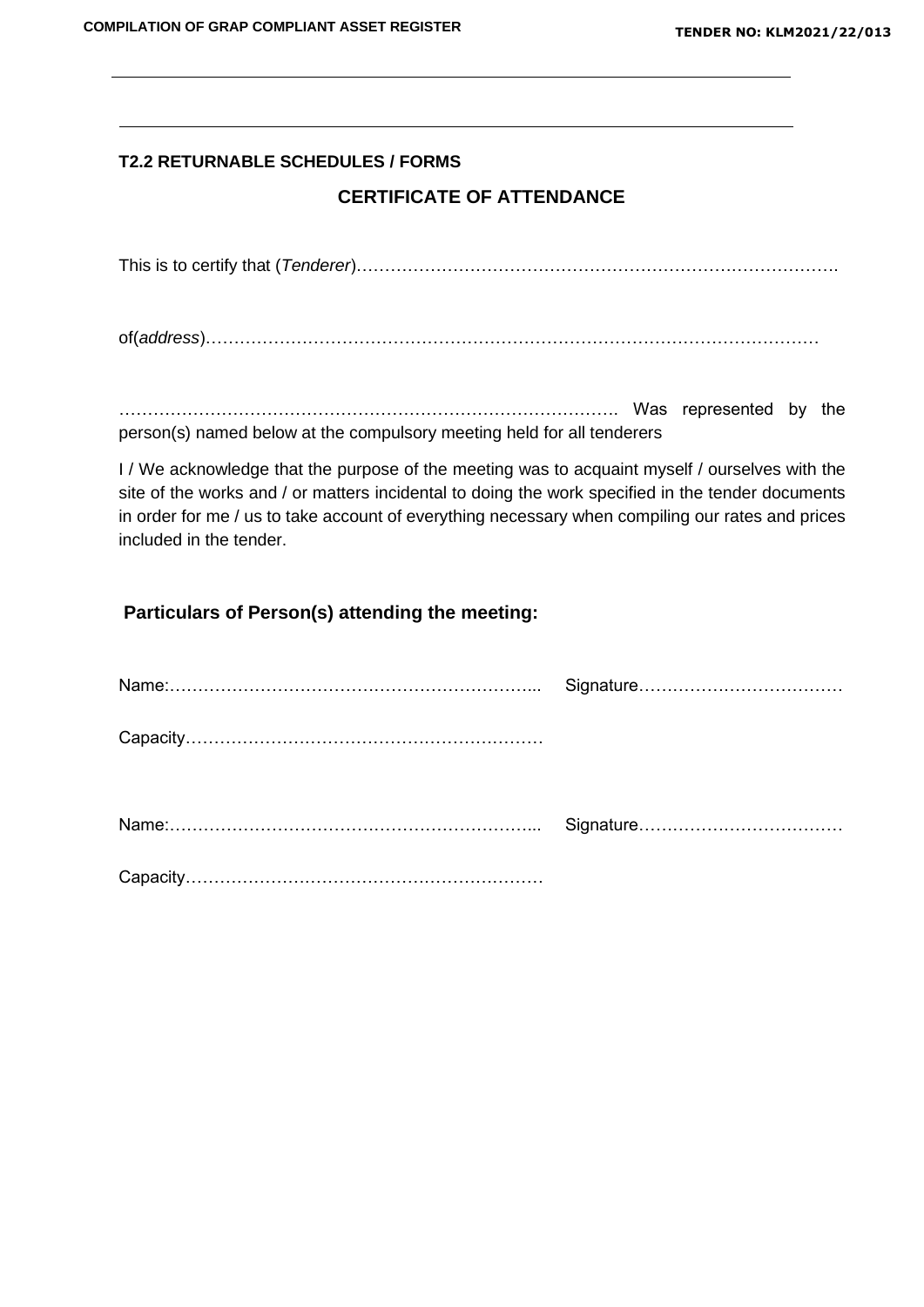# **T2.2 RETURNABLE SCHEDULES / FORMS**

## **CERTIFICATE OF ATTENDANCE**

This is to certify that (*Tenderer*)………………………………………………………………………….

of(*address*)………………………………………………………………………………………………

……………………………………………………………………………. Was represented by the person(s) named below at the compulsory meeting held for all tenderers

I / We acknowledge that the purpose of the meeting was to acquaint myself / ourselves with the site of the works and / or matters incidental to doing the work specified in the tender documents in order for me / us to take account of everything necessary when compiling our rates and prices included in the tender.

## **Particulars of Person(s) attending the meeting:**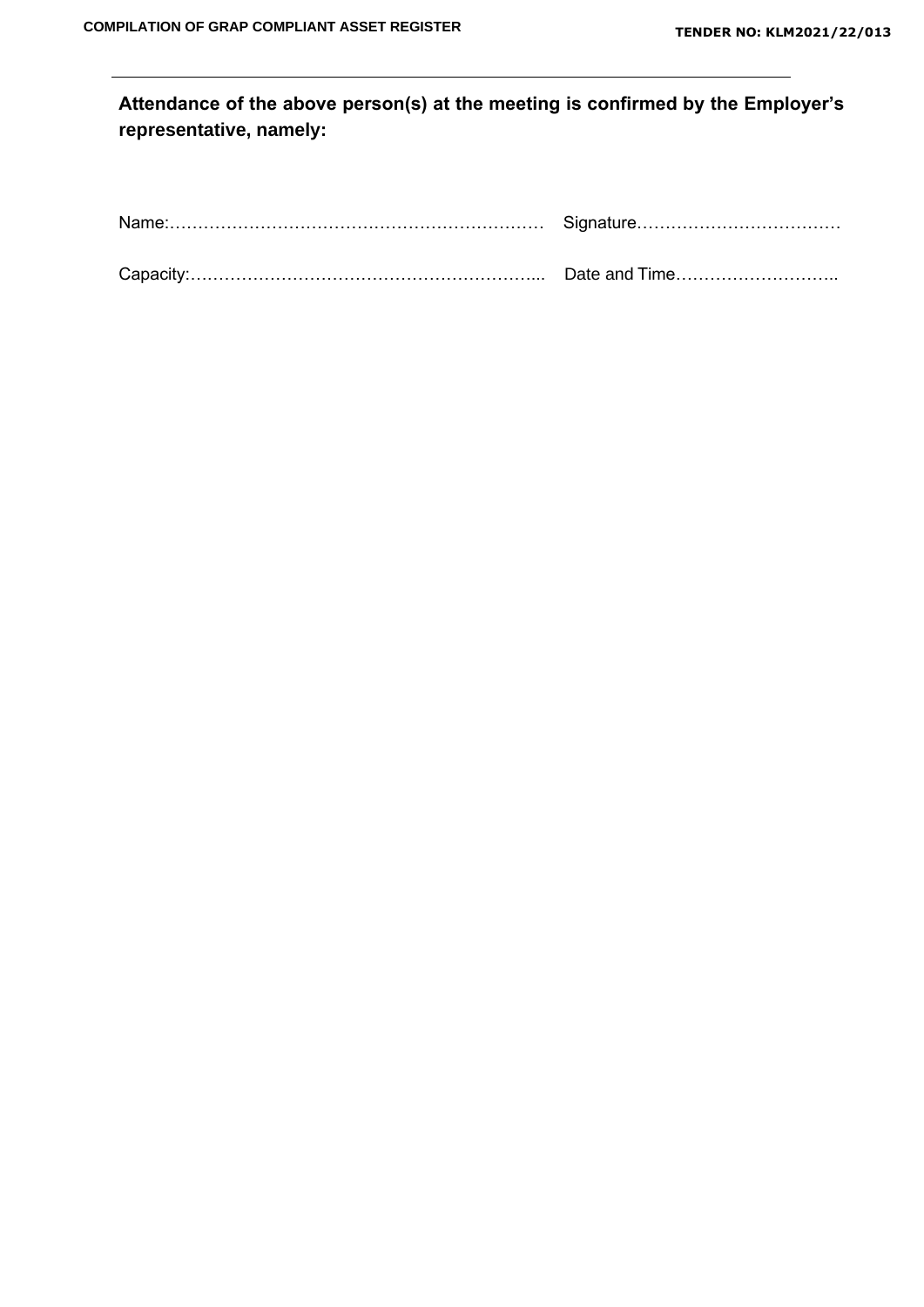# **Attendance of the above person(s) at the meeting is confirmed by the Employer's representative, namely:**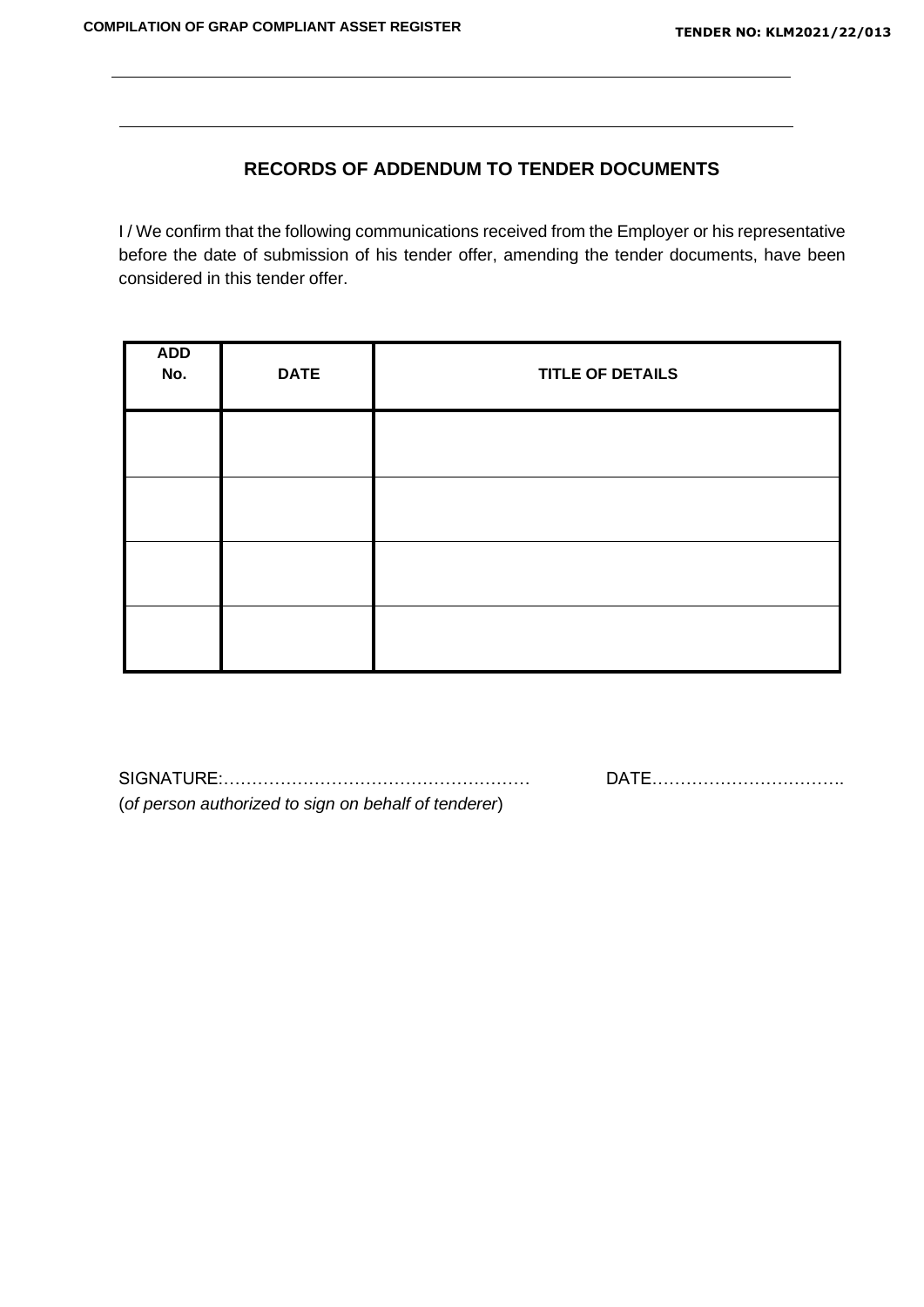# **RECORDS OF ADDENDUM TO TENDER DOCUMENTS**

I / We confirm that the following communications received from the Employer or his representative before the date of submission of his tender offer, amending the tender documents, have been considered in this tender offer.

| ADD<br>No. | <b>DATE</b> | <b>TITLE OF DETAILS</b> |  |  |  |  |
|------------|-------------|-------------------------|--|--|--|--|
|            |             |                         |  |  |  |  |
|            |             |                         |  |  |  |  |
|            |             |                         |  |  |  |  |
|            |             |                         |  |  |  |  |

SIGNATURE:……………………………………………… DATE……………………………. (*of person authorized to sign on behalf of tenderer*)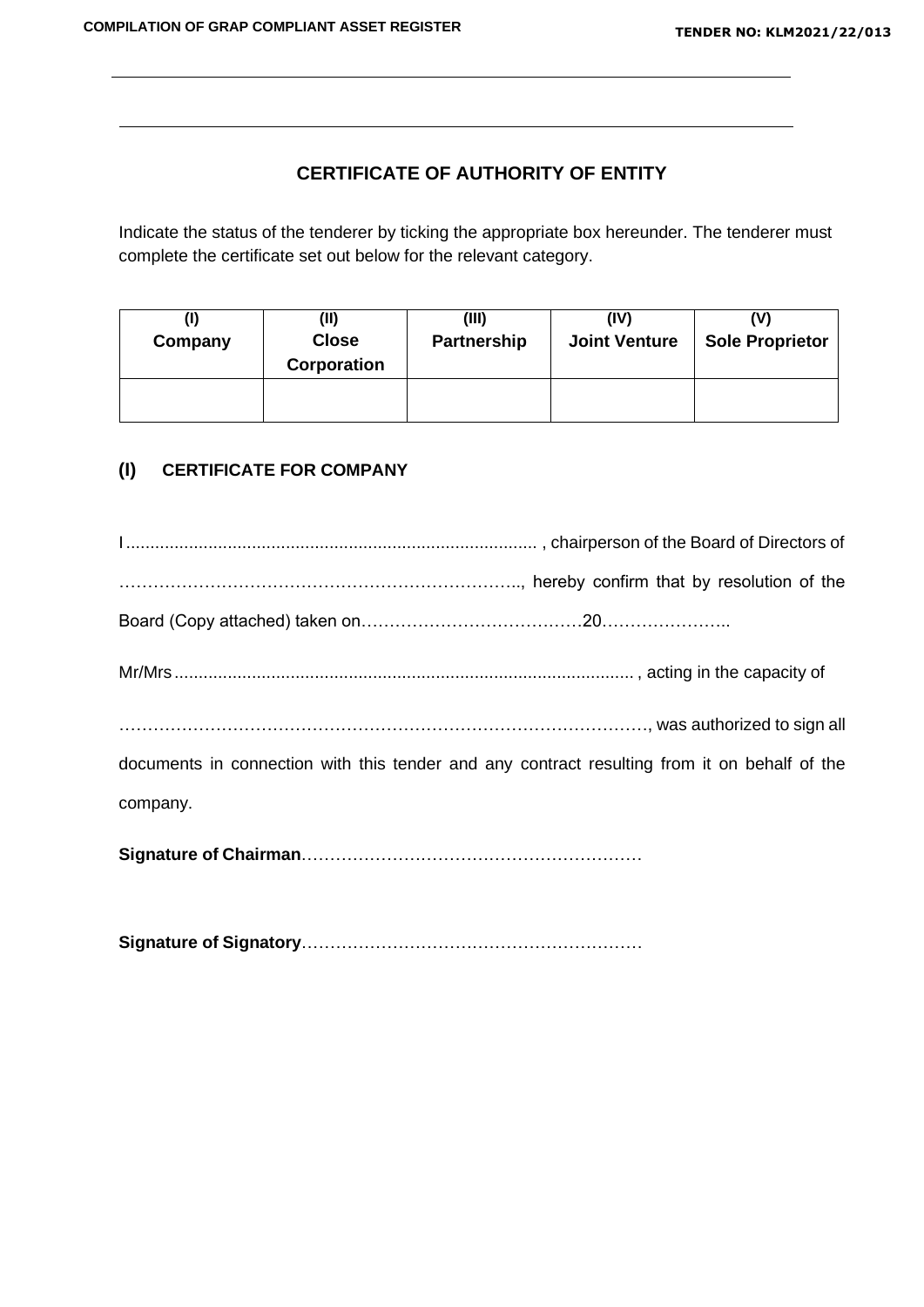# **CERTIFICATE OF AUTHORITY OF ENTITY**

Indicate the status of the tenderer by ticking the appropriate box hereunder. The tenderer must complete the certificate set out below for the relevant category.

| Company | (II)<br><b>Close</b><br>Corporation | (III)<br><b>Partnership</b> | (IV)<br><b>Joint Venture</b> | <b>Sole Proprietor</b> |  |
|---------|-------------------------------------|-----------------------------|------------------------------|------------------------|--|
|         |                                     |                             |                              |                        |  |

## **(I) CERTIFICATE FOR COMPANY**

| was authorized to sign all and the sign all                                                  |
|----------------------------------------------------------------------------------------------|
| documents in connection with this tender and any contract resulting from it on behalf of the |
| company.                                                                                     |
|                                                                                              |

**Signature of Signatory**……………………………………………………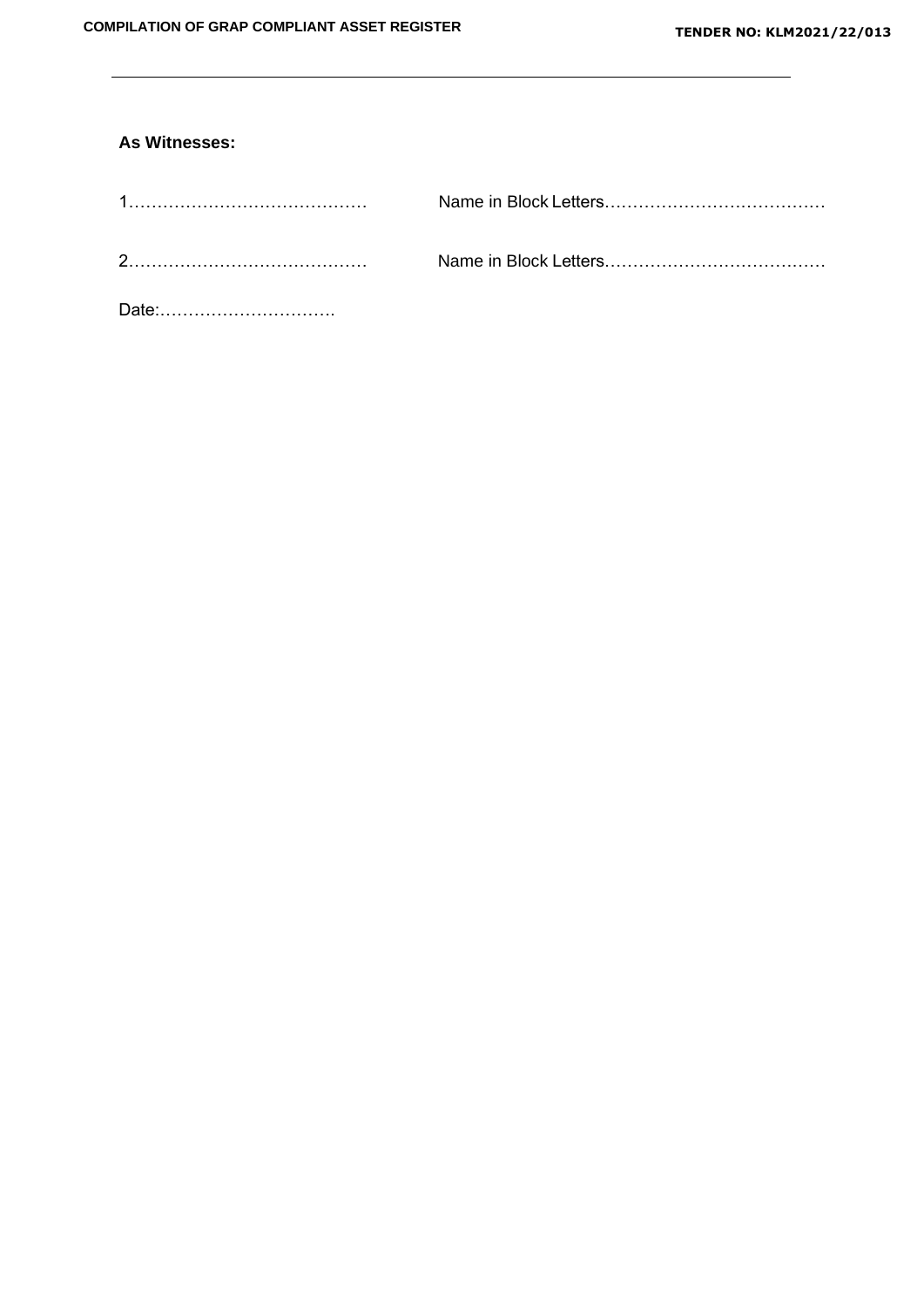## **As Witnesses:**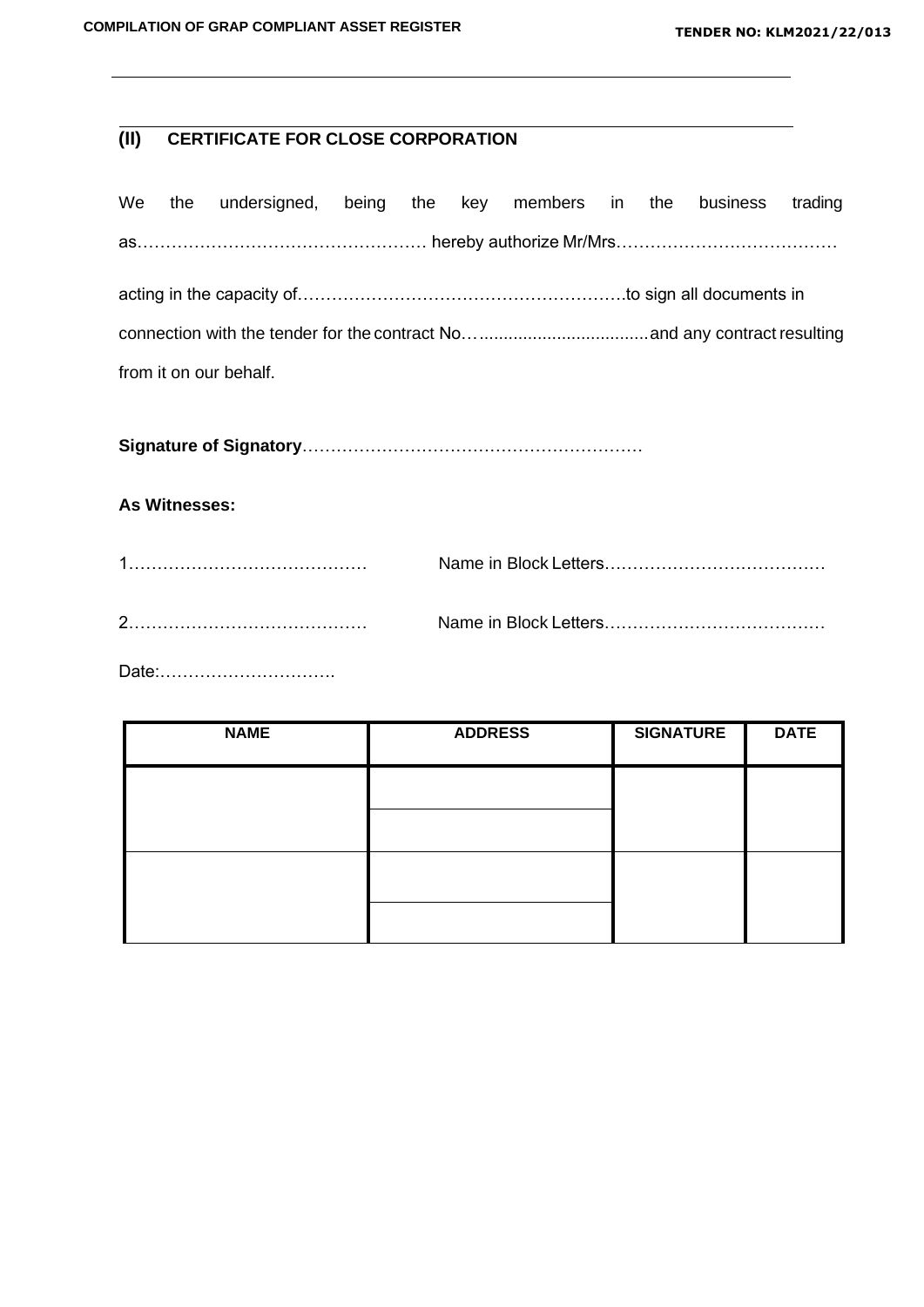# **(II) CERTIFICATE FOR CLOSE CORPORATION**

|                        |  | We the undersigned, being the key members in the business trading |  |  |  |  |  |  |  |  |
|------------------------|--|-------------------------------------------------------------------|--|--|--|--|--|--|--|--|
|                        |  | as…………………………………………… hereby authorize Mr/Mrs…………………………………          |  |  |  |  |  |  |  |  |
|                        |  |                                                                   |  |  |  |  |  |  |  |  |
|                        |  |                                                                   |  |  |  |  |  |  |  |  |
| from it on our behalf. |  |                                                                   |  |  |  |  |  |  |  |  |
|                        |  |                                                                   |  |  |  |  |  |  |  |  |

**Signature of Signatory**……………………………………………………

### **As Witnesses:**

Date:………………………….

| <b>NAME</b> | <b>ADDRESS</b> | <b>SIGNATURE</b> | <b>DATE</b> |
|-------------|----------------|------------------|-------------|
|             |                |                  |             |
|             |                |                  |             |
|             |                |                  |             |
|             |                |                  |             |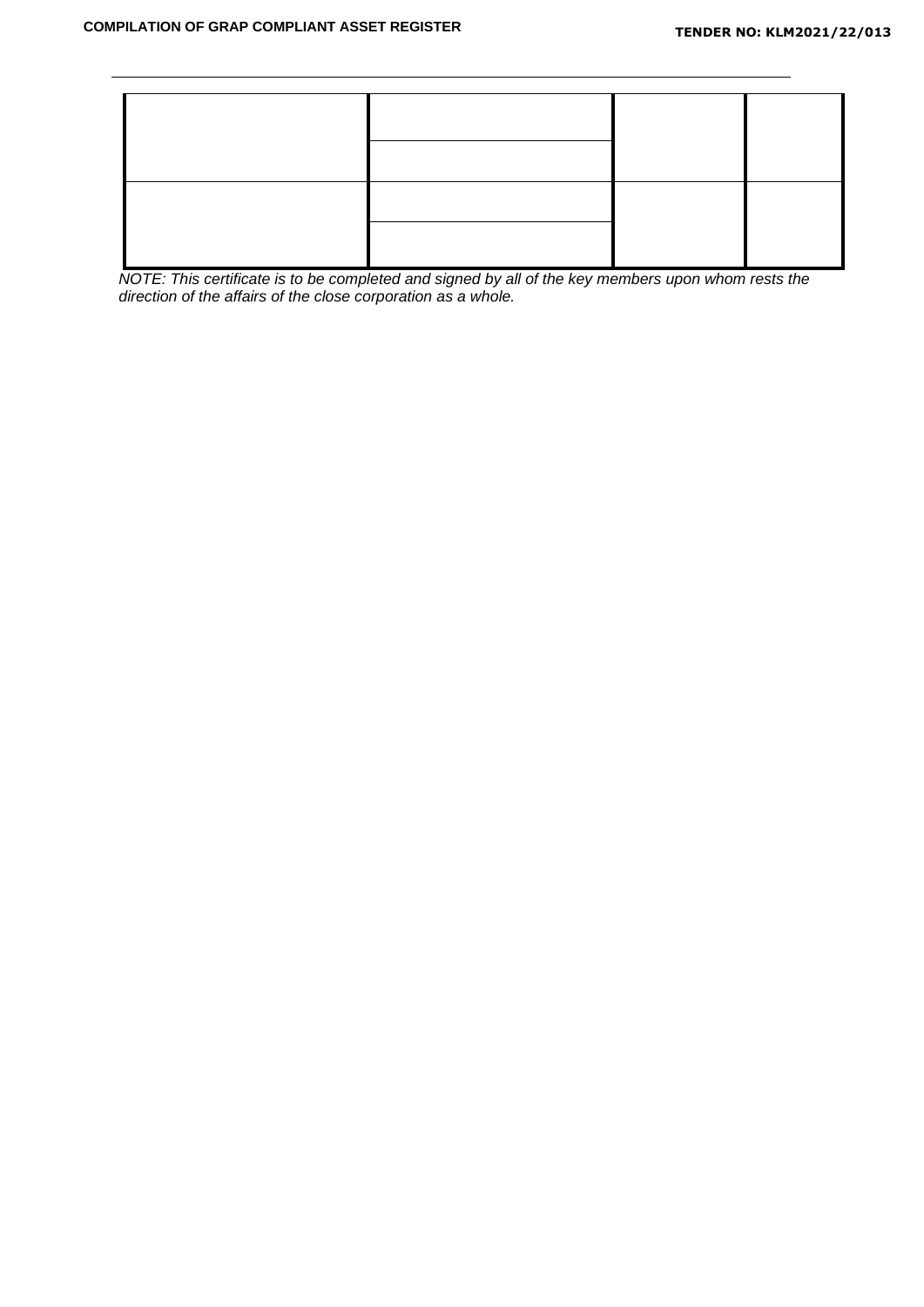

*NOTE: This certificate is to be completed and signed by all of the key members upon whom rests the direction of the affairs of the close corporation as a whole.*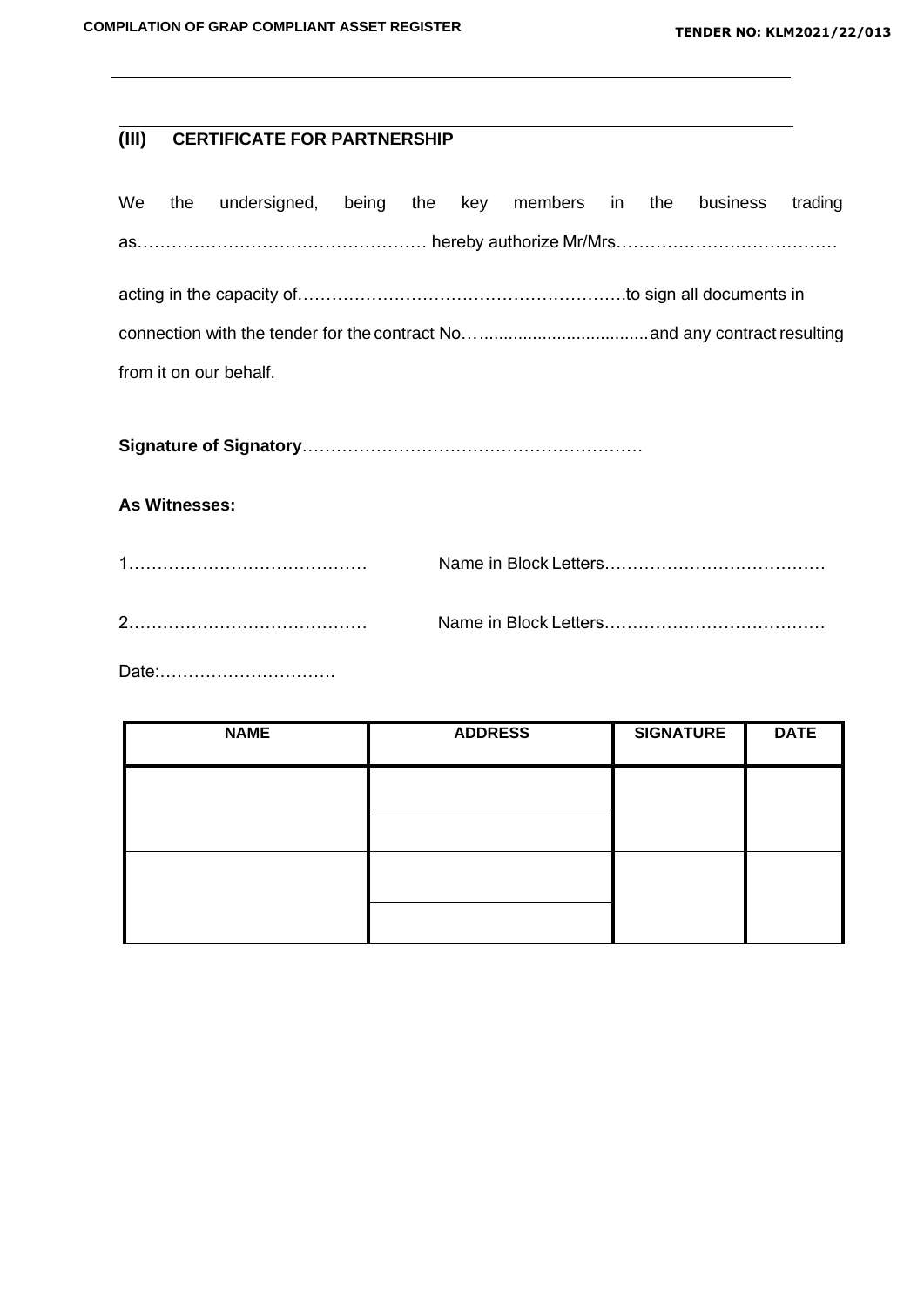# **(III) CERTIFICATE FOR PARTNERSHIP**

|  | We the undersigned, being the key members in the business trading |  |  |  |  |
|--|-------------------------------------------------------------------|--|--|--|--|
|  | as…………………………………………… hereby authorize Mr/Mrs…………………………………          |  |  |  |  |
|  |                                                                   |  |  |  |  |
|  |                                                                   |  |  |  |  |
|  | from it on our behalf.                                            |  |  |  |  |

**Signature of Signatory**……………………………………………………

## **As Witnesses:**

Date:………………………….

| <b>NAME</b> | <b>ADDRESS</b> | <b>SIGNATURE</b> | <b>DATE</b> |
|-------------|----------------|------------------|-------------|
|             |                |                  |             |
|             |                |                  |             |
|             |                |                  |             |
|             |                |                  |             |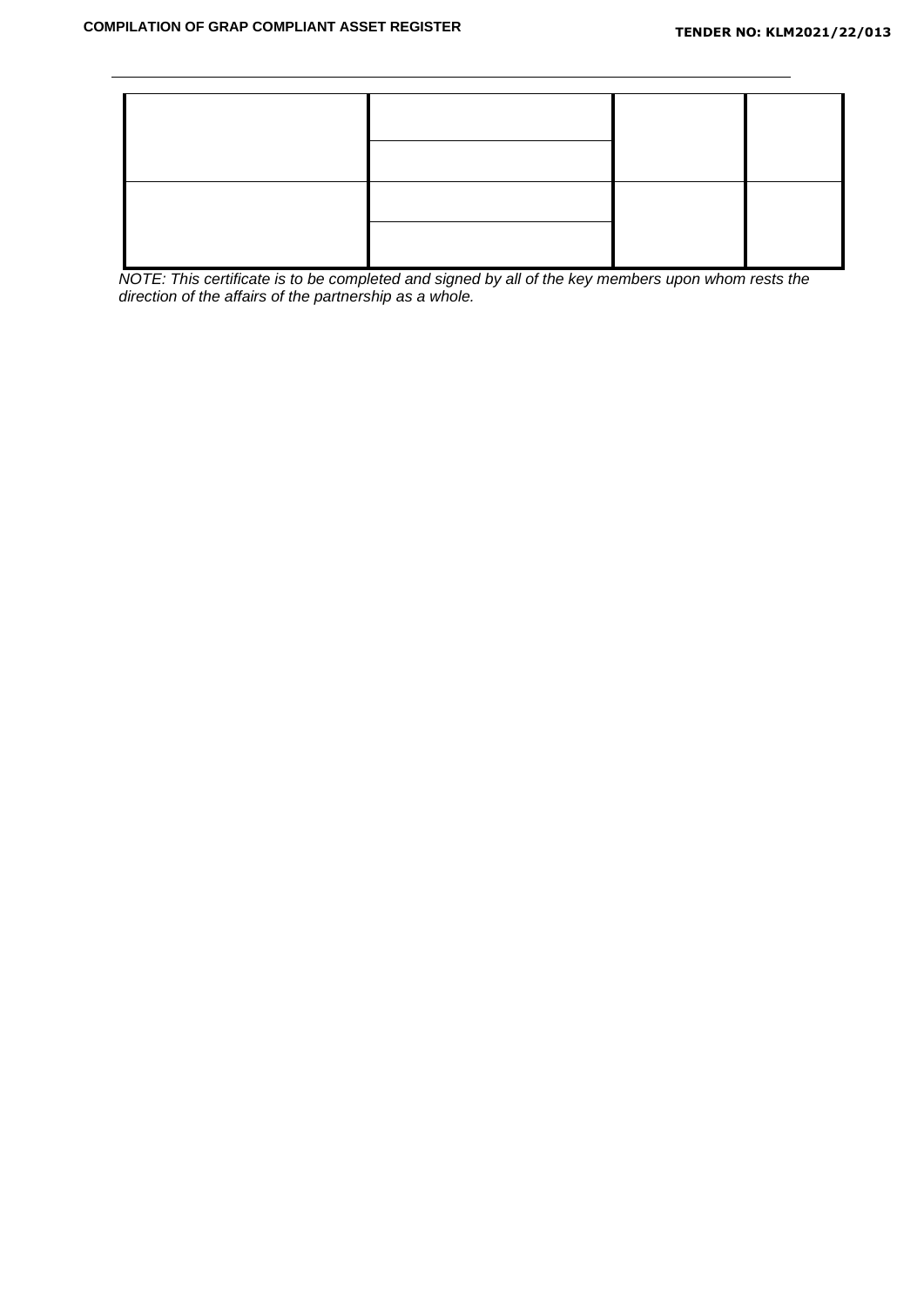

*NOTE: This certificate is to be completed and signed by all of the key members upon whom rests the direction of the affairs of the partnership as a whole.*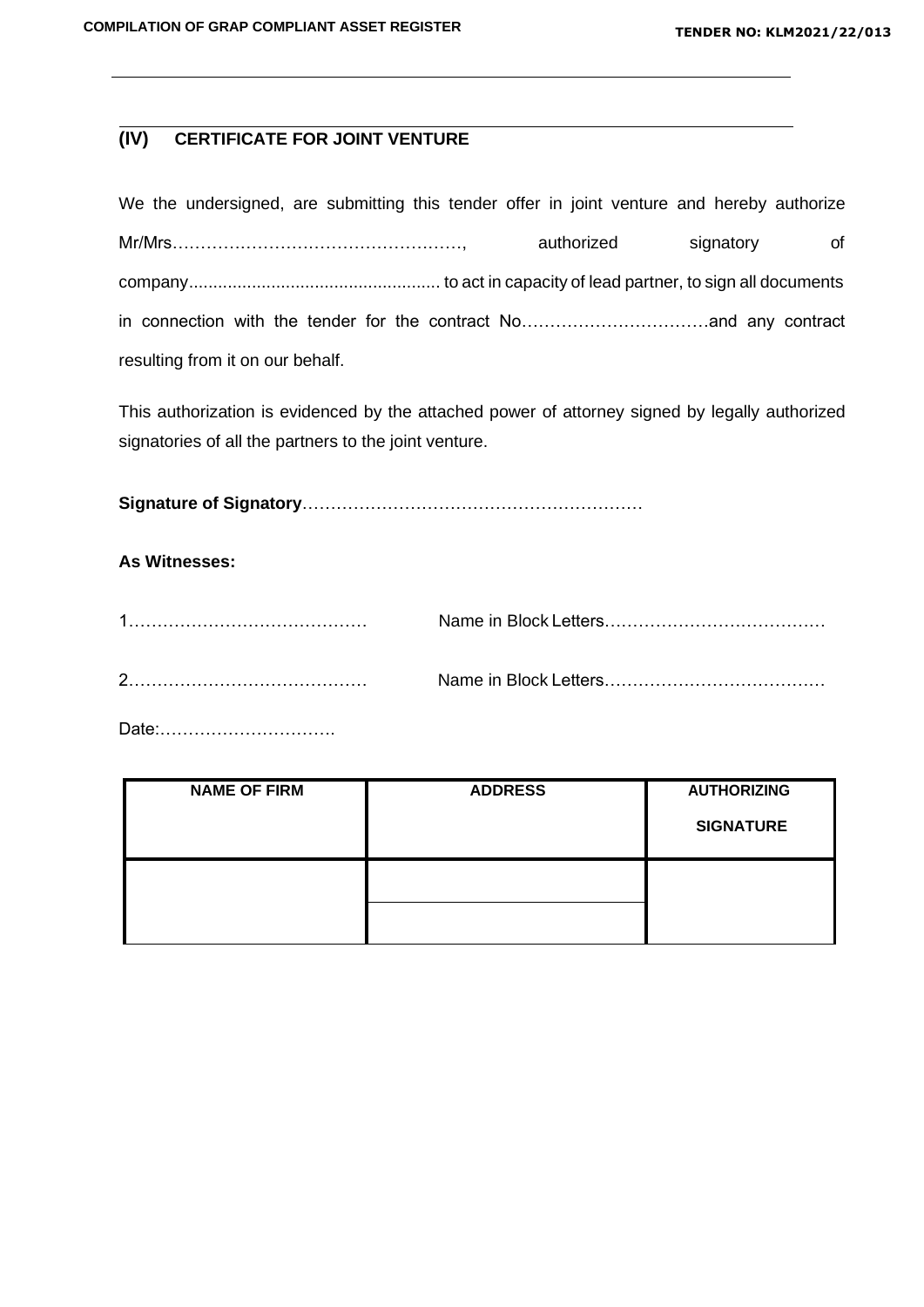# **(IV) CERTIFICATE FOR JOINT VENTURE**

| We the undersigned, are submitting this tender offer in joint venture and hereby authorize |            |           |    |
|--------------------------------------------------------------------------------------------|------------|-----------|----|
|                                                                                            | authorized | signatory | of |
|                                                                                            |            |           |    |
|                                                                                            |            |           |    |
| resulting from it on our behalf.                                                           |            |           |    |

This authorization is evidenced by the attached power of attorney signed by legally authorized signatories of all the partners to the joint venture.

**Signature of Signatory**……………………………………………………

## **As Witnesses:**

| C |  |
|---|--|

Date:………………………….

| <b>NAME OF FIRM</b> | <b>ADDRESS</b> | <b>AUTHORIZING</b> |
|---------------------|----------------|--------------------|
|                     |                | <b>SIGNATURE</b>   |
|                     |                |                    |
|                     |                |                    |
|                     |                |                    |
|                     |                |                    |
|                     |                |                    |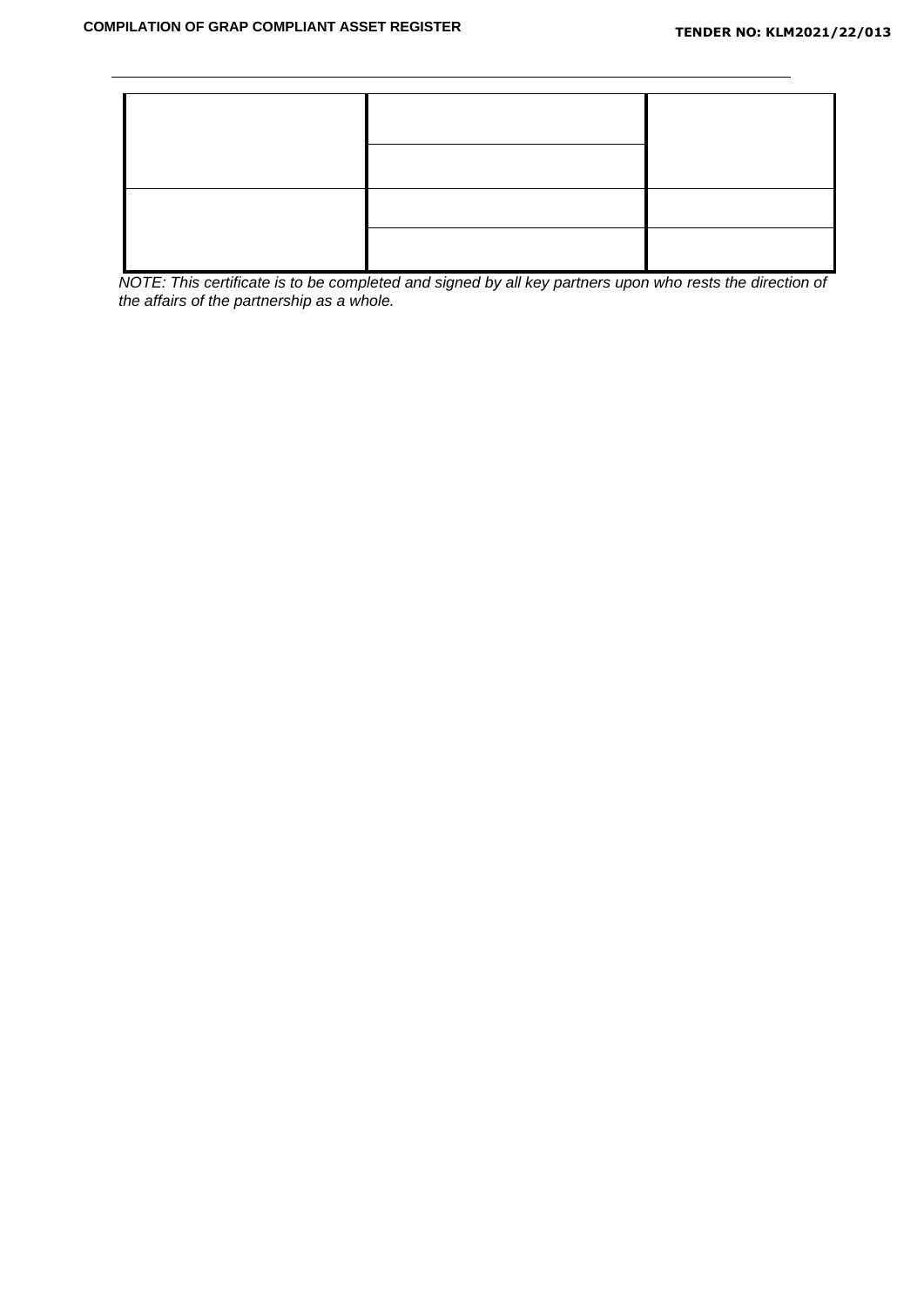*NOTE: This certificate is to be completed and signed by all key partners upon who rests the direction of the affairs of the partnership as a whole.*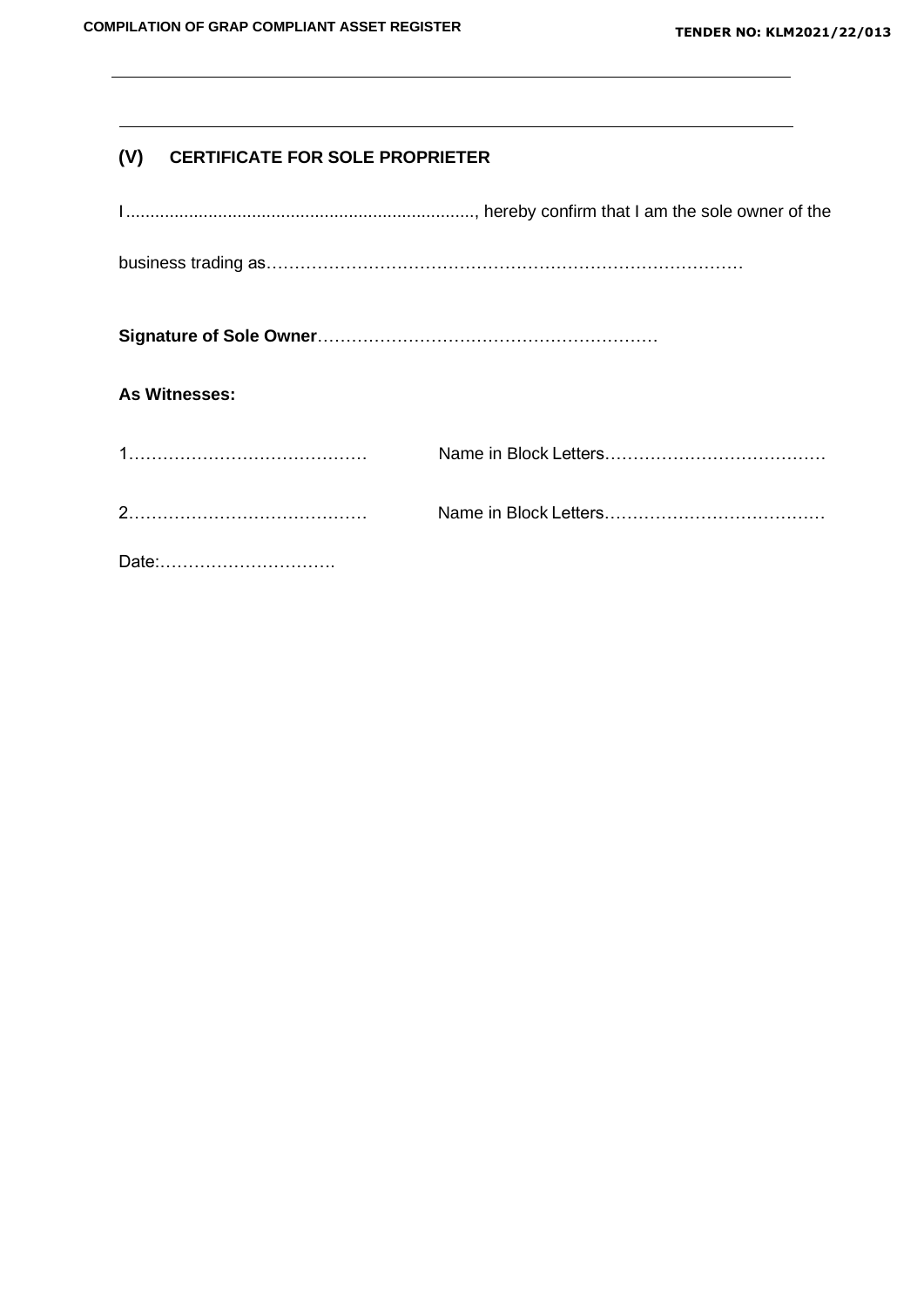# **(V) CERTIFICATE FOR SOLE PROPRIETER**

| <b>As Witnesses:</b> |  |
|----------------------|--|
|                      |  |
|                      |  |
|                      |  |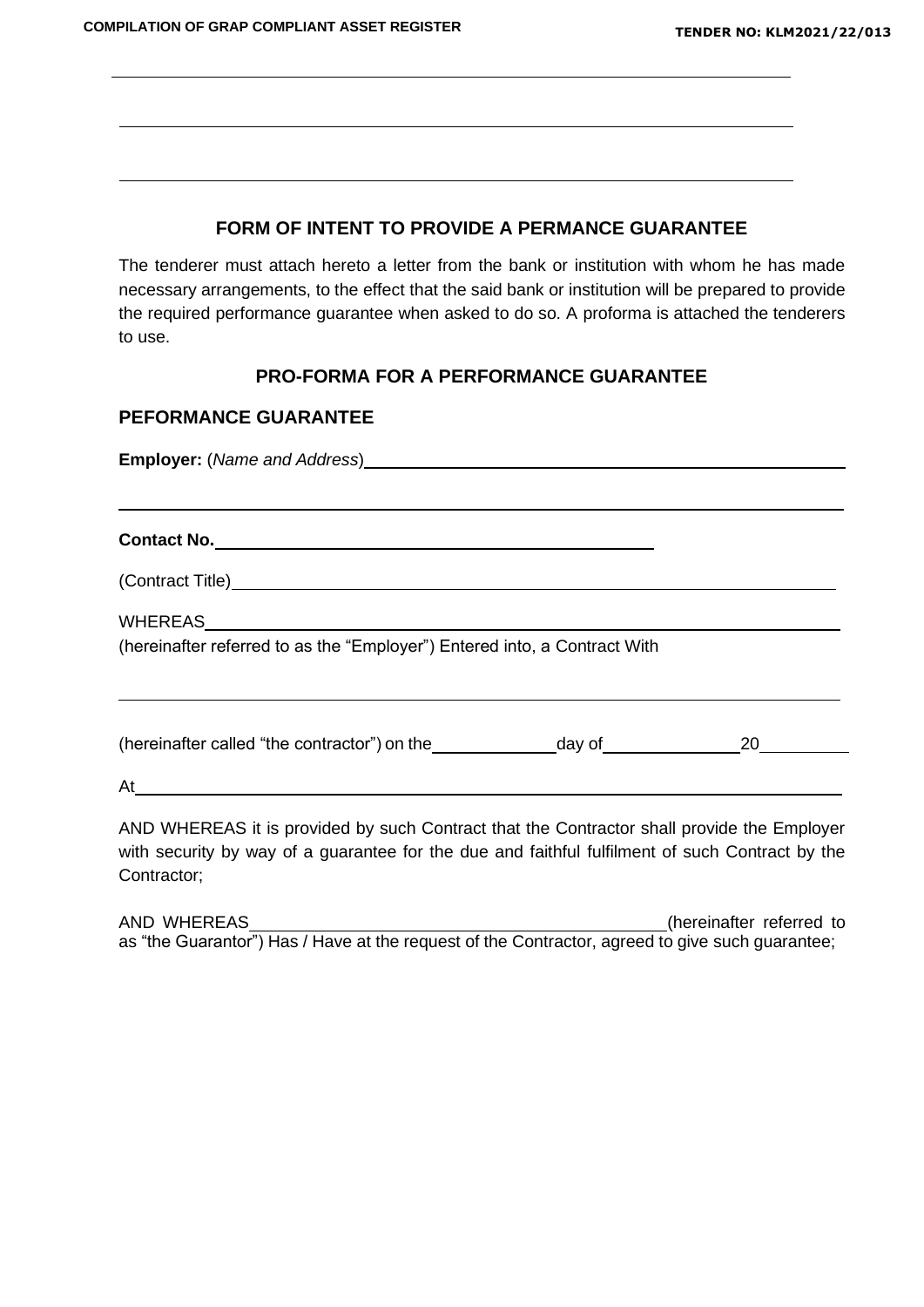The tenderer must attach hereto a letter from the bank or institution with whom he has made necessary arrangements, to the effect that the said bank or institution will be prepared to provide the required performance guarantee when asked to do so. A proforma is attached the tenderers to use.

## **PRO-FORMA FOR A PERFORMANCE GUARANTEE**

#### **PEFORMANCE GUARANTEE**

**Employer:** (*Name and Address*)

**Contact No.**

(Contract Title)

WHEREAS

(hereinafter referred to as the "Employer") Entered into, a Contract With

(hereinafter called "the contractor") on the  $\qquad \qquad$  day of  $\qquad \qquad 20$ 

At

AND WHEREAS it is provided by such Contract that the Contractor shall provide the Employer with security by way of a guarantee for the due and faithful fulfilment of such Contract by the Contractor;

AND WHEREAS (hereinafter referred to as "the Guarantor") Has / Have at the request of the Contractor, agreed to give such guarantee;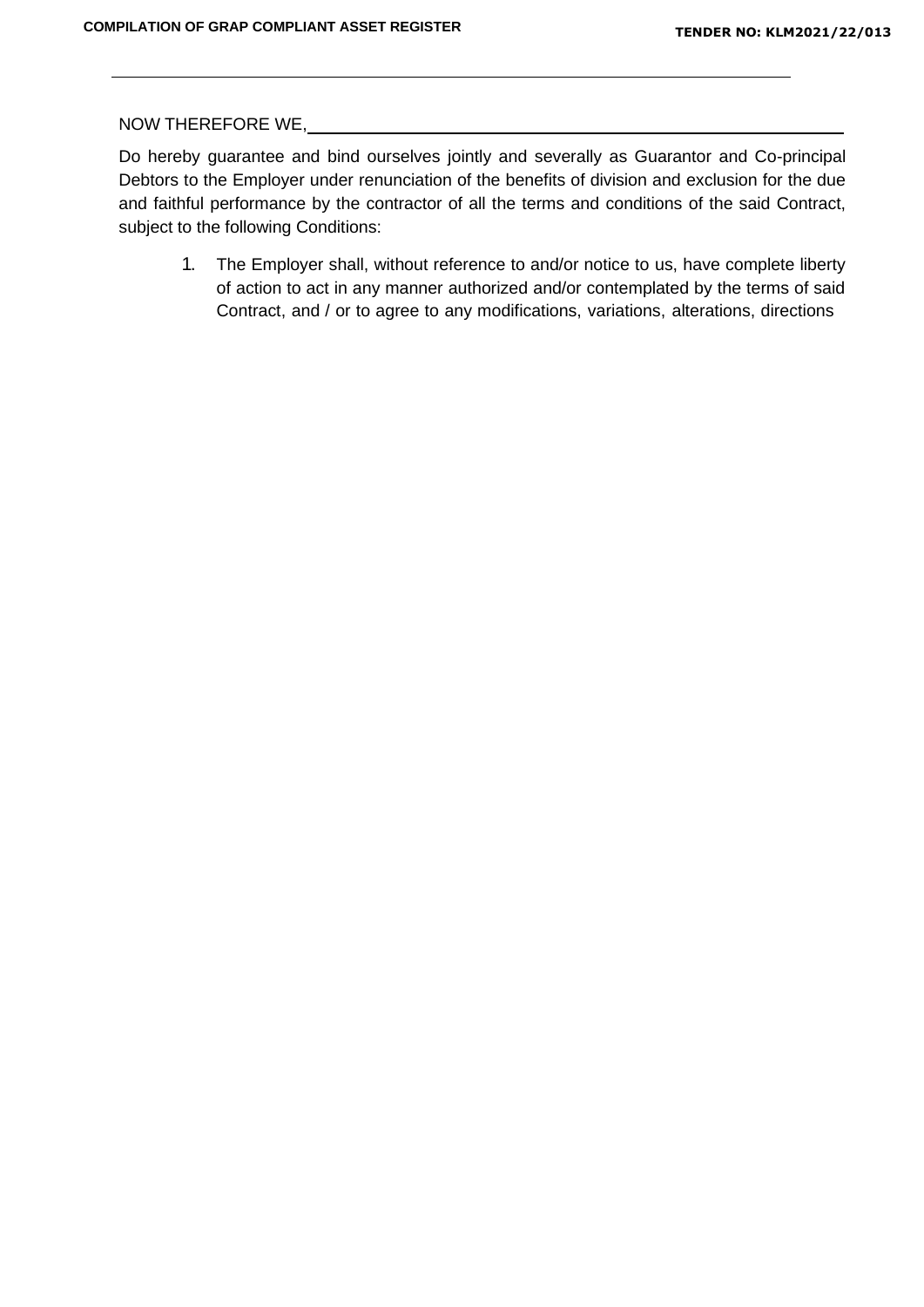NOW THEREFORE WE,

Do hereby guarantee and bind ourselves jointly and severally as Guarantor and Co-principal Debtors to the Employer under renunciation of the benefits of division and exclusion for the due and faithful performance by the contractor of all the terms and conditions of the said Contract, subject to the following Conditions:

1. The Employer shall, without reference to and/or notice to us, have complete liberty of action to act in any manner authorized and/or contemplated by the terms of said Contract, and / or to agree to any modifications, variations, alterations, directions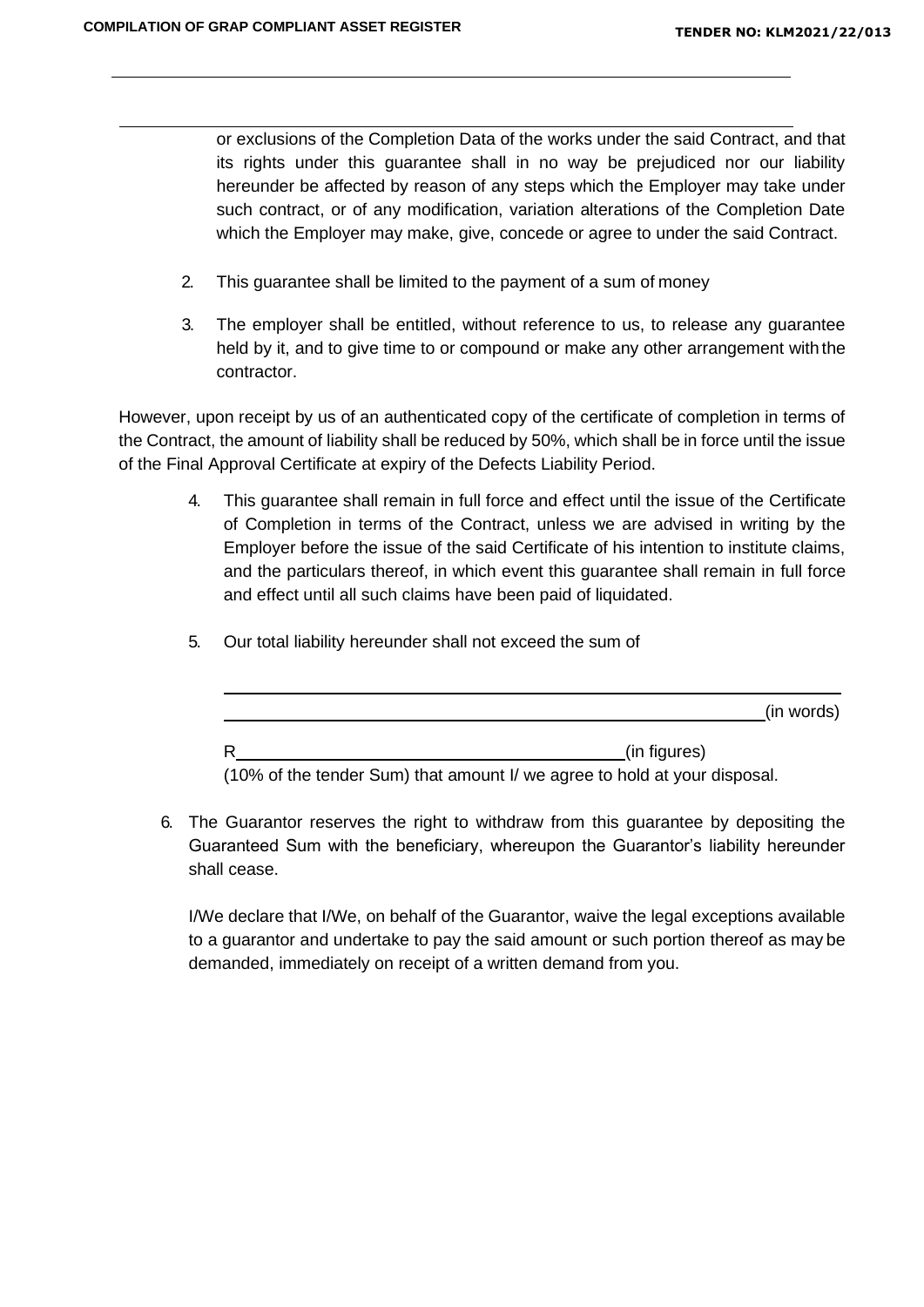or exclusions of the Completion Data of the works under the said Contract, and that its rights under this guarantee shall in no way be prejudiced nor our liability hereunder be affected by reason of any steps which the Employer may take under such contract, or of any modification, variation alterations of the Completion Date which the Employer may make, give, concede or agree to under the said Contract.

- 2. This guarantee shall be limited to the payment of a sum of money
- 3. The employer shall be entitled, without reference to us, to release any guarantee held by it, and to give time to or compound or make any other arrangement with the contractor.

However, upon receipt by us of an authenticated copy of the certificate of completion in terms of the Contract, the amount of liability shall be reduced by 50%, which shall be in force until the issue of the Final Approval Certificate at expiry of the Defects Liability Period.

- 4. This guarantee shall remain in full force and effect until the issue of the Certificate of Completion in terms of the Contract, unless we are advised in writing by the Employer before the issue of the said Certificate of his intention to institute claims, and the particulars thereof, in which event this guarantee shall remain in full force and effect until all such claims have been paid of liquidated.
	- (in words) R (in figures)

5. Our total liability hereunder shall not exceed the sum of

(10% of the tender Sum) that amount I/ we agree to hold at your disposal.

6. The Guarantor reserves the right to withdraw from this guarantee by depositing the Guaranteed Sum with the beneficiary, whereupon the Guarantor's liability hereunder shall cease.

I/We declare that I/We, on behalf of the Guarantor, waive the legal exceptions available to a guarantor and undertake to pay the said amount or such portion thereof as may be demanded, immediately on receipt of a written demand from you.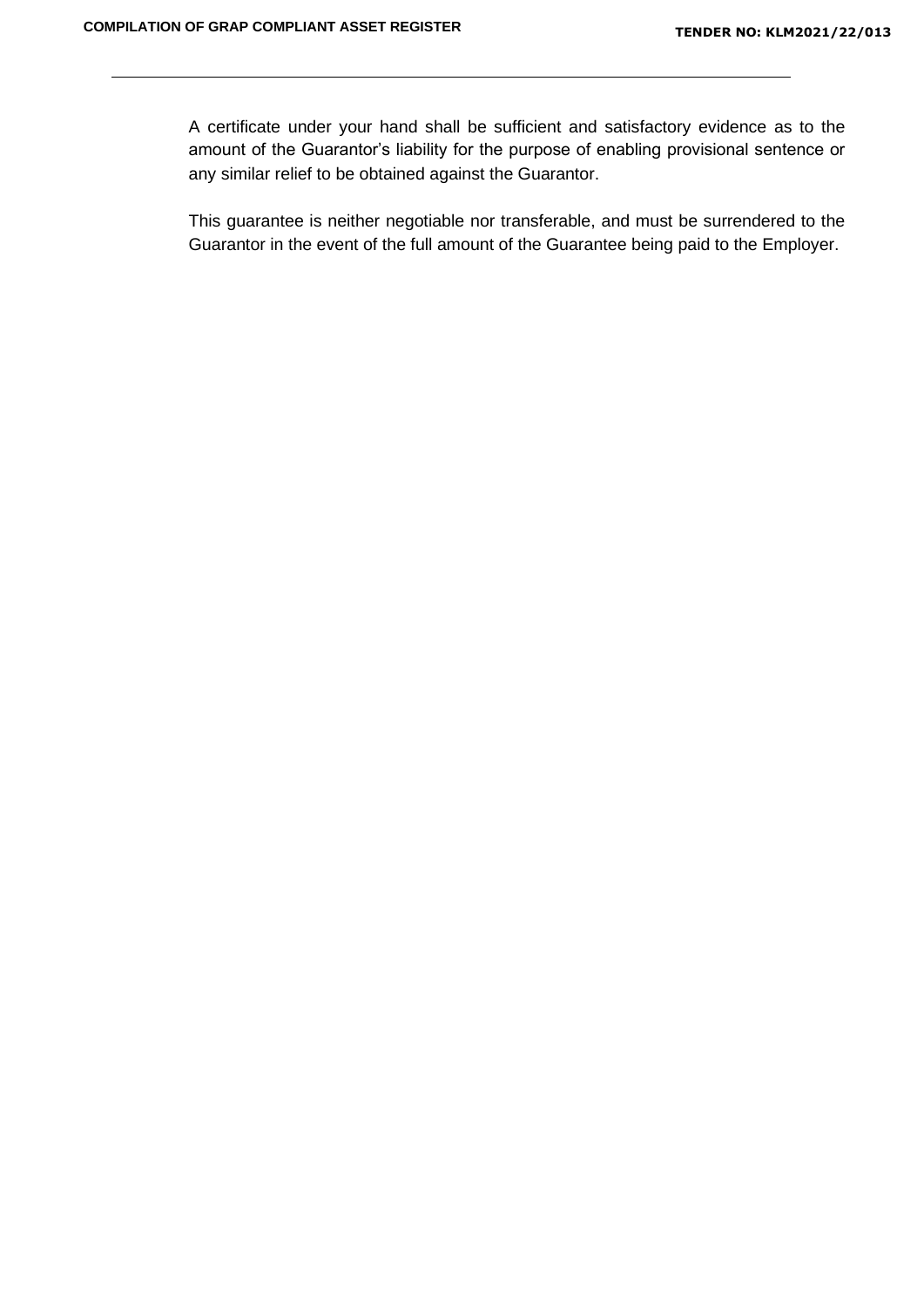A certificate under your hand shall be sufficient and satisfactory evidence as to the amount of the Guarantor's liability for the purpose of enabling provisional sentence or any similar relief to be obtained against the Guarantor.

This guarantee is neither negotiable nor transferable, and must be surrendered to the Guarantor in the event of the full amount of the Guarantee being paid to the Employer.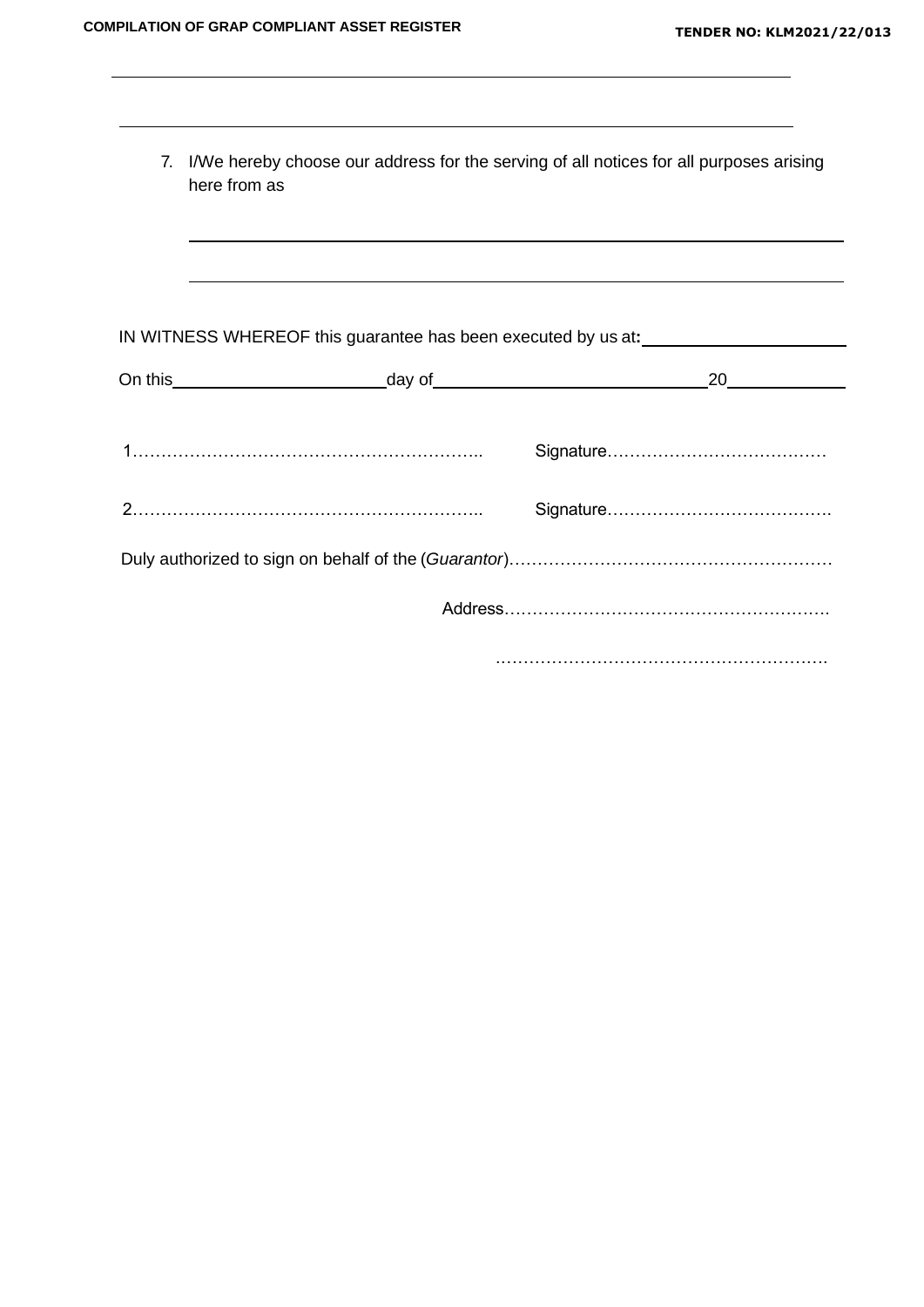| 7. I/We hereby choose our address for the serving of all notices for all purposes arising<br>here from as |                                                                                  |
|-----------------------------------------------------------------------------------------------------------|----------------------------------------------------------------------------------|
|                                                                                                           | ,我们也不会有什么。""我们的人,我们也不会有什么?""我们的人,我们也不会有什么?""我们的人,我们也不会有什么?""我们的人,我们也不会有什么?""我们的人 |
| IN WITNESS WHEREOF this guarantee has been executed by us at:                                             |                                                                                  |
|                                                                                                           |                                                                                  |
|                                                                                                           | 20                                                                               |
|                                                                                                           |                                                                                  |
|                                                                                                           |                                                                                  |
|                                                                                                           |                                                                                  |
|                                                                                                           |                                                                                  |
|                                                                                                           |                                                                                  |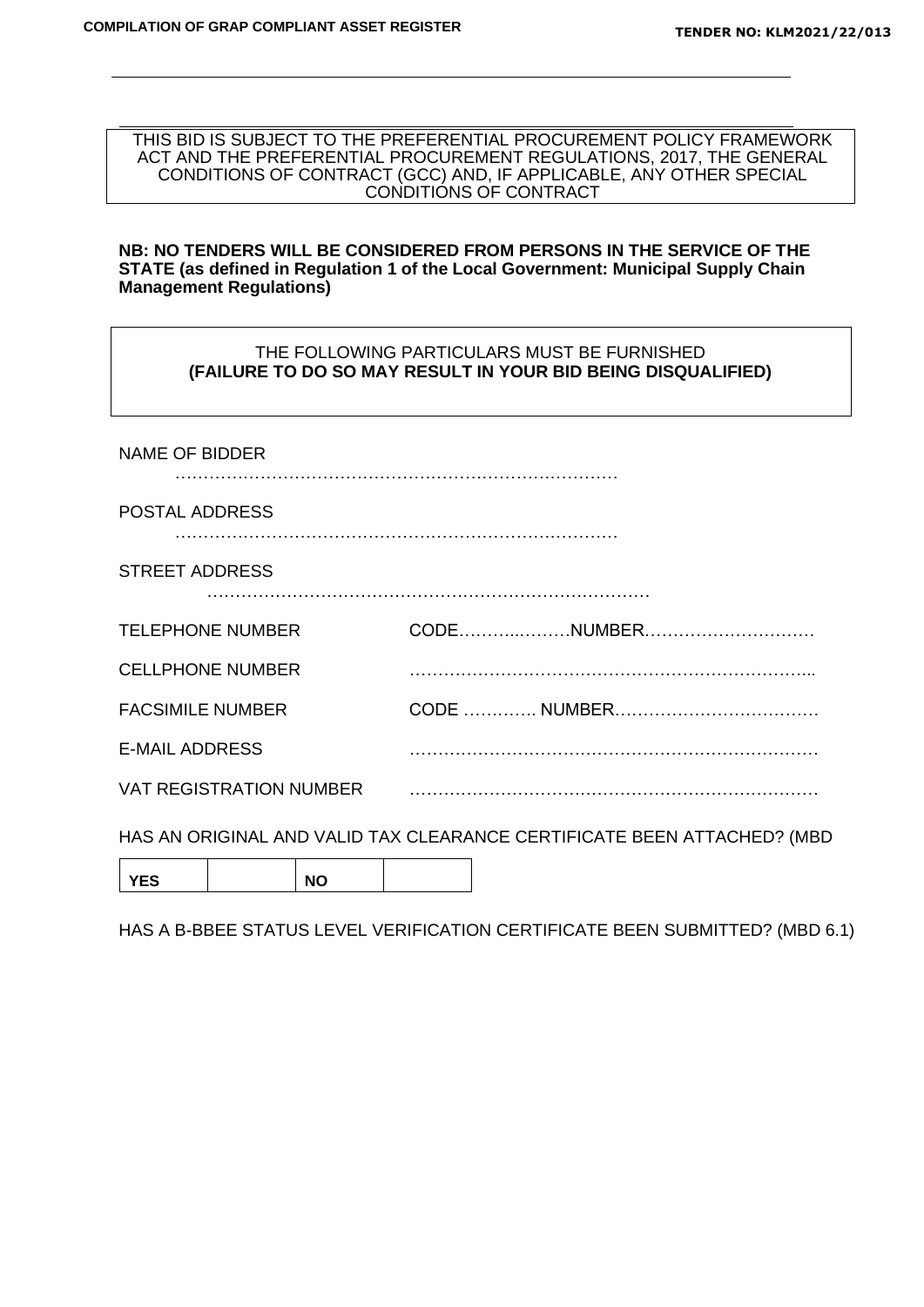THIS BID IS SUBJECT TO THE PREFERENTIAL PROCUREMENT POLICY FRAMEWORK ACT AND THE PREFERENTIAL PROCUREMENT REGULATIONS, 2017, THE GENERAL CONDITIONS OF CONTRACT (GCC) AND, IF APPLICABLE, ANY OTHER SPECIAL CONDITIONS OF CONTRACT

#### **NB: NO TENDERS WILL BE CONSIDERED FROM PERSONS IN THE SERVICE OF THE STATE (as defined in Regulation 1 of the Local Government: Municipal Supply Chain Management Regulations)**

#### THE FOLLOWING PARTICULARS MUST BE FURNISHED **(FAILURE TO DO SO MAY RESULT IN YOUR BID BEING DISQUALIFIED)**

| <b>NAME OF BIDDER</b>   |                                                                         |
|-------------------------|-------------------------------------------------------------------------|
| POSTAL ADDRESS          |                                                                         |
| <b>STREET ADDRESS</b>   |                                                                         |
| <b>TELEPHONE NUMBER</b> |                                                                         |
| <b>CELLPHONE NUMBER</b> |                                                                         |
| <b>FACSIMILE NUMBER</b> |                                                                         |
| <b>E-MAIL ADDRESS</b>   |                                                                         |
|                         |                                                                         |
|                         | HAS AN ORIGINAL AND VALID TAX CLEARANCE CERTIFICATE BEEN ATTACHED? (MBD |

YES | NO

HAS A B-BBEE STATUS LEVEL VERIFICATION CERTIFICATE BEEN SUBMITTED? (MBD 6.1)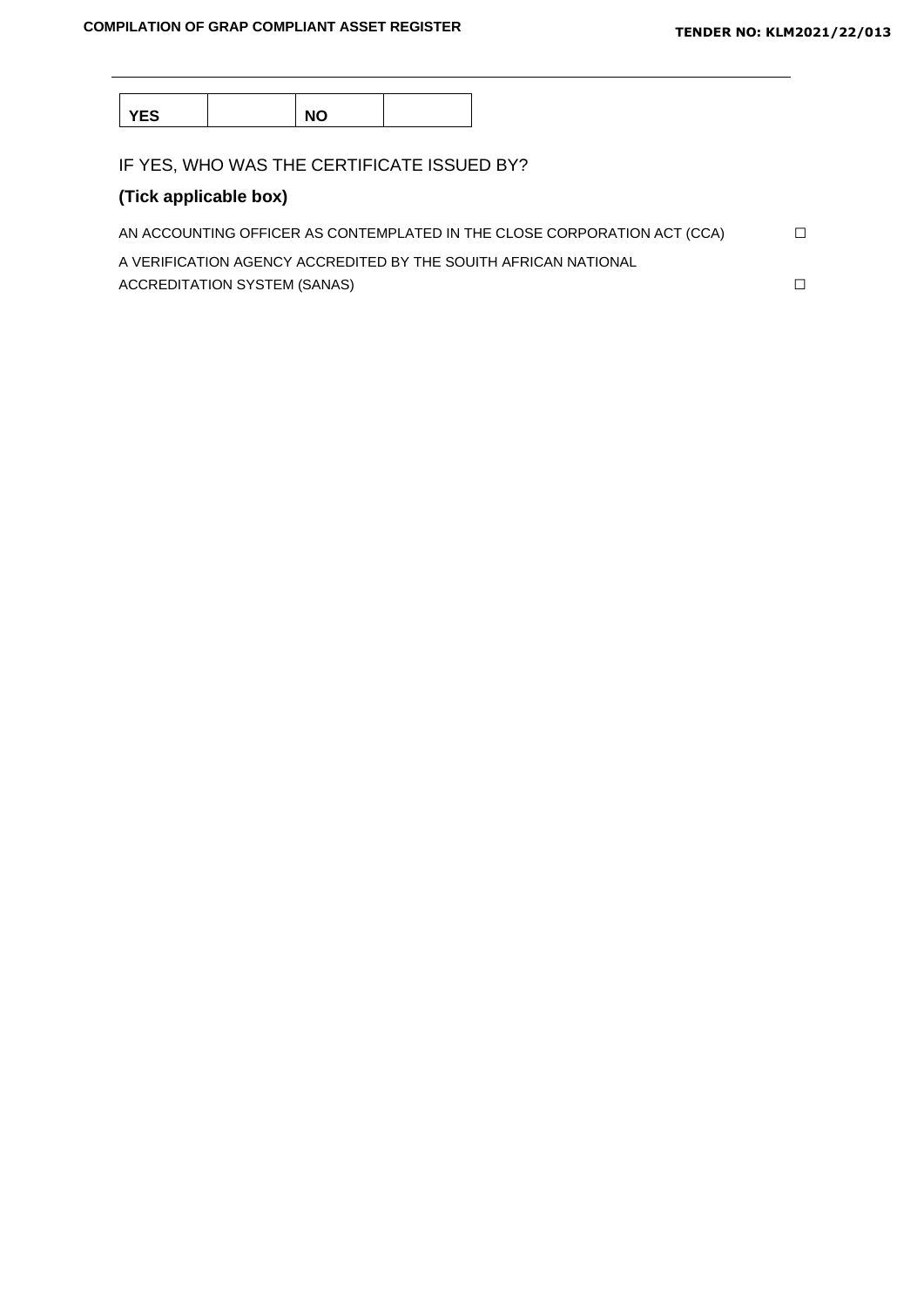YES | NO

IF YES, WHO WAS THE CERTIFICATE ISSUED BY?

## **(Tick applicable box)**

| AN ACCOUNTING OFFICER AS CONTEMPLATED IN THE CLOSE CORPORATION ACT (CCA) |  |
|--------------------------------------------------------------------------|--|
| A VERIFICATION AGENCY ACCREDITED BY THE SOUITH AFRICAN NATIONAL          |  |
| ACCREDITATION SYSTEM (SANAS)                                             |  |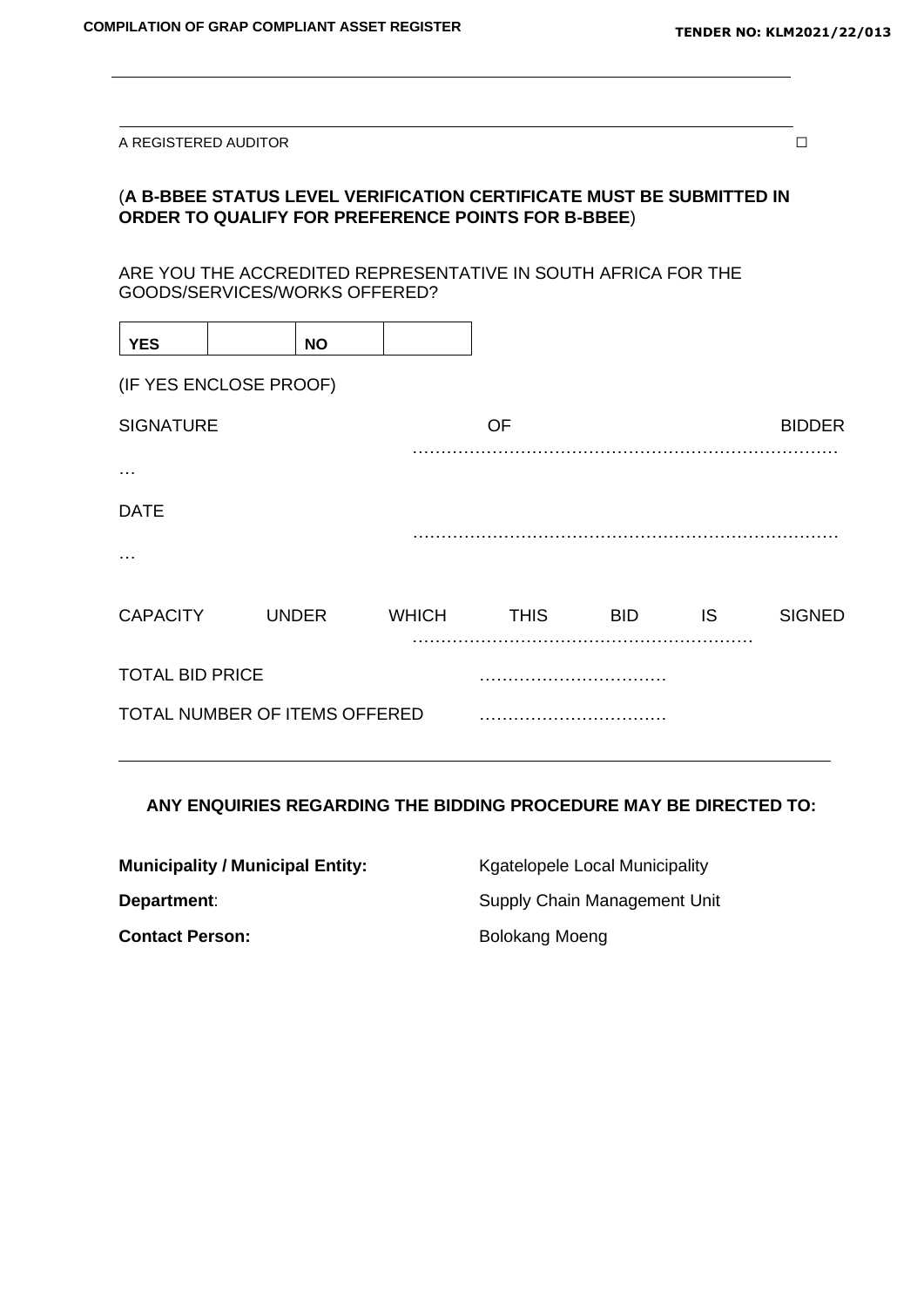A REGISTERED AUDITOR  $\Box$ 

## (**A B-BBEE STATUS LEVEL VERIFICATION CERTIFICATE MUST BE SUBMITTED IN ORDER TO QUALIFY FOR PREFERENCE POINTS FOR B-BBEE**)

ARE YOU THE ACCREDITED REPRESENTATIVE IN SOUTH AFRICA FOR THE GOODS/SERVICES/WORKS OFFERED?

| <b>YES</b>                         |  | <b>NO</b>    |              |             |            |           |               |  |
|------------------------------------|--|--------------|--------------|-------------|------------|-----------|---------------|--|
| (IF YES ENCLOSE PROOF)             |  |              |              |             |            |           |               |  |
| <b>SIGNATURE</b>                   |  |              |              | <b>OF</b>   |            |           | <b>BIDDER</b> |  |
| $\cdots$                           |  |              |              |             |            |           |               |  |
| <b>DATE</b>                        |  |              |              |             |            |           |               |  |
| $\cdots$                           |  |              |              |             |            |           |               |  |
| <b>CAPACITY</b>                    |  | <b>UNDER</b> | <b>WHICH</b> | <b>THIS</b> | <b>BID</b> | <b>IS</b> | <b>SIGNED</b> |  |
| <b>TOTAL BID PRICE</b>             |  |              |              |             |            |           |               |  |
| TOTAL NUMBER OF ITEMS OFFERED<br>. |  |              |              |             |            |           |               |  |

#### **ANY ENQUIRIES REGARDING THE BIDDING PROCEDURE MAY BE DIRECTED TO:**

| <b>Municipality / Municipal Entity:</b> | Kgatelopele Local Municipality |  |  |
|-----------------------------------------|--------------------------------|--|--|
| Department:                             | Supply Chain Management Unit   |  |  |
| <b>Contact Person:</b>                  | Bolokang Moeng                 |  |  |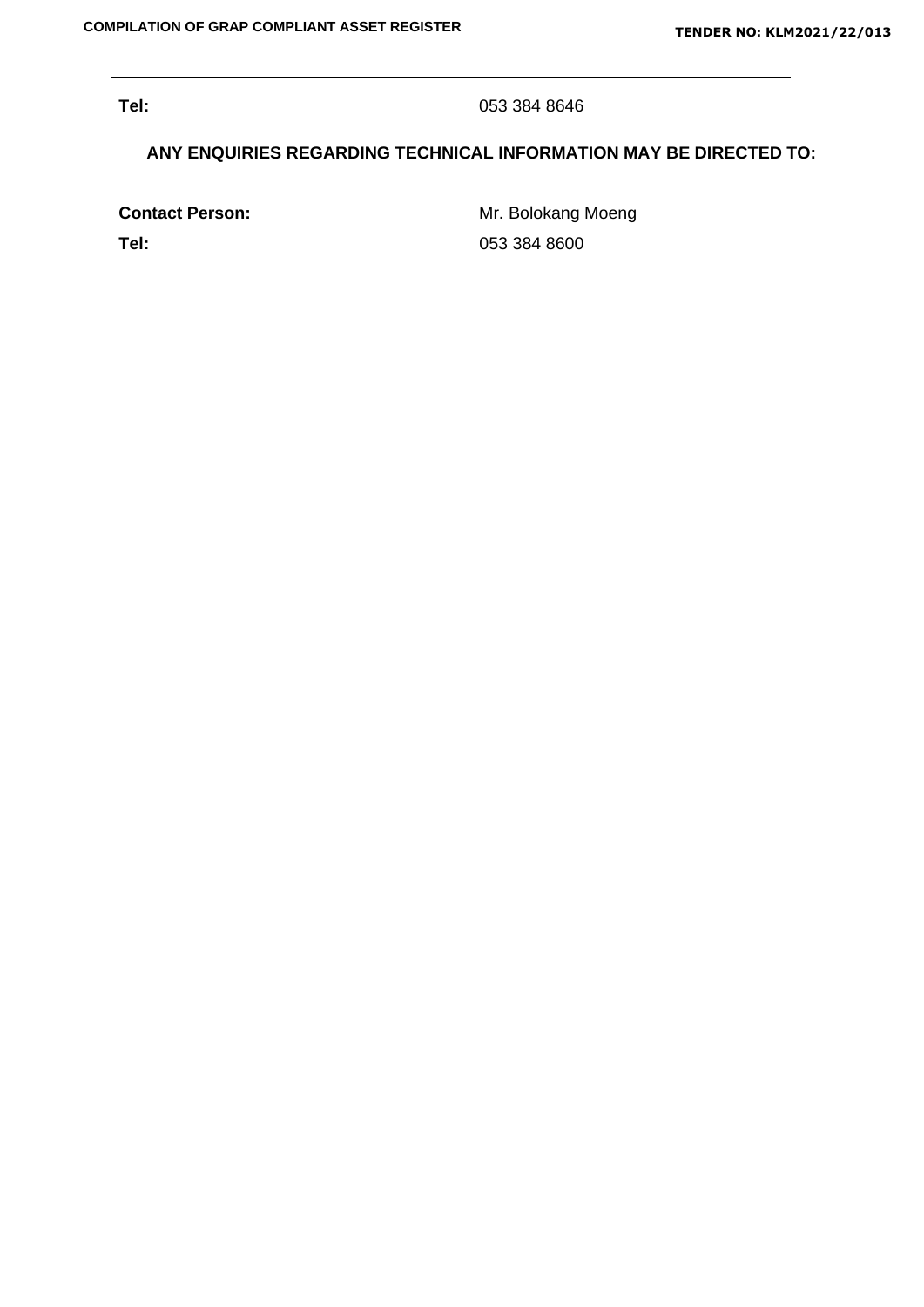**Tel:** 053 384 8646

## **ANY ENQUIRIES REGARDING TECHNICAL INFORMATION MAY BE DIRECTED TO:**

**Contact Person:** Mr. Bolokang Moeng **Tel:** 053 384 8600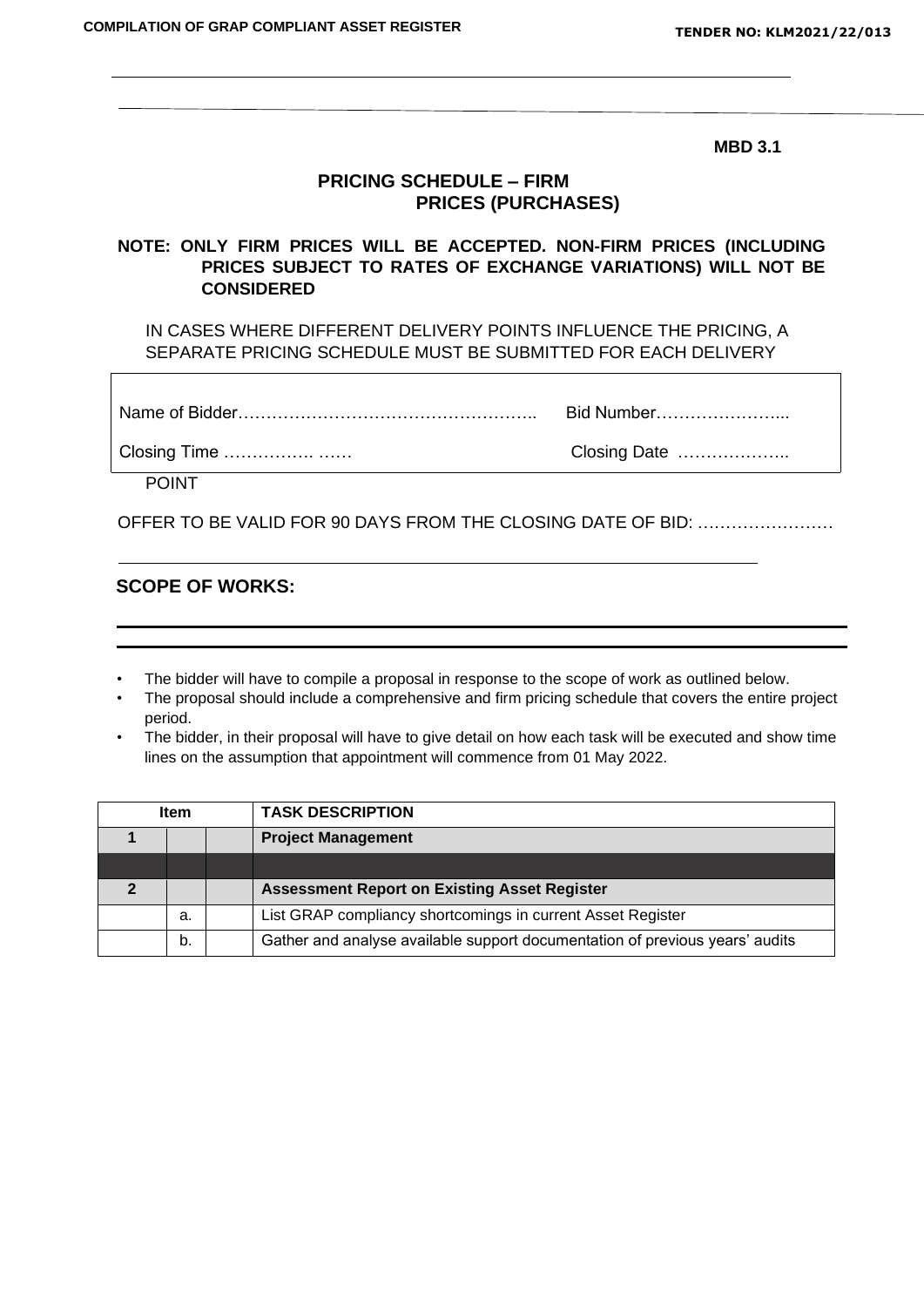**MBD 3.1**

## **PRICING SCHEDULE – FIRM PRICES (PURCHASES)**

## **NOTE: ONLY FIRM PRICES WILL BE ACCEPTED. NON-FIRM PRICES (INCLUDING PRICES SUBJECT TO RATES OF EXCHANGE VARIATIONS) WILL NOT BE CONSIDERED**

IN CASES WHERE DIFFERENT DELIVERY POINTS INFLUENCE THE PRICING, A SEPARATE PRICING SCHEDULE MUST BE SUBMITTED FOR EACH DELIVERY

|              | Bid Number…………………… |
|--------------|--------------------|
| Closing Time | Closing Date       |

POINT

Г

OFFER TO BE VALID FOR 90 DAYS FROM THE CLOSING DATE OF BID: ……………………

### **SCOPE OF WORKS:**

- The bidder will have to compile a proposal in response to the scope of work as outlined below.
- The proposal should include a comprehensive and firm pricing schedule that covers the entire project period.
- The bidder, in their proposal will have to give detail on how each task will be executed and show time lines on the assumption that appointment will commence from 01 May 2022.

| <b>TASK DESCRIPTION</b><br><b>Item</b> |    |  |                                                                              |  |
|----------------------------------------|----|--|------------------------------------------------------------------------------|--|
|                                        |    |  | <b>Project Management</b>                                                    |  |
|                                        |    |  |                                                                              |  |
|                                        |    |  | <b>Assessment Report on Existing Asset Register</b>                          |  |
|                                        | а. |  | List GRAP compliancy shortcomings in current Asset Register                  |  |
|                                        | b. |  | Gather and analyse available support documentation of previous years' audits |  |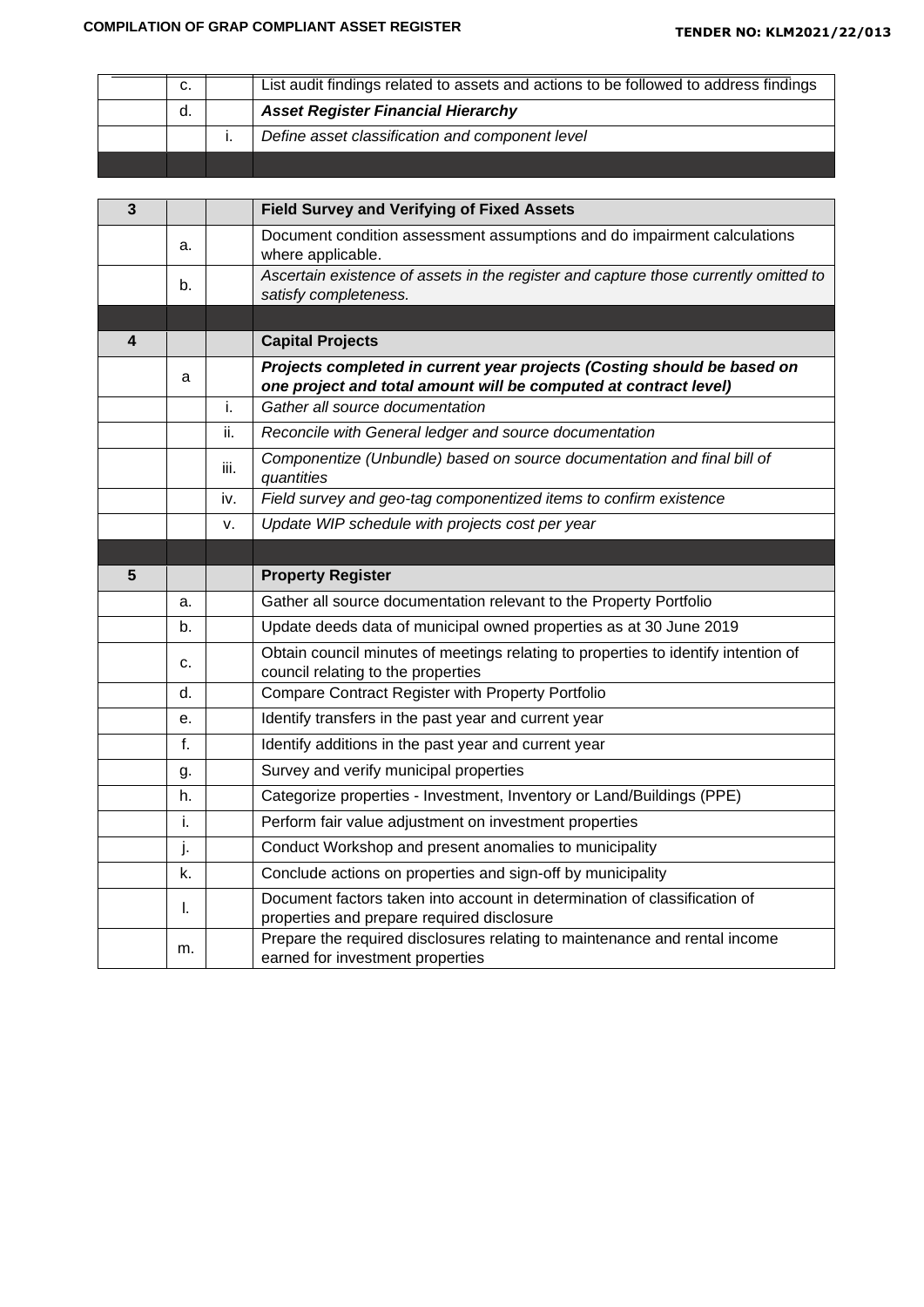| C. | List audit findings related to assets and actions to be followed to address findings |
|----|--------------------------------------------------------------------------------------|
| d. | <b>Asset Register Financial Hierarchy</b>                                            |
|    | Define asset classification and component level                                      |
|    |                                                                                      |

| 3 |    |      | <b>Field Survey and Verifying of Fixed Assets</b>                                                                                           |
|---|----|------|---------------------------------------------------------------------------------------------------------------------------------------------|
|   | a. |      | Document condition assessment assumptions and do impairment calculations<br>where applicable.                                               |
|   | b. |      | Ascertain existence of assets in the register and capture those currently omitted to                                                        |
|   |    |      | satisfy completeness.                                                                                                                       |
|   |    |      |                                                                                                                                             |
| 4 |    |      | <b>Capital Projects</b>                                                                                                                     |
|   | a  |      | Projects completed in current year projects (Costing should be based on<br>one project and total amount will be computed at contract level) |
|   |    | i.   | Gather all source documentation                                                                                                             |
|   |    | ii.  | Reconcile with General ledger and source documentation                                                                                      |
|   |    | iii. | Componentize (Unbundle) based on source documentation and final bill of<br>quantities                                                       |
|   |    | iv.  | Field survey and geo-tag componentized items to confirm existence                                                                           |
|   |    | v.   | Update WIP schedule with projects cost per year                                                                                             |
|   |    |      |                                                                                                                                             |
| 5 |    |      | <b>Property Register</b>                                                                                                                    |
|   | a. |      | Gather all source documentation relevant to the Property Portfolio                                                                          |
|   | b. |      | Update deeds data of municipal owned properties as at 30 June 2019                                                                          |
|   | c. |      | Obtain council minutes of meetings relating to properties to identify intention of<br>council relating to the properties                    |
|   | d. |      | Compare Contract Register with Property Portfolio                                                                                           |
|   | е. |      | Identify transfers in the past year and current year                                                                                        |
|   | f. |      | Identify additions in the past year and current year                                                                                        |
|   | g. |      | Survey and verify municipal properties                                                                                                      |
|   | h. |      | Categorize properties - Investment, Inventory or Land/Buildings (PPE)                                                                       |
|   | i. |      | Perform fair value adjustment on investment properties                                                                                      |
|   | j. |      | Conduct Workshop and present anomalies to municipality                                                                                      |
|   | k. |      | Conclude actions on properties and sign-off by municipality                                                                                 |
|   | I. |      | Document factors taken into account in determination of classification of<br>properties and prepare required disclosure                     |
|   | m. |      | Prepare the required disclosures relating to maintenance and rental income<br>earned for investment properties                              |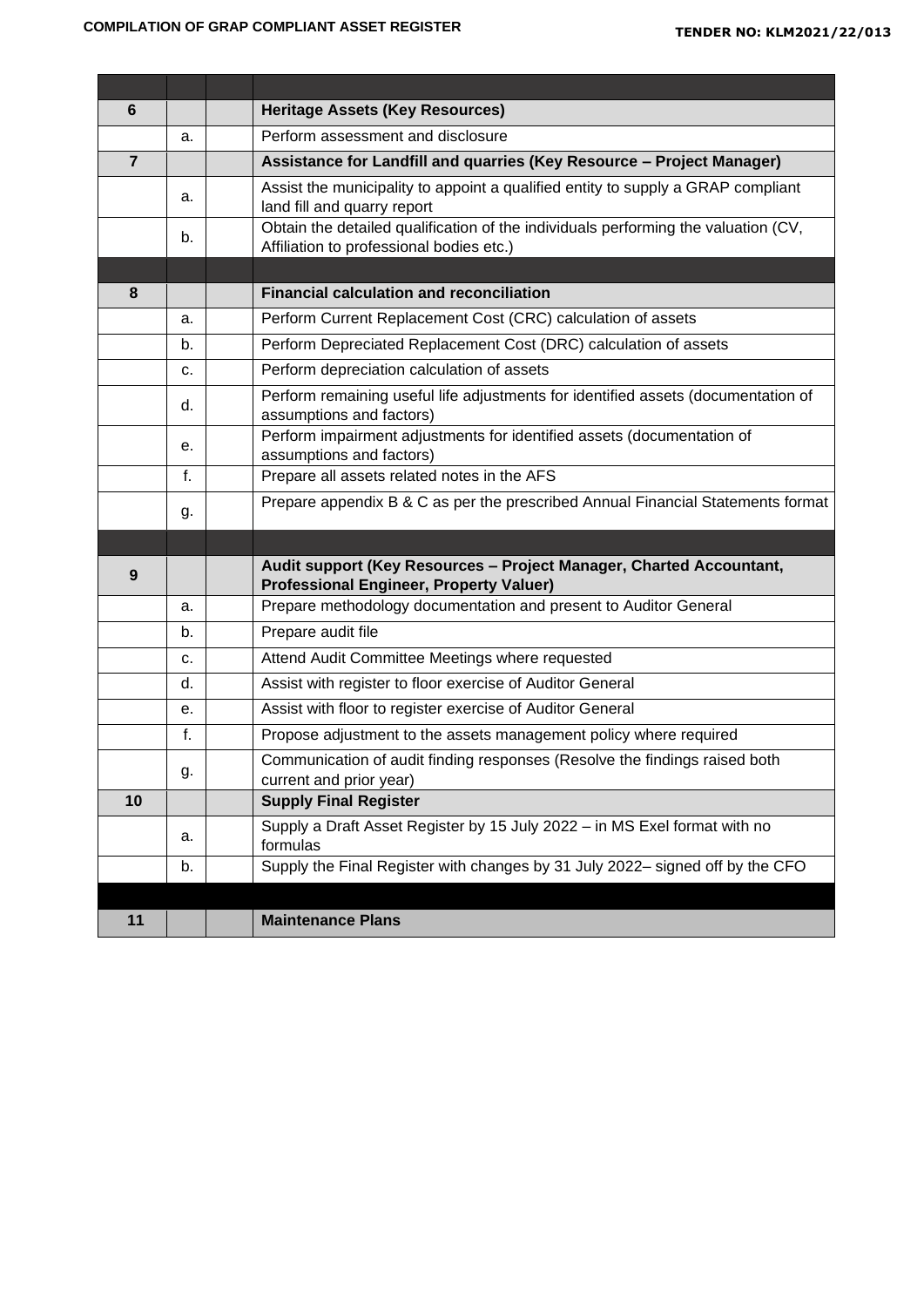'n

 $\blacksquare$ 

| 6              |    | <b>Heritage Assets (Key Resources)</b>                                                                                         |
|----------------|----|--------------------------------------------------------------------------------------------------------------------------------|
|                | a. | Perform assessment and disclosure                                                                                              |
| $\overline{7}$ |    | Assistance for Landfill and quarries (Key Resource - Project Manager)                                                          |
|                | a. | Assist the municipality to appoint a qualified entity to supply a GRAP compliant<br>land fill and quarry report                |
|                | b. | Obtain the detailed qualification of the individuals performing the valuation (CV,<br>Affiliation to professional bodies etc.) |
|                |    |                                                                                                                                |
| 8              |    | <b>Financial calculation and reconciliation</b>                                                                                |
|                | a. | Perform Current Replacement Cost (CRC) calculation of assets                                                                   |
|                | b. | Perform Depreciated Replacement Cost (DRC) calculation of assets                                                               |
|                | c. | Perform depreciation calculation of assets                                                                                     |
|                | d. | Perform remaining useful life adjustments for identified assets (documentation of<br>assumptions and factors)                  |
|                | е. | Perform impairment adjustments for identified assets (documentation of<br>assumptions and factors)                             |
|                | f. | Prepare all assets related notes in the AFS                                                                                    |
|                | g. | Prepare appendix B & C as per the prescribed Annual Financial Statements format                                                |
|                |    |                                                                                                                                |
| 9              |    | Audit support (Key Resources - Project Manager, Charted Accountant,<br><b>Professional Engineer, Property Valuer)</b>          |
|                | a. | Prepare methodology documentation and present to Auditor General                                                               |
|                | b. | Prepare audit file                                                                                                             |
|                | c. | Attend Audit Committee Meetings where requested                                                                                |
|                | d. | Assist with register to floor exercise of Auditor General                                                                      |
|                | е. | Assist with floor to register exercise of Auditor General                                                                      |
|                | f. | Propose adjustment to the assets management policy where required                                                              |
|                | g. | Communication of audit finding responses (Resolve the findings raised both<br>current and prior year)                          |
| 10             |    | <b>Supply Final Register</b>                                                                                                   |
|                | a. | Supply a Draft Asset Register by 15 July 2022 - in MS Exel format with no<br>formulas                                          |
|                | b. | Supply the Final Register with changes by 31 July 2022- signed off by the CFO                                                  |
|                |    |                                                                                                                                |
| 11             |    | <b>Maintenance Plans</b>                                                                                                       |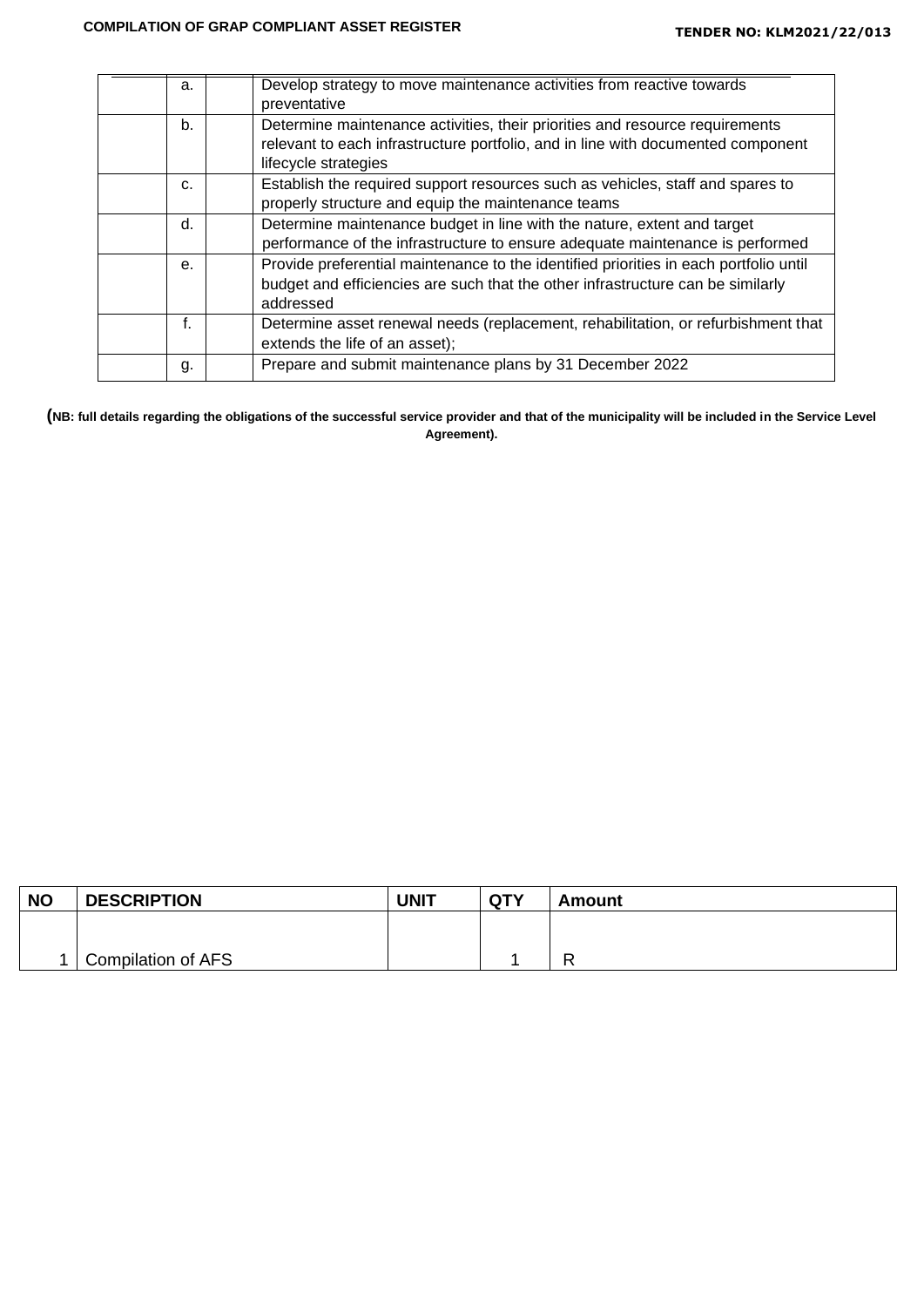| a. | Develop strategy to move maintenance activities from reactive towards<br>preventative                                                                                                    |
|----|------------------------------------------------------------------------------------------------------------------------------------------------------------------------------------------|
| b. | Determine maintenance activities, their priorities and resource requirements<br>relevant to each infrastructure portfolio, and in line with documented component<br>lifecycle strategies |
| C. | Establish the required support resources such as vehicles, staff and spares to<br>properly structure and equip the maintenance teams                                                     |
| d. | Determine maintenance budget in line with the nature, extent and target<br>performance of the infrastructure to ensure adequate maintenance is performed                                 |
| е. | Provide preferential maintenance to the identified priorities in each portfolio until<br>budget and efficiencies are such that the other infrastructure can be similarly<br>addressed    |
| f. | Determine asset renewal needs (replacement, rehabilitation, or refurbishment that<br>extends the life of an asset);                                                                      |
| g. | Prepare and submit maintenance plans by 31 December 2022                                                                                                                                 |

**(NB: full details regarding the obligations of the successful service provider and that of the municipality will be included in the Service Level Agreement).**

| <b>NO</b> | <b>DESCRIPTION</b> | <b>UNIT</b> | <b>QTY</b> | Amount |
|-----------|--------------------|-------------|------------|--------|
|           |                    |             |            |        |
|           |                    |             |            | -      |
|           | Compilation of AFS |             |            | -      |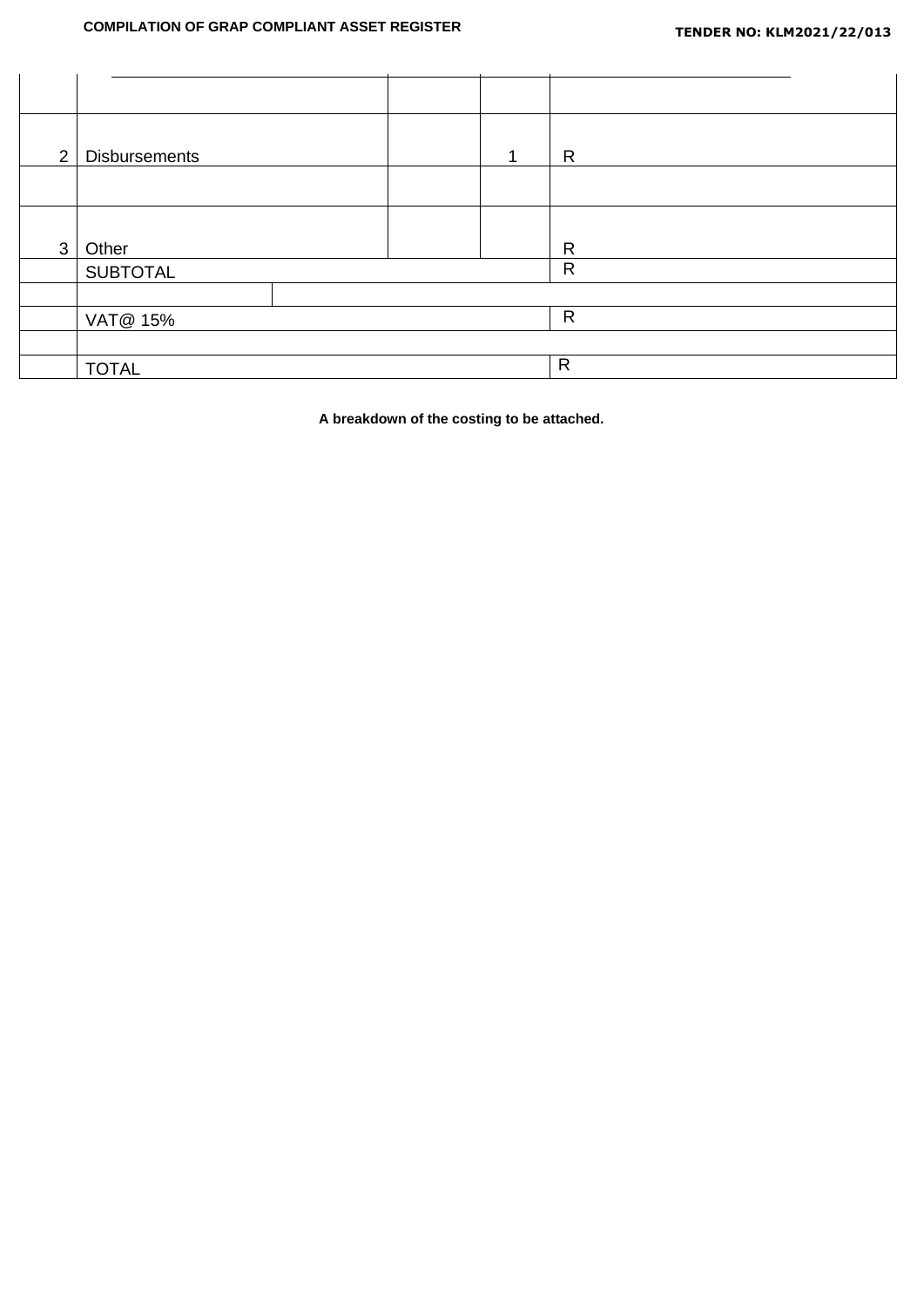| 2            | <b>Disbursements</b> |  | R            |  |
|--------------|----------------------|--|--------------|--|
|              |                      |  |              |  |
|              |                      |  |              |  |
| $\mathbf{3}$ | Other                |  | $\mathsf{R}$ |  |
|              | <b>SUBTOTAL</b>      |  | $\mathsf{R}$ |  |
|              |                      |  |              |  |
|              | VAT@ 15%             |  | $\mathsf{R}$ |  |
|              |                      |  |              |  |
|              | <b>TOTAL</b>         |  | $\mathsf{R}$ |  |

**A breakdown of the costing to be attached.**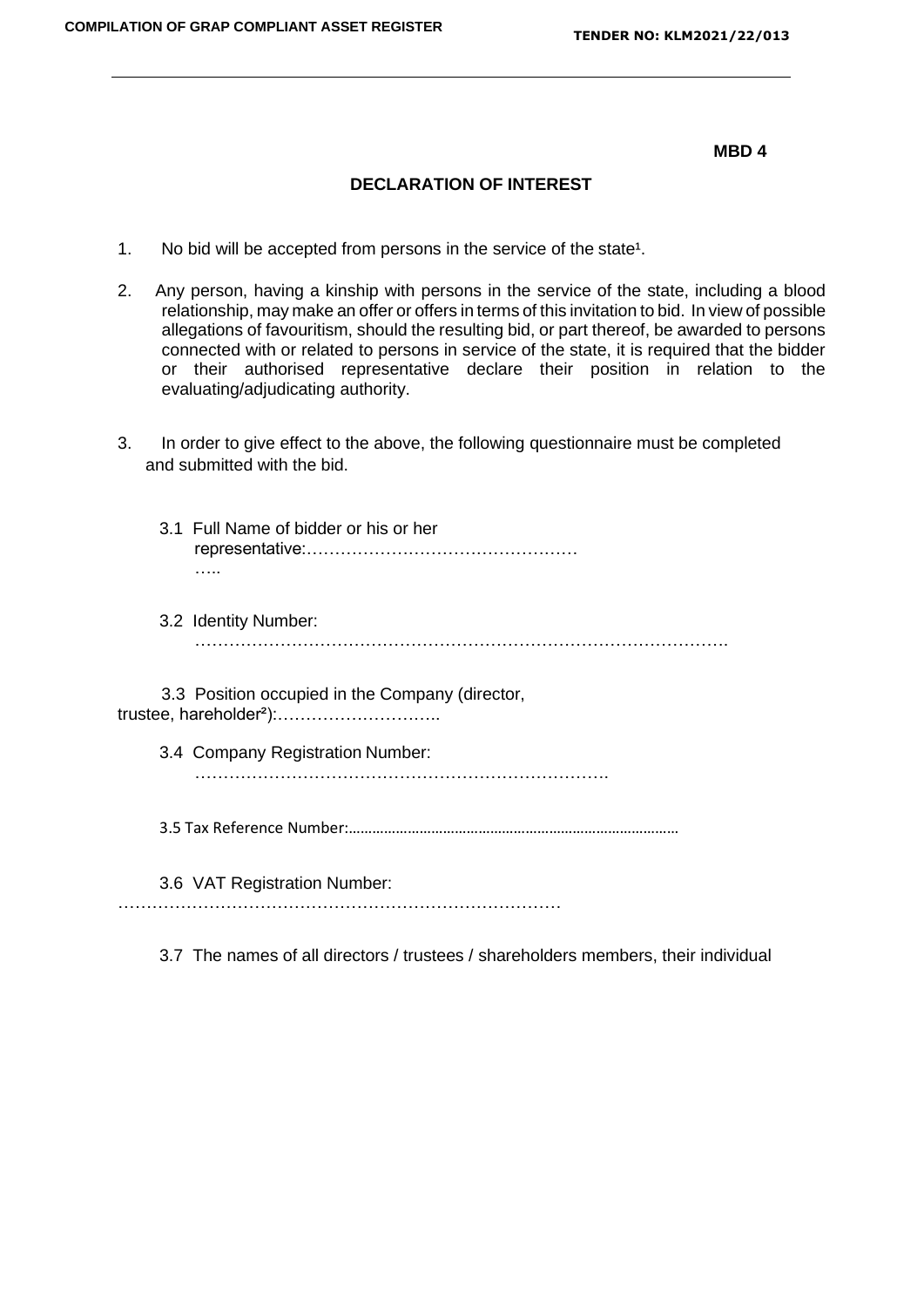**MBD 4**

## **DECLARATION OF INTEREST**

- 1. No bid will be accepted from persons in the service of the state<sup>1</sup>.
- 2. Any person, having a kinship with persons in the service of the state, including a blood relationship, may make an offer or offers in terms of this invitation to bid. In view of possible allegations of favouritism, should the resulting bid, or part thereof, be awarded to persons connected with or related to persons in service of the state, it is required that the bidder or their authorised representative declare their position in relation to the evaluating/adjudicating authority.
- 3. In order to give effect to the above, the following questionnaire must be completed and submitted with the bid.
	- 3.1 Full Name of bidder or his or her representative:………………………………………… …..
	- 3.2 Identity Number: ………………………………………………………………………………….

3.3 Position occupied in the Company (director, trustee, hareholder²):………………………..

- 3.4 Company Registration Number: ……………………………………………………………….
- 3.5 Tax Reference Number:…………………………………………………………………………

3.6 VAT Registration Number:

……………………………………………………………………

3.7 The names of all directors / trustees / shareholders members, their individual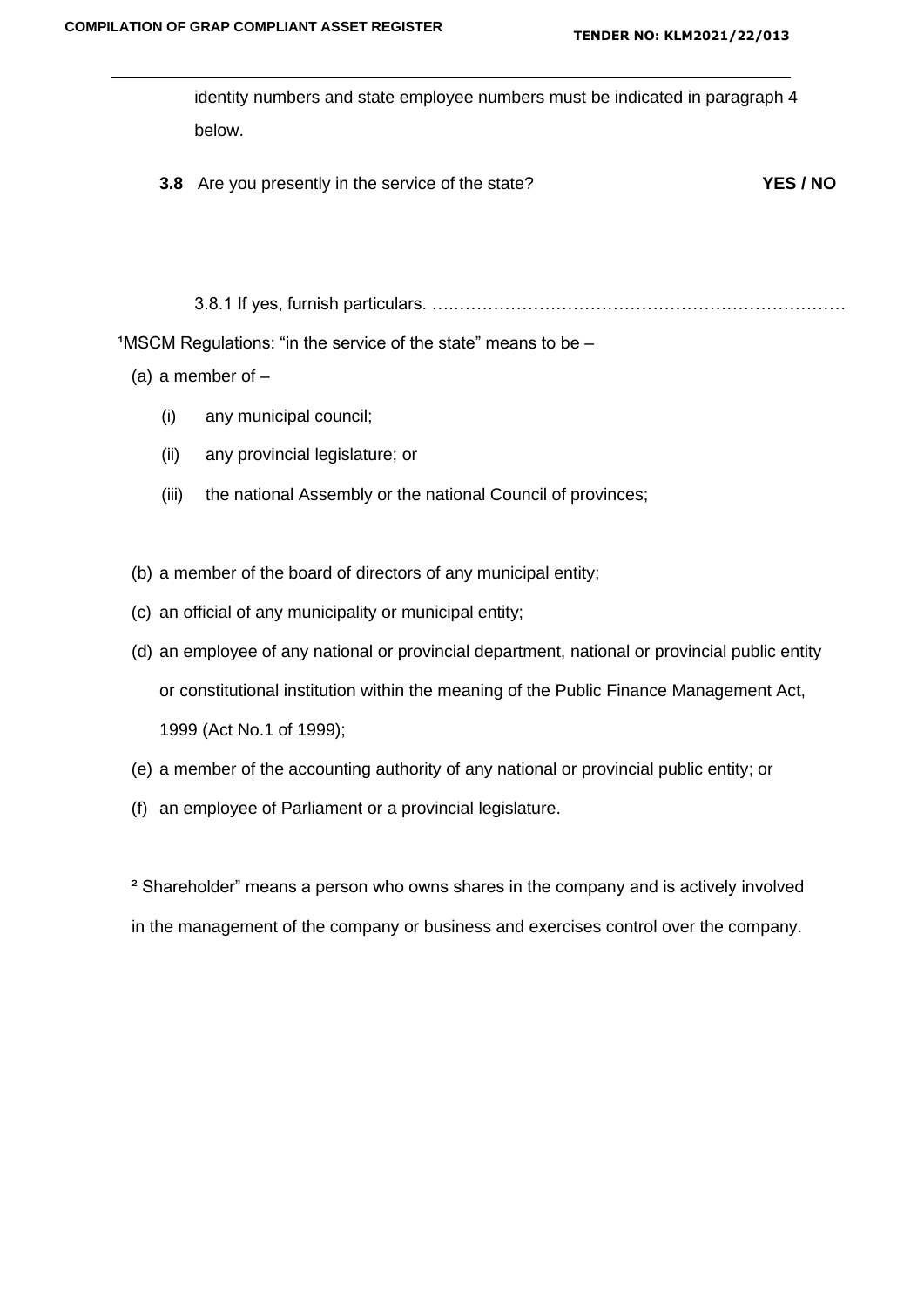identity numbers and state employee numbers must be indicated in paragraph 4 below.

**3.8** Are you presently in the service of the state? **YES / NO**

3.8.1 If yes, furnish particulars. ….……………………………………………………………

 $1$ MSCM Regulations: "in the service of the state" means to be  $-$ 

- (a) a member of  $-$ 
	- (i) any municipal council;
	- (ii) any provincial legislature; or
	- (iii) the national Assembly or the national Council of provinces;
- (b) a member of the board of directors of any municipal entity;
- (c) an official of any municipality or municipal entity;
- (d) an employee of any national or provincial department, national or provincial public entity or constitutional institution within the meaning of the Public Finance Management Act, 1999 (Act No.1 of 1999);
- (e) a member of the accounting authority of any national or provincial public entity; or
- (f) an employee of Parliament or a provincial legislature.

² Shareholder" means a person who owns shares in the company and is actively involved in the management of the company or business and exercises control over the company.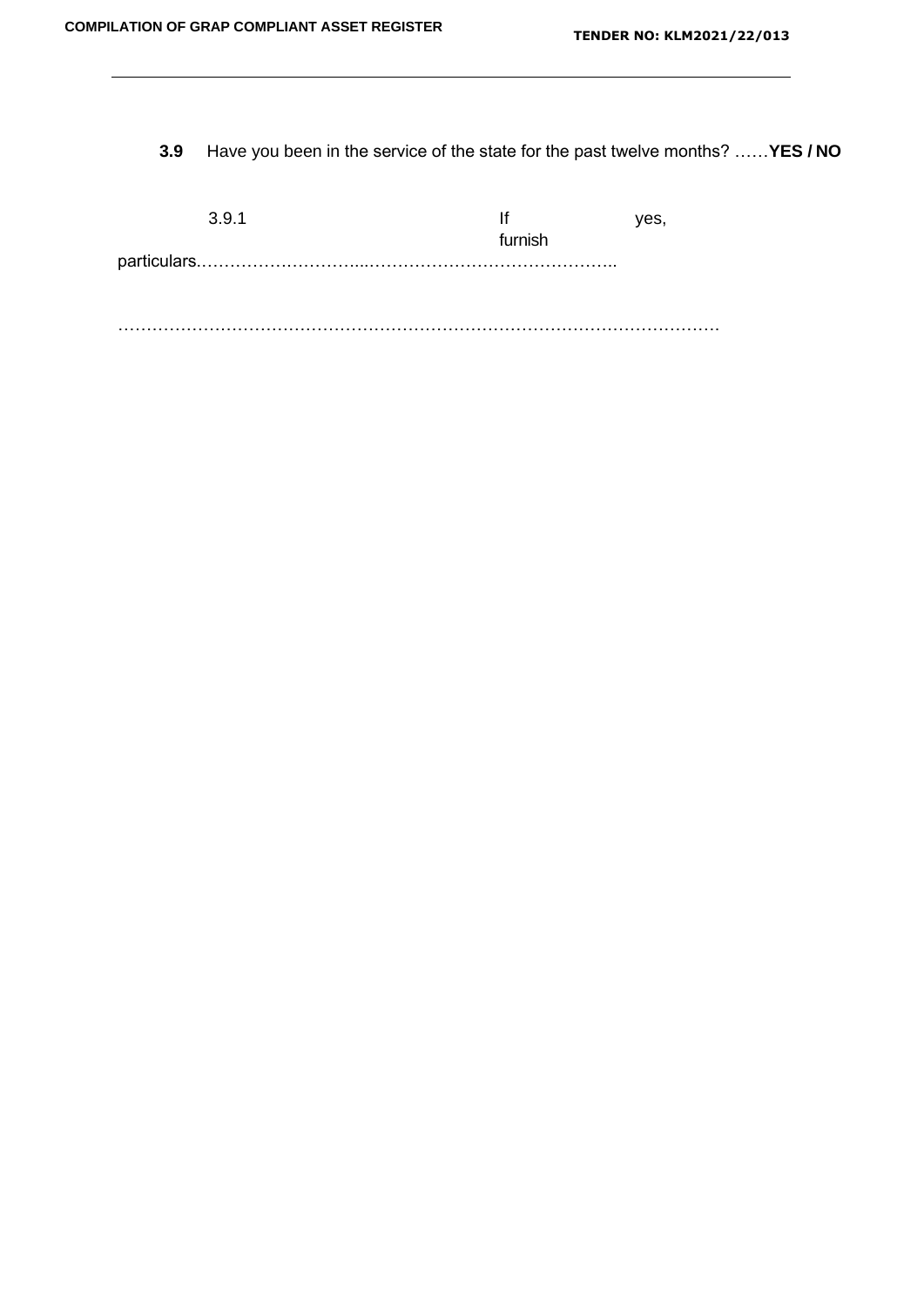**3.9** Have you been in the service of the state for the past twelve months? ……**YES / NO**

|         | /es |
|---------|-----|
| furnish |     |
|         |     |
|         |     |
|         |     |

…………………………………………………………………………………………….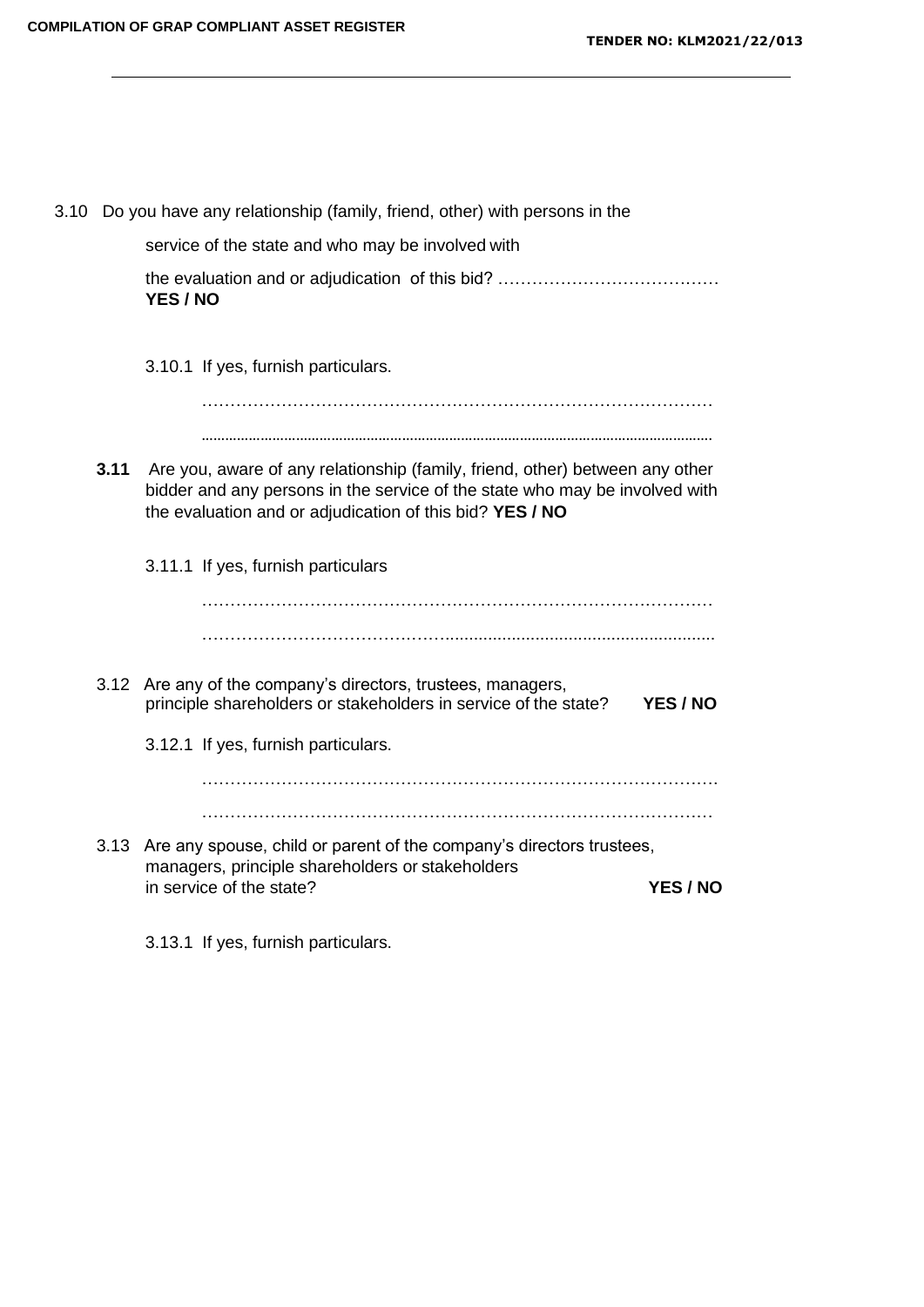|      | 3.10 Do you have any relationship (family, friend, other) with persons in the                                                                                                                                           |  |
|------|-------------------------------------------------------------------------------------------------------------------------------------------------------------------------------------------------------------------------|--|
|      | service of the state and who may be involved with                                                                                                                                                                       |  |
|      | YES / NO                                                                                                                                                                                                                |  |
|      | 3.10.1 If yes, furnish particulars.                                                                                                                                                                                     |  |
|      |                                                                                                                                                                                                                         |  |
|      |                                                                                                                                                                                                                         |  |
| 3.11 | Are you, aware of any relationship (family, friend, other) between any other<br>bidder and any persons in the service of the state who may be involved with<br>the evaluation and or adjudication of this bid? YES / NO |  |
|      | 3.11.1 If yes, furnish particulars                                                                                                                                                                                      |  |
|      |                                                                                                                                                                                                                         |  |
|      |                                                                                                                                                                                                                         |  |
|      | 3.12 Are any of the company's directors, trustees, managers,<br>principle shareholders or stakeholders in service of the state?<br>YES / NO                                                                             |  |
|      | 3.12.1 If yes, furnish particulars.                                                                                                                                                                                     |  |
|      |                                                                                                                                                                                                                         |  |
|      |                                                                                                                                                                                                                         |  |
|      | 3.13 Are any spouse, child or parent of the company's directors trustees,<br>managers, principle shareholders or stakeholders<br>in service of the state?<br>YES / NO                                                   |  |
|      |                                                                                                                                                                                                                         |  |

3.13.1 If yes, furnish particulars.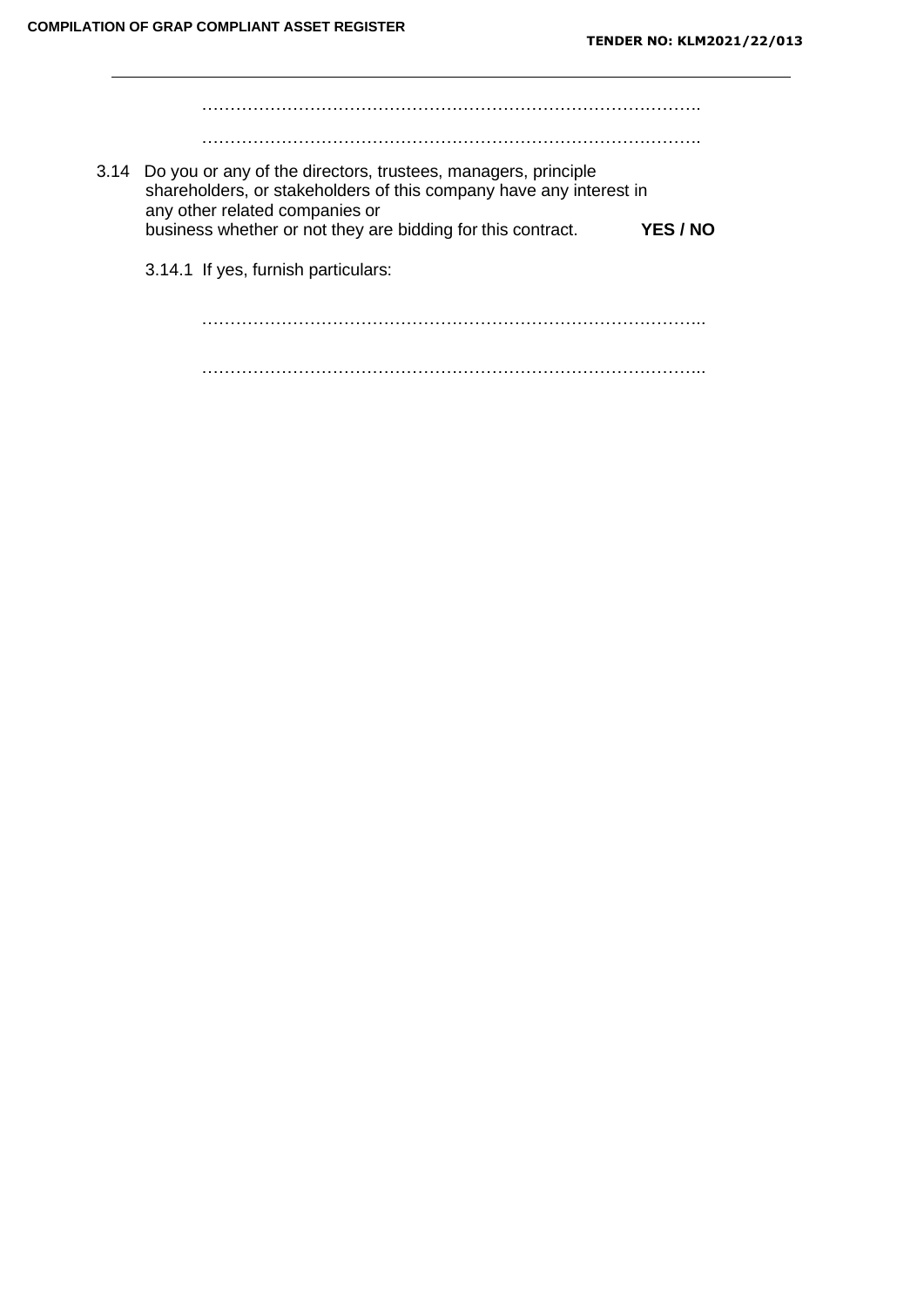……………………………………………………………………………. ……………………………………………………………………………. 3.14 Do you or any of the directors, trustees, managers, principle shareholders, or stakeholders of this company have any interest in any other related companies or business whether or not they are bidding for this contract. **YES / NO** 3.14.1 If yes, furnish particulars: ……………………………………………………………………………..

……………………………………………………………………………..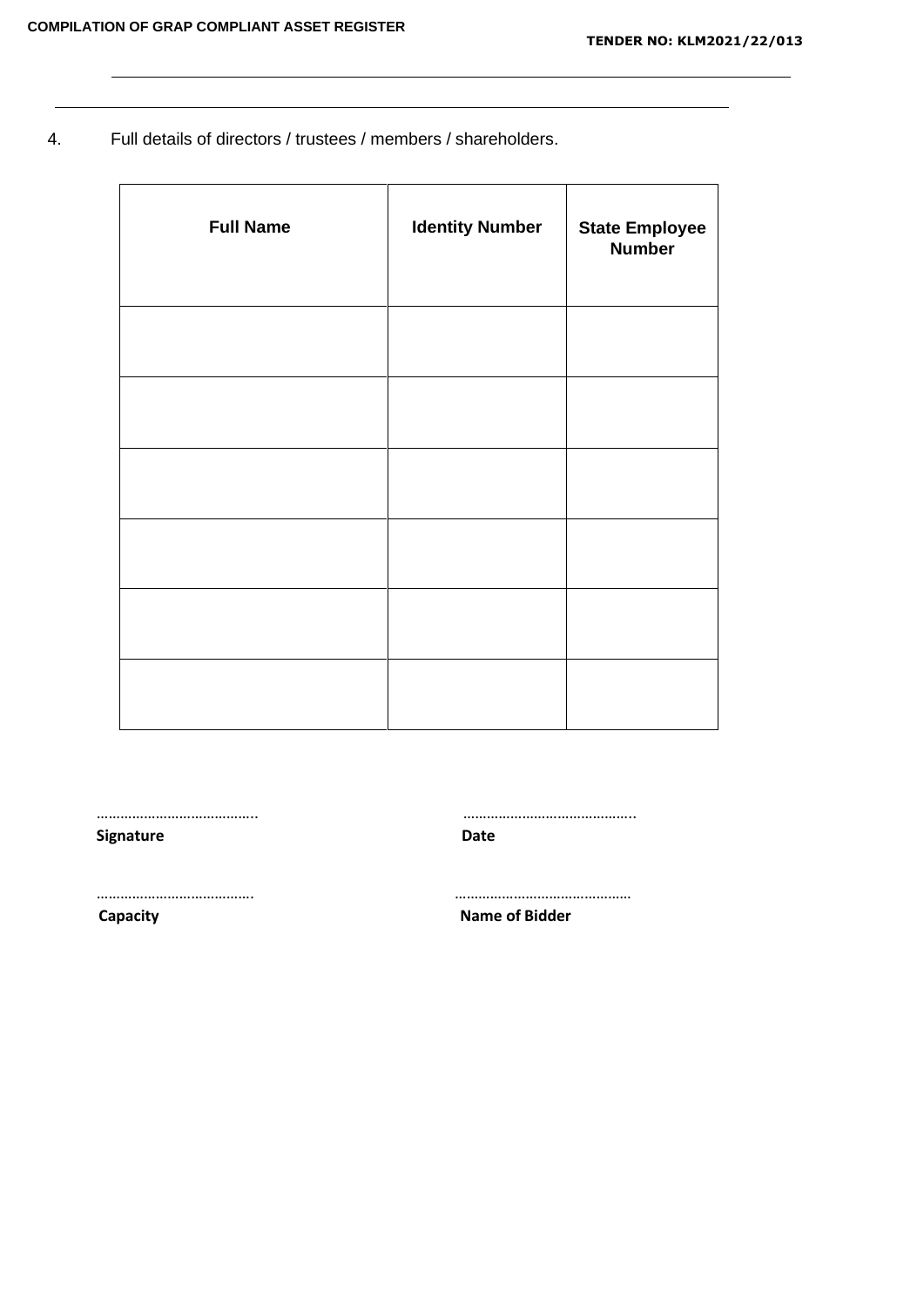4. Full details of directors / trustees / members / shareholders.

| <b>Full Name</b> | <b>Identity Number</b> | <b>State Employee</b><br><b>Number</b> |
|------------------|------------------------|----------------------------------------|
|                  |                        |                                        |
|                  |                        |                                        |
|                  |                        |                                        |
|                  |                        |                                        |
|                  |                        |                                        |
|                  |                        |                                        |

………………………………….. …………………………………….. **Signature Date** …………………………………. ……………………………………… **Capacity Name of Bidder**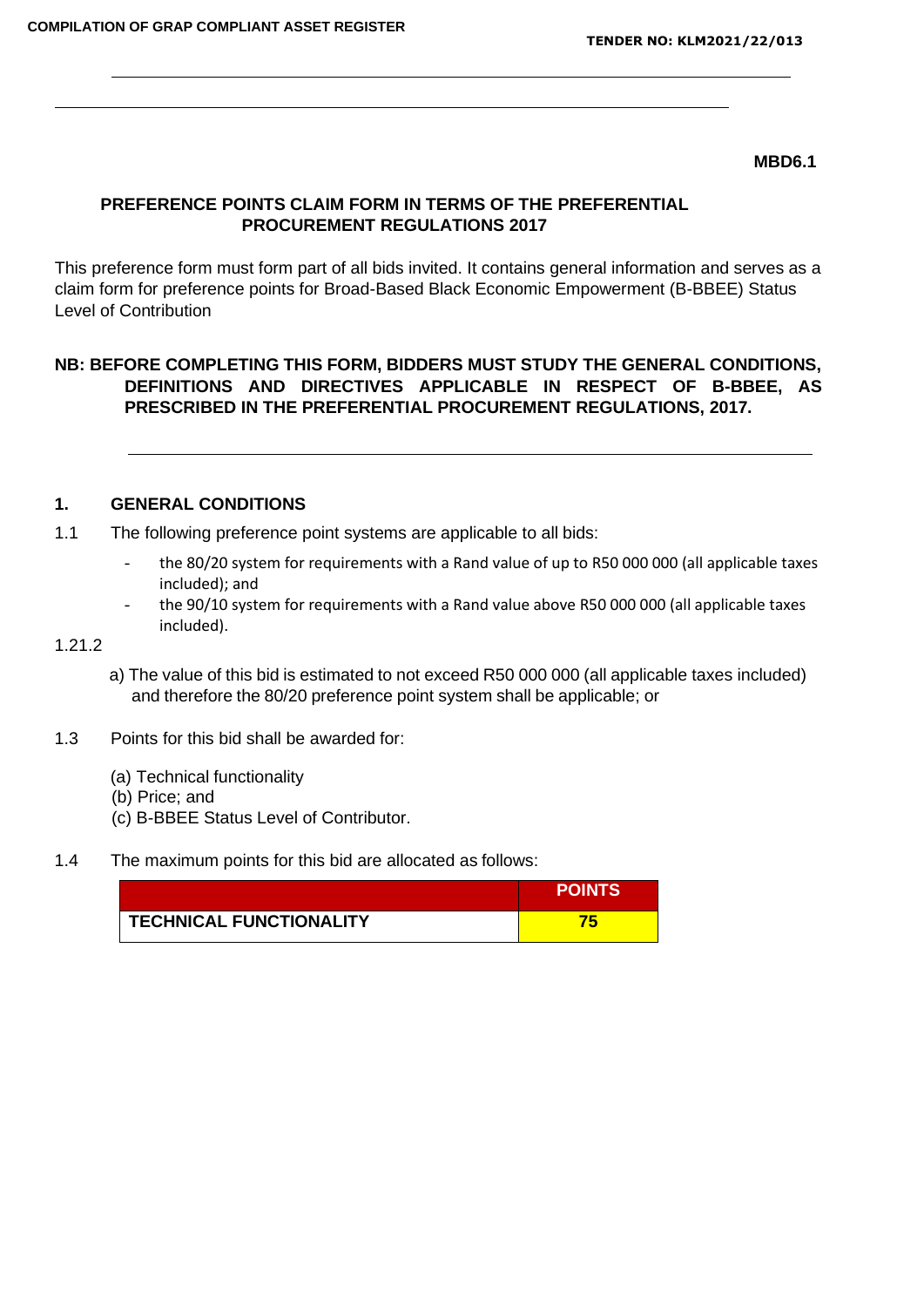#### **MBD6.1**

## **PREFERENCE POINTS CLAIM FORM IN TERMS OF THE PREFERENTIAL PROCUREMENT REGULATIONS 2017**

This preference form must form part of all bids invited. It contains general information and serves as a claim form for preference points for Broad-Based Black Economic Empowerment (B-BBEE) Status Level of Contribution

## **NB: BEFORE COMPLETING THIS FORM, BIDDERS MUST STUDY THE GENERAL CONDITIONS, DEFINITIONS AND DIRECTIVES APPLICABLE IN RESPECT OF B-BBEE, AS PRESCRIBED IN THE PREFERENTIAL PROCUREMENT REGULATIONS, 2017.**

## **1. GENERAL CONDITIONS**

1.1 The following preference point systems are applicable to all bids:

- the 80/20 system for requirements with a Rand value of up to R50 000 000 (all applicable taxes included); and
- the 90/10 system for requirements with a Rand value above R50 000 000 (all applicable taxes included).

#### 1.21.2

- a) The value of this bid is estimated to not exceed R50 000 000 (all applicable taxes included) and therefore the 80/20 preference point system shall be applicable; or
- 1.3 Points for this bid shall be awarded for:
	- (a) Technical functionality
	- (b) Price; and
	- (c) B-BBEE Status Level of Contributor.
- 1.4 The maximum points for this bid are allocated as follows:

|                                | <b>POINTS</b> |
|--------------------------------|---------------|
| <b>TECHNICAL FUNCTIONALITY</b> |               |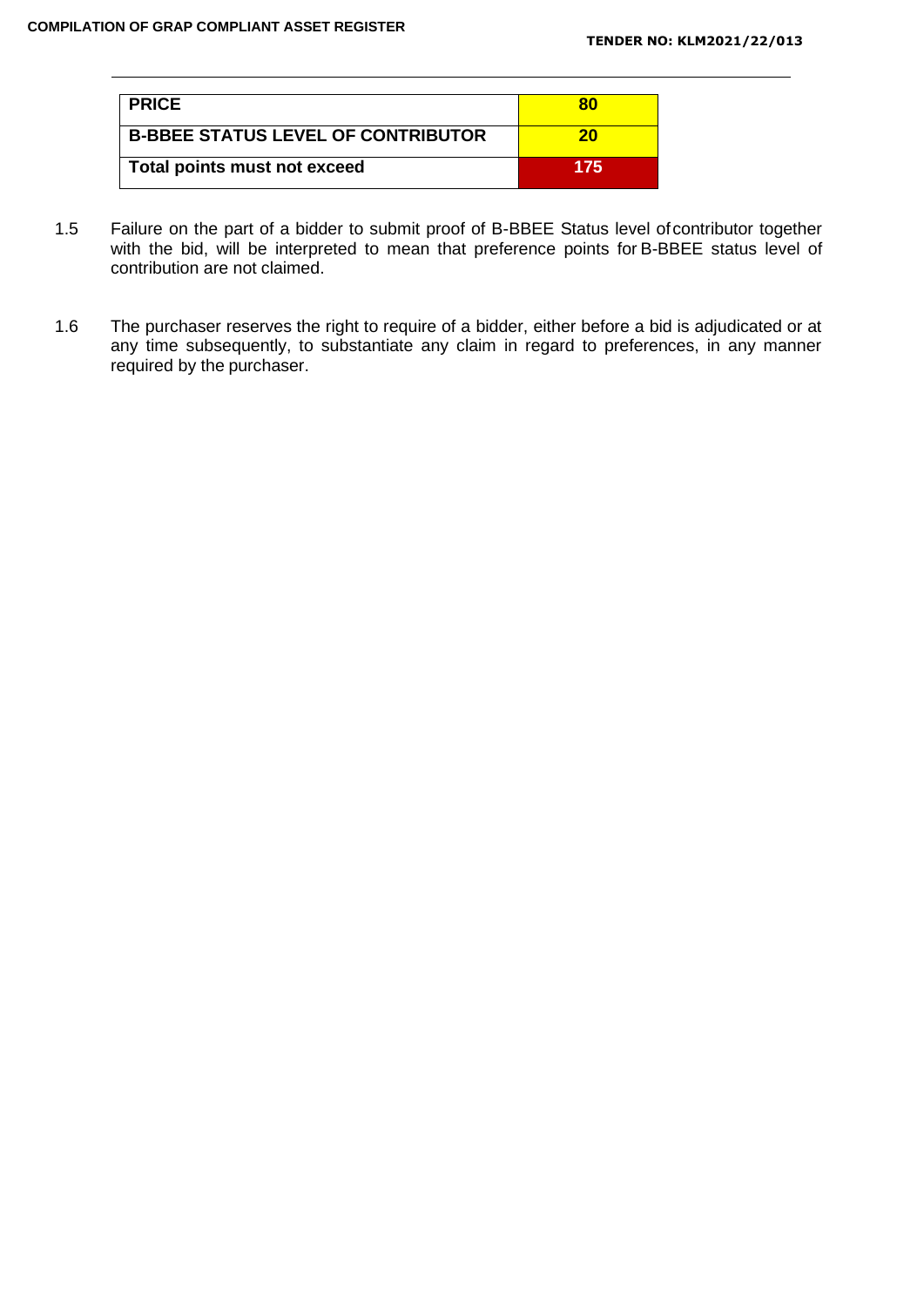| <b>I PRICE</b>                            | 80  |
|-------------------------------------------|-----|
| <b>B-BBEE STATUS LEVEL OF CONTRIBUTOR</b> | 20  |
| Total points must not exceed              | 175 |

- 1.5 Failure on the part of a bidder to submit proof of B-BBEE Status level ofcontributor together with the bid, will be interpreted to mean that preference points for B-BBEE status level of contribution are not claimed.
- 1.6 The purchaser reserves the right to require of a bidder, either before a bid is adjudicated or at any time subsequently, to substantiate any claim in regard to preferences, in any manner required by the purchaser.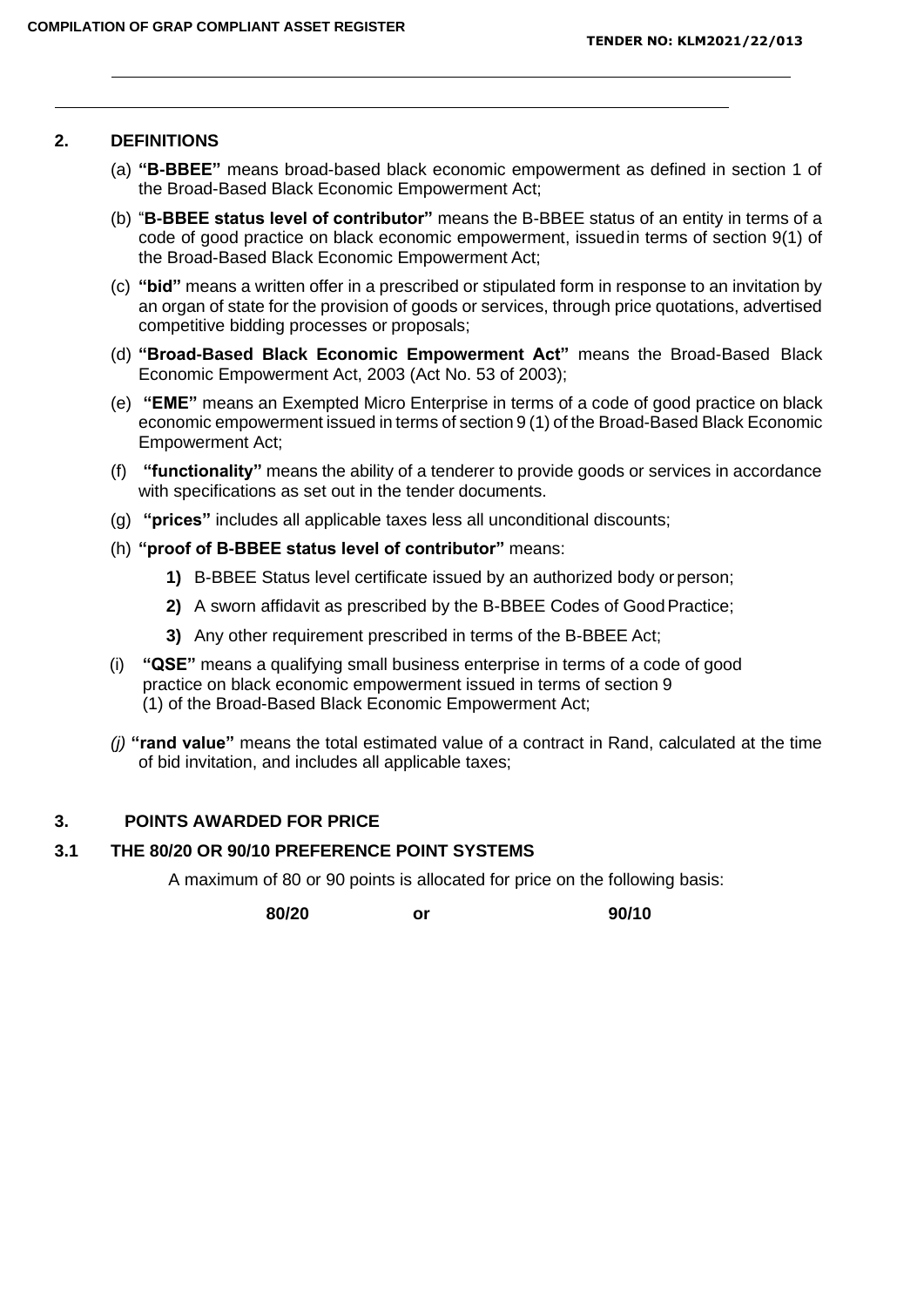#### **2. DEFINITIONS**

- (a) **"B-BBEE"** means broad-based black economic empowerment as defined in section 1 of the Broad-Based Black Economic Empowerment Act;
- (b) "**B-BBEE status level of contributor"** means the B-BBEE status of an entity in terms of a code of good practice on black economic empowerment, issuedin terms of section 9(1) of the Broad-Based Black Economic Empowerment Act;
- (c) **"bid"** means a written offer in a prescribed or stipulated form in response to an invitation by an organ of state for the provision of goods or services, through price quotations, advertised competitive bidding processes or proposals;
- (d) **"Broad-Based Black Economic Empowerment Act"** means the Broad-Based Black Economic Empowerment Act, 2003 (Act No. 53 of 2003);
- (e) **"EME"** means an Exempted Micro Enterprise in terms of a code of good practice on black economic empowerment issued in terms of section 9 (1) of the Broad-Based Black Economic Empowerment Act;
- (f) **"functionality"** means the ability of a tenderer to provide goods or services in accordance with specifications as set out in the tender documents.
- (g) **"prices"** includes all applicable taxes less all unconditional discounts;
- (h) **"proof of B-BBEE status level of contributor"** means:
	- **1)** B-BBEE Status level certificate issued by an authorized body or person;
	- **2)** A sworn affidavit as prescribed by the B-BBEE Codes of GoodPractice;
	- **3)** Any other requirement prescribed in terms of the B-BBEE Act;
- (i) **"QSE"** means a qualifying small business enterprise in terms of a code of good practice on black economic empowerment issued in terms of section 9 (1) of the Broad-Based Black Economic Empowerment Act;
- *(j)* **"rand value"** means the total estimated value of a contract in Rand, calculated at the time of bid invitation, and includes all applicable taxes;

## **3. POINTS AWARDED FOR PRICE**

#### **3.1 THE 80/20 OR 90/10 PREFERENCE POINT SYSTEMS**

A maximum of 80 or 90 points is allocated for price on the following basis:

**80/20 or 90/10**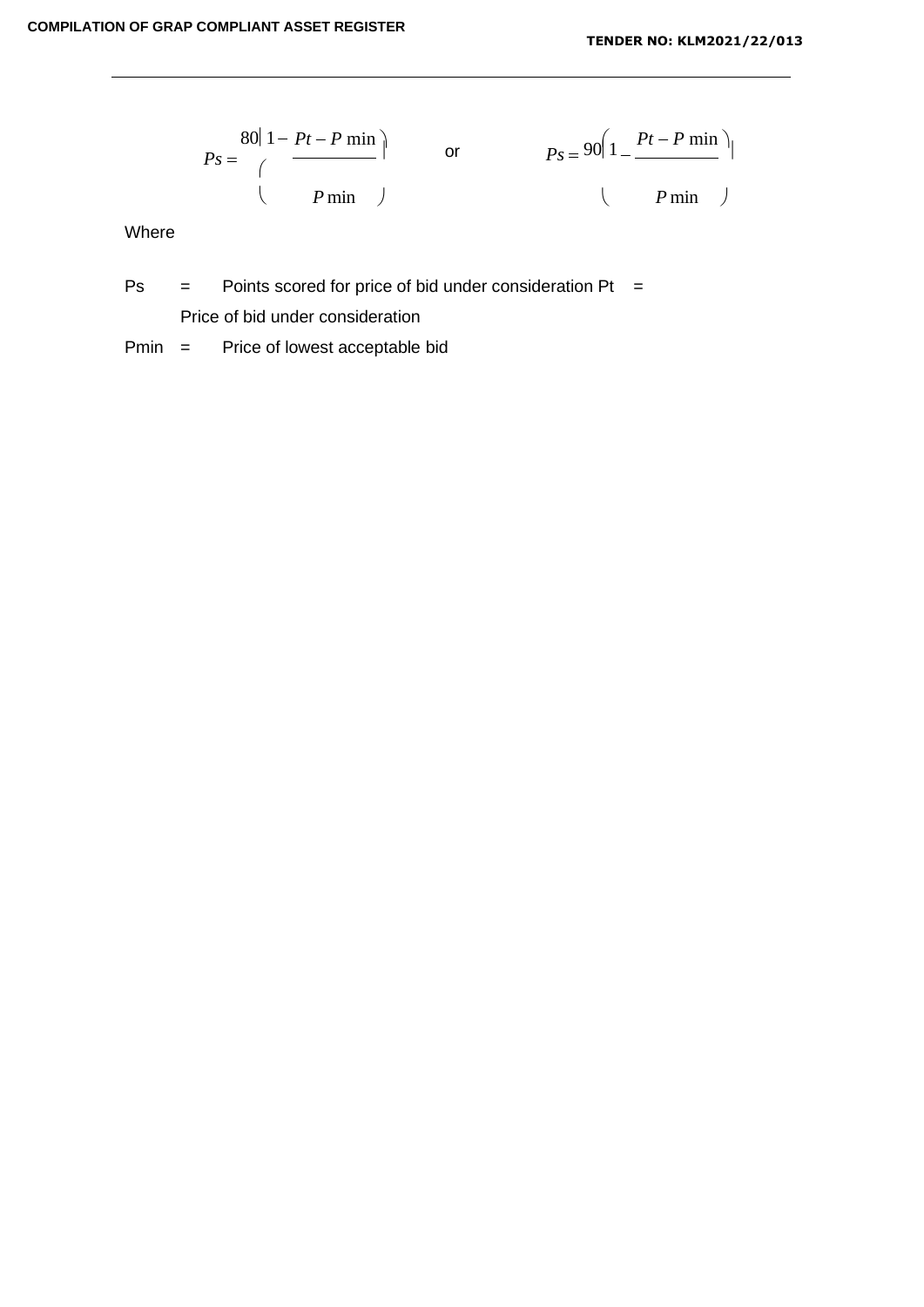$$
Ps = \frac{80|1 - Pt - P \min}{\left(\begin{array}{cc} P \min\end{array}\right)} \quad \text{or} \quad P_S = \frac{90|1 - \frac{Pt - P \min}{\left(\begin{array}{cc} P \min\end{array}\right)}|}{P \min}
$$

Where

 $Ps =$  Points scored for price of bid under consideration Pt =

Price of bid under consideration

Pmin = Price of lowest acceptable bid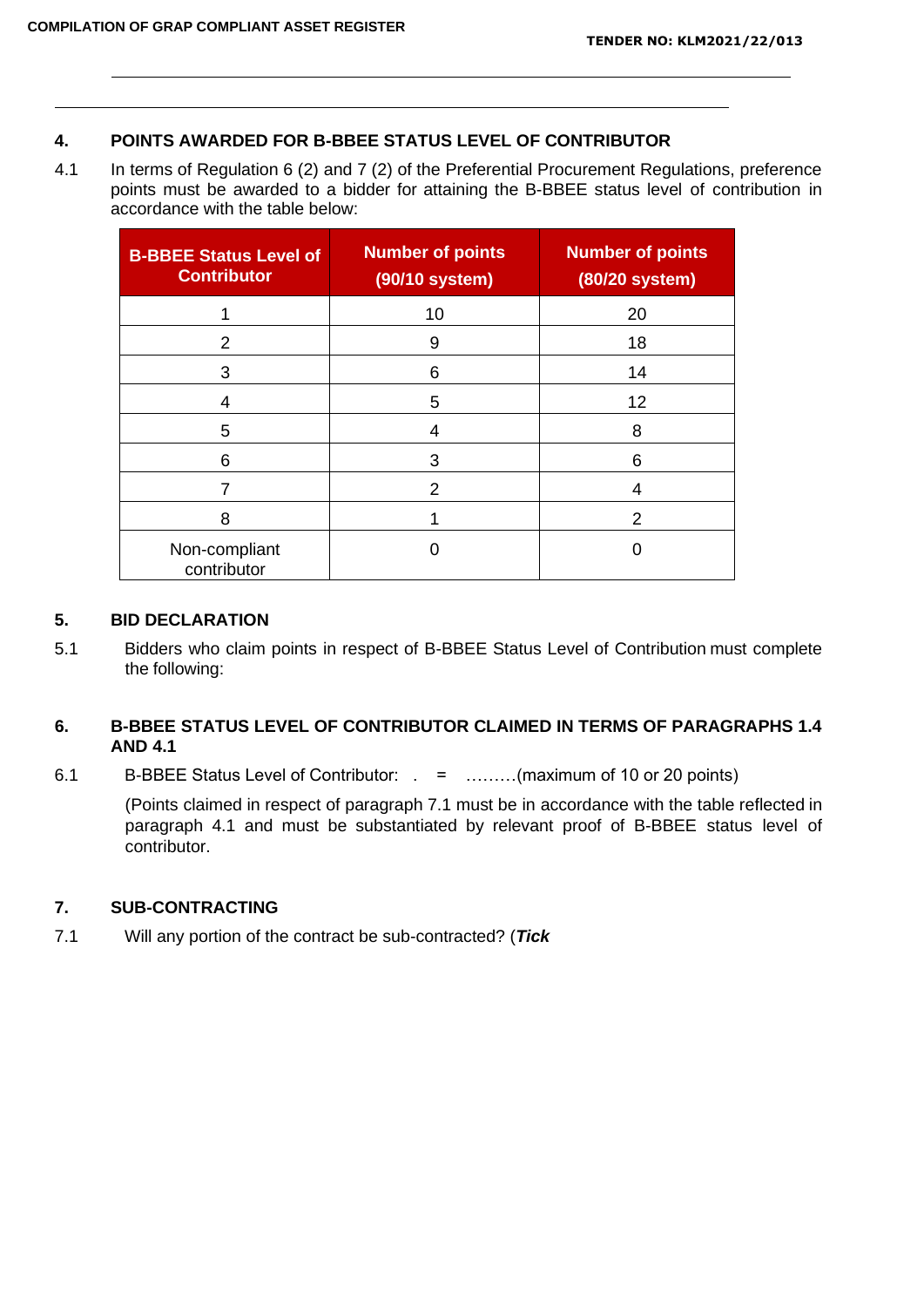## **4. POINTS AWARDED FOR B-BBEE STATUS LEVEL OF CONTRIBUTOR**

4.1 In terms of Regulation 6 (2) and 7 (2) of the Preferential Procurement Regulations, preference points must be awarded to a bidder for attaining the B-BBEE status level of contribution in accordance with the table below:

| <b>B-BBEE Status Level of</b><br><b>Contributor</b> | <b>Number of points</b><br>(90/10 system) | <b>Number of points</b><br>(80/20 system) |
|-----------------------------------------------------|-------------------------------------------|-------------------------------------------|
|                                                     | 10                                        | 20                                        |
| 2                                                   | 9                                         | 18                                        |
| 3                                                   | 6                                         | 14                                        |
| 4                                                   | 5                                         | 12                                        |
| 5                                                   | 4                                         | 8                                         |
| 6                                                   | 3                                         | 6                                         |
|                                                     | 2                                         | 4                                         |
| 8                                                   |                                           | 2                                         |
| Non-compliant<br>contributor                        |                                           |                                           |

## **5. BID DECLARATION**

5.1 Bidders who claim points in respect of B-BBEE Status Level of Contribution must complete the following:

## **6. B-BBEE STATUS LEVEL OF CONTRIBUTOR CLAIMED IN TERMS OF PARAGRAPHS 1.4 AND 4.1**

6.1 B-BBEE Status Level of Contributor: . = ………(maximum of 10 or 20 points)

(Points claimed in respect of paragraph 7.1 must be in accordance with the table reflected in paragraph 4.1 and must be substantiated by relevant proof of B-BBEE status level of contributor.

## **7. SUB-CONTRACTING**

7.1 Will any portion of the contract be sub-contracted? (*Tick*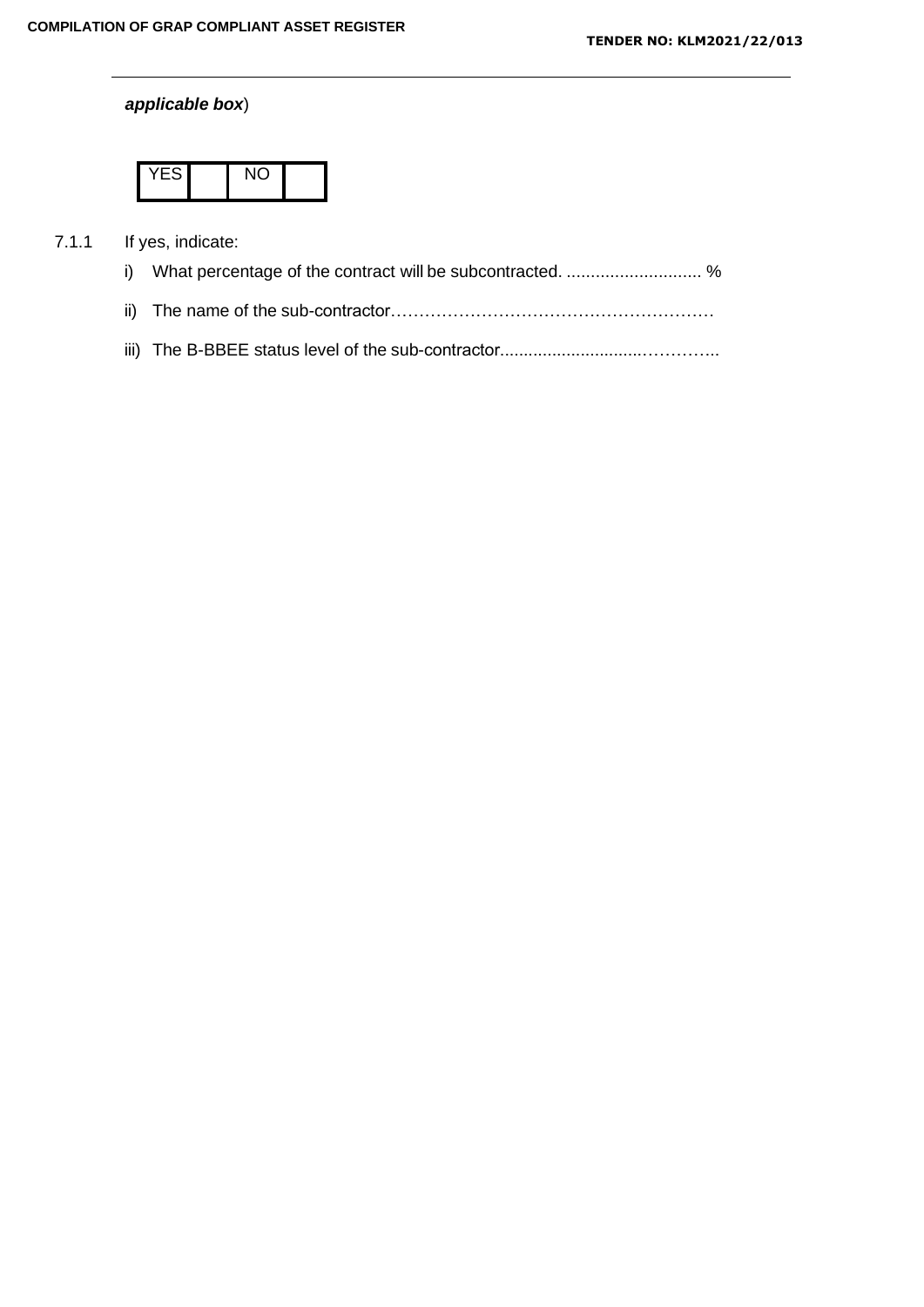## *applicable box*)

|--|--|--|

## 7.1.1 If yes, indicate: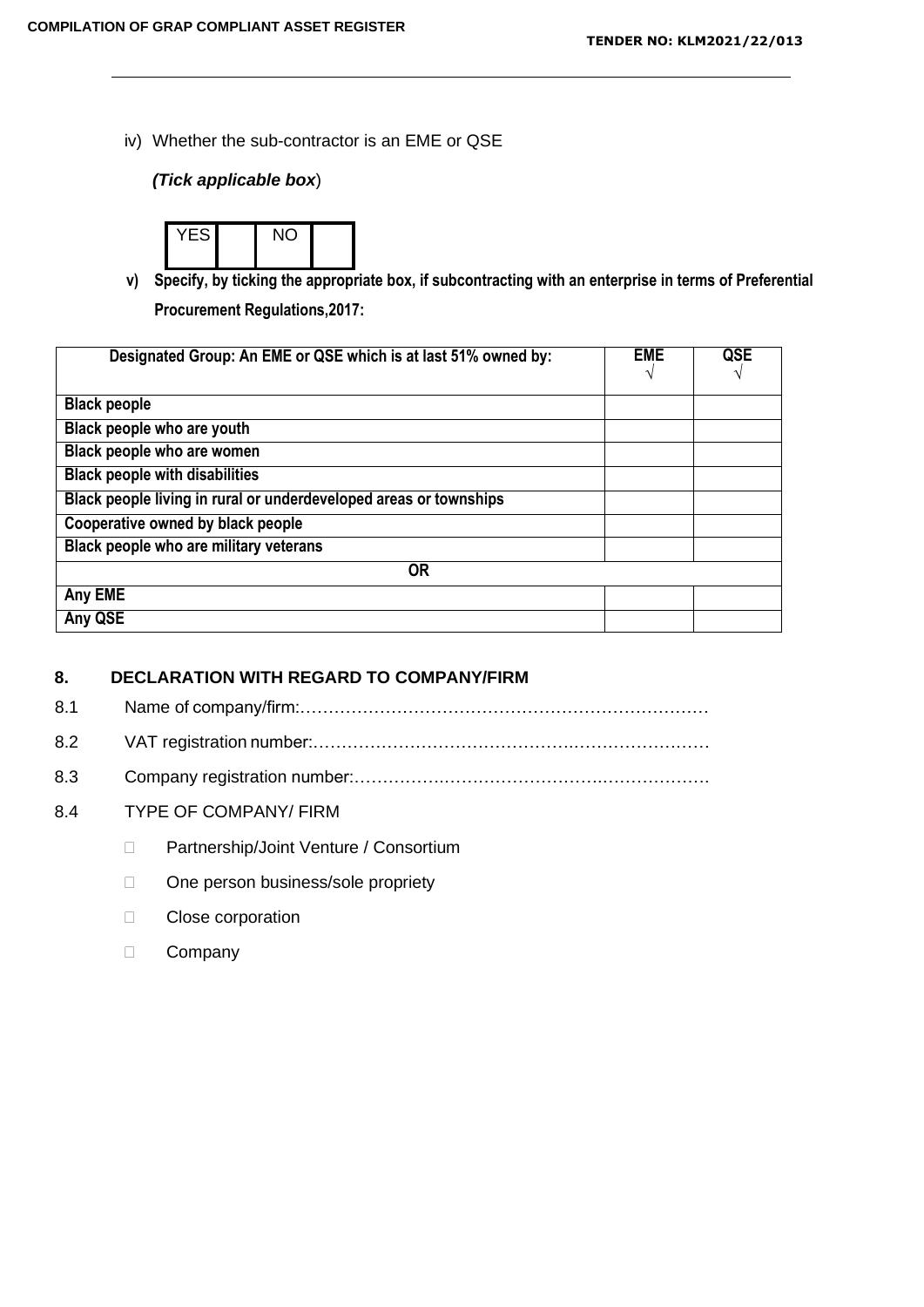iv) Whether the sub-contractor is an EME or QSE

## *(Tick applicable box*)



**v) Specify, by ticking the appropriate box, if subcontracting with an enterprise in terms of Preferential Procurement Regulations,2017:**

| Designated Group: An EME or QSE which is at last 51% owned by:    | <b>EME</b> | QSE |
|-------------------------------------------------------------------|------------|-----|
| <b>Black people</b>                                               |            |     |
| Black people who are youth                                        |            |     |
| Black people who are women                                        |            |     |
| <b>Black people with disabilities</b>                             |            |     |
| Black people living in rural or underdeveloped areas or townships |            |     |
| Cooperative owned by black people                                 |            |     |
| Black people who are military veterans                            |            |     |
| <b>OR</b>                                                         |            |     |
| Any EME                                                           |            |     |
| Any QSE                                                           |            |     |

#### **8. DECLARATION WITH REGARD TO COMPANY/FIRM**

8.1 Name of company/firm:………………………………………………………………

- 8.2 VAT registration number:……………………………………….……………………
- 8.3 Company registration number:…………….……………………….……………….
- 8.4 TYPE OF COMPANY/ FIRM
	- D Partnership/Joint Venture / Consortium
	- □ One person business/sole propriety
	- **Close corporation**
	- D Company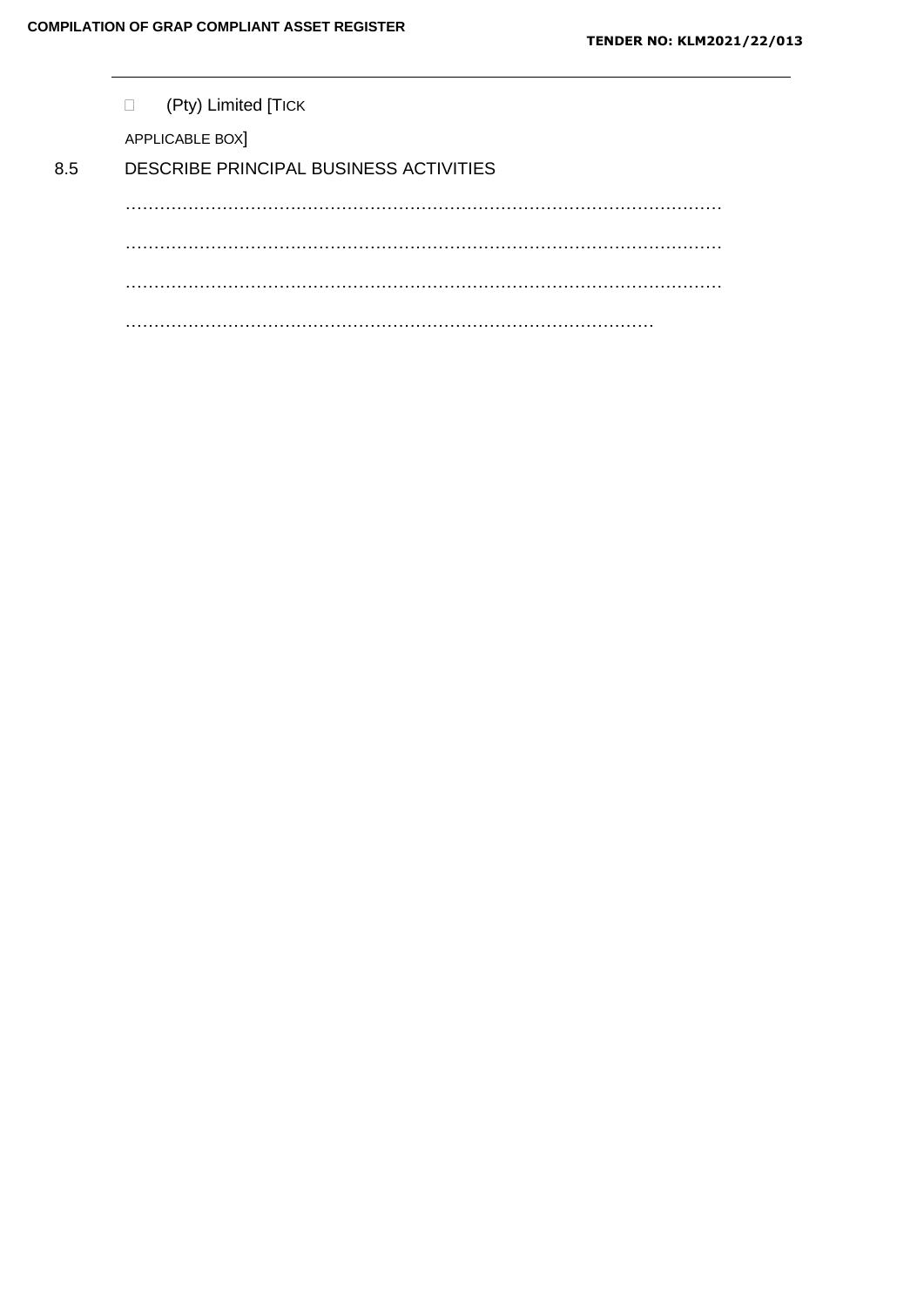|     | (Pty) Limited [TICK<br>$\Box$          |
|-----|----------------------------------------|
|     | APPLICABLE BOX]                        |
| 8.5 | DESCRIBE PRINCIPAL BUSINESS ACTIVITIES |
|     | .                                      |
|     |                                        |
|     |                                        |
|     |                                        |
|     | .                                      |
|     |                                        |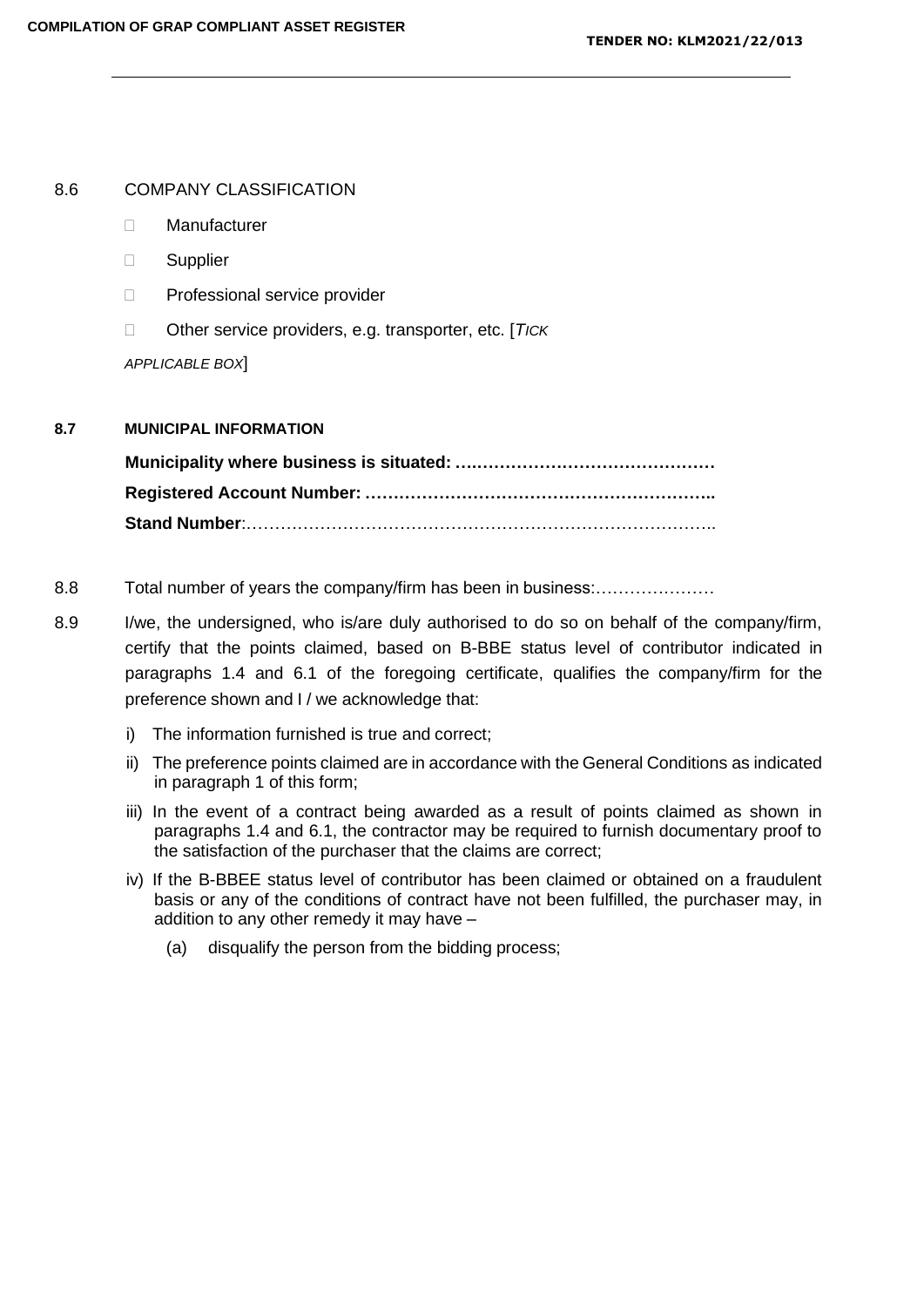#### 8.6 COMPANY CLASSIFICATION

- Manufacturer
- □ Supplier
- □ Professional service provider
- Other service providers, e.g. transporter, etc. [*TICK*

*APPLICABLE BOX*]

## **8.7 MUNICIPAL INFORMATION**

**Municipality where business is situated: ….…………………………………… Registered Account Number: …………………………………………………….. Stand Number**:………………………………………………………………………..

- 8.8 Total number of years the company/firm has been in business:…………………
- 8.9 I/we, the undersigned, who is/are duly authorised to do so on behalf of the company/firm, certify that the points claimed, based on B-BBE status level of contributor indicated in paragraphs 1.4 and 6.1 of the foregoing certificate, qualifies the company/firm for the preference shown and I / we acknowledge that:
	- i) The information furnished is true and correct;
	- ii) The preference points claimed are in accordance with the General Conditions as indicated in paragraph 1 of this form;
	- iii) In the event of a contract being awarded as a result of points claimed as shown in paragraphs 1.4 and 6.1, the contractor may be required to furnish documentary proof to the satisfaction of the purchaser that the claims are correct;
	- iv) If the B-BBEE status level of contributor has been claimed or obtained on a fraudulent basis or any of the conditions of contract have not been fulfilled, the purchaser may, in addition to any other remedy it may have –
		- (a) disqualify the person from the bidding process;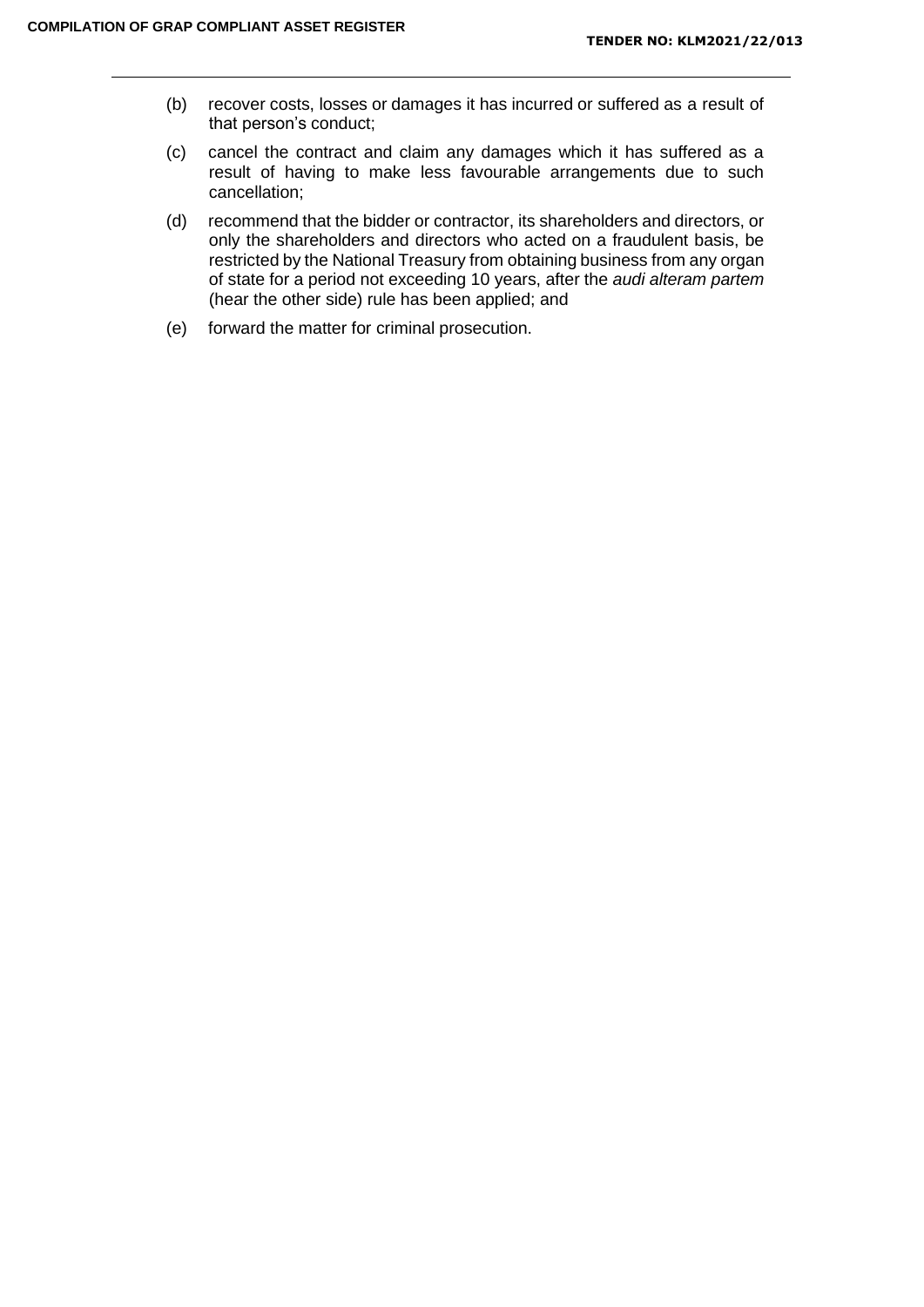- (b) recover costs, losses or damages it has incurred or suffered as a result of that person's conduct;
- (c) cancel the contract and claim any damages which it has suffered as a result of having to make less favourable arrangements due to such cancellation;
- (d) recommend that the bidder or contractor, its shareholders and directors, or only the shareholders and directors who acted on a fraudulent basis, be restricted by the National Treasury from obtaining business from any organ of state for a period not exceeding 10 years, after the *audi alteram partem*  (hear the other side) rule has been applied; and
- (e) forward the matter for criminal prosecution.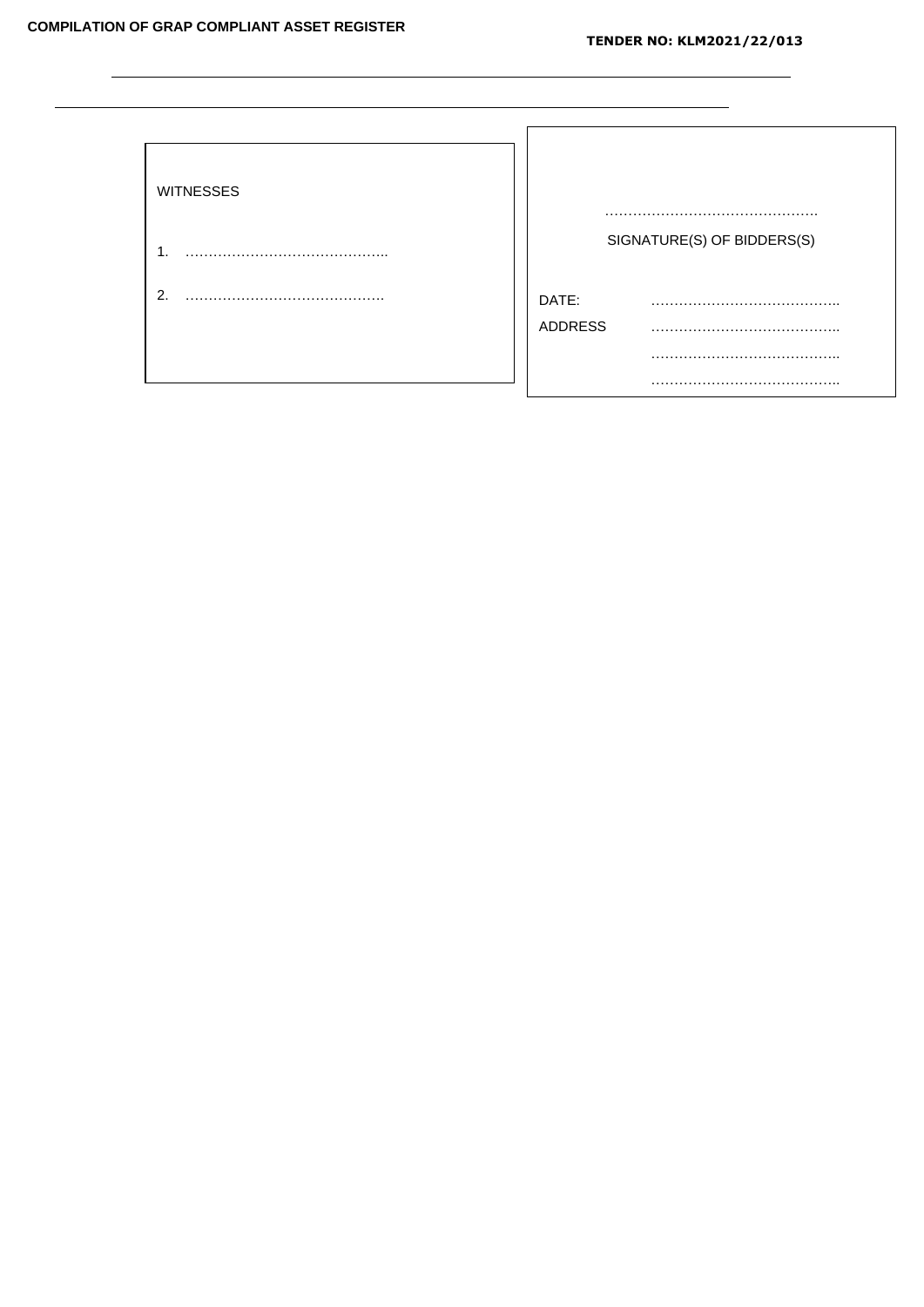L.

| <b>WITNESSES</b> |                            |
|------------------|----------------------------|
| $\mathbf 1$      | SIGNATURE(S) OF BIDDERS(S) |
| 2.               | DATE:<br><b>ADDRESS</b>    |
|                  |                            |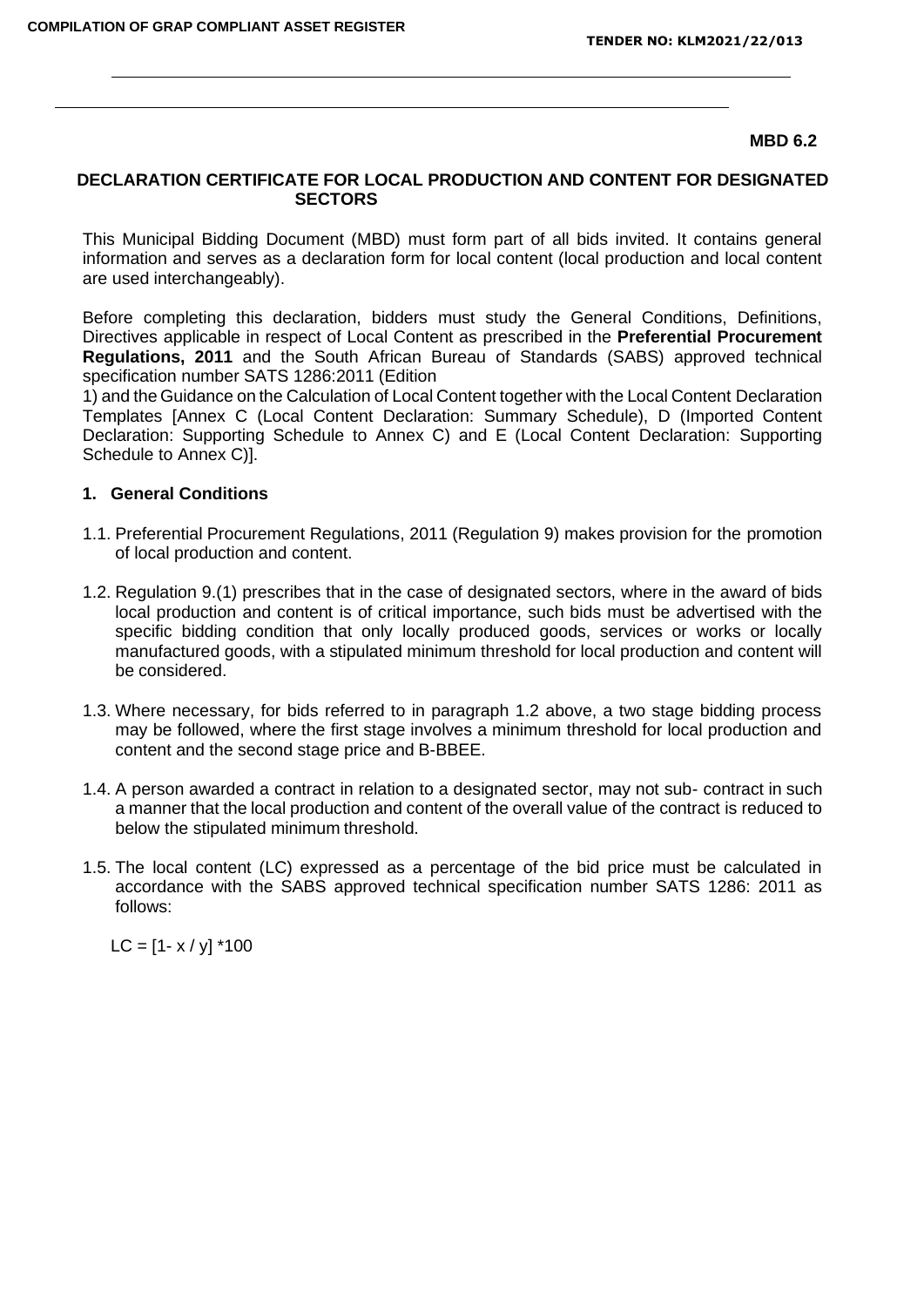#### **MBD 6.2**

#### **DECLARATION CERTIFICATE FOR LOCAL PRODUCTION AND CONTENT FOR DESIGNATED SECTORS**

This Municipal Bidding Document (MBD) must form part of all bids invited. It contains general information and serves as a declaration form for local content (local production and local content are used interchangeably).

Before completing this declaration, bidders must study the General Conditions, Definitions, Directives applicable in respect of Local Content as prescribed in the **Preferential Procurement Regulations, 2011** and the South African Bureau of Standards (SABS) approved technical specification number SATS 1286:2011 (Edition

1) and the Guidance on the Calculation of Local Content together with the Local Content Declaration Templates [Annex C (Local Content Declaration: Summary Schedule), D (Imported Content Declaration: Supporting Schedule to Annex C) and E (Local Content Declaration: Supporting Schedule to Annex C)].

#### **1. General Conditions**

- 1.1. Preferential Procurement Regulations, 2011 (Regulation 9) makes provision for the promotion of local production and content.
- 1.2. Regulation 9.(1) prescribes that in the case of designated sectors, where in the award of bids local production and content is of critical importance, such bids must be advertised with the specific bidding condition that only locally produced goods, services or works or locally manufactured goods, with a stipulated minimum threshold for local production and content will be considered.
- 1.3. Where necessary, for bids referred to in paragraph 1.2 above, a two stage bidding process may be followed, where the first stage involves a minimum threshold for local production and content and the second stage price and B-BBEE.
- 1.4. A person awarded a contract in relation to a designated sector, may not sub- contract in such a manner that the local production and content of the overall value of the contract is reduced to below the stipulated minimum threshold.
- 1.5. The local content (LC) expressed as a percentage of the bid price must be calculated in accordance with the SABS approved technical specification number SATS 1286: 2011 as follows:

 $LC = [1 - x / y]$  \*100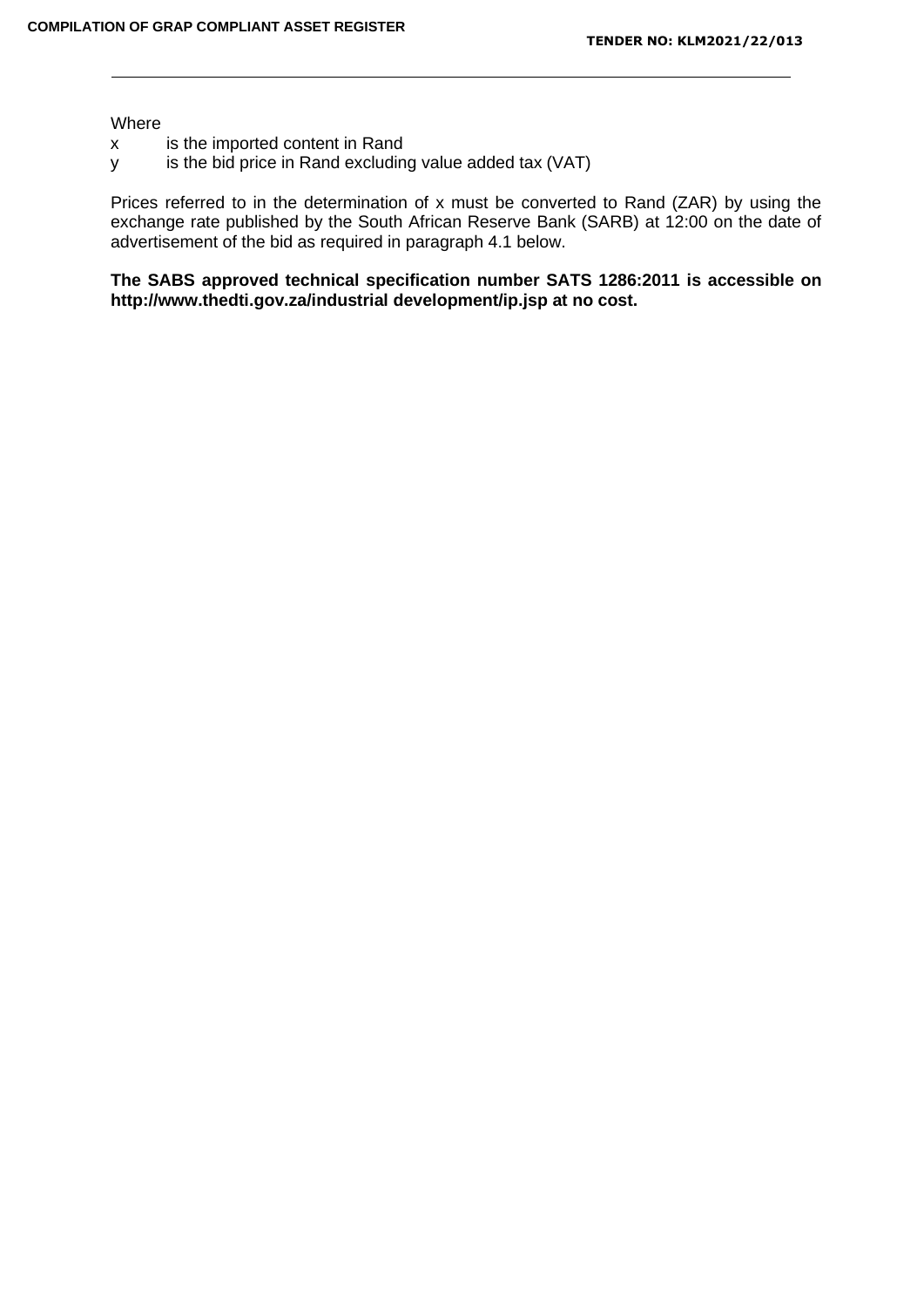Where

- x is the imported content in Rand
- y is the bid price in Rand excluding value added tax (VAT)

Prices referred to in the determination of x must be converted to Rand (ZAR) by using the exchange rate published by the South African Reserve Bank (SARB) at 12:00 on the date of advertisement of the bid as required in paragraph 4.1 below.

**The SABS approved technical specification number SATS 1286:2011 is accessible on <http://www.thedti.gov.za/industrial> development/ip.jsp at no cost.**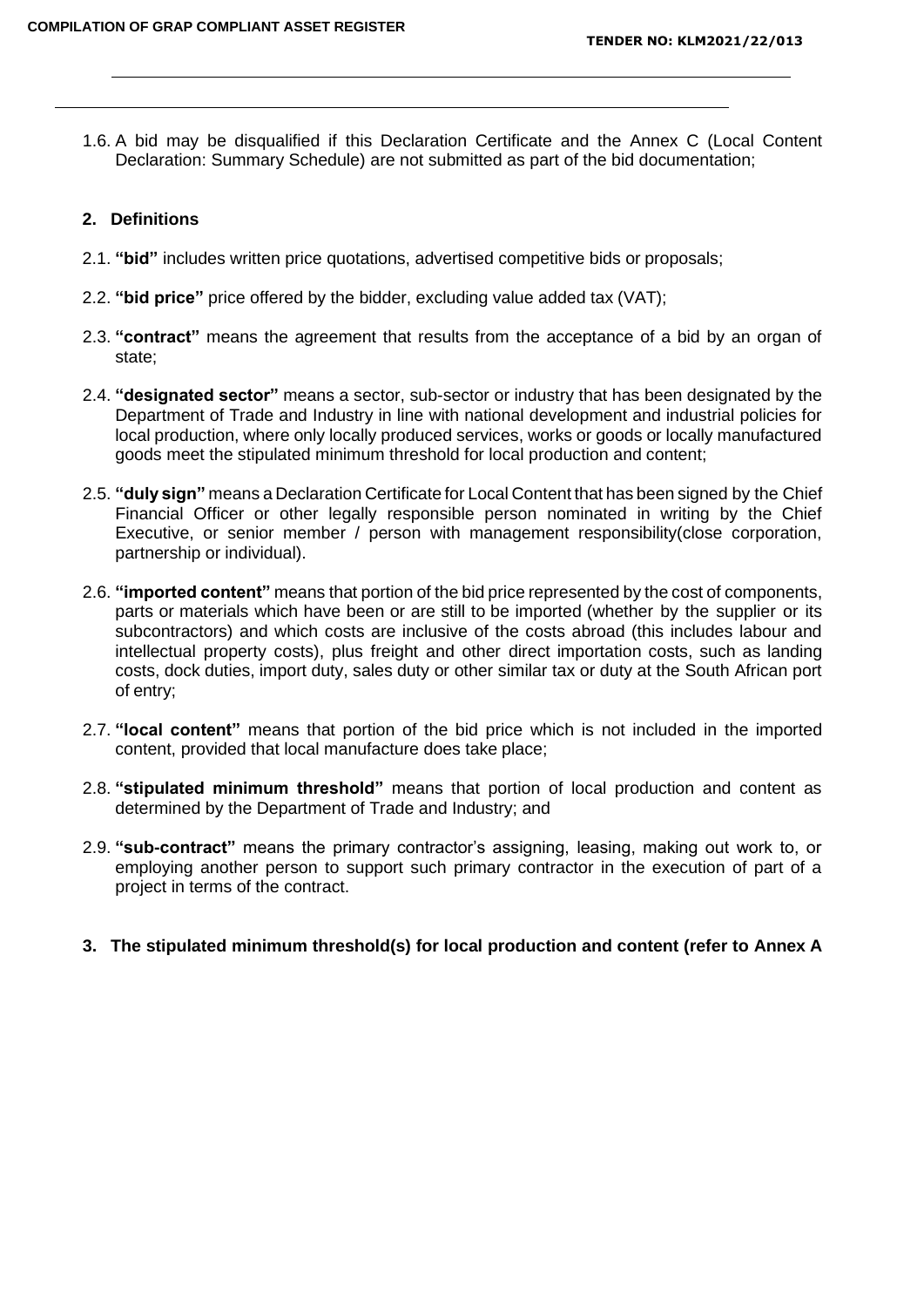1.6. A bid may be disqualified if this Declaration Certificate and the Annex C (Local Content Declaration: Summary Schedule) are not submitted as part of the bid documentation;

#### **2. Definitions**

- 2.1. **"bid"** includes written price quotations, advertised competitive bids or proposals;
- 2.2. **"bid price"** price offered by the bidder, excluding value added tax (VAT);
- 2.3. **"contract"** means the agreement that results from the acceptance of a bid by an organ of state;
- 2.4. **"designated sector"** means a sector, sub-sector or industry that has been designated by the Department of Trade and Industry in line with national development and industrial policies for local production, where only locally produced services, works or goods or locally manufactured goods meet the stipulated minimum threshold for local production and content;
- 2.5. **"duly sign"** means a Declaration Certificate for Local Content that has been signed by the Chief Financial Officer or other legally responsible person nominated in writing by the Chief Executive, or senior member / person with management responsibility(close corporation, partnership or individual).
- 2.6. **"imported content"** means that portion of the bid price represented by the cost of components, parts or materials which have been or are still to be imported (whether by the supplier or its subcontractors) and which costs are inclusive of the costs abroad (this includes labour and intellectual property costs), plus freight and other direct importation costs, such as landing costs, dock duties, import duty, sales duty or other similar tax or duty at the South African port of entry;
- 2.7. **"local content"** means that portion of the bid price which is not included in the imported content, provided that local manufacture does take place;
- 2.8. **"stipulated minimum threshold"** means that portion of local production and content as determined by the Department of Trade and Industry; and
- 2.9. **"sub-contract"** means the primary contractor's assigning, leasing, making out work to, or employing another person to support such primary contractor in the execution of part of a project in terms of the contract.
- **3. The stipulated minimum threshold(s) for local production and content (refer to Annex A**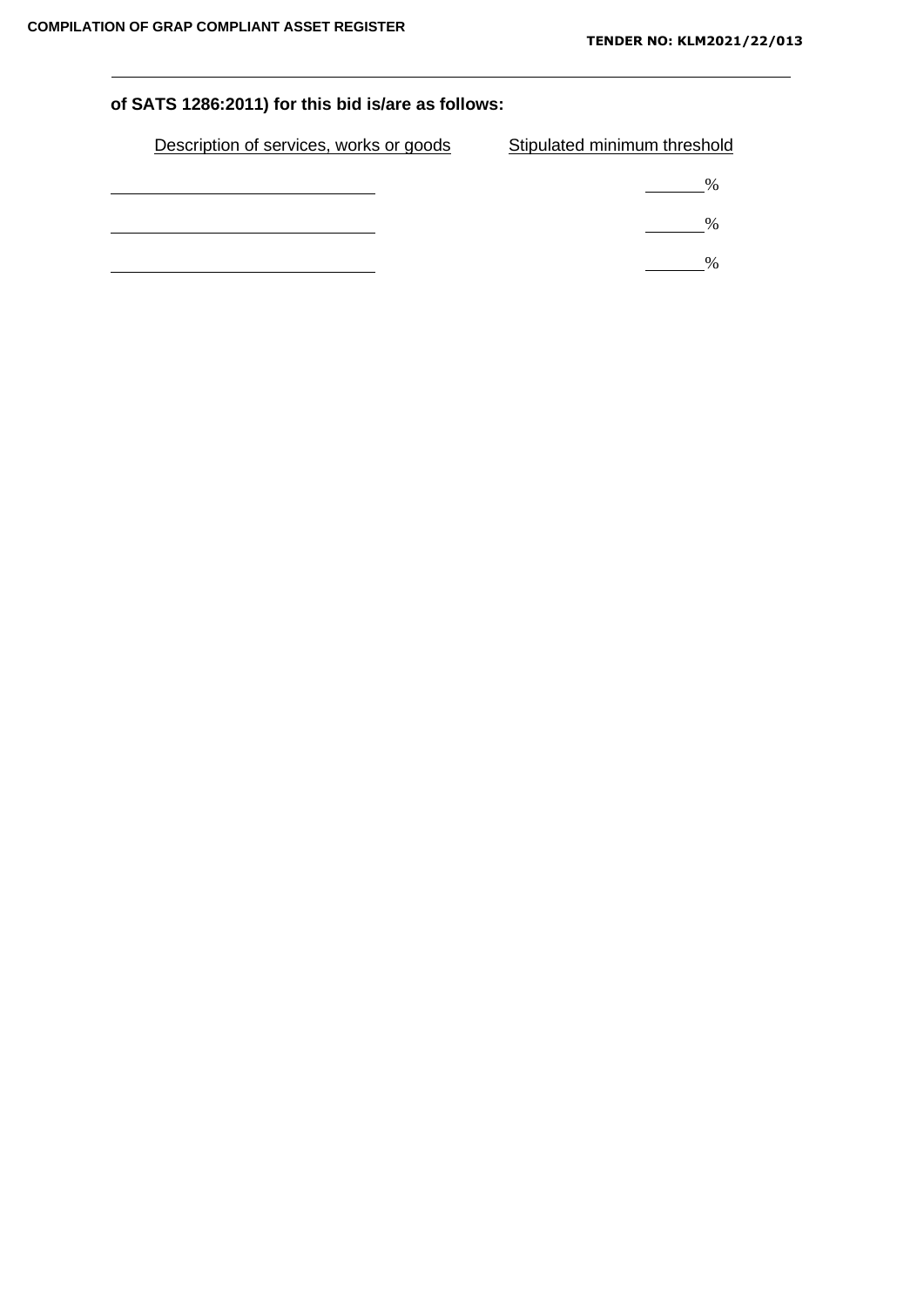# **of SATS 1286:2011) for this bid is/are as follows:**

| Description of services, works or goods | Stipulated minimum threshold |
|-----------------------------------------|------------------------------|
|                                         | $\frac{0}{0}$                |
|                                         | $\%$                         |
|                                         |                              |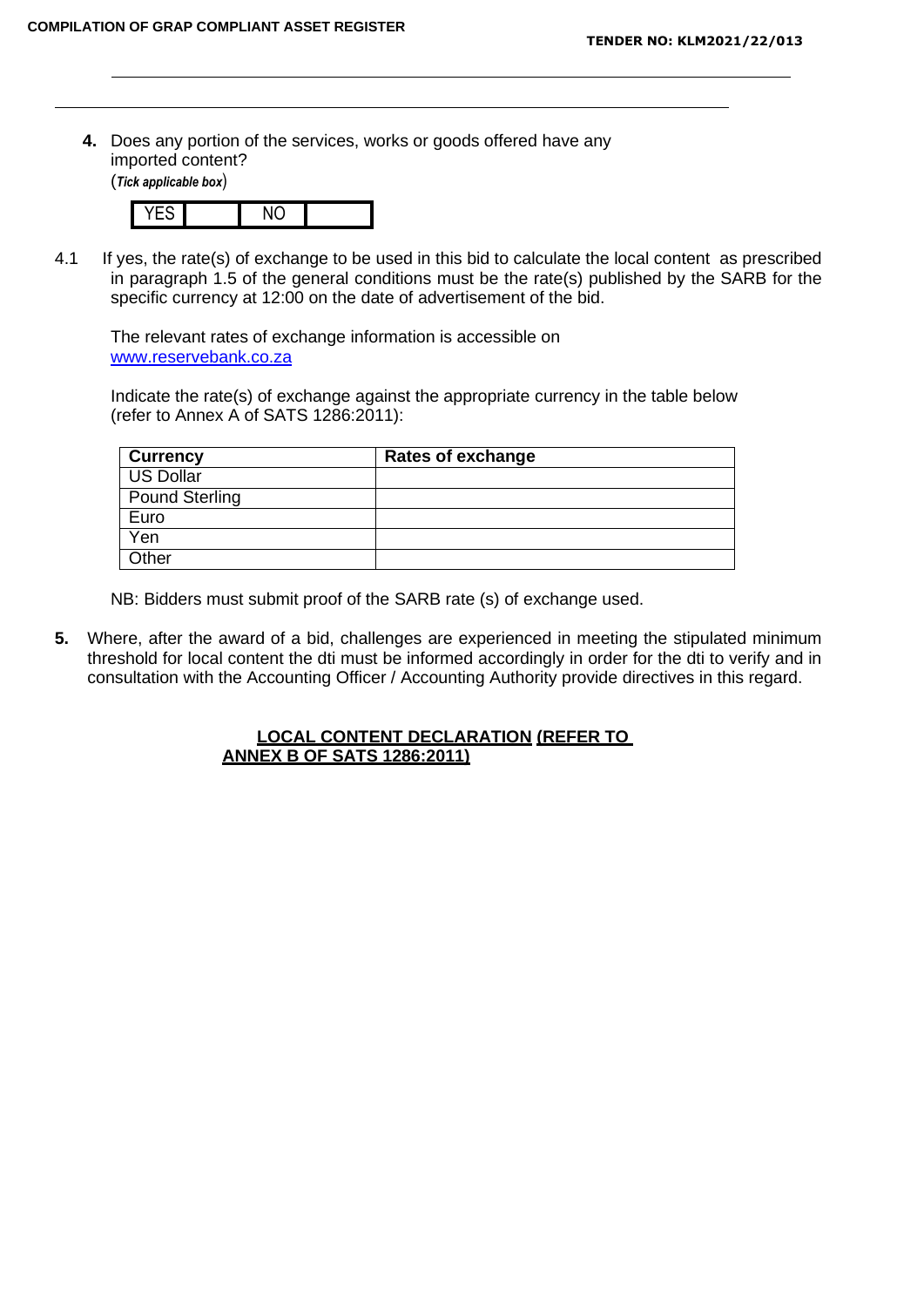**4.** Does any portion of the services, works or goods offered have any imported content? (*Tick applicable box*)



4.1 If yes, the rate(s) of exchange to be used in this bid to calculate the local content as prescribed in paragraph 1.5 of the general conditions must be the rate(s) published by the SARB for the specific currency at 12:00 on the date of advertisement of the bid.

The relevant rates of exchange information is accessible on [www.reservebank.co.za](http://www.reservebank.co.za/)

Indicate the rate(s) of exchange against the appropriate currency in the table below (refer to Annex A of SATS 1286:2011):

| <b>Currency</b>       | <b>Rates of exchange</b> |
|-----------------------|--------------------------|
| <b>US Dollar</b>      |                          |
| <b>Pound Sterling</b> |                          |
| Euro                  |                          |
| Yen                   |                          |
| Other                 |                          |

NB: Bidders must submit proof of the SARB rate (s) of exchange used.

**5.** Where, after the award of a bid, challenges are experienced in meeting the stipulated minimum threshold for local content the dti must be informed accordingly in order for the dti to verify and in consultation with the Accounting Officer / Accounting Authority provide directives in this regard.

#### **LOCAL CONTENT DECLARATION (REFER TO ANNEX B OF SATS 1286:2011)**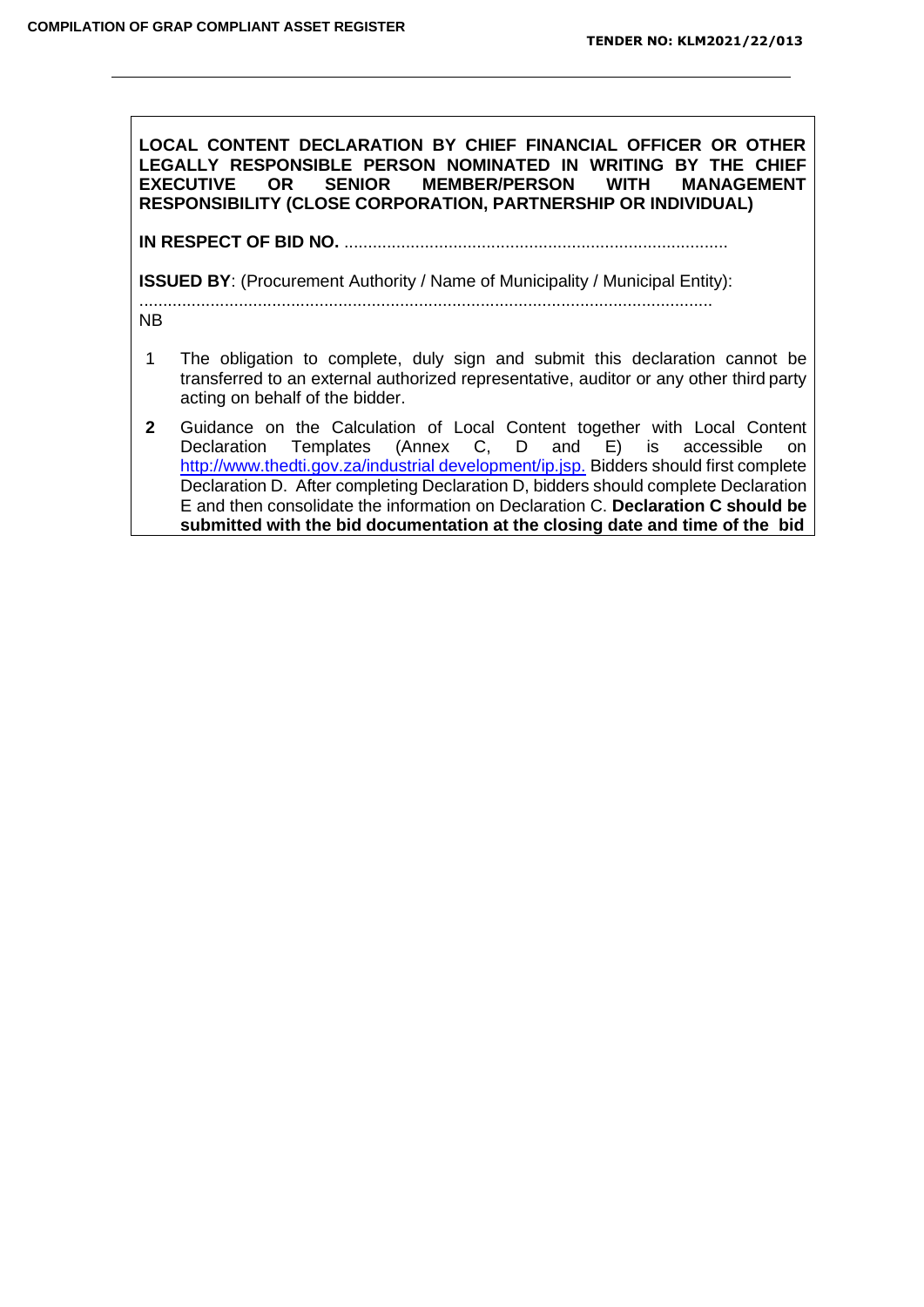**LOCAL CONTENT DECLARATION BY CHIEF FINANCIAL OFFICER OR OTHER LEGALLY RESPONSIBLE PERSON NOMINATED IN WRITING BY THE CHIEF**  OR SENIOR MEMBER/PERSON **RESPONSIBILITY (CLOSE CORPORATION, PARTNERSHIP OR INDIVIDUAL)**

**IN RESPECT OF BID NO.** .................................................................................

**ISSUED BY:** (Procurement Authority / Name of Municipality / Municipal Entity):

.........................................................................................................................

NB

- 1 The obligation to complete, duly sign and submit this declaration cannot be transferred to an external authorized representative, auditor or any other third party acting on behalf of the bidder.
- **2** Guidance on the Calculation of Local Content together with Local Content Declaration Templates (Annex C, D and E) is accessible on [http://www.thedti.gov.za/industrial](http://www.thedti.gov.za/industrial%20development/ip.jsp) development/ip.jsp. Bidders should first complete Declaration D. After completing Declaration D, bidders should complete Declaration E and then consolidate the information on Declaration C. **Declaration C should be submitted with the bid documentation at the closing date and time of the bid**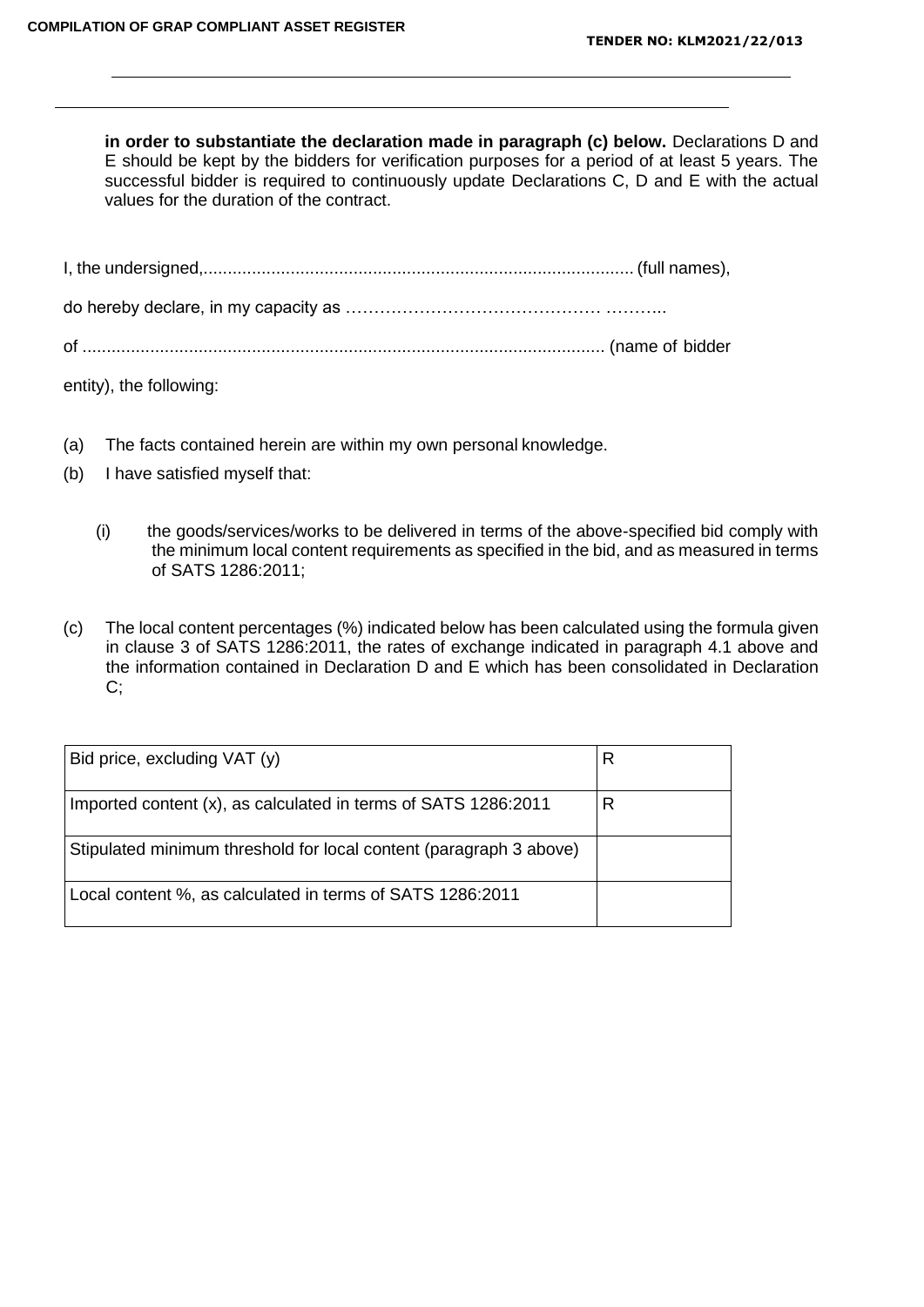**in order to substantiate the declaration made in paragraph (c) below.** Declarations D and E should be kept by the bidders for verification purposes for a period of at least 5 years. The successful bidder is required to continuously update Declarations C, D and E with the actual values for the duration of the contract.

entity), the following:

- (a) The facts contained herein are within my own personal knowledge.
- (b) I have satisfied myself that:
	- (i) the goods/services/works to be delivered in terms of the above-specified bid comply with the minimum local content requirements as specified in the bid, and as measured in terms of SATS 1286:2011;
- (c) The local content percentages (%) indicated below has been calculated using the formula given in clause 3 of SATS 1286:2011, the rates of exchange indicated in paragraph 4.1 above and the information contained in Declaration D and E which has been consolidated in Declaration C;

| Bid price, excluding VAT (y)                                       | R |
|--------------------------------------------------------------------|---|
| Imported content (x), as calculated in terms of SATS 1286:2011     | R |
| Stipulated minimum threshold for local content (paragraph 3 above) |   |
| Local content %, as calculated in terms of SATS 1286:2011          |   |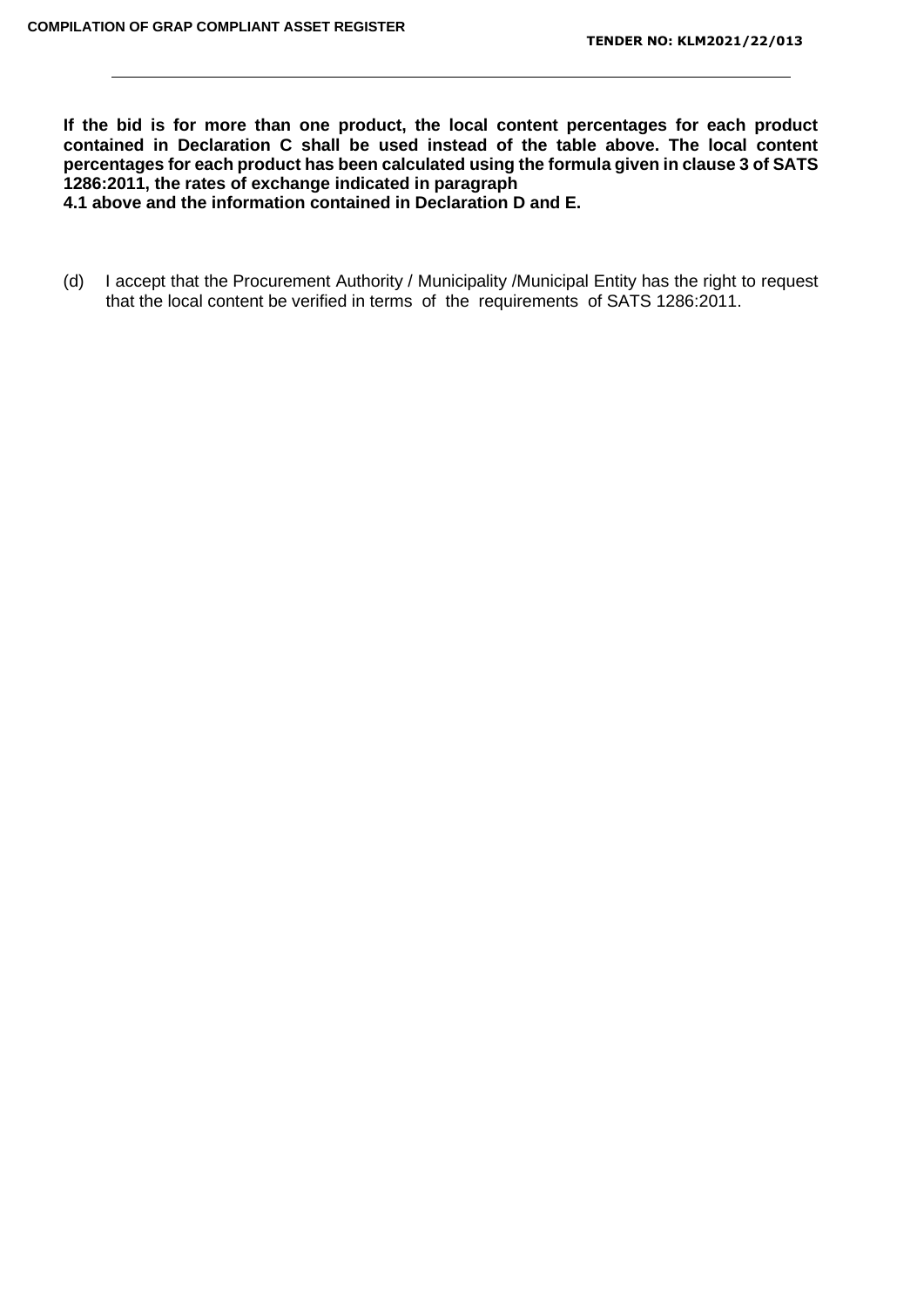**If the bid is for more than one product, the local content percentages for each product contained in Declaration C shall be used instead of the table above. The local content percentages for each product has been calculated using the formula given in clause 3 of SATS 1286:2011, the rates of exchange indicated in paragraph**

**4.1 above and the information contained in Declaration D and E.**

(d) I accept that the Procurement Authority / Municipality /Municipal Entity has the right to request that the local content be verified in terms of the requirements of SATS 1286:2011.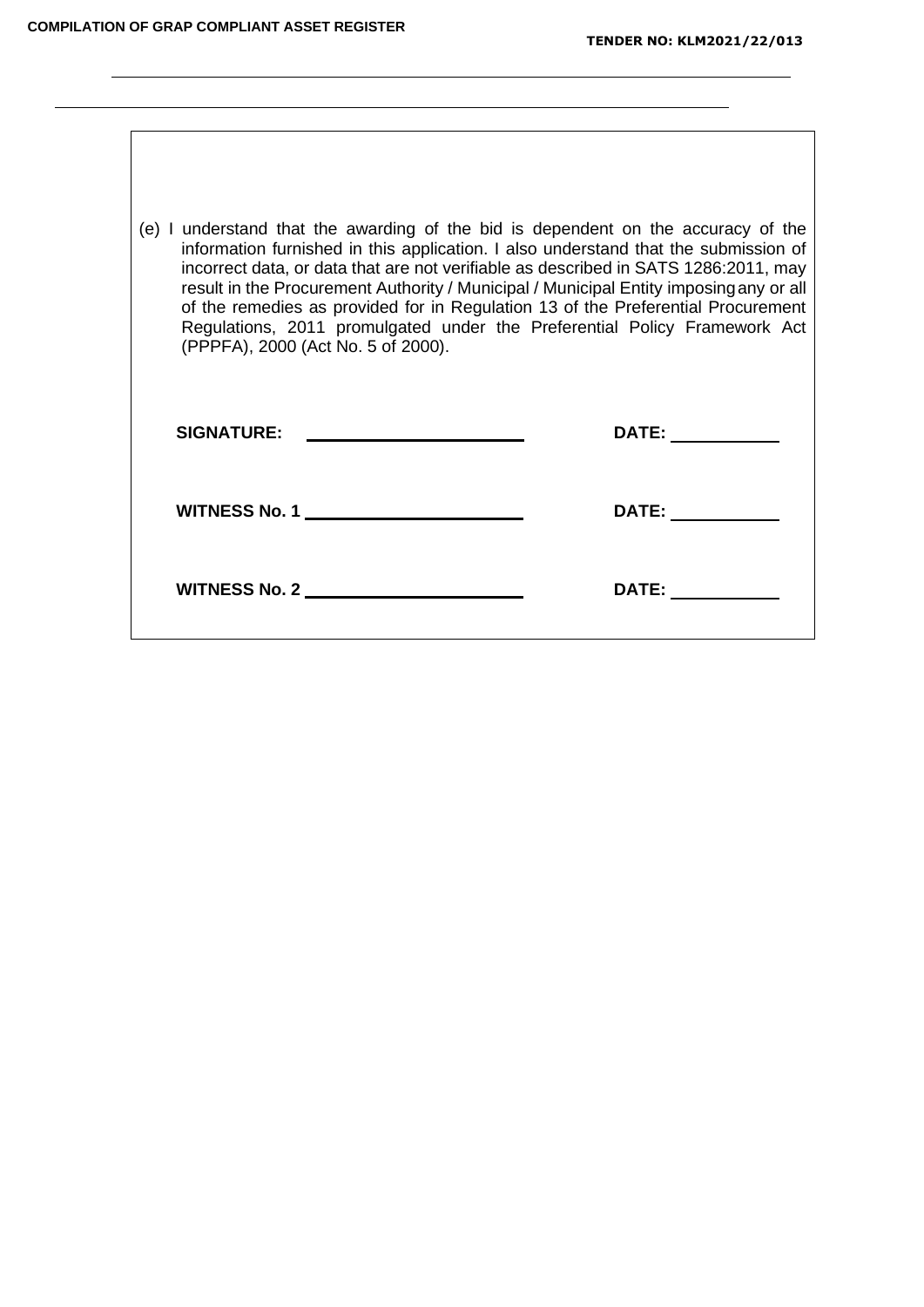$\overline{\phantom{0}}$ 

| (e) I understand that the awarding of the bid is dependent on the accuracy of the<br>information furnished in this application. I also understand that the submission of<br>incorrect data, or data that are not verifiable as described in SATS 1286:2011, may<br>result in the Procurement Authority / Municipal / Municipal Entity imposing any or all<br>of the remedies as provided for in Regulation 13 of the Preferential Procurement<br>Regulations, 2011 promulgated under the Preferential Policy Framework Act<br>(PPPFA), 2000 (Act No. 5 of 2000). |                                                                                                                                                                                                                                |
|------------------------------------------------------------------------------------------------------------------------------------------------------------------------------------------------------------------------------------------------------------------------------------------------------------------------------------------------------------------------------------------------------------------------------------------------------------------------------------------------------------------------------------------------------------------|--------------------------------------------------------------------------------------------------------------------------------------------------------------------------------------------------------------------------------|
| <b>SIGNATURE:</b><br><u> Andrew Maria (1989)</u>                                                                                                                                                                                                                                                                                                                                                                                                                                                                                                                 | DATE: _________                                                                                                                                                                                                                |
| WITNESS No. 1                                                                                                                                                                                                                                                                                                                                                                                                                                                                                                                                                    | DATE: the contract of the contract of the contract of the contract of the contract of the contract of the contract of the contract of the contract of the contract of the contract of the contract of the contract of the cont |
| WITNESS No. 2                                                                                                                                                                                                                                                                                                                                                                                                                                                                                                                                                    | DATE:                                                                                                                                                                                                                          |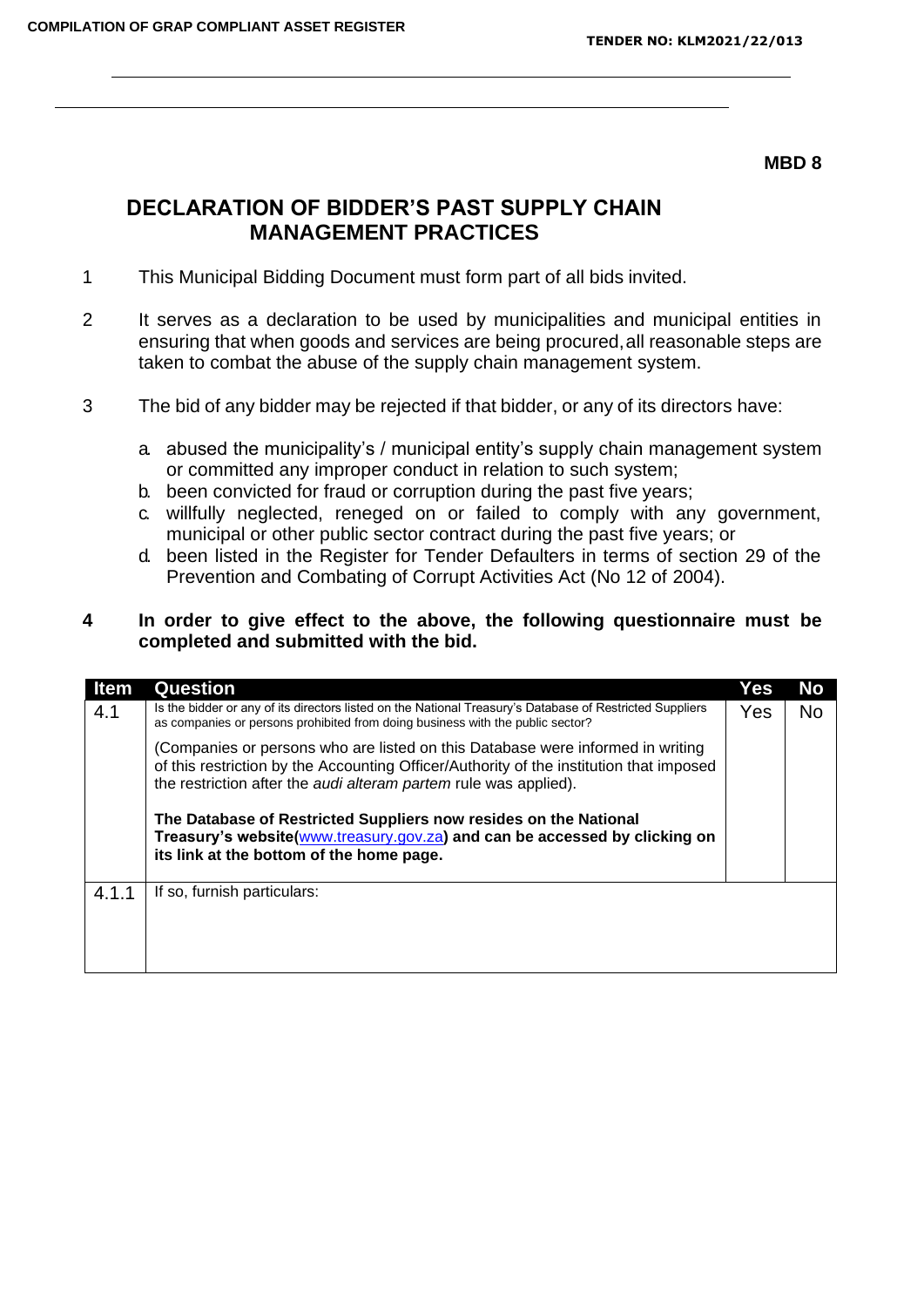### **MBD 8**

# **DECLARATION OF BIDDER'S PAST SUPPLY CHAIN MANAGEMENT PRACTICES**

- 1 This Municipal Bidding Document must form part of all bids invited.
- 2 It serves as a declaration to be used by municipalities and municipal entities in ensuring that when goods and services are being procured,all reasonable steps are taken to combat the abuse of the supply chain management system.
- 3 The bid of any bidder may be rejected if that bidder, or any of its directors have:
	- a. abused the municipality's / municipal entity's supply chain management system or committed any improper conduct in relation to such system;
	- b. been convicted for fraud or corruption during the past five years;
	- c. willfully neglected, reneged on or failed to comply with any government, municipal or other public sector contract during the past five years; or
	- d. been listed in the Register for Tender Defaulters in terms of section 29 of the Prevention and Combating of Corrupt Activities Act (No 12 of 2004).

## **4 In order to give effect to the above, the following questionnaire must be completed and submitted with the bid.**

| ltem  | <b>Question</b>                                                                                                                                                                                                                               | Yes | No             |
|-------|-----------------------------------------------------------------------------------------------------------------------------------------------------------------------------------------------------------------------------------------------|-----|----------------|
| 4.1   | Is the bidder or any of its directors listed on the National Treasury's Database of Restricted Suppliers<br>as companies or persons prohibited from doing business with the public sector?                                                    | Yes | N <sub>o</sub> |
|       | (Companies or persons who are listed on this Database were informed in writing<br>of this restriction by the Accounting Officer/Authority of the institution that imposed<br>the restriction after the audi alteram partem rule was applied). |     |                |
|       | The Database of Restricted Suppliers now resides on the National<br>Treasury's website(www.treasury.gov.za) and can be accessed by clicking on<br>its link at the bottom of the home page.                                                    |     |                |
| 4.1.1 | If so, furnish particulars:                                                                                                                                                                                                                   |     |                |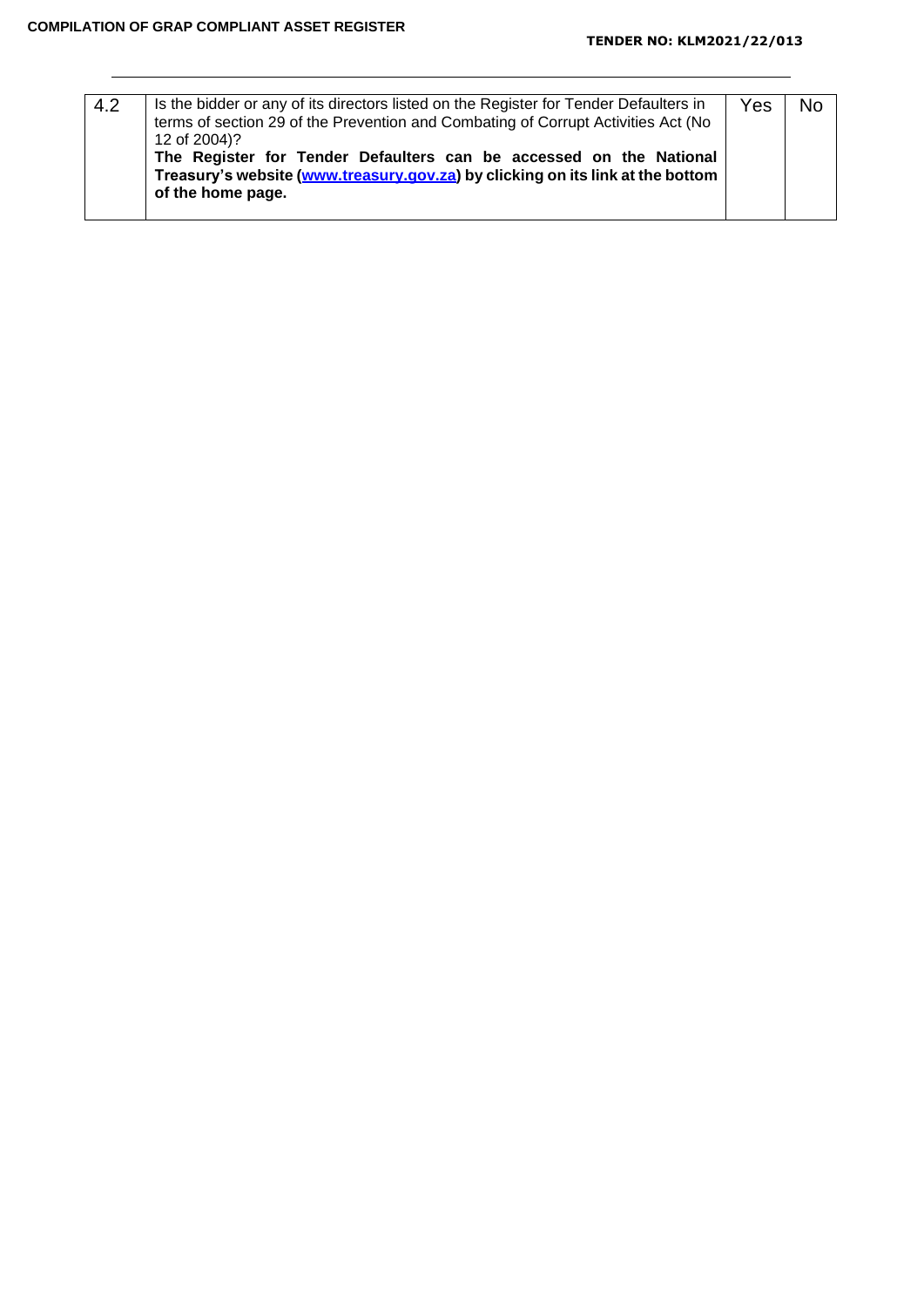| 4.2 | Is the bidder or any of its directors listed on the Register for Tender Defaulters in<br>terms of section 29 of the Prevention and Combating of Corrupt Activities Act (No<br>12 of 2004)?<br>The Register for Tender Defaulters can be accessed on the National<br>Treasury's website (www.treasury.gov.za) by clicking on its link at the bottom | Yes |  |
|-----|----------------------------------------------------------------------------------------------------------------------------------------------------------------------------------------------------------------------------------------------------------------------------------------------------------------------------------------------------|-----|--|
|     | of the home page.                                                                                                                                                                                                                                                                                                                                  |     |  |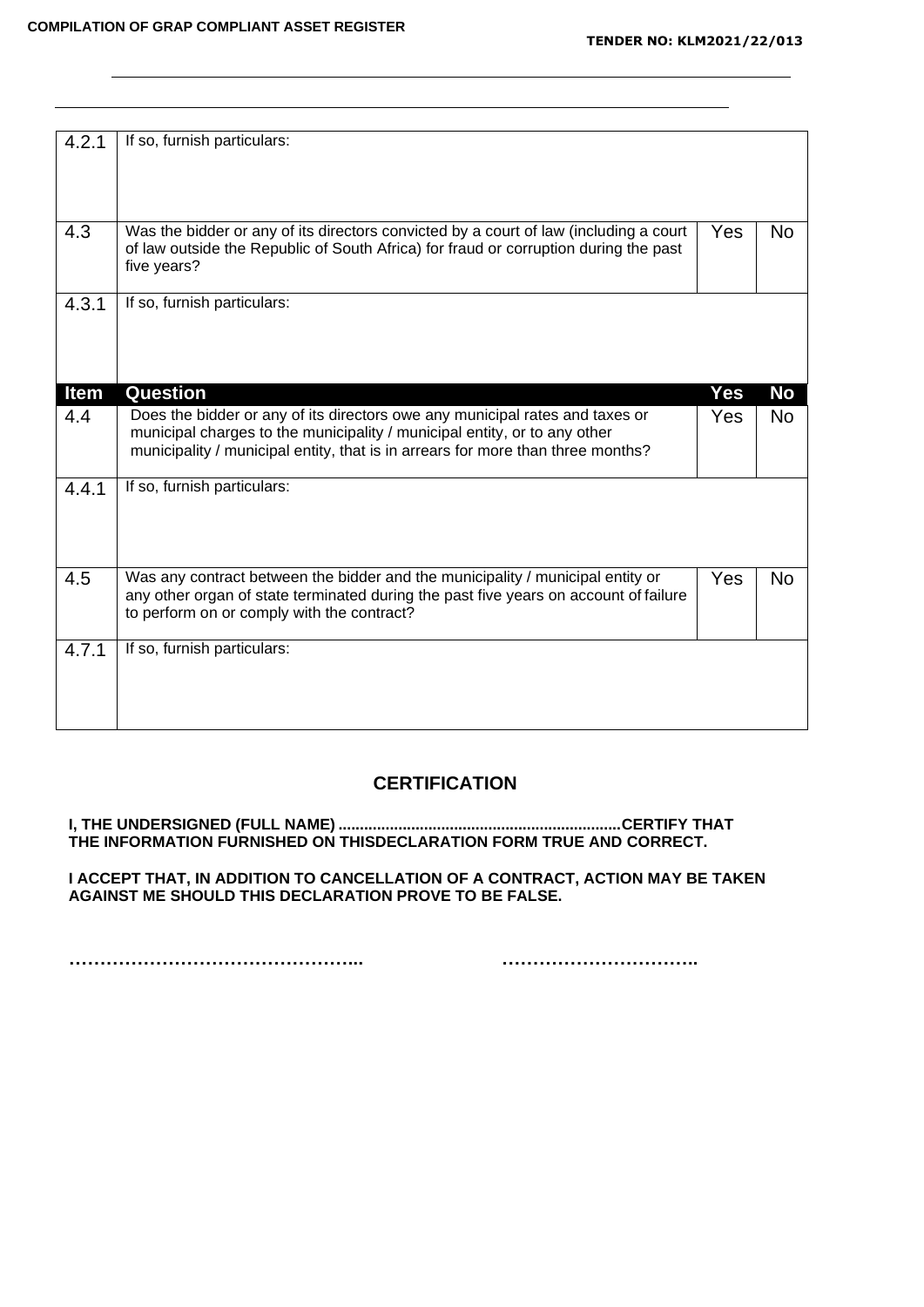| 4.2.1       | If so, furnish particulars:                                                           |     |                |
|-------------|---------------------------------------------------------------------------------------|-----|----------------|
|             |                                                                                       |     |                |
|             |                                                                                       |     |                |
|             |                                                                                       |     |                |
|             |                                                                                       |     |                |
| 4.3         | Was the bidder or any of its directors convicted by a court of law (including a court | Yes | N <sub>o</sub> |
|             | of law outside the Republic of South Africa) for fraud or corruption during the past  |     |                |
|             | five years?                                                                           |     |                |
|             |                                                                                       |     |                |
| 4.3.1       | If so, furnish particulars:                                                           |     |                |
|             |                                                                                       |     |                |
|             |                                                                                       |     |                |
|             |                                                                                       |     |                |
|             |                                                                                       |     |                |
| <b>Item</b> | <b>Question</b>                                                                       | Yes | <b>No</b>      |
| 4.4         | Does the bidder or any of its directors owe any municipal rates and taxes or          | Yes | <b>No</b>      |
|             | municipal charges to the municipality / municipal entity, or to any other             |     |                |
|             | municipality / municipal entity, that is in arrears for more than three months?       |     |                |
|             |                                                                                       |     |                |
| 4.4.1       | If so, furnish particulars:                                                           |     |                |
|             |                                                                                       |     |                |
|             |                                                                                       |     |                |
|             |                                                                                       |     |                |
|             |                                                                                       |     |                |
| 4.5         | Was any contract between the bidder and the municipality / municipal entity or        | Yes | <b>No</b>      |
|             | any other organ of state terminated during the past five years on account of failure  |     |                |
|             | to perform on or comply with the contract?                                            |     |                |
|             |                                                                                       |     |                |
| 4.7.1       | If so, furnish particulars:                                                           |     |                |
|             |                                                                                       |     |                |
|             |                                                                                       |     |                |
|             |                                                                                       |     |                |
|             |                                                                                       |     |                |

## **CERTIFICATION**

**I, THE UNDERSIGNED (FULL NAME) ..................................................................CERTIFY THAT THE INFORMATION FURNISHED ON THISDECLARATION FORM TRUE AND CORRECT.**

**I ACCEPT THAT, IN ADDITION TO CANCELLATION OF A CONTRACT, ACTION MAY BE TAKEN AGAINST ME SHOULD THIS DECLARATION PROVE TO BE FALSE.**

**………………………………………... …………………………..**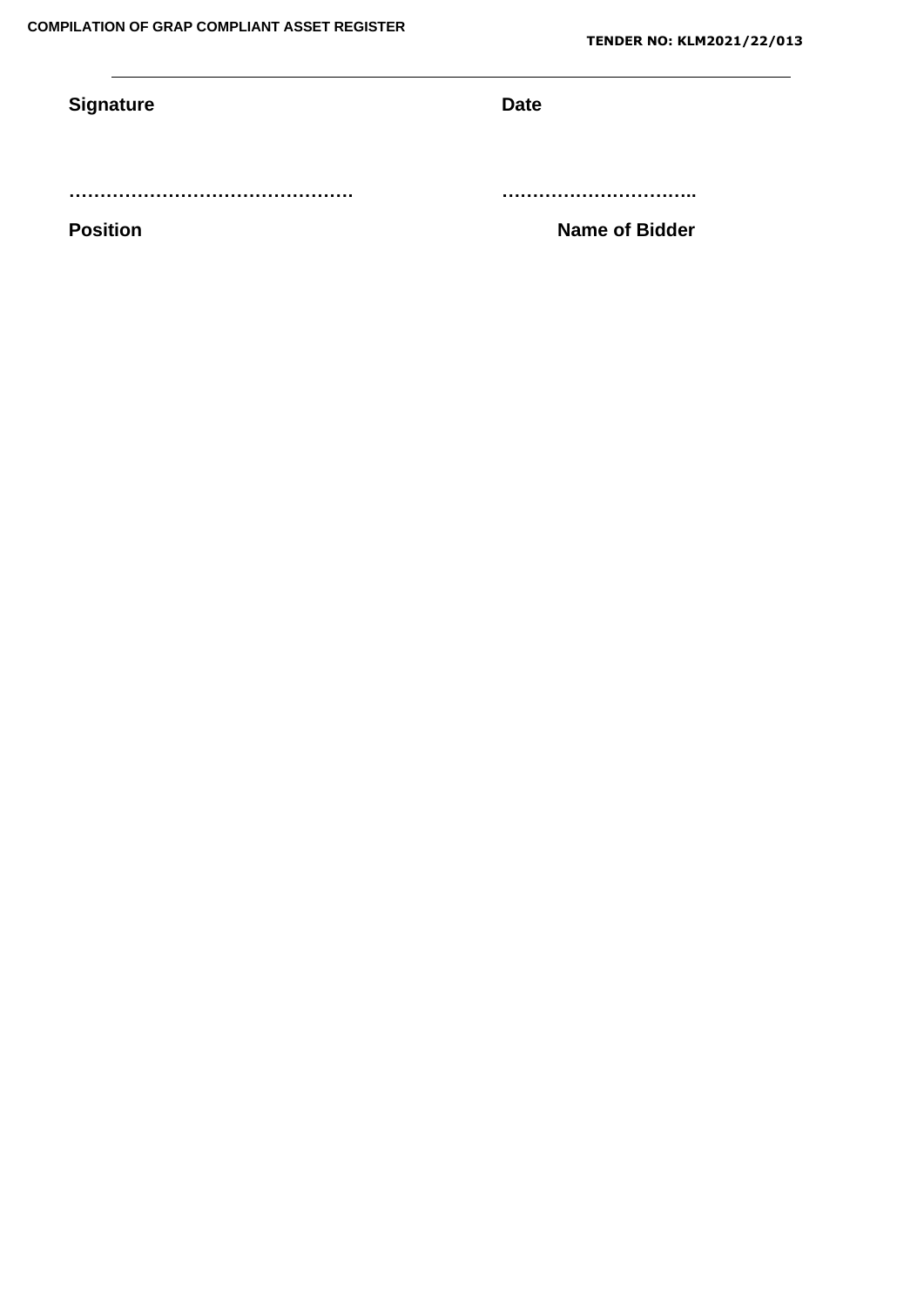# **Signature Date**

**………………………………………. …………………………..** 

**Position Name of Bidder**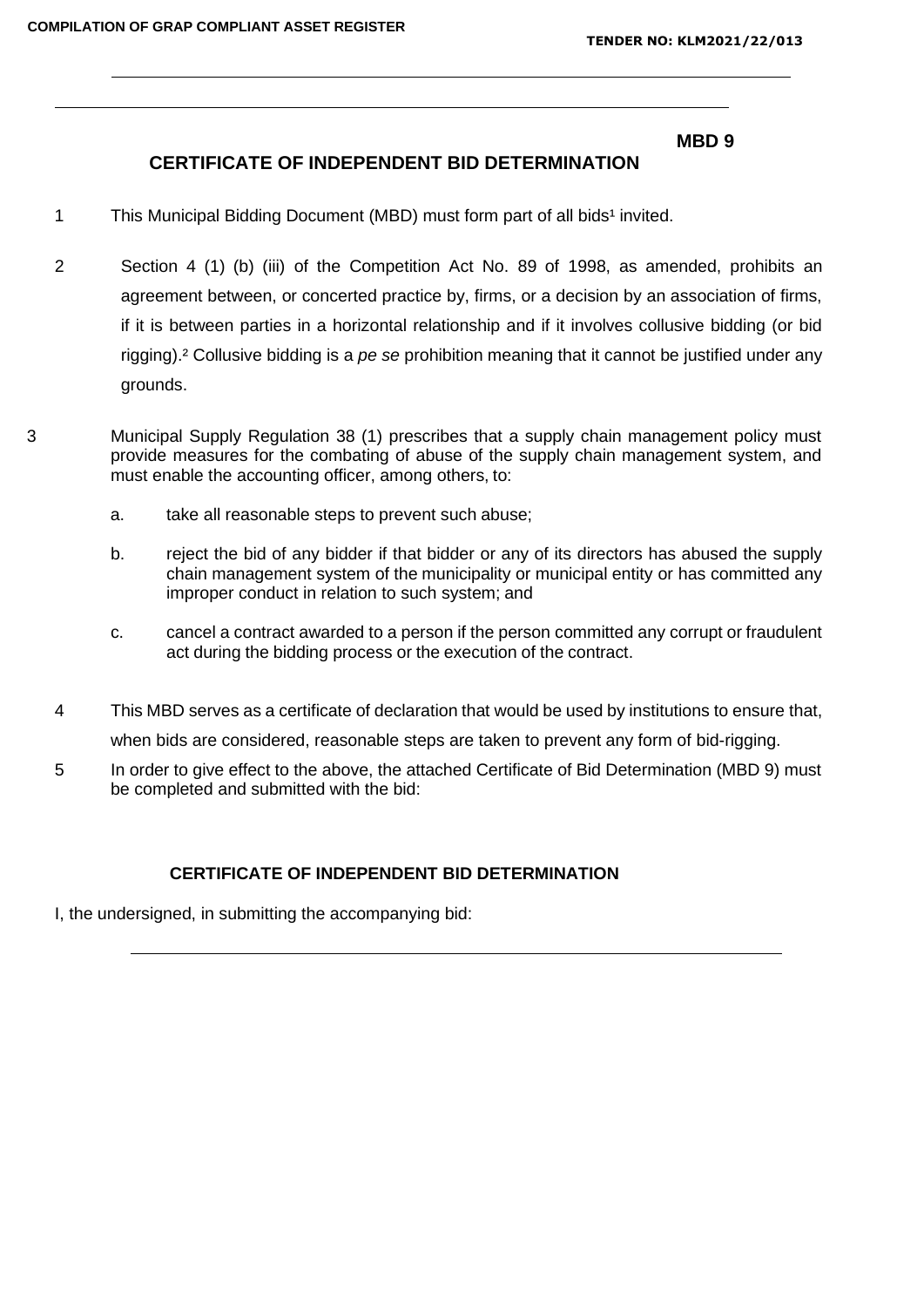#### **MBD 9**

## **CERTIFICATE OF INDEPENDENT BID DETERMINATION**

- 1 This Municipal Bidding Document (MBD) must form part of all bids<sup>1</sup> invited.
- 2 Section 4 (1) (b) (iii) of the Competition Act No. 89 of 1998, as amended, prohibits an agreement between, or concerted practice by, firms, or a decision by an association of firms, if it is between parties in a horizontal relationship and if it involves collusive bidding (or bid rigging).² Collusive bidding is a *pe se* prohibition meaning that it cannot be justified under any grounds.
- 3 Municipal Supply Regulation 38 (1) prescribes that a supply chain management policy must provide measures for the combating of abuse of the supply chain management system, and must enable the accounting officer, among others, to:
	- a. take all reasonable steps to prevent such abuse;
	- b. reject the bid of any bidder if that bidder or any of its directors has abused the supply chain management system of the municipality or municipal entity or has committed any improper conduct in relation to such system; and
	- c. cancel a contract awarded to a person if the person committed any corrupt or fraudulent act during the bidding process or the execution of the contract.
	- 4 This MBD serves as a certificate of declaration that would be used by institutions to ensure that, when bids are considered, reasonable steps are taken to prevent any form of bid-rigging.
	- 5 In order to give effect to the above, the attached Certificate of Bid Determination (MBD 9) must be completed and submitted with the bid:

## **CERTIFICATE OF INDEPENDENT BID DETERMINATION**

I, the undersigned, in submitting the accompanying bid: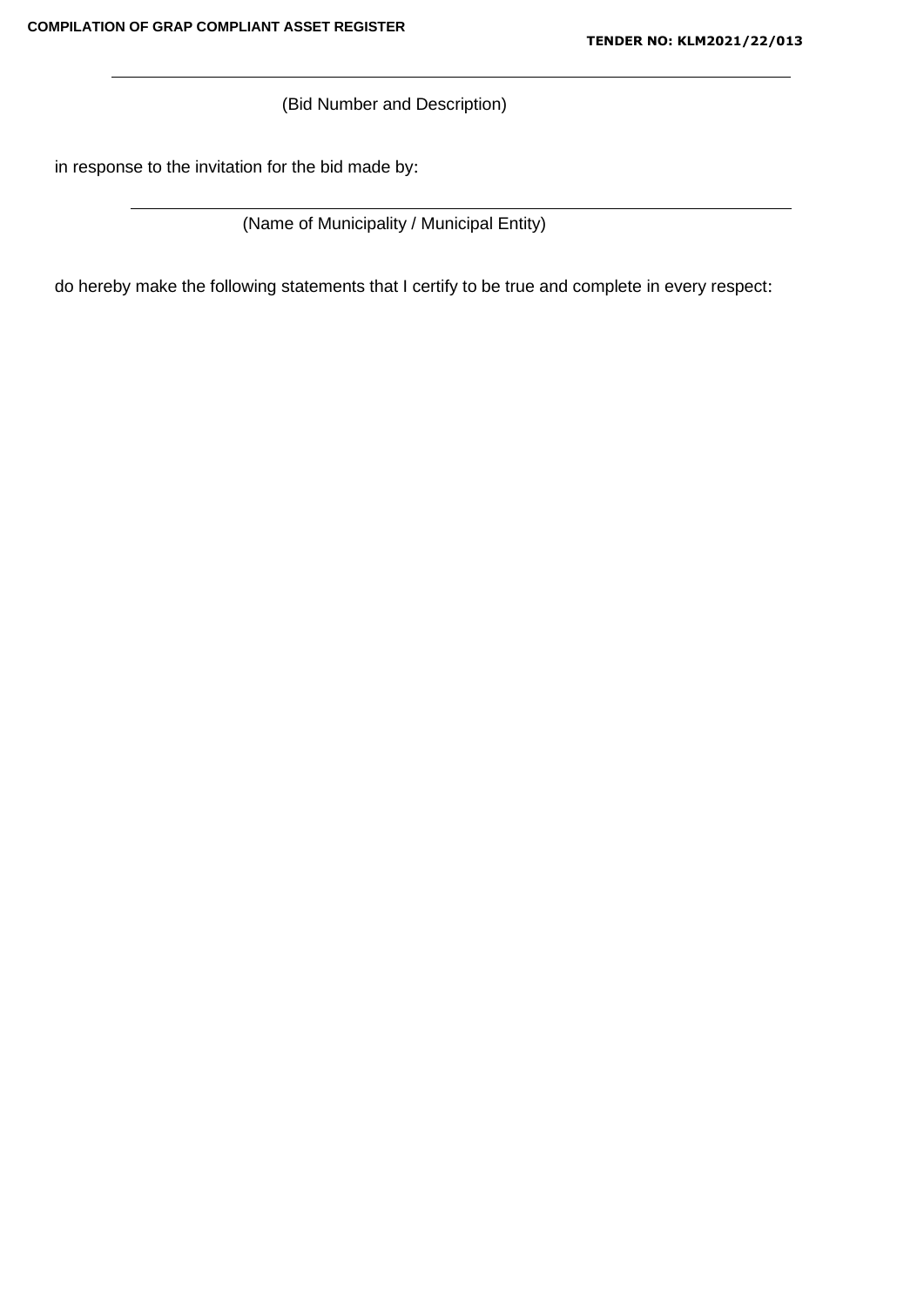(Bid Number and Description)

in response to the invitation for the bid made by:

(Name of Municipality / Municipal Entity)

do hereby make the following statements that I certify to be true and complete in every respect: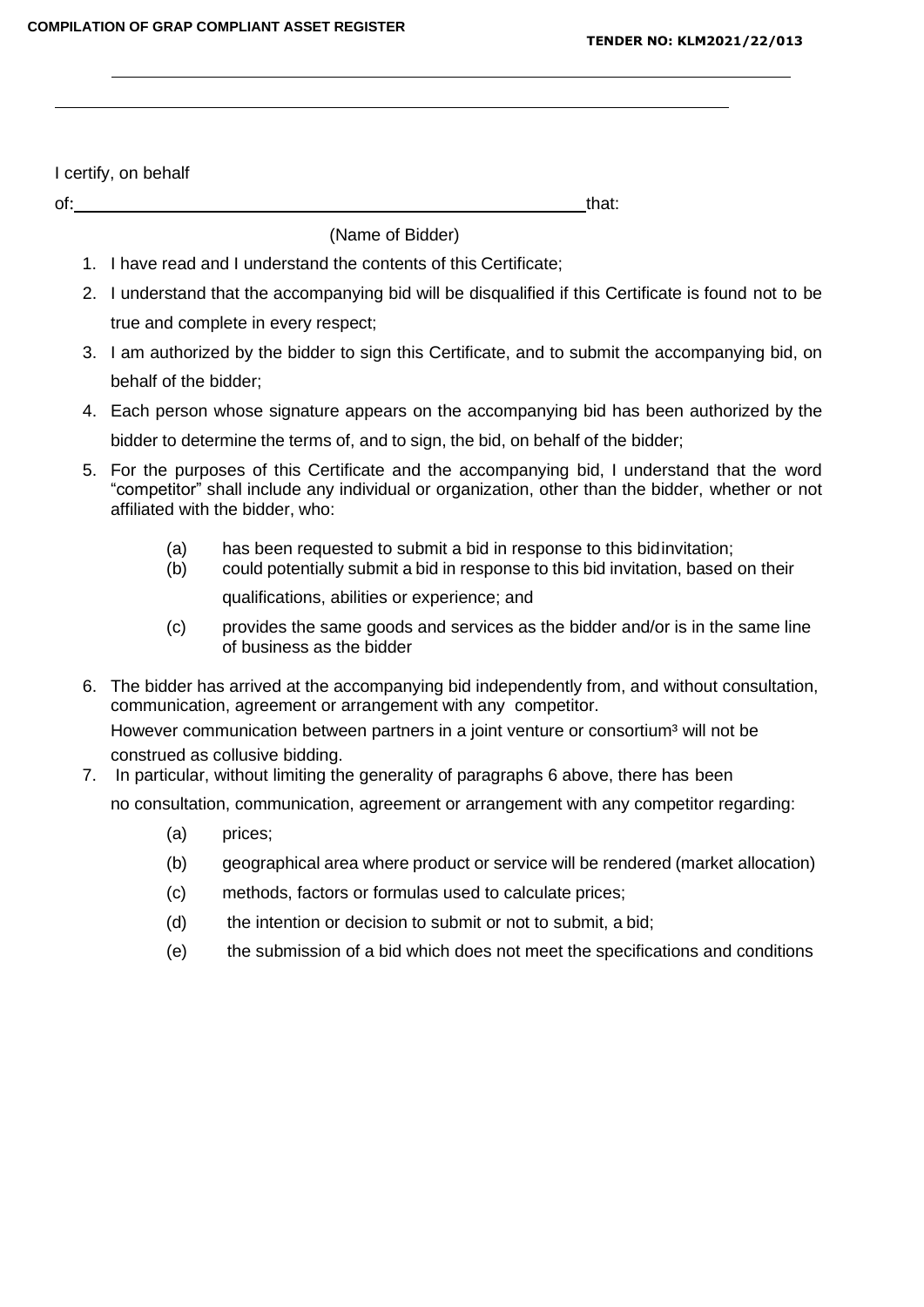I certify, on behalf

of: that: that: the set of the set of the set of the set of the set of the set of the set of the set of the set of the set of the set of the set of the set of the set of the set of the set of the set of the set of the set

(Name of Bidder)

- 1. I have read and I understand the contents of this Certificate;
- 2. I understand that the accompanying bid will be disqualified if this Certificate is found not to be true and complete in every respect;
- 3. I am authorized by the bidder to sign this Certificate, and to submit the accompanying bid, on behalf of the bidder;
- 4. Each person whose signature appears on the accompanying bid has been authorized by the bidder to determine the terms of, and to sign, the bid, on behalf of the bidder;
- 5. For the purposes of this Certificate and the accompanying bid, I understand that the word "competitor" shall include any individual or organization, other than the bidder, whether or not affiliated with the bidder, who:
	-
	- (a) has been requested to submit a bid in response to this bidinvitation;<br>(b) could potentially submit a bid in response to this bid invitation, based could potentially submit a bid in response to this bid invitation, based on their

qualifications, abilities or experience; and

- (c) provides the same goods and services as the bidder and/or is in the same line of business as the bidder
- 6. The bidder has arrived at the accompanying bid independently from, and without consultation, communication, agreement or arrangement with any competitor. However communication between partners in a joint venture or consortium<sup>3</sup> will not be construed as collusive bidding.
- 7. In particular, without limiting the generality of paragraphs 6 above, there has been

no consultation, communication, agreement or arrangement with any competitor regarding:

- (a) prices;
- (b) geographical area where product or service will be rendered (market allocation)
- (c) methods, factors or formulas used to calculate prices;
- (d) the intention or decision to submit or not to submit, a bid;
- (e) the submission of a bid which does not meet the specifications and conditions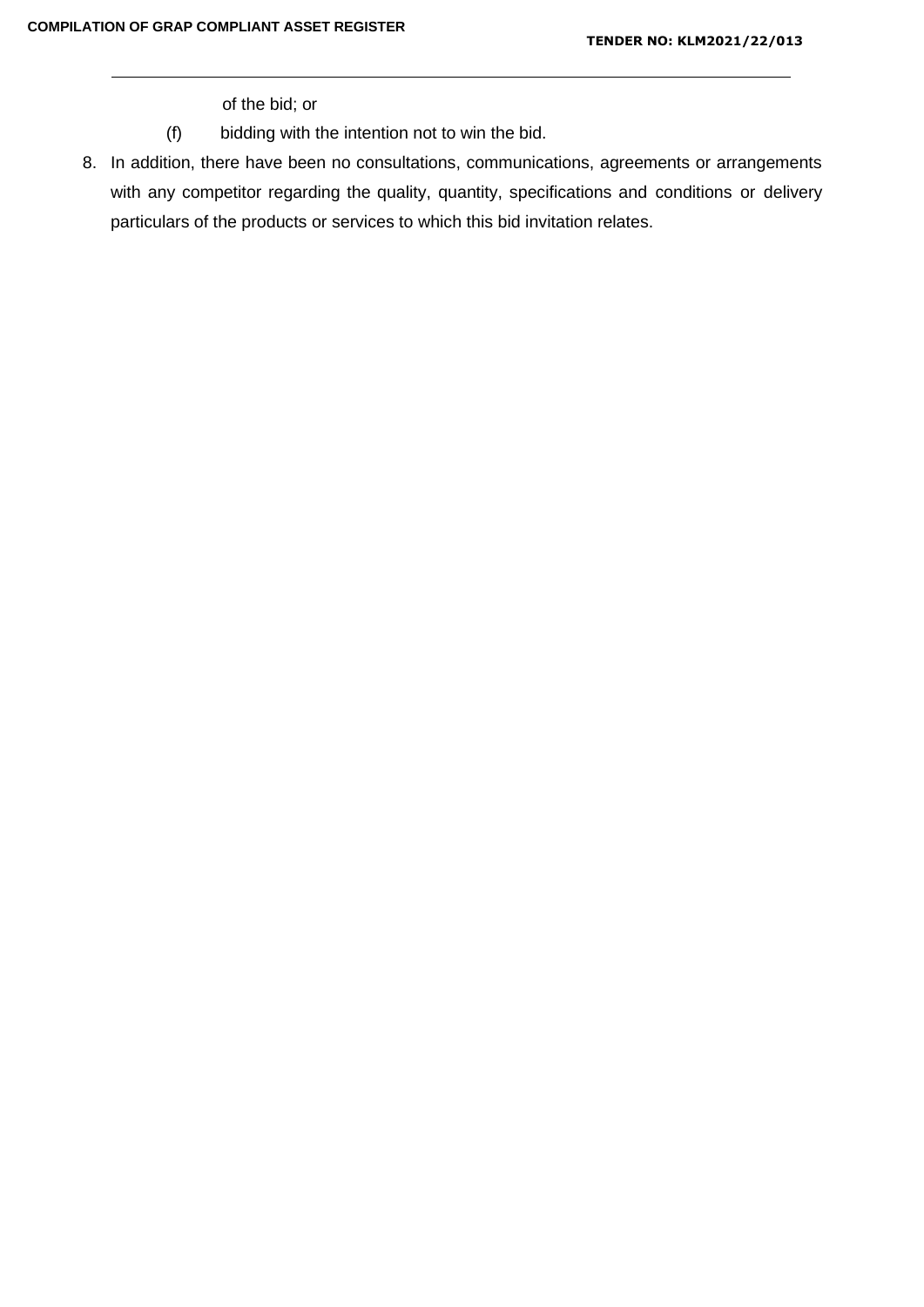of the bid; or

- (f) bidding with the intention not to win the bid.
- 8. In addition, there have been no consultations, communications, agreements or arrangements with any competitor regarding the quality, quantity, specifications and conditions or delivery particulars of the products or services to which this bid invitation relates.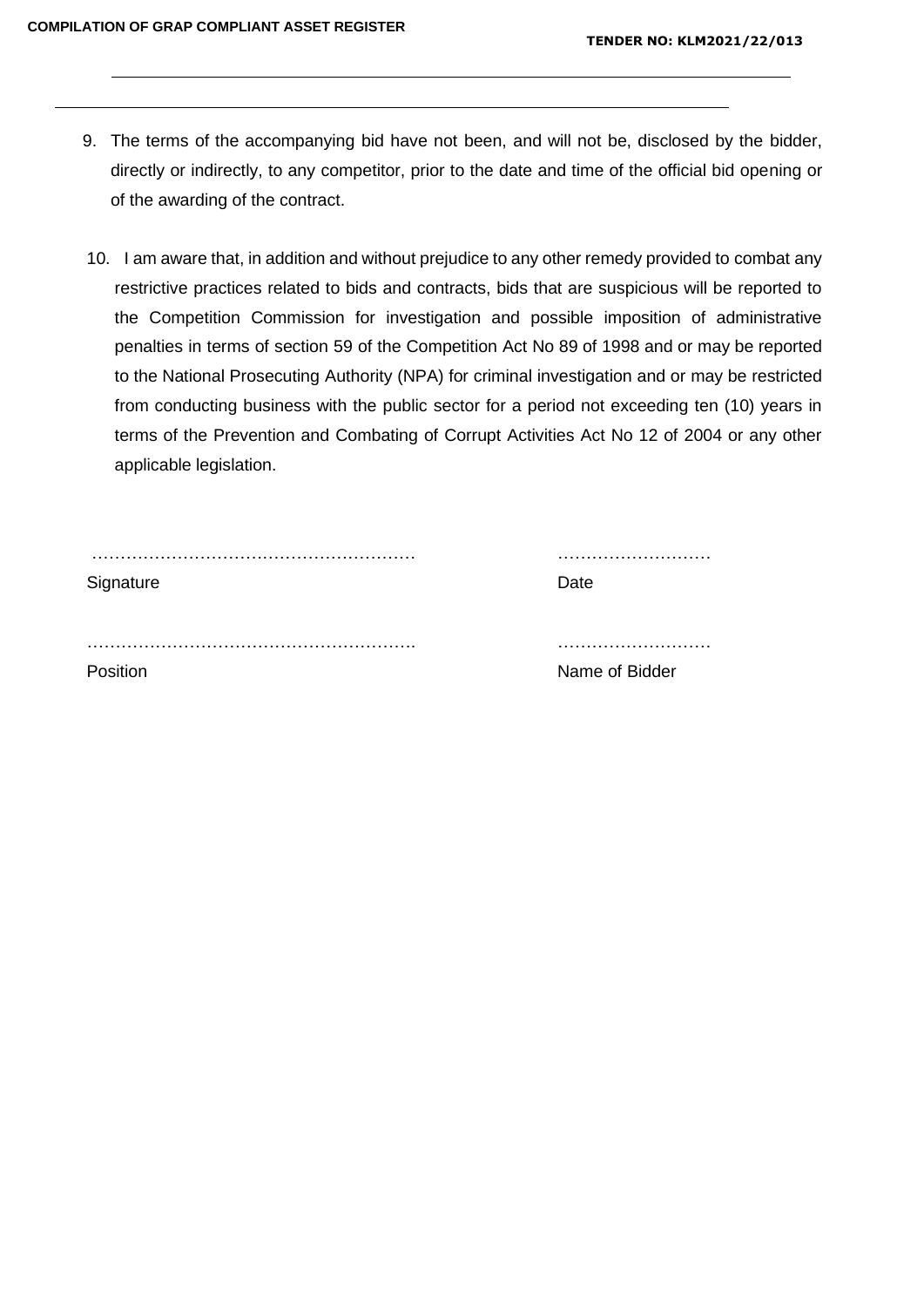- 9. The terms of the accompanying bid have not been, and will not be, disclosed by the bidder, directly or indirectly, to any competitor, prior to the date and time of the official bid opening or of the awarding of the contract.
- 10. I am aware that, in addition and without prejudice to any other remedy provided to combat any restrictive practices related to bids and contracts, bids that are suspicious will be reported to the Competition Commission for investigation and possible imposition of administrative penalties in terms of section 59 of the Competition Act No 89 of 1998 and or may be reported to the National Prosecuting Authority (NPA) for criminal investigation and or may be restricted from conducting business with the public sector for a period not exceeding ten (10) years in terms of the Prevention and Combating of Corrupt Activities Act No 12 of 2004 or any other applicable legislation.

| Signature | Date           |
|-----------|----------------|
|           |                |
|           |                |
|           |                |
| Position  | Name of Bidder |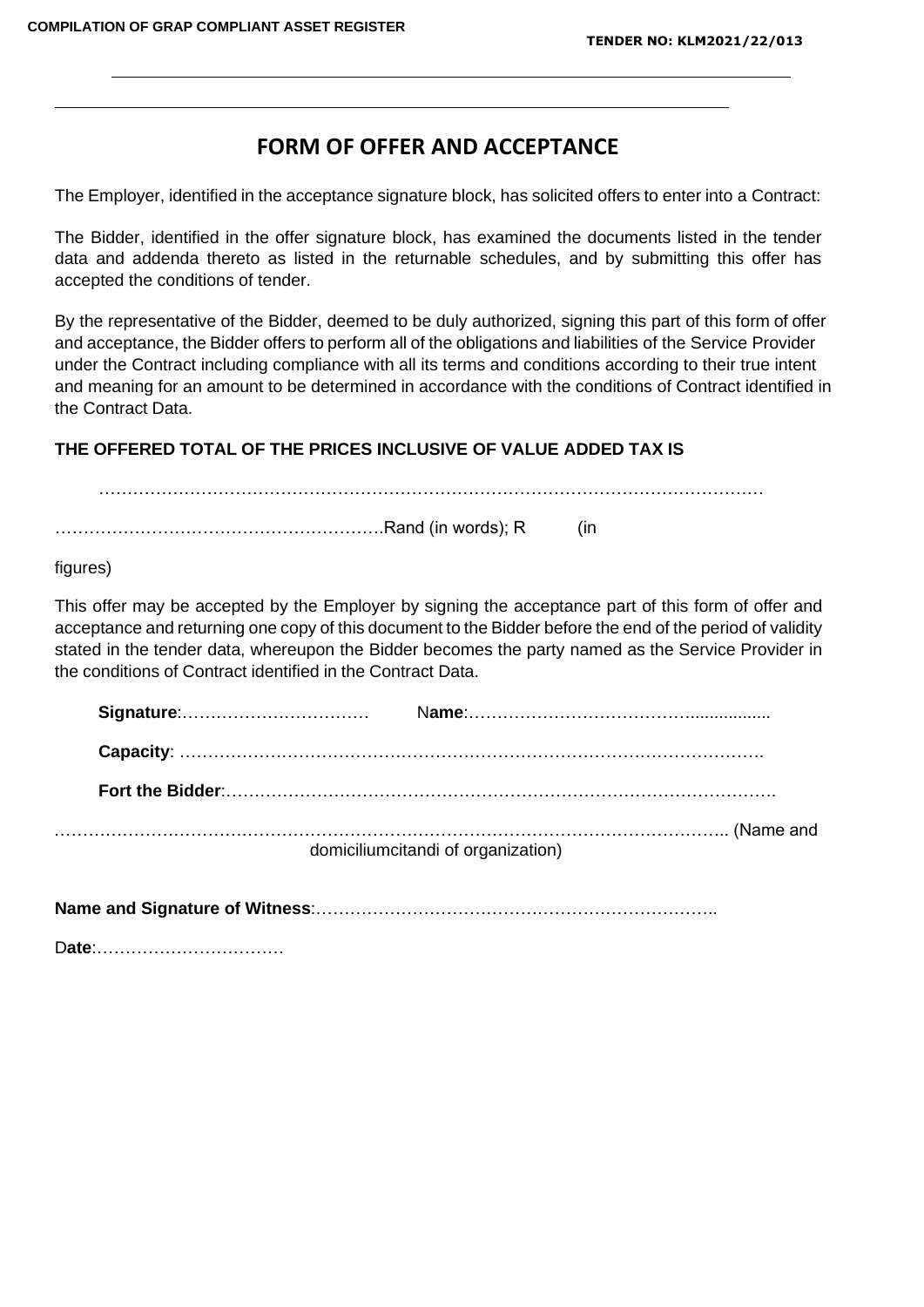# **FORM OF OFFER AND ACCEPTANCE**

The Employer, identified in the acceptance signature block, has solicited offers to enter into a Contract:

The Bidder, identified in the offer signature block, has examined the documents listed in the tender data and addenda thereto as listed in the returnable schedules, and by submitting this offer has accepted the conditions of tender.

By the representative of the Bidder, deemed to be duly authorized, signing this part of this form of offer and acceptance, the Bidder offers to perform all of the obligations and liabilities of the Service Provider under the Contract including compliance with all its terms and conditions according to their true intent and meaning for an amount to be determined in accordance with the conditions of Contract identified in the Contract Data.

………………………………………………………………………………………………………

# **THE OFFERED TOTAL OF THE PRICES INCLUSIVE OF VALUE ADDED TAX IS**

………………………………………………….Rand (in words); R (in

figures)

This offer may be accepted by the Employer by signing the acceptance part of this form of offer and acceptance and returning one copy of this document to the Bidder before the end of the period of validity stated in the tender data, whereupon the Bidder becomes the party named as the Service Provider in the conditions of Contract identified in the Contract Data.

| domiciliumcitandi of organization) |
|------------------------------------|

**Name and Signature of Witness**:……………………………………………………………..

D**ate**:……………………………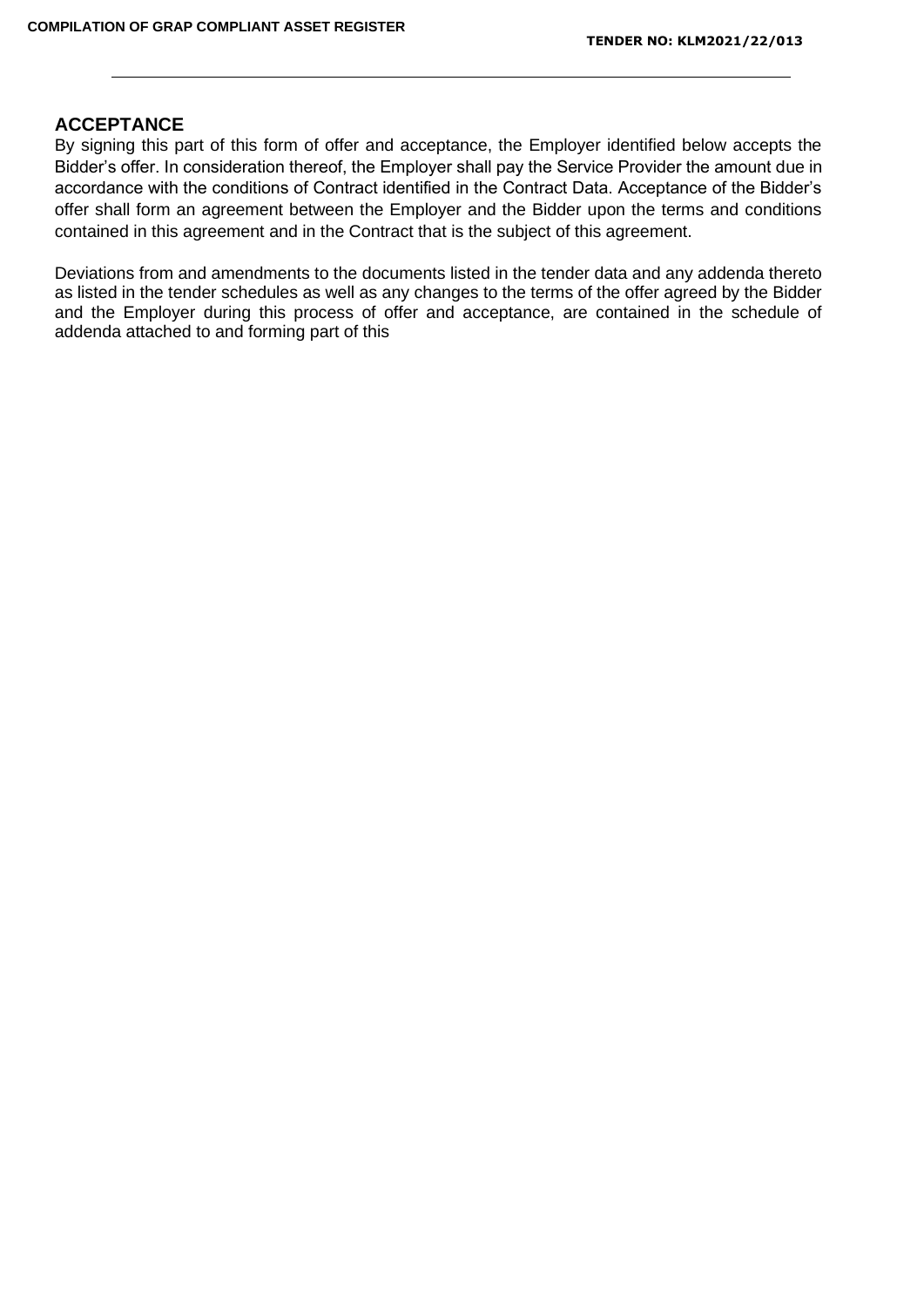# **ACCEPTANCE**

By signing this part of this form of offer and acceptance, the Employer identified below accepts the Bidder's offer. In consideration thereof, the Employer shall pay the Service Provider the amount due in accordance with the conditions of Contract identified in the Contract Data. Acceptance of the Bidder's offer shall form an agreement between the Employer and the Bidder upon the terms and conditions contained in this agreement and in the Contract that is the subject of this agreement.

Deviations from and amendments to the documents listed in the tender data and any addenda thereto as listed in the tender schedules as well as any changes to the terms of the offer agreed by the Bidder and the Employer during this process of offer and acceptance, are contained in the schedule of addenda attached to and forming part of this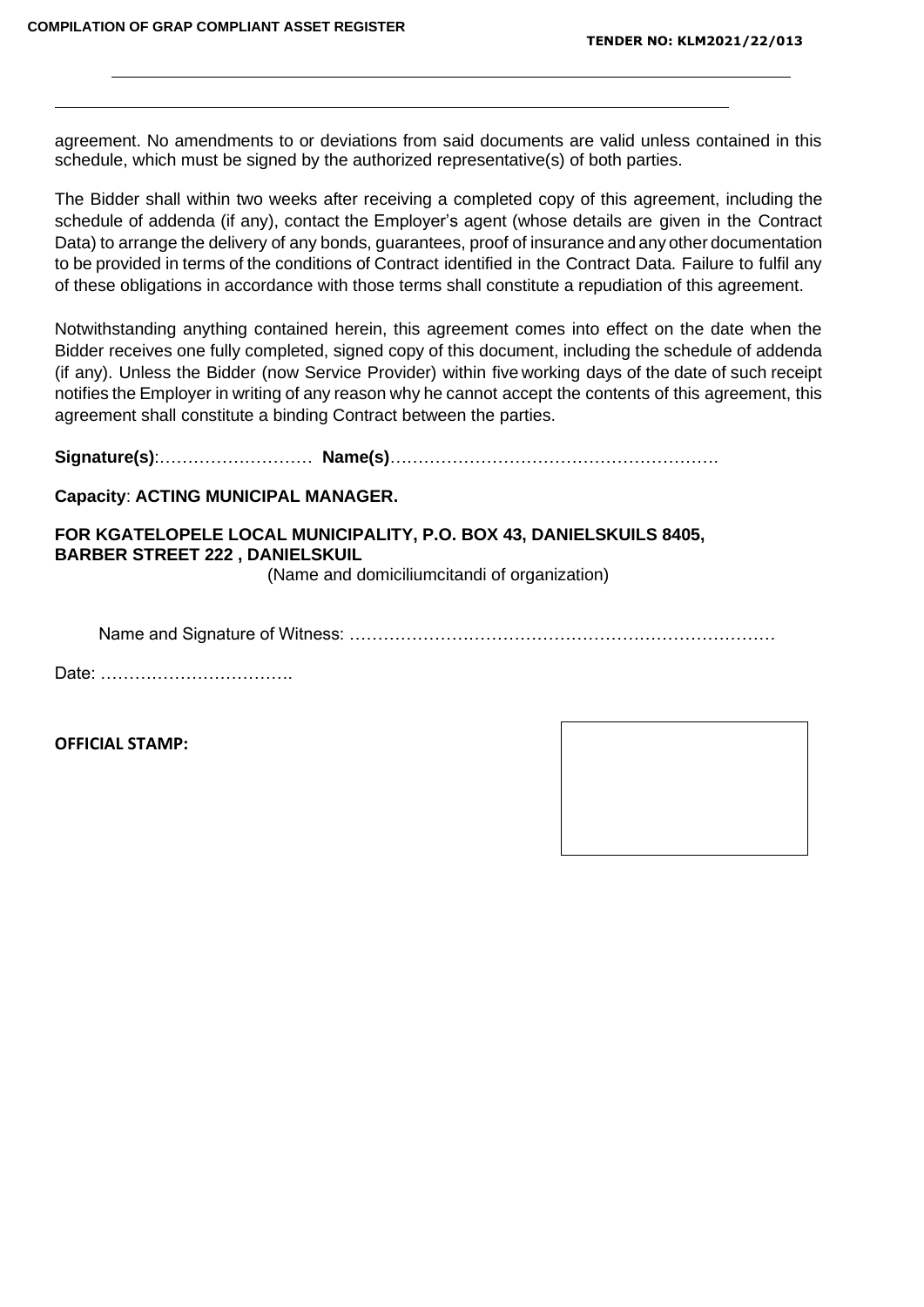agreement. No amendments to or deviations from said documents are valid unless contained in this schedule, which must be signed by the authorized representative(s) of both parties.

The Bidder shall within two weeks after receiving a completed copy of this agreement, including the schedule of addenda (if any), contact the Employer's agent (whose details are given in the Contract Data) to arrange the delivery of any bonds, guarantees, proof of insurance and any other documentation to be provided in terms of the conditions of Contract identified in the Contract Data. Failure to fulfil any of these obligations in accordance with those terms shall constitute a repudiation of this agreement.

Notwithstanding anything contained herein, this agreement comes into effect on the date when the Bidder receives one fully completed, signed copy of this document, including the schedule of addenda (if any). Unless the Bidder (now Service Provider) within five working days of the date of such receipt notifies the Employer in writing of any reason why he cannot accept the contents of this agreement, this agreement shall constitute a binding Contract between the parties.

**Signature(s)**:……………………… **Name(s)**………………………………………………….

### **Capacity**: **ACTING MUNICIPAL MANAGER.**

# **FOR KGATELOPELE LOCAL MUNICIPALITY, P.O. BOX 43, DANIELSKUILS 8405, BARBER STREET 222 , DANIELSKUIL**

(Name and domiciliumcitandi of organization)

Name and Signature of Witness: …………………………………………………………………

Date: …………………………….

**OFFICIAL STAMP:**

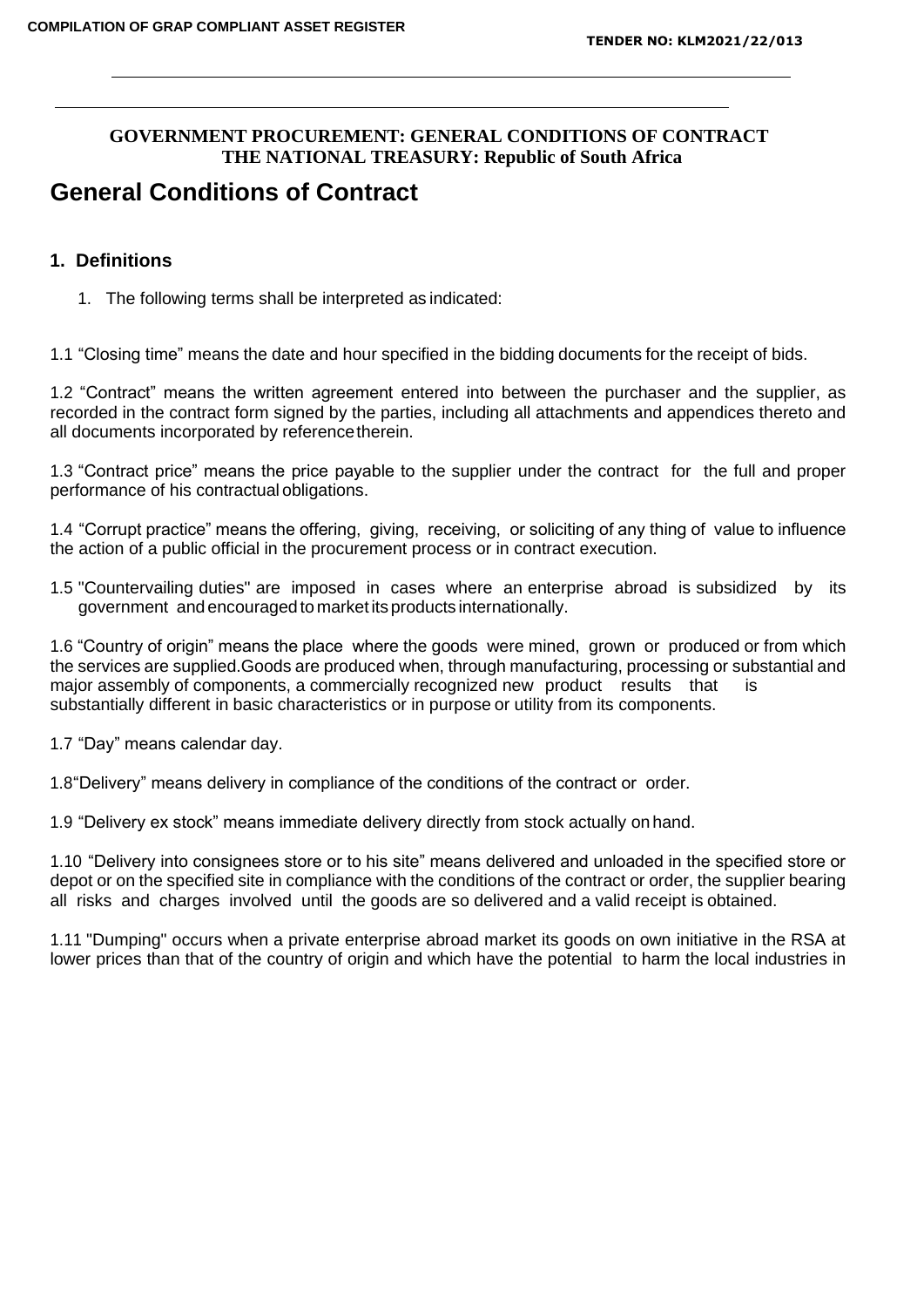# **GOVERNMENT PROCUREMENT: GENERAL CONDITIONS OF CONTRACT THE NATIONAL TREASURY: Republic of South Africa**

# **General Conditions of Contract**

# **1. Definitions**

1. The following terms shall be interpreted as indicated:

1.1 "Closing time" means the date and hour specified in the bidding documents for the receipt of bids.

1.2 "Contract" means the written agreement entered into between the purchaser and the supplier, as recorded in the contract form signed by the parties, including all attachments and appendices thereto and all documents incorporated by referencetherein.

1.3 "Contract price" means the price payable to the supplier under the contract for the full and proper performance of his contractual obligations.

1.4 "Corrupt practice" means the offering, giving, receiving, or soliciting of any thing of value to influence the action of a public official in the procurement process or in contract execution.

1.5 "Countervailing duties" are imposed in cases where an enterprise abroad is subsidized by its government and encouraged to marketits products internationally.

1.6 "Country of origin" means the place where the goods were mined, grown or produced or from which the services are supplied.Goods are produced when, through manufacturing, processing or substantial and major assembly of components, a commercially recognized new product results that is substantially different in basic characteristics or in purpose or utility from its components.

1.7 "Day" means calendar day.

1.8"Delivery" means delivery in compliance of the conditions of the contract or order.

1.9 "Delivery ex stock" means immediate delivery directly from stock actually on hand.

1.10 "Delivery into consignees store or to his site" means delivered and unloaded in the specified store or depot or on the specified site in compliance with the conditions of the contract or order, the supplier bearing all risks and charges involved until the goods are so delivered and a valid receipt is obtained.

1.11 "Dumping" occurs when a private enterprise abroad market its goods on own initiative in the RSA at lower prices than that of the country of origin and which have the potential to harm the local industries in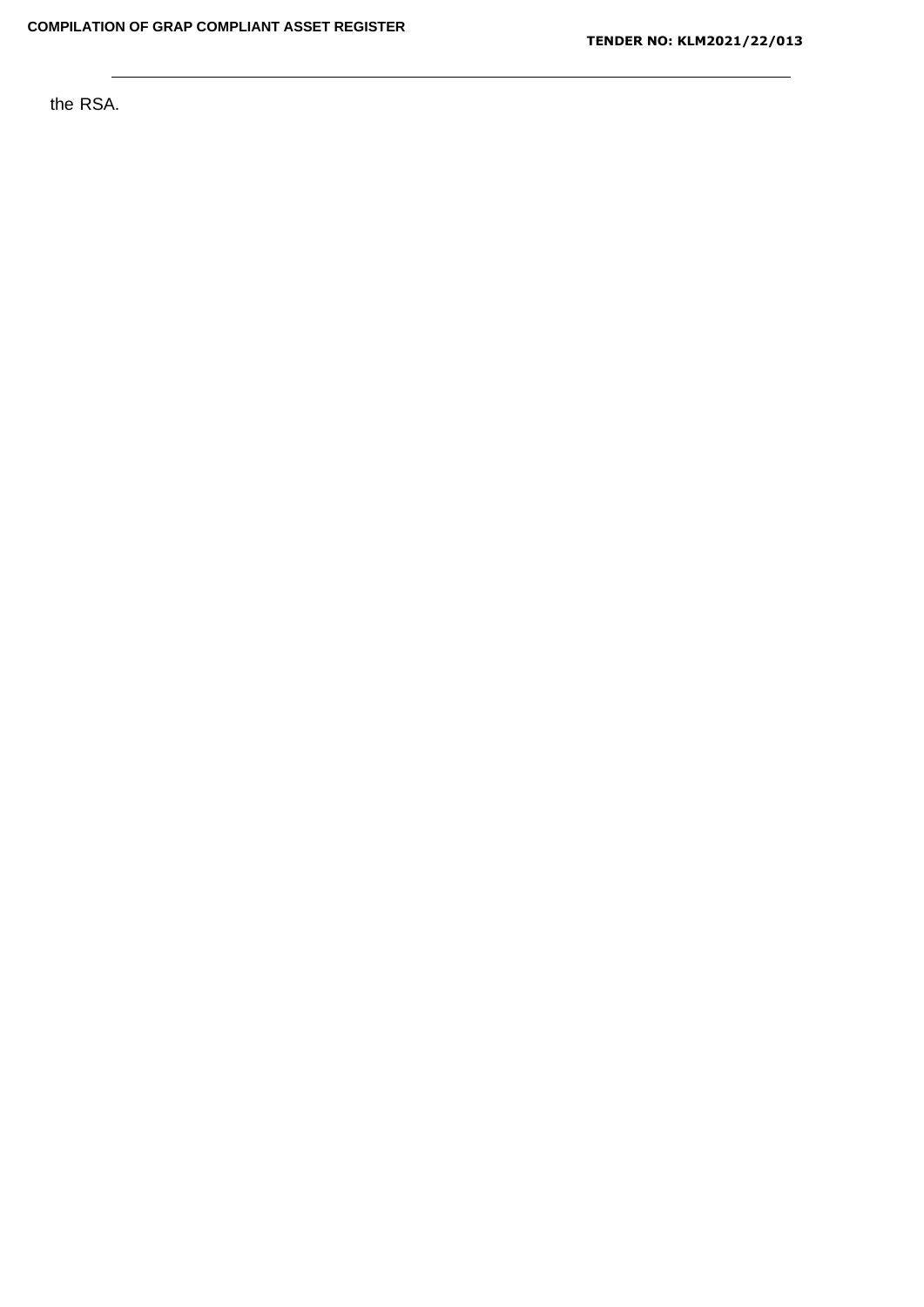the RSA.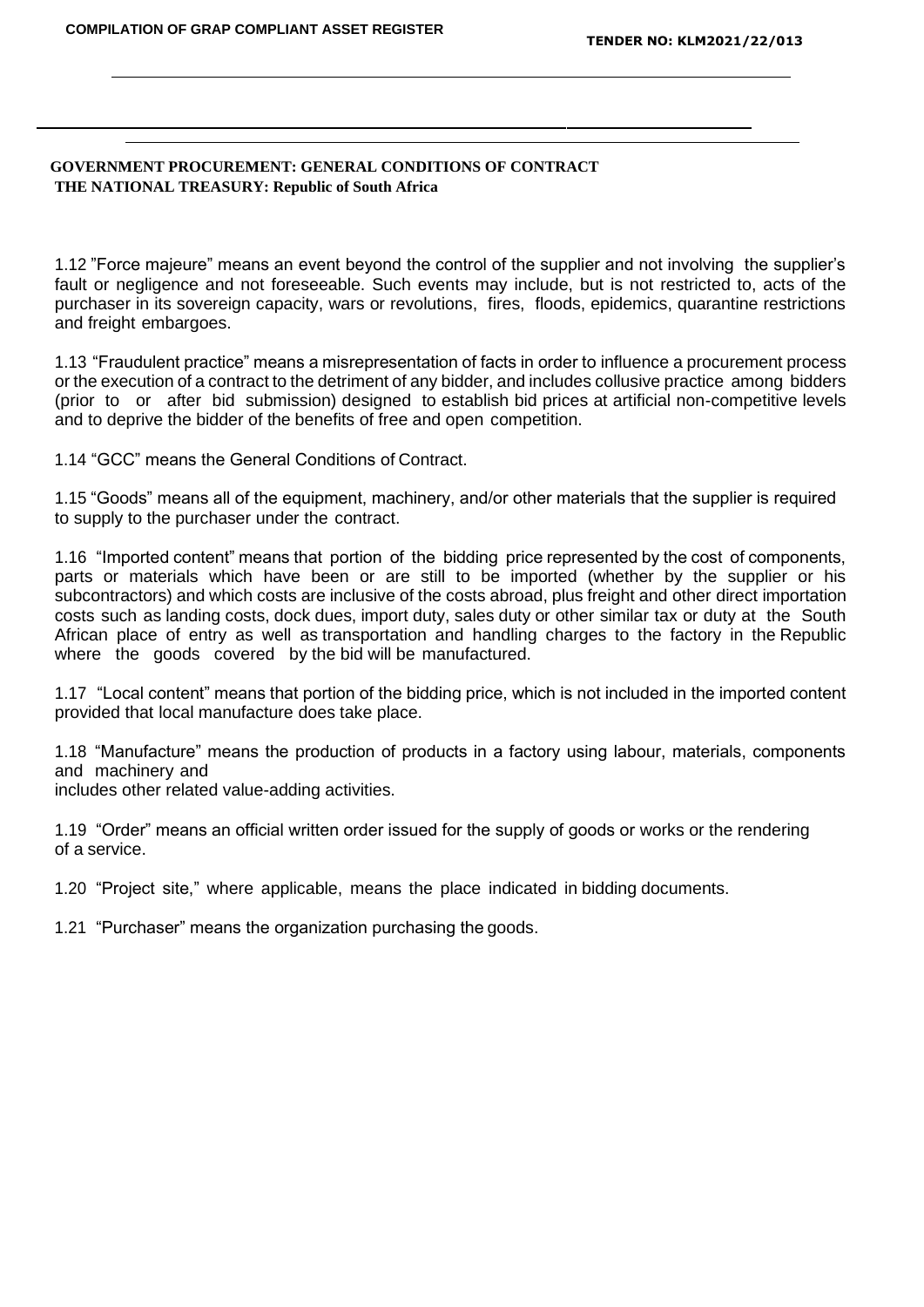#### **GOVERNMENT PROCUREMENT: GENERAL CONDITIONS OF CONTRACT THE NATIONAL TREASURY: Republic of South Africa**

1.12 "Force majeure" means an event beyond the control of the supplier and not involving the supplier's fault or negligence and not foreseeable. Such events may include, but is not restricted to, acts of the purchaser in its sovereign capacity, wars or revolutions, fires, floods, epidemics, quarantine restrictions and freight embargoes.

1.13 "Fraudulent practice" means a misrepresentation of facts in order to influence a procurement process or the execution of a contract to the detriment of any bidder, and includes collusive practice among bidders (prior to or after bid submission) designed to establish bid prices at artificial non-competitive levels and to deprive the bidder of the benefits of free and open competition.

1.14 "GCC" means the General Conditions of Contract.

1.15 "Goods" means all of the equipment, machinery, and/or other materials that the supplier is required to supply to the purchaser under the contract.

1.16 "Imported content" means that portion of the bidding price represented by the cost of components, parts or materials which have been or are still to be imported (whether by the supplier or his subcontractors) and which costs are inclusive of the costs abroad, plus freight and other direct importation costs such as landing costs, dock dues, import duty, sales duty or other similar tax or duty at the South African place of entry as well as transportation and handling charges to the factory in the Republic where the goods covered by the bid will be manufactured.

1.17 "Local content" means that portion of the bidding price, which is not included in the imported content provided that local manufacture does take place.

1.18 "Manufacture" means the production of products in a factory using labour, materials, components and machinery and

includes other related value-adding activities.

1.19 "Order" means an official written order issued for the supply of goods or works or the rendering of a service.

1.20 "Project site," where applicable, means the place indicated in bidding documents.

1.21 "Purchaser" means the organization purchasing the goods.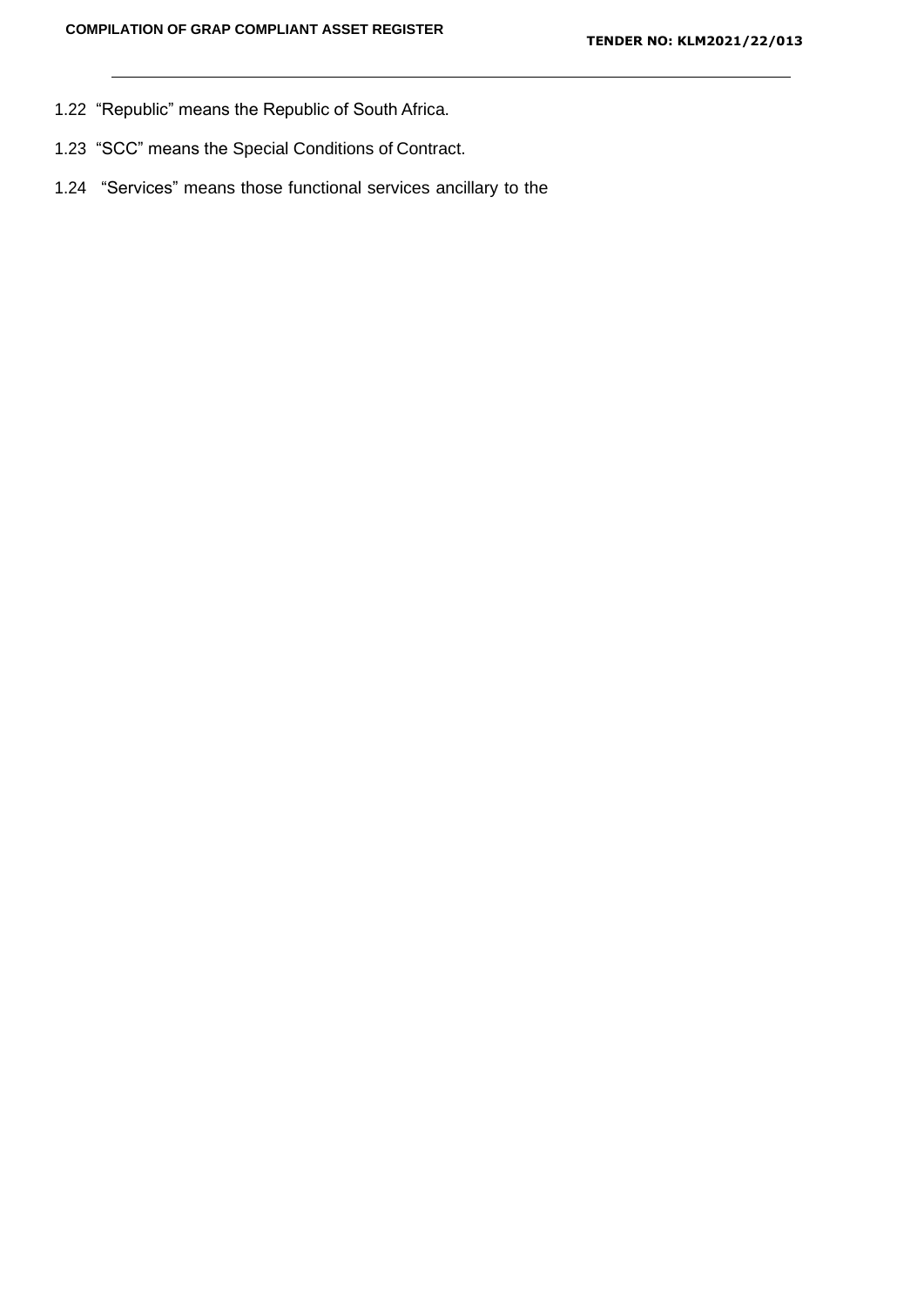- 1.22 "Republic" means the Republic of South Africa.
- 1.23 "SCC" means the Special Conditions of Contract.
- 1.24 "Services" means those functional services ancillary to the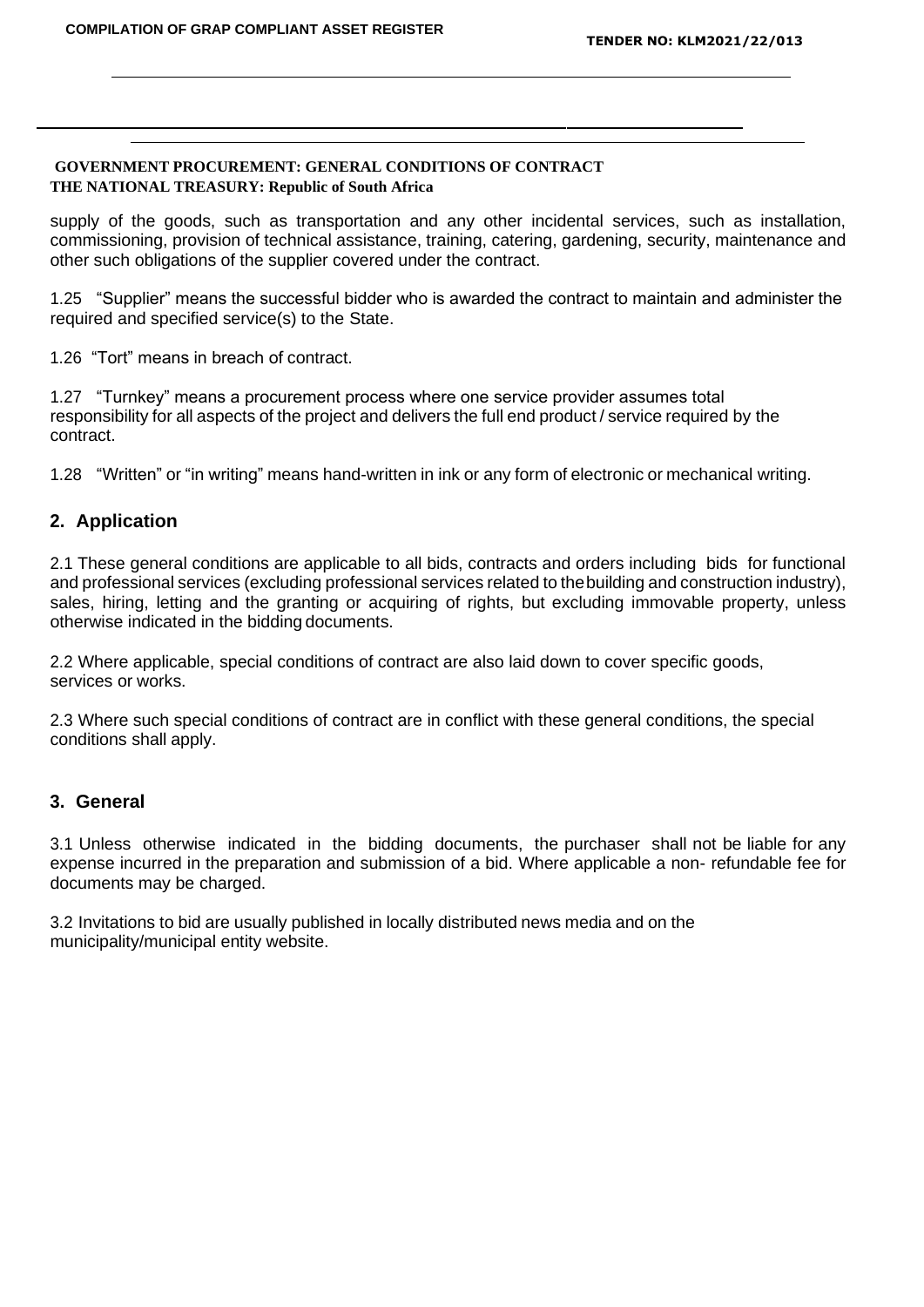#### **GOVERNMENT PROCUREMENT: GENERAL CONDITIONS OF CONTRACT THE NATIONAL TREASURY: Republic of South Africa**

supply of the goods, such as transportation and any other incidental services, such as installation, commissioning, provision of technical assistance, training, catering, gardening, security, maintenance and other such obligations of the supplier covered under the contract.

1.25 "Supplier" means the successful bidder who is awarded the contract to maintain and administer the required and specified service(s) to the State.

1.26 "Tort" means in breach of contract.

1.27 "Turnkey" means a procurement process where one service provider assumes total responsibility for all aspects of the project and delivers the full end product / service required by the contract.

1.28 "Written" or "in writing" means hand-written in ink or any form of electronic or mechanical writing.

# **2. Application**

2.1 These general conditions are applicable to all bids, contracts and orders including bids for functional and professional services (excluding professional services related to thebuilding and construction industry), sales, hiring, letting and the granting or acquiring of rights, but excluding immovable property, unless otherwise indicated in the bidding documents.

2.2 Where applicable, special conditions of contract are also laid down to cover specific goods, services or works.

2.3 Where such special conditions of contract are in conflict with these general conditions, the special conditions shall apply.

### **3. General**

3.1 Unless otherwise indicated in the bidding documents, the purchaser shall not be liable for any expense incurred in the preparation and submission of a bid. Where applicable a non- refundable fee for documents may be charged.

3.2 Invitations to bid are usually published in locally distributed news media and on the municipality/municipal entity website.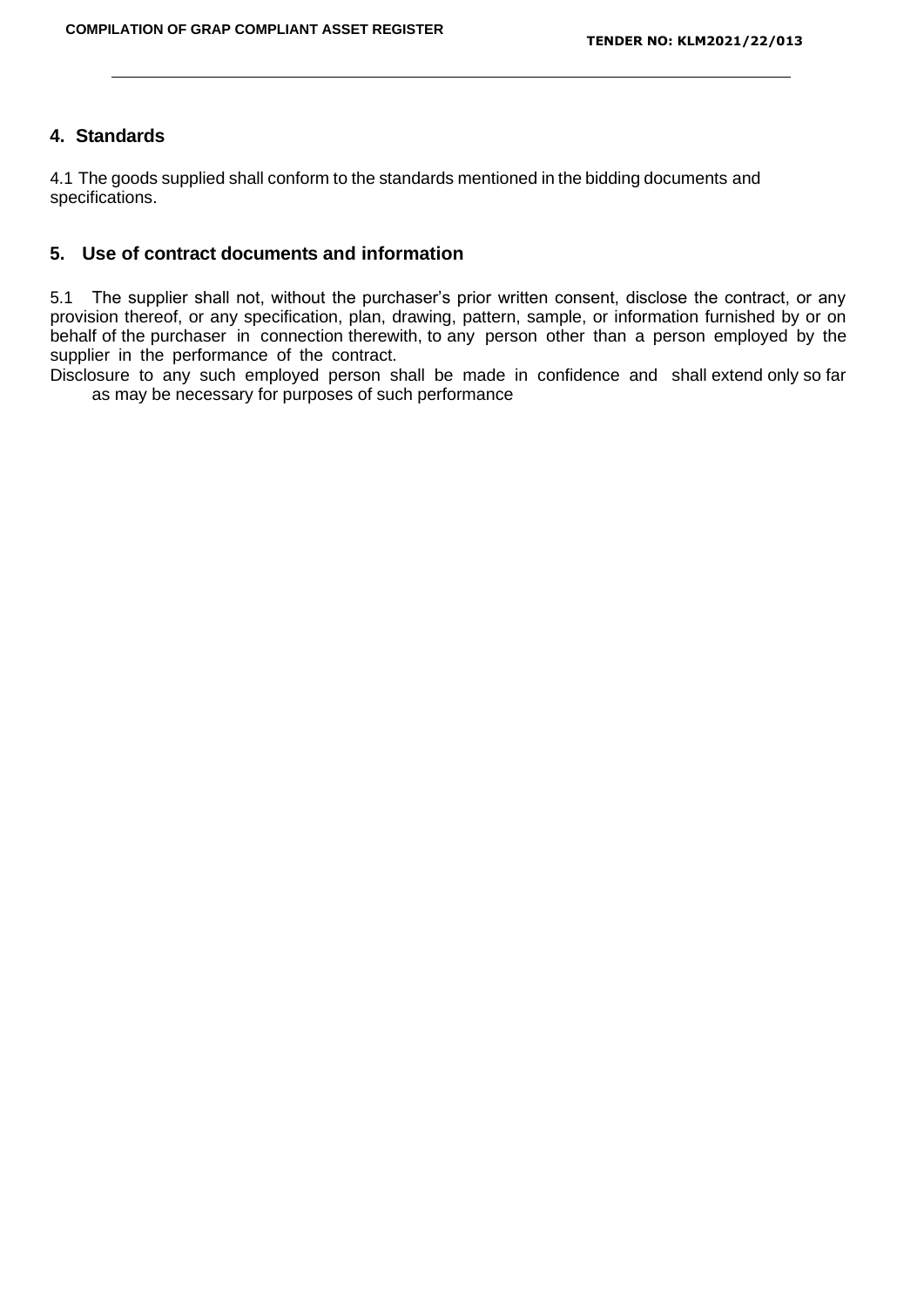# **4. Standards**

4.1 The goods supplied shall conform to the standards mentioned in the bidding documents and specifications.

# **5. Use of contract documents and information**

5.1 The supplier shall not, without the purchaser's prior written consent, disclose the contract, or any provision thereof, or any specification, plan, drawing, pattern, sample, or information furnished by or on behalf of the purchaser in connection therewith, to any person other than a person employed by the supplier in the performance of the contract.

Disclosure to any such employed person shall be made in confidence and shall extend only so far as may be necessary for purposes of such performance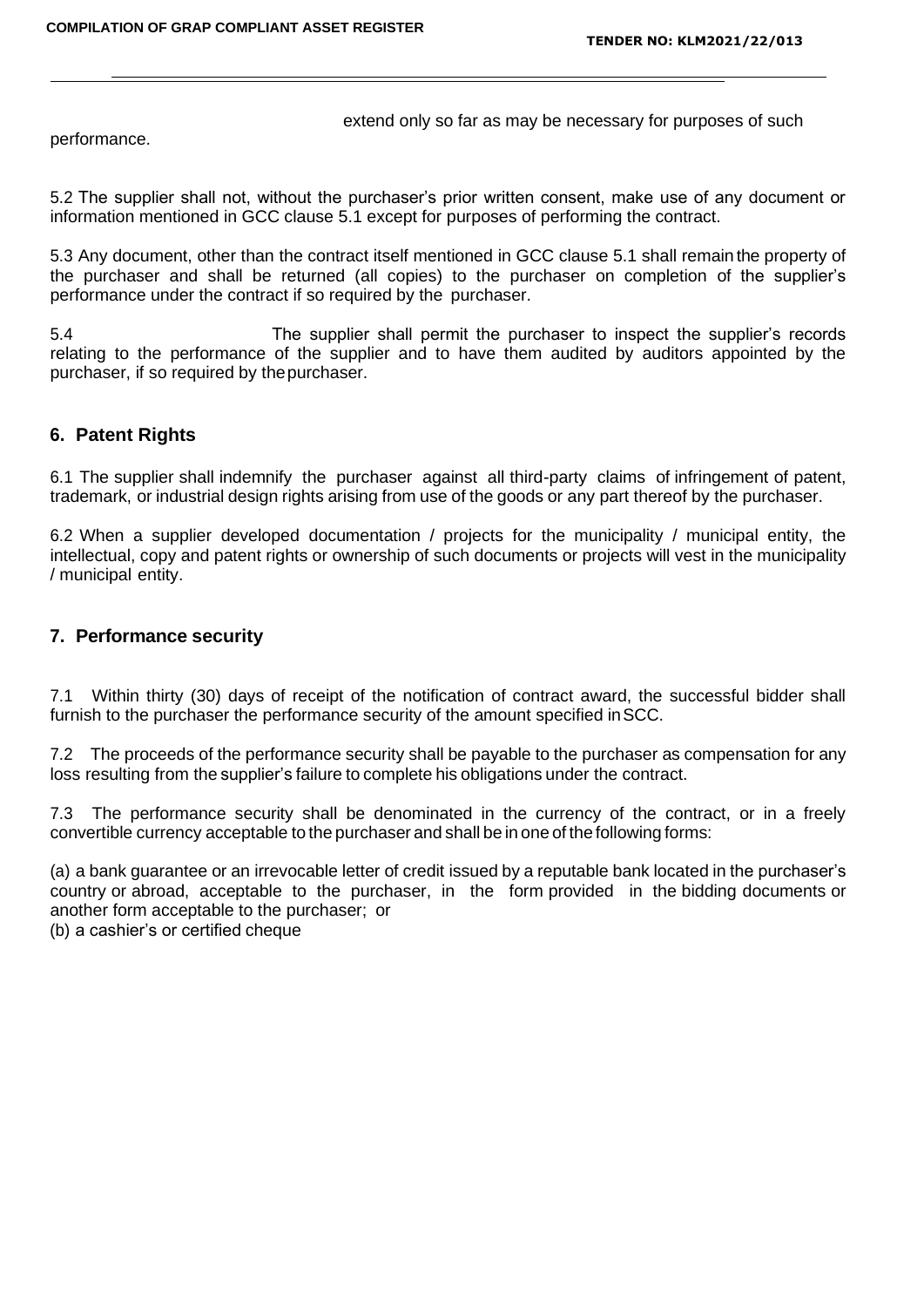extend only so far as may be necessary for purposes of such

performance.

5.2 The supplier shall not, without the purchaser's prior written consent, make use of any document or information mentioned in GCC clause 5.1 except for purposes of performing the contract.

5.3 Any document, other than the contract itself mentioned in GCC clause 5.1 shall remain the property of the purchaser and shall be returned (all copies) to the purchaser on completion of the supplier's performance under the contract if so required by the purchaser.

5.4 The supplier shall permit the purchaser to inspect the supplier's records relating to the performance of the supplier and to have them audited by auditors appointed by the purchaser, if so required by thepurchaser.

# **6. Patent Rights**

6.1 The supplier shall indemnify the purchaser against all third-party claims of infringement of patent, trademark, or industrial design rights arising from use of the goods or any part thereof by the purchaser.

6.2 When a supplier developed documentation / projects for the municipality / municipal entity, the intellectual, copy and patent rights or ownership of such documents or projects will vest in the municipality / municipal entity.

# **7. Performance security**

7.1 Within thirty (30) days of receipt of the notification of contract award, the successful bidder shall furnish to the purchaser the performance security of the amount specified inSCC.

7.2 The proceeds of the performance security shall be payable to the purchaser as compensation for any loss resulting from the supplier's failure to complete his obligations under the contract.

7.3 The performance security shall be denominated in the currency of the contract, or in a freely convertible currency acceptable to the purchaser and shall be in one of the following forms:

(a) a bank guarantee or an irrevocable letter of credit issued by a reputable bank located in the purchaser's country or abroad, acceptable to the purchaser, in the form provided in the bidding documents or another form acceptable to the purchaser; or

(b) a cashier's or certified cheque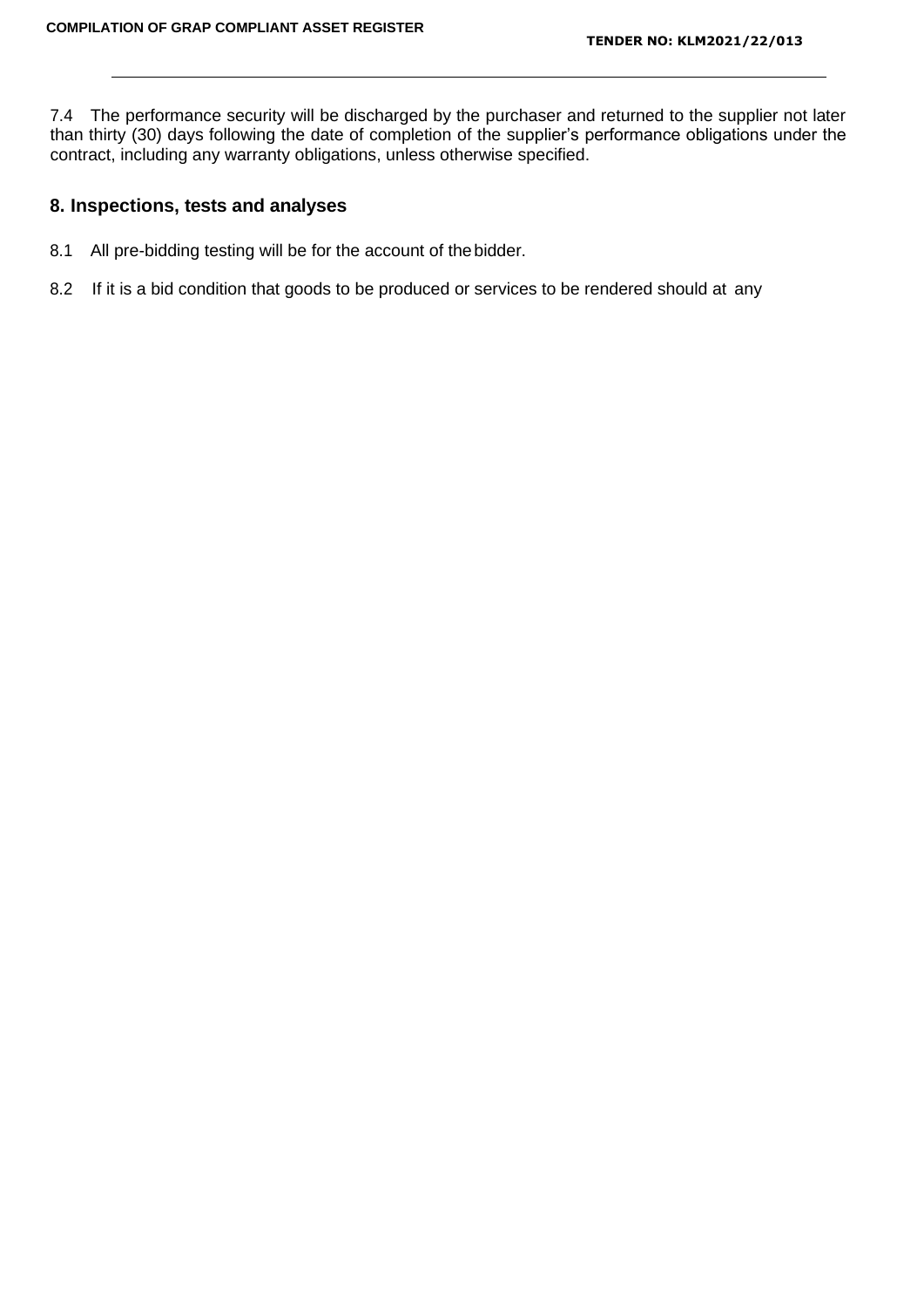7.4 The performance security will be discharged by the purchaser and returned to the supplier not later than thirty (30) days following the date of completion of the supplier's performance obligations under the contract, including any warranty obligations, unless otherwise specified.

### **8. Inspections, tests and analyses**

- 8.1 All pre-bidding testing will be for the account of thebidder.
- 8.2 If it is a bid condition that goods to be produced or services to be rendered should at any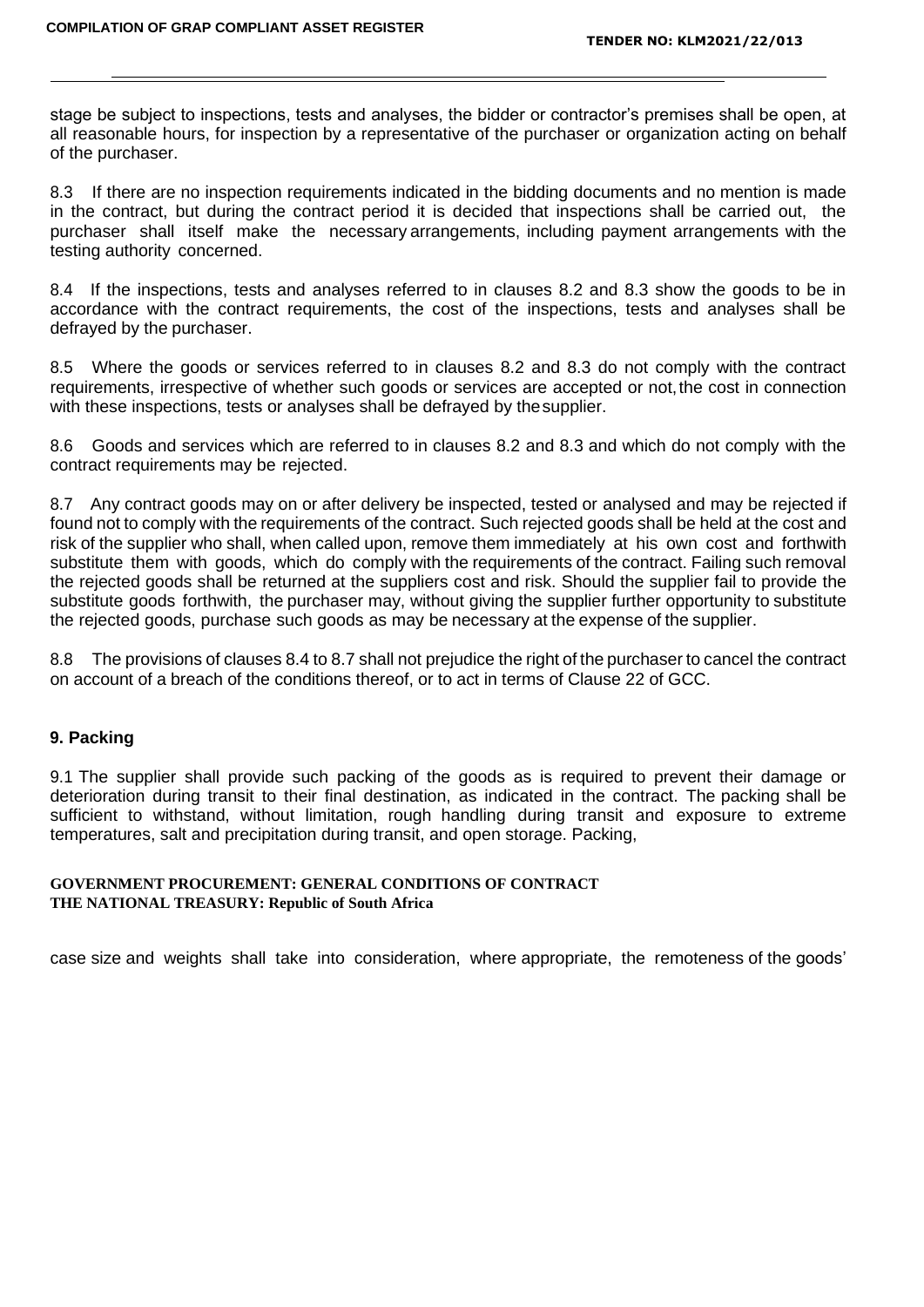stage be subject to inspections, tests and analyses, the bidder or contractor's premises shall be open, at all reasonable hours, for inspection by a representative of the purchaser or organization acting on behalf of the purchaser.

8.3 If there are no inspection requirements indicated in the bidding documents and no mention is made in the contract, but during the contract period it is decided that inspections shall be carried out, the purchaser shall itself make the necessary arrangements, including payment arrangements with the testing authority concerned.

8.4 If the inspections, tests and analyses referred to in clauses 8.2 and 8.3 show the goods to be in accordance with the contract requirements, the cost of the inspections, tests and analyses shall be defrayed by the purchaser.

8.5 Where the goods or services referred to in clauses 8.2 and 8.3 do not comply with the contract requirements, irrespective of whether such goods or services are accepted or not,the cost in connection with these inspections, tests or analyses shall be defrayed by thesupplier.

8.6 Goods and services which are referred to in clauses 8.2 and 8.3 and which do not comply with the contract requirements may be rejected.

8.7 Any contract goods may on or after delivery be inspected, tested or analysed and may be rejected if found not to comply with the requirements of the contract. Such rejected goods shall be held at the cost and risk of the supplier who shall, when called upon, remove them immediately at his own cost and forthwith substitute them with goods, which do comply with the requirements of the contract. Failing such removal the rejected goods shall be returned at the suppliers cost and risk. Should the supplier fail to provide the substitute goods forthwith, the purchaser may, without giving the supplier further opportunity to substitute the rejected goods, purchase such goods as may be necessary at the expense of the supplier.

8.8 The provisions of clauses 8.4 to 8.7 shall not prejudice the right of the purchaser to cancel the contract on account of a breach of the conditions thereof, or to act in terms of Clause 22 of GCC.

#### **9. Packing**

9.1 The supplier shall provide such packing of the goods as is required to prevent their damage or deterioration during transit to their final destination, as indicated in the contract. The packing shall be sufficient to withstand, without limitation, rough handling during transit and exposure to extreme temperatures, salt and precipitation during transit, and open storage. Packing,

#### **GOVERNMENT PROCUREMENT: GENERAL CONDITIONS OF CONTRACT THE NATIONAL TREASURY: Republic of South Africa**

case size and weights shall take into consideration, where appropriate, the remoteness of the goods'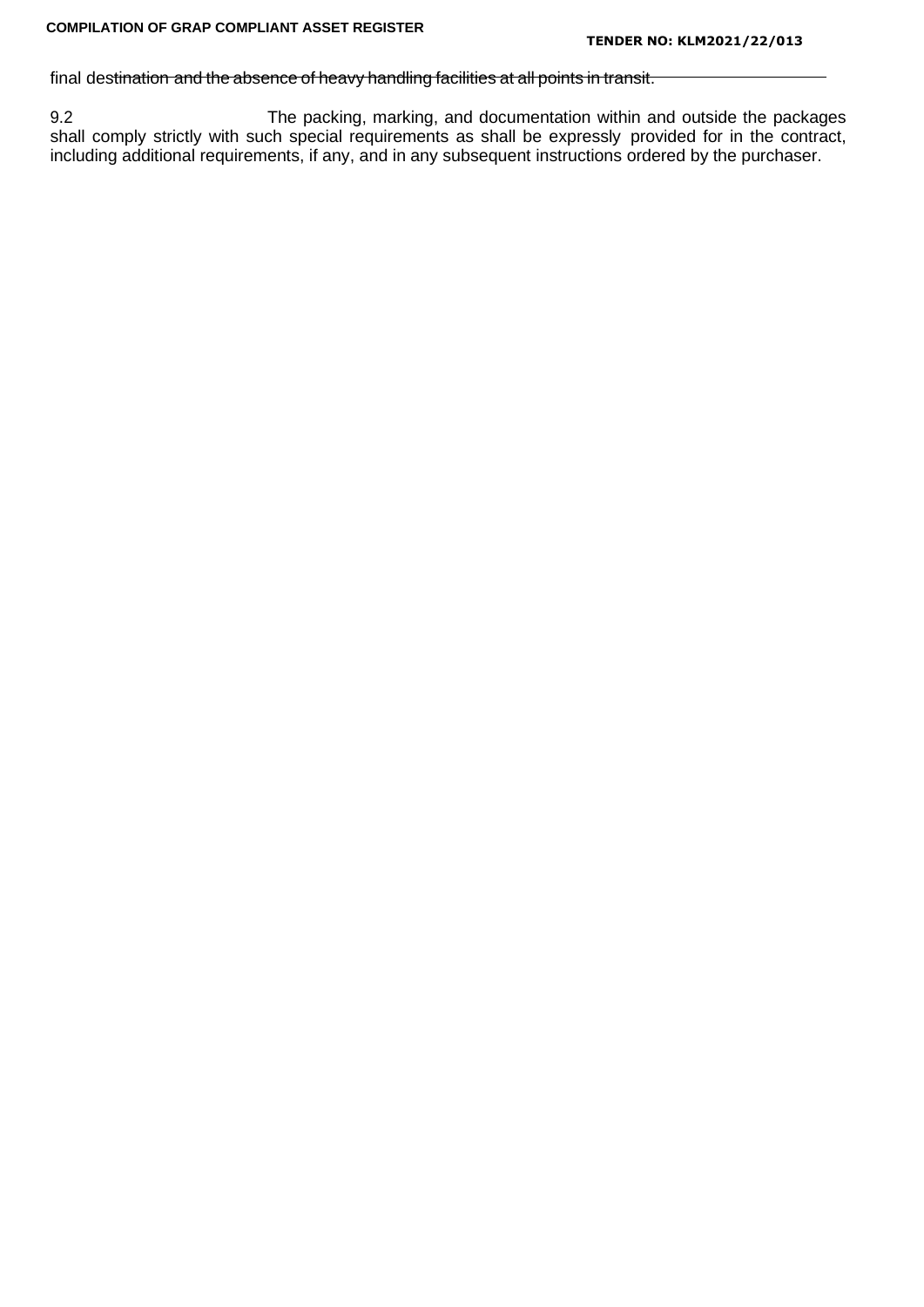### final destination and the absence of heavy handling facilities at all points in transit.

9.2 The packing, marking, and documentation within and outside the packages shall comply strictly with such special requirements as shall be expressly provided for in the contract, including additional requirements, if any, and in any subsequent instructions ordered by the purchaser.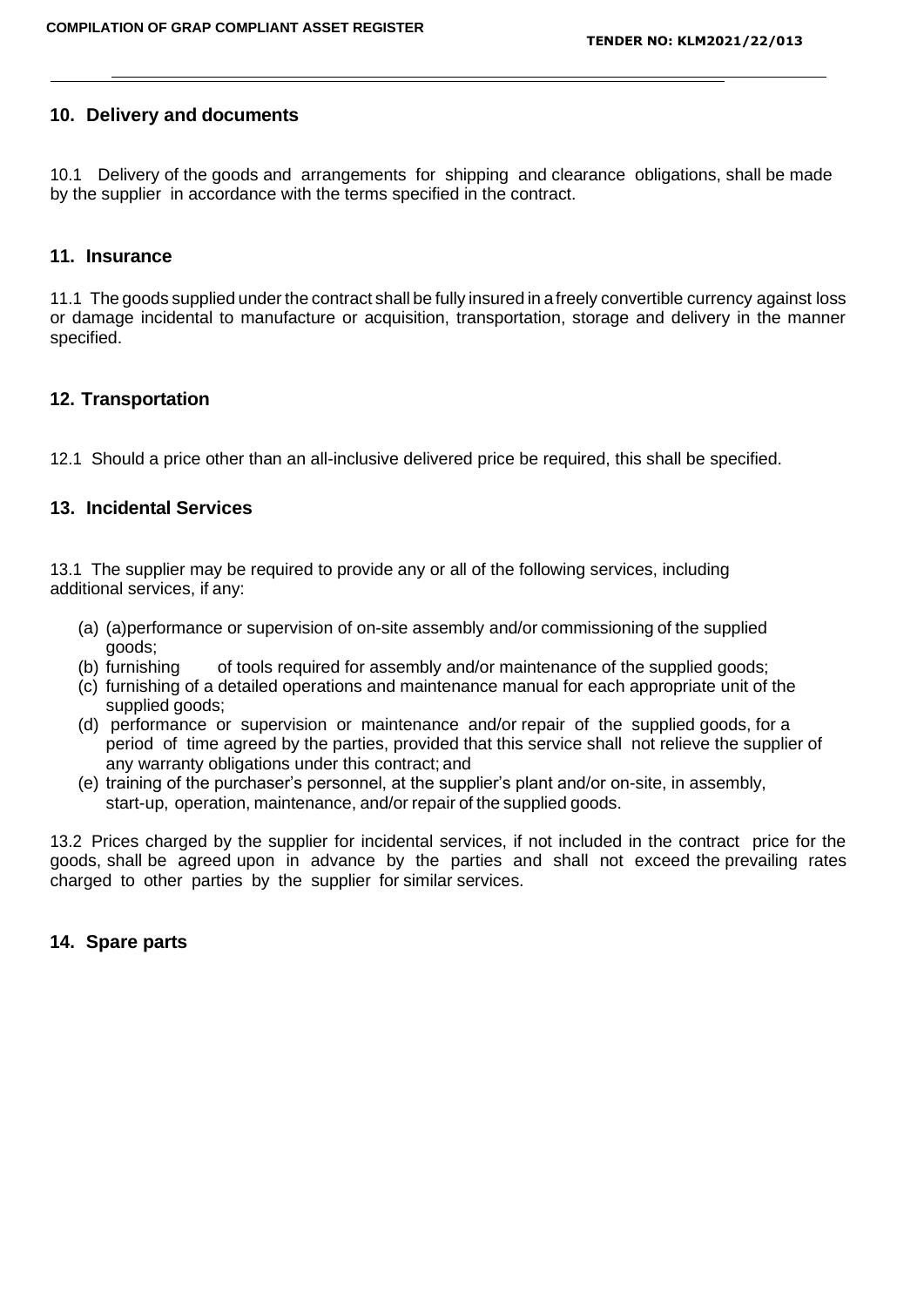# **10. Delivery and documents**

10.1 Delivery of the goods and arrangements for shipping and clearance obligations, shall be made by the supplier in accordance with the terms specified in the contract.

### **11. Insurance**

11.1 The goods supplied under the contract shall be fully insured in a freely convertible currency against loss or damage incidental to manufacture or acquisition, transportation, storage and delivery in the manner specified.

# **12. Transportation**

12.1 Should a price other than an all-inclusive delivered price be required, this shall be specified.

# **13. Incidental Services**

13.1 The supplier may be required to provide any or all of the following services, including additional services, if any:

- (a) (a)performance or supervision of on-site assembly and/or commissioning of the supplied goods;
- (b) furnishing of tools required for assembly and/or maintenance of the supplied goods;
- (c) furnishing of a detailed operations and maintenance manual for each appropriate unit of the supplied goods;
- (d) performance or supervision or maintenance and/or repair of the supplied goods, for a period of time agreed by the parties, provided that this service shall not relieve the supplier of any warranty obligations under this contract; and
- (e) training of the purchaser's personnel, at the supplier's plant and/or on-site, in assembly, start-up, operation, maintenance, and/or repair of the supplied goods.

13.2 Prices charged by the supplier for incidental services, if not included in the contract price for the goods, shall be agreed upon in advance by the parties and shall not exceed the prevailing rates charged to other parties by the supplier for similar services.

# **14. Spare parts**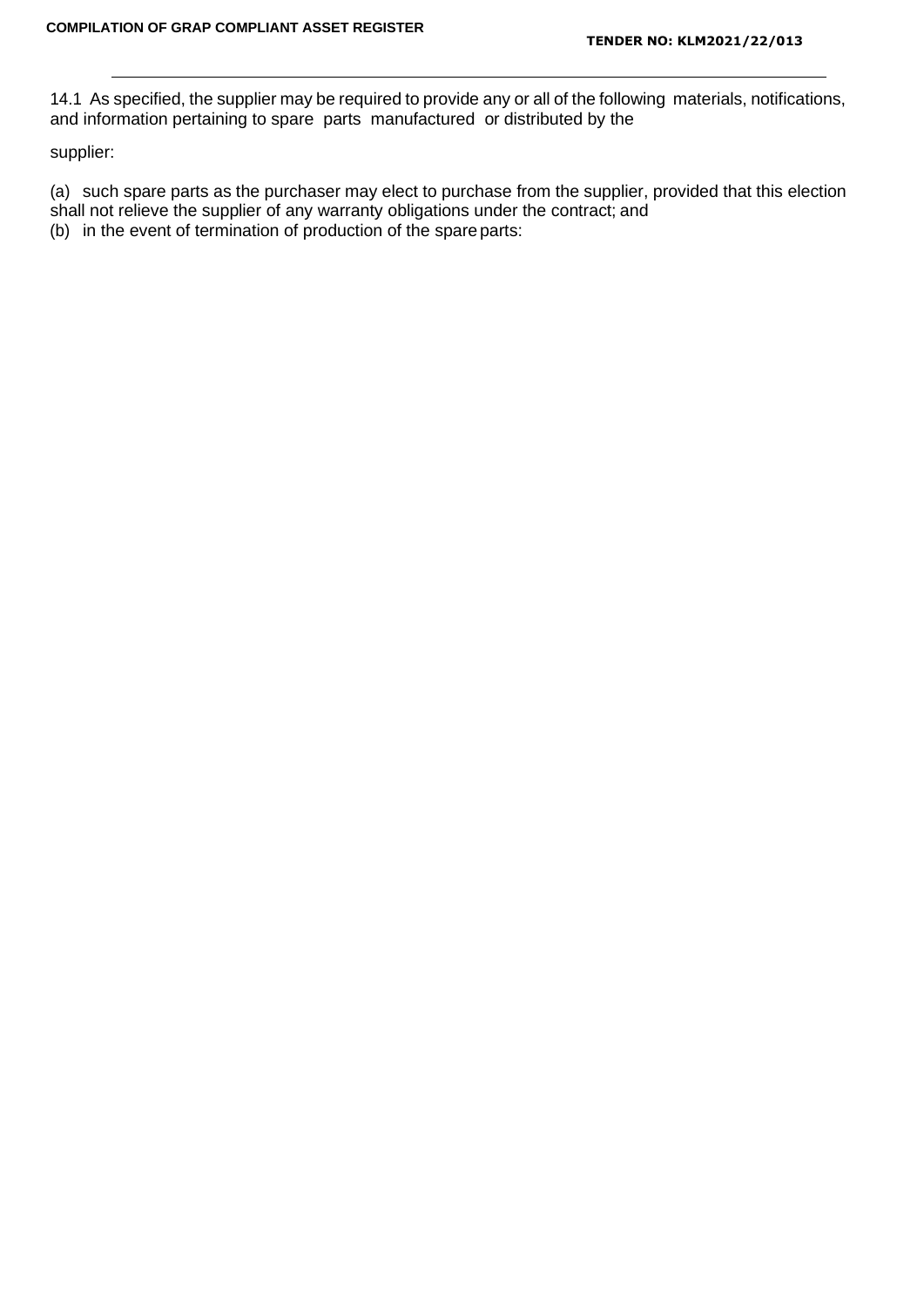14.1 As specified, the supplier may be required to provide any or all of the following materials, notifications, and information pertaining to spare parts manufactured or distributed by the

supplier:

(a) such spare parts as the purchaser may elect to purchase from the supplier, provided that this election shall not relieve the supplier of any warranty obligations under the contract; and

(b) in the event of termination of production of the spareparts: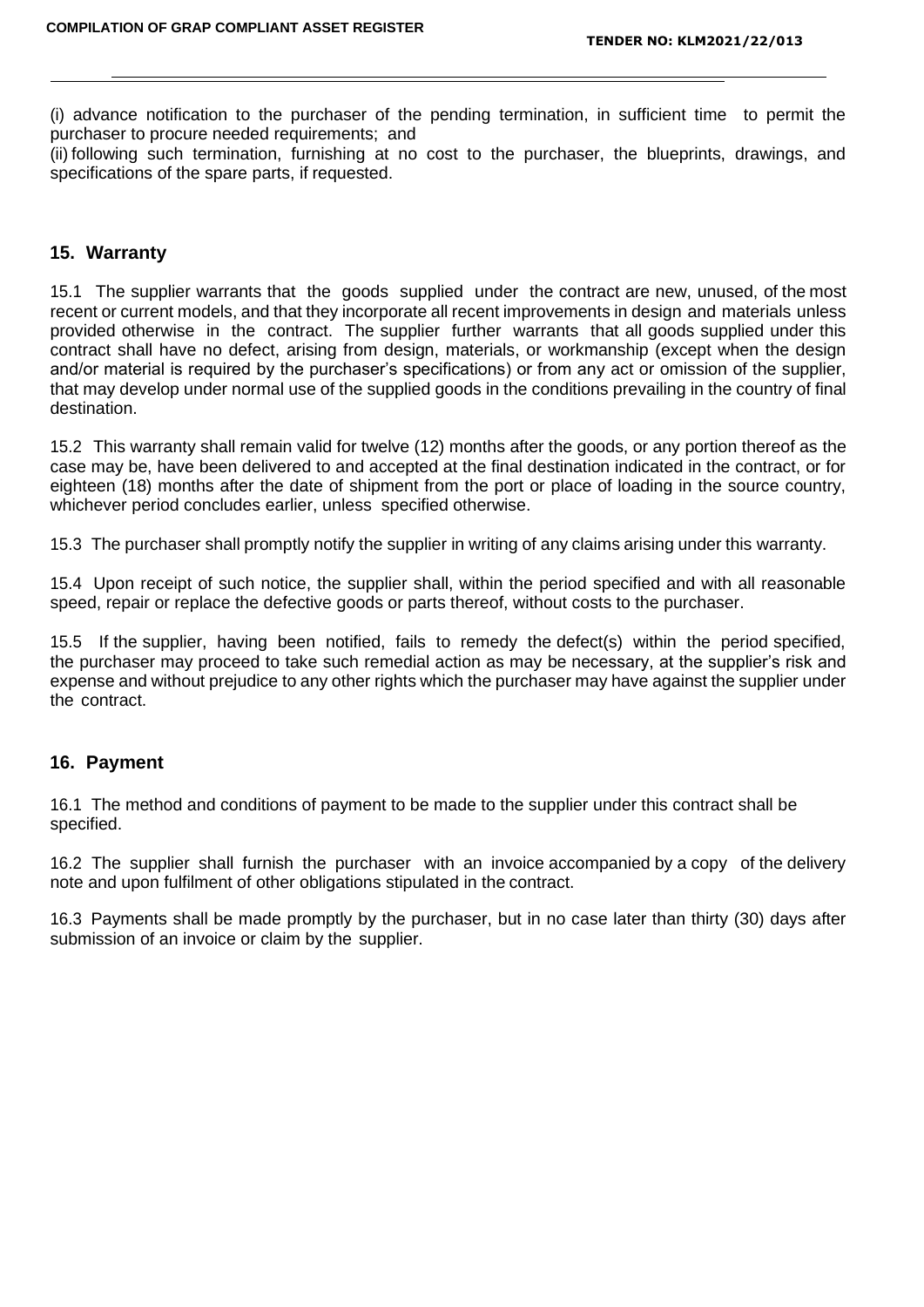(i) advance notification to the purchaser of the pending termination, in sufficient time to permit the purchaser to procure needed requirements; and

(ii) following such termination, furnishing at no cost to the purchaser, the blueprints, drawings, and specifications of the spare parts, if requested.

### **15. Warranty**

15.1 The supplier warrants that the goods supplied under the contract are new, unused, of the most recent or current models, and that they incorporate all recent improvements in design and materials unless provided otherwise in the contract. The supplier further warrants that all goods supplied under this contract shall have no defect, arising from design, materials, or workmanship (except when the design and/or material is required by the purchaser's specifications) or from any act or omission of the supplier, that may develop under normal use of the supplied goods in the conditions prevailing in the country of final destination.

15.2 This warranty shall remain valid for twelve (12) months after the goods, or any portion thereof as the case may be, have been delivered to and accepted at the final destination indicated in the contract, or for eighteen (18) months after the date of shipment from the port or place of loading in the source country, whichever period concludes earlier, unless specified otherwise.

15.3 The purchaser shall promptly notify the supplier in writing of any claims arising under this warranty.

15.4 Upon receipt of such notice, the supplier shall, within the period specified and with all reasonable speed, repair or replace the defective goods or parts thereof, without costs to the purchaser.

15.5 If the supplier, having been notified, fails to remedy the defect(s) within the period specified, the purchaser may proceed to take such remedial action as may be necessary, at the supplier's risk and expense and without prejudice to any other rights which the purchaser may have against the supplier under the contract.

#### **16. Payment**

16.1 The method and conditions of payment to be made to the supplier under this contract shall be specified.

16.2 The supplier shall furnish the purchaser with an invoice accompanied by a copy of the delivery note and upon fulfilment of other obligations stipulated in the contract.

16.3 Payments shall be made promptly by the purchaser, but in no case later than thirty (30) days after submission of an invoice or claim by the supplier.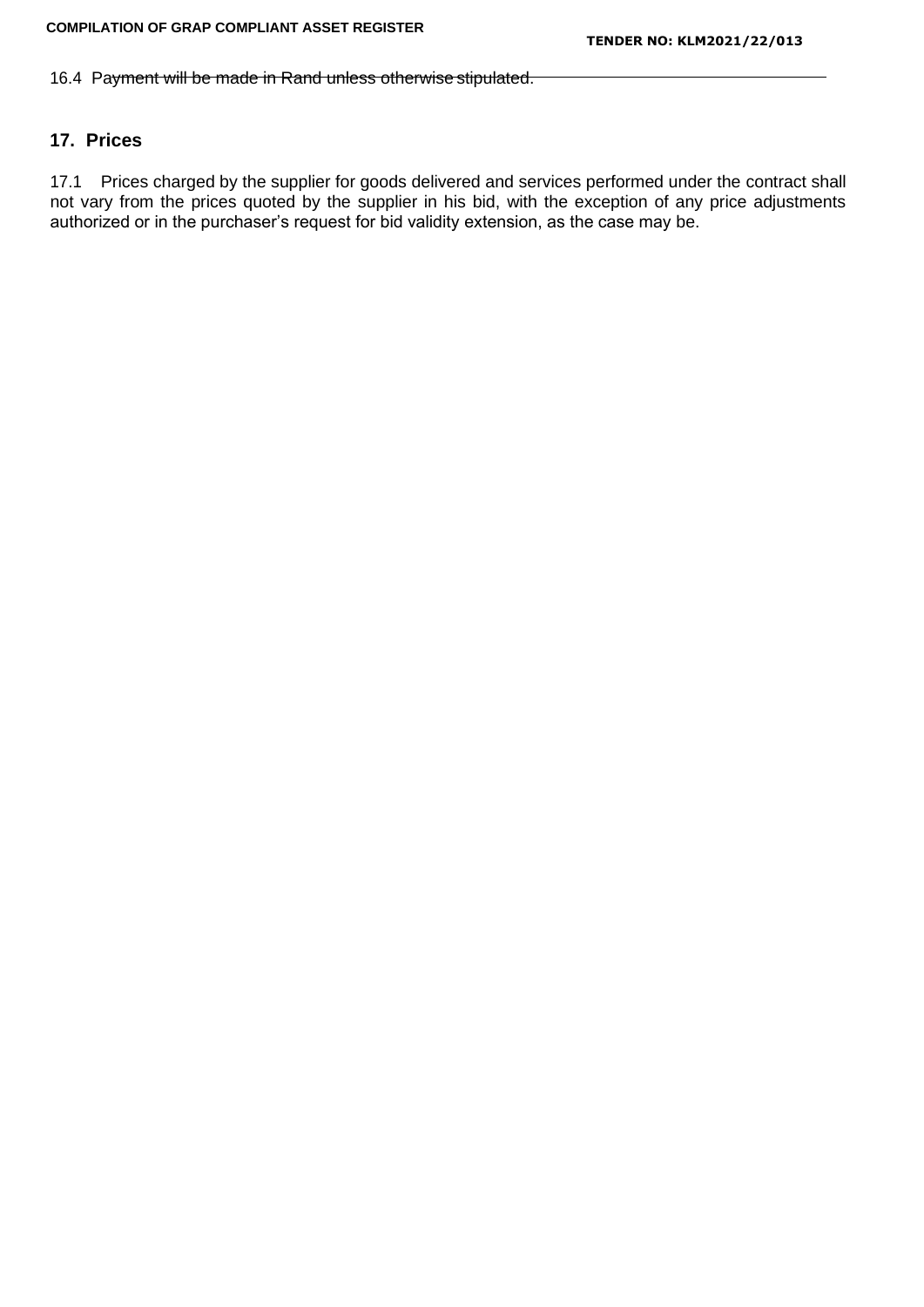16.4 Payment will be made in Rand unless otherwise stipulated.

# **17. Prices**

17.1 Prices charged by the supplier for goods delivered and services performed under the contract shall not vary from the prices quoted by the supplier in his bid, with the exception of any price adjustments authorized or in the purchaser's request for bid validity extension, as the case may be.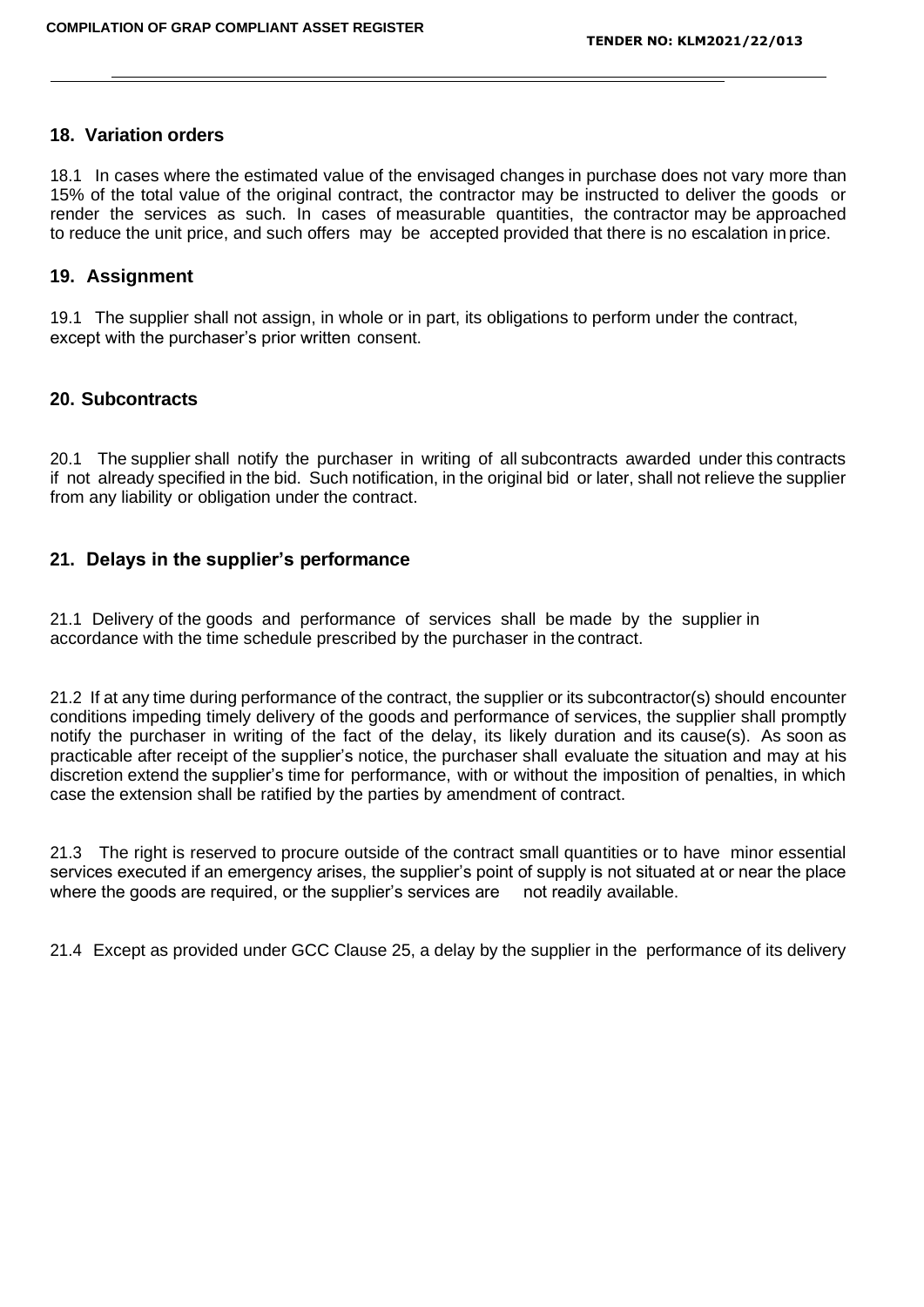### **18. Variation orders**

18.1 In cases where the estimated value of the envisaged changes in purchase does not vary more than 15% of the total value of the original contract, the contractor may be instructed to deliver the goods or render the services as such. In cases of measurable quantities, the contractor may be approached to reduce the unit price, and such offers may be accepted provided that there is no escalation in price.

#### **19. Assignment**

19.1 The supplier shall not assign, in whole or in part, its obligations to perform under the contract, except with the purchaser's prior written consent.

### **20. Subcontracts**

20.1 The supplier shall notify the purchaser in writing of all subcontracts awarded under this contracts if not already specified in the bid. Such notification, in the original bid or later, shall not relieve the supplier from any liability or obligation under the contract.

### **21. Delays in the supplier's performance**

21.1 Delivery of the goods and performance of services shall be made by the supplier in accordance with the time schedule prescribed by the purchaser in the contract.

21.2 If at any time during performance of the contract, the supplier or its subcontractor(s) should encounter conditions impeding timely delivery of the goods and performance of services, the supplier shall promptly notify the purchaser in writing of the fact of the delay, its likely duration and its cause(s). As soon as practicable after receipt of the supplier's notice, the purchaser shall evaluate the situation and may at his discretion extend the supplier's time for performance, with or without the imposition of penalties, in which case the extension shall be ratified by the parties by amendment of contract.

21.3 The right is reserved to procure outside of the contract small quantities or to have minor essential services executed if an emergency arises, the supplier's point of supply is not situated at or near the place where the goods are required, or the supplier's services are not readily available.

21.4 Except as provided under GCC Clause 25, a delay by the supplier in the performance of its delivery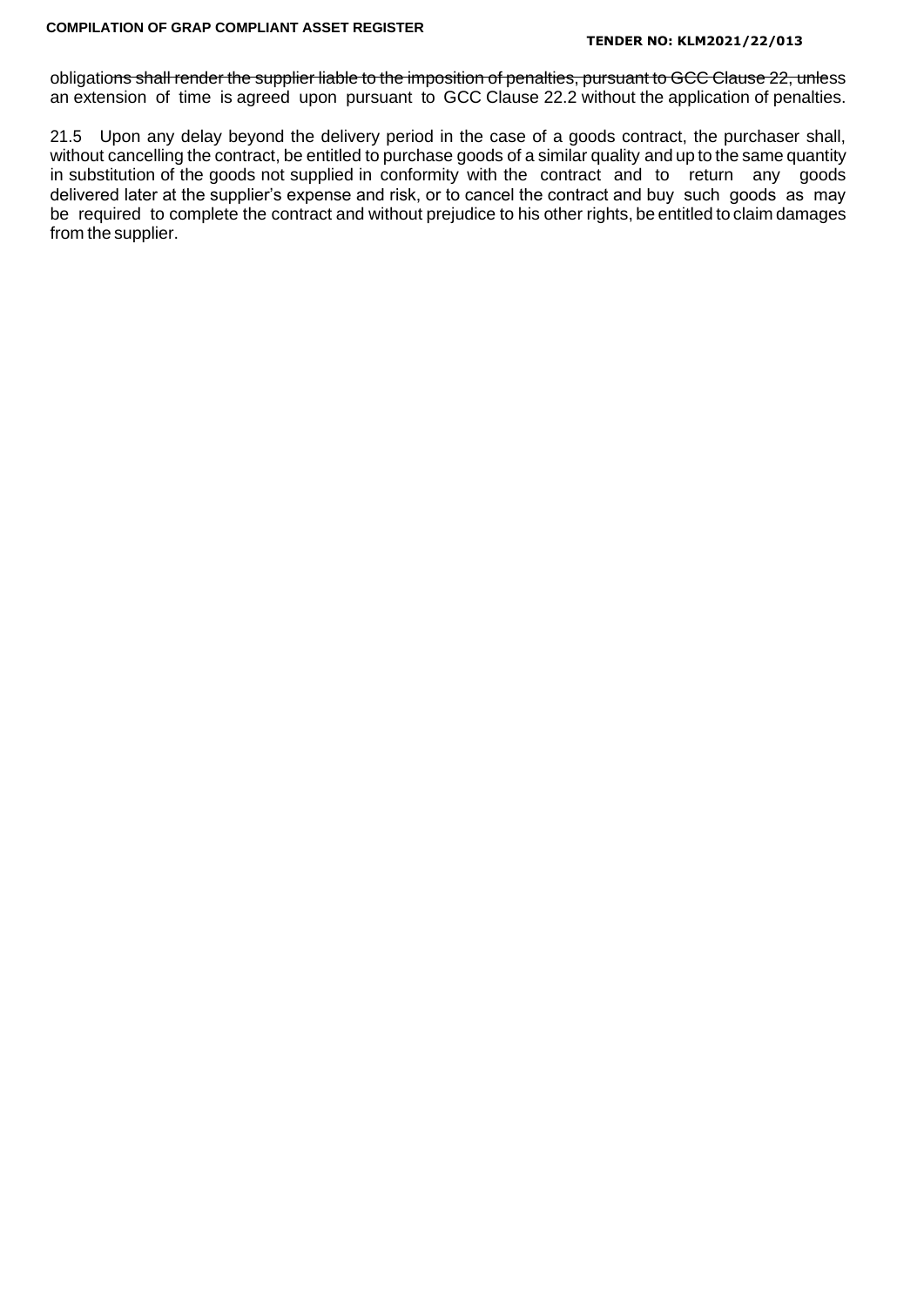#### **TENDER NO: KLM2021/22/013**

obligations shall render the supplier liable to the imposition of penalties, pursuant to GCC Clause 22, unless an extension of time is agreed upon pursuant to GCC Clause 22.2 without the application of penalties.

21.5 Upon any delay beyond the delivery period in the case of a goods contract, the purchaser shall, without cancelling the contract, be entitled to purchase goods of a similar quality and up to the same quantity in substitution of the goods not supplied in conformity with the contract and to return any goods delivered later at the supplier's expense and risk, or to cancel the contract and buy such goods as may be required to complete the contract and without prejudice to his other rights, be entitled to claim damages from the supplier.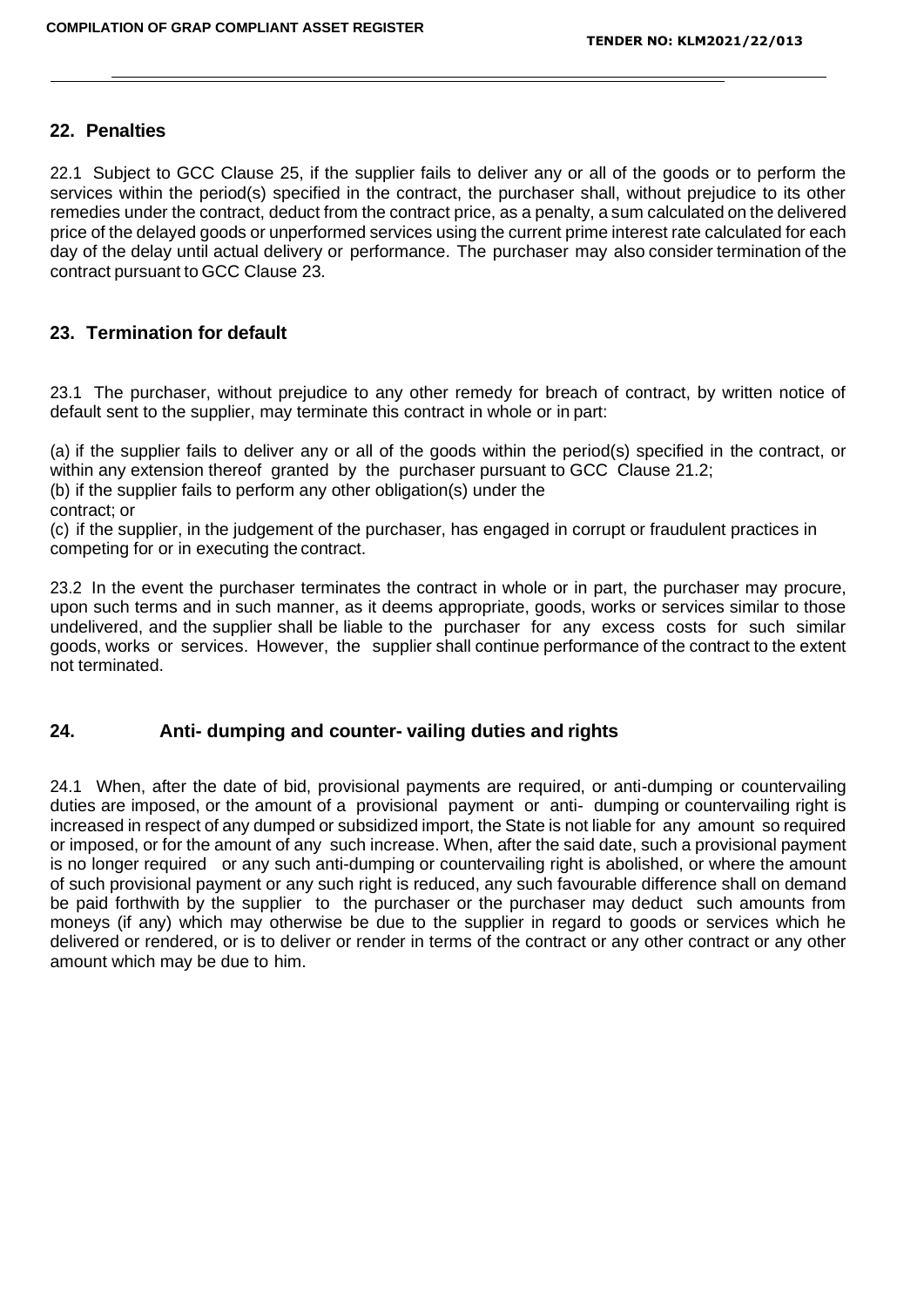### **22. Penalties**

22.1 Subject to GCC Clause 25, if the supplier fails to deliver any or all of the goods or to perform the services within the period(s) specified in the contract, the purchaser shall, without prejudice to its other remedies under the contract, deduct from the contract price, as a penalty, a sum calculated on the delivered price of the delayed goods or unperformed services using the current prime interest rate calculated for each day of the delay until actual delivery or performance. The purchaser may also consider termination of the contract pursuant to GCC Clause 23.

### **23. Termination for default**

23.1 The purchaser, without prejudice to any other remedy for breach of contract, by written notice of default sent to the supplier, may terminate this contract in whole or in part:

(a) if the supplier fails to deliver any or all of the goods within the period(s) specified in the contract, or within any extension thereof granted by the purchaser pursuant to GCC Clause 21.2;

(b) if the supplier fails to perform any other obligation(s) under the

contract; or

(c) if the supplier, in the judgement of the purchaser, has engaged in corrupt or fraudulent practices in competing for or in executing the contract.

23.2 In the event the purchaser terminates the contract in whole or in part, the purchaser may procure, upon such terms and in such manner, as it deems appropriate, goods, works or services similar to those undelivered, and the supplier shall be liable to the purchaser for any excess costs for such similar goods, works or services. However, the supplier shall continue performance of the contract to the extent not terminated.

### **24. Anti- dumping and counter- vailing duties and rights**

24.1 When, after the date of bid, provisional payments are required, or anti-dumping or countervailing duties are imposed, or the amount of a provisional payment or anti- dumping or countervailing right is increased in respect of any dumped or subsidized import, the State is not liable for any amount so required or imposed, or for the amount of any such increase. When, after the said date, such a provisional payment is no longer required or any such anti-dumping or countervailing right is abolished, or where the amount of such provisional payment or any such right is reduced, any such favourable difference shall on demand be paid forthwith by the supplier to the purchaser or the purchaser may deduct such amounts from moneys (if any) which may otherwise be due to the supplier in regard to goods or services which he delivered or rendered, or is to deliver or render in terms of the contract or any other contract or any other amount which may be due to him.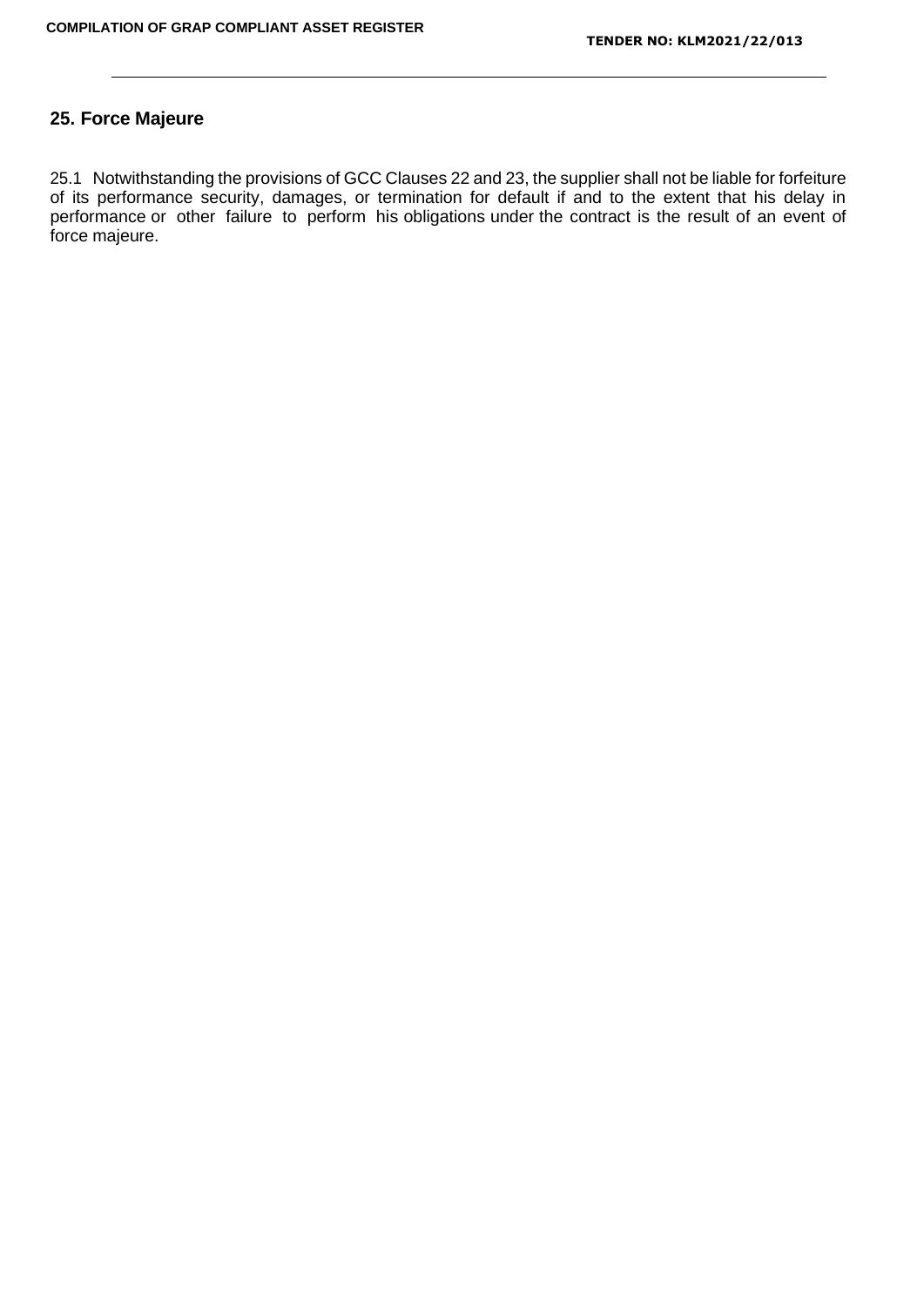### **25. Force Majeure**

25.1 Notwithstanding the provisions of GCC Clauses 22 and 23, the supplier shall not be liable for forfeiture of its performance security, damages, or termination for default if and to the extent that his delay in performance or other failure to perform his obligations under the contract is the result of an event of force majeure.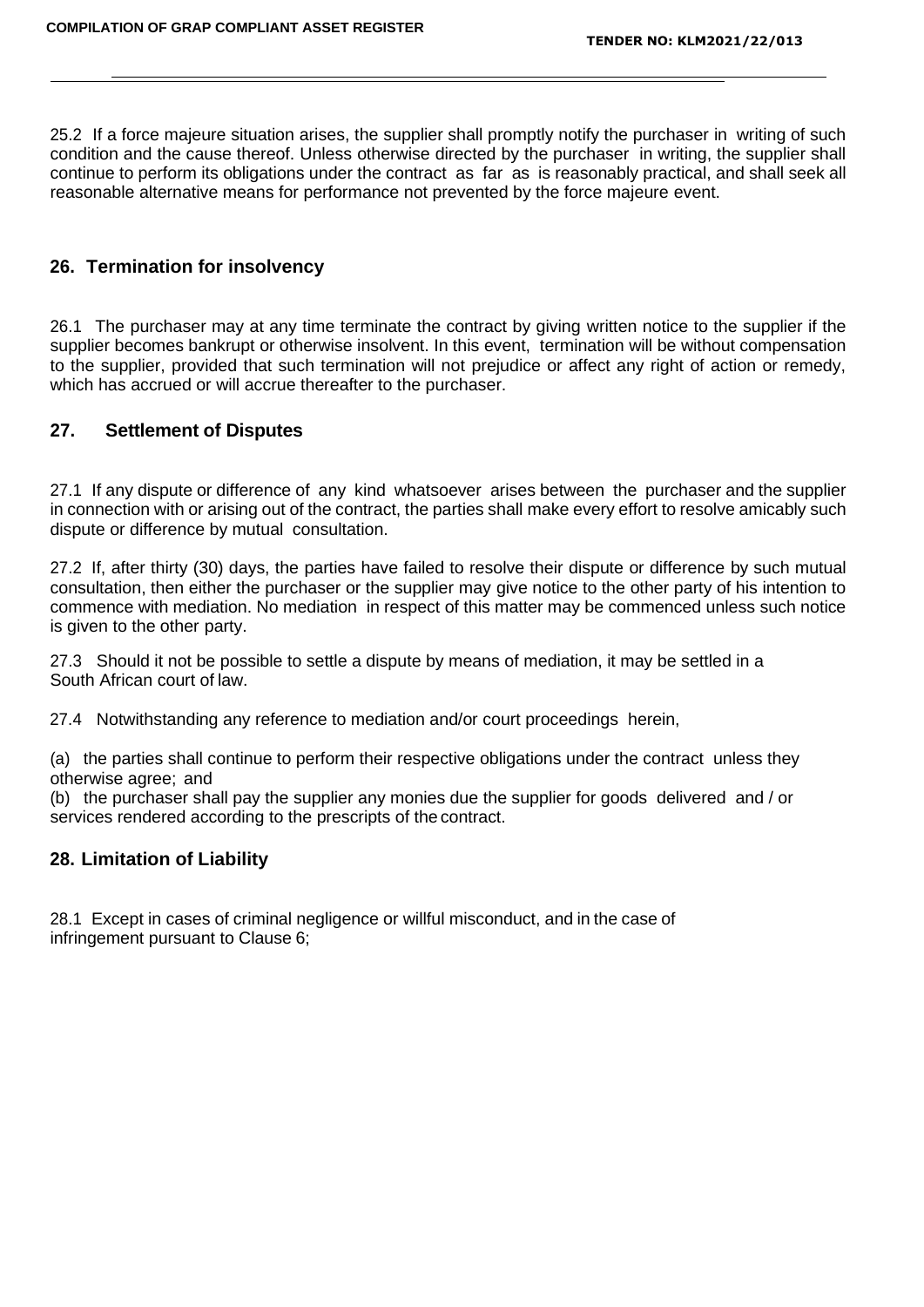25.2 If a force majeure situation arises, the supplier shall promptly notify the purchaser in writing of such condition and the cause thereof. Unless otherwise directed by the purchaser in writing, the supplier shall continue to perform its obligations under the contract as far as is reasonably practical, and shall seek all reasonable alternative means for performance not prevented by the force majeure event.

### **26. Termination for insolvency**

26.1 The purchaser may at any time terminate the contract by giving written notice to the supplier if the supplier becomes bankrupt or otherwise insolvent. In this event, termination will be without compensation to the supplier, provided that such termination will not prejudice or affect any right of action or remedy, which has accrued or will accrue thereafter to the purchaser.

# **27. Settlement of Disputes**

27.1 If any dispute or difference of any kind whatsoever arises between the purchaser and the supplier in connection with or arising out of the contract, the parties shall make every effort to resolve amicably such dispute or difference by mutual consultation.

27.2 If, after thirty (30) days, the parties have failed to resolve their dispute or difference by such mutual consultation, then either the purchaser or the supplier may give notice to the other party of his intention to commence with mediation. No mediation in respect of this matter may be commenced unless such notice is given to the other party.

27.3 Should it not be possible to settle a dispute by means of mediation, it may be settled in a South African court of law.

27.4 Notwithstanding any reference to mediation and/or court proceedings herein,

(a) the parties shall continue to perform their respective obligations under the contract unless they otherwise agree; and

(b) the purchaser shall pay the supplier any monies due the supplier for goods delivered and / or services rendered according to the prescripts of the contract.

### **28. Limitation of Liability**

28.1 Except in cases of criminal negligence or willful misconduct, and in the case of infringement pursuant to Clause 6;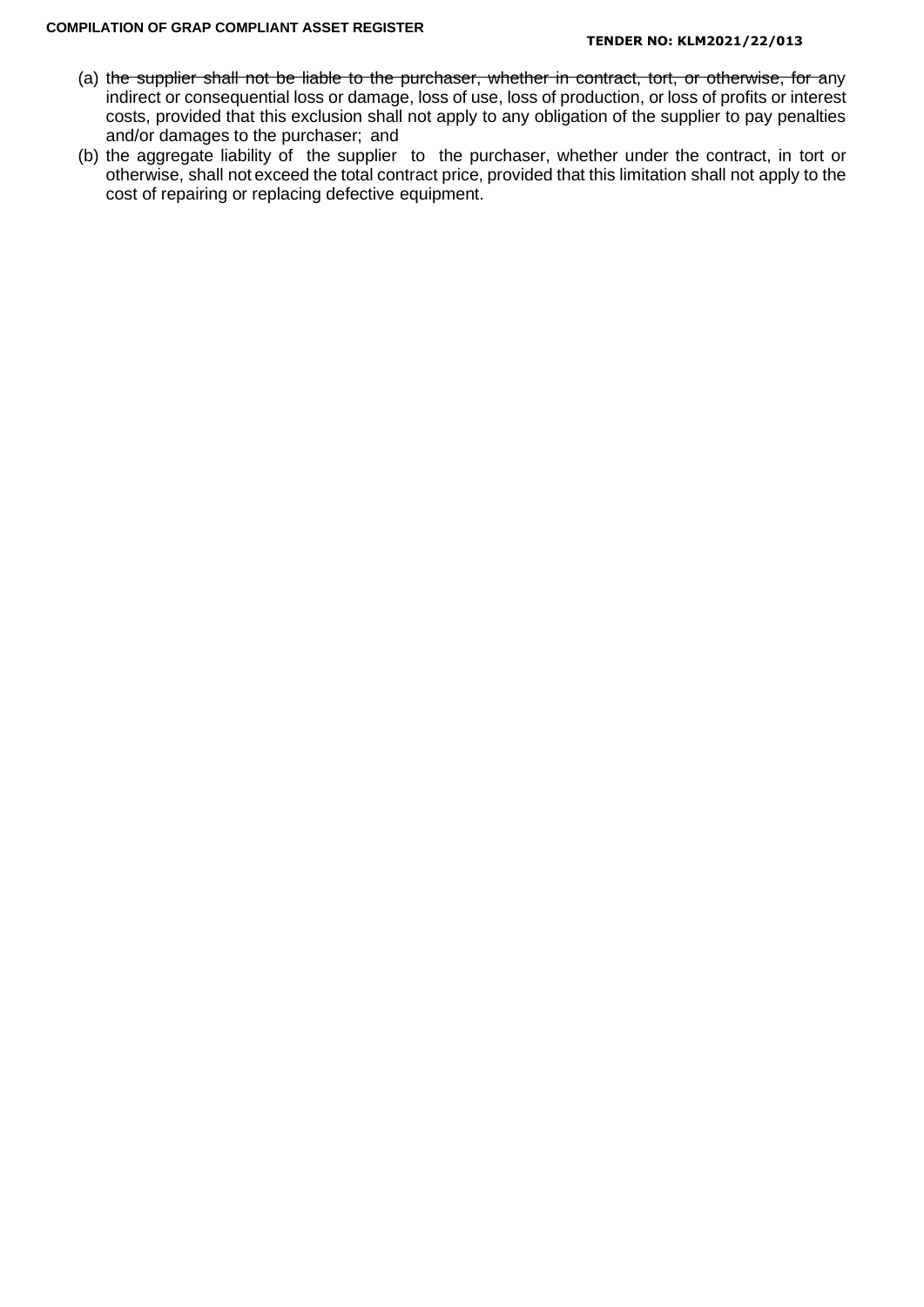- (a) the supplier shall not be liable to the purchaser, whether in contract, tort, or otherwise, for any indirect or consequential loss or damage, loss of use, loss of production, or loss of profits or interest costs, provided that this exclusion shall not apply to any obligation of the supplier to pay penalties and/or damages to the purchaser; and
- (b) the aggregate liability of the supplier to the purchaser, whether under the contract, in tort or otherwise, shall not exceed the total contract price, provided that this limitation shall not apply to the cost of repairing or replacing defective equipment.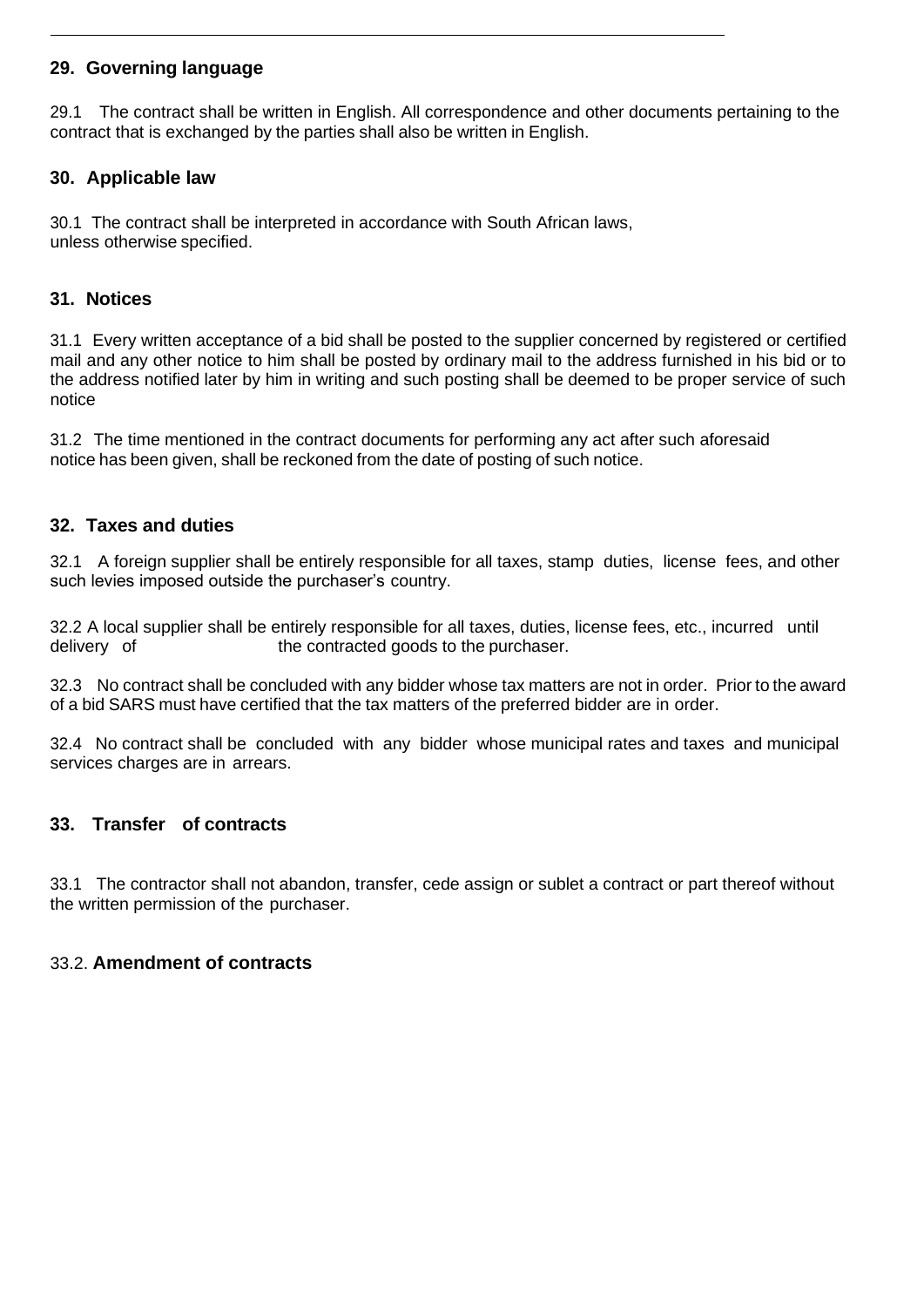# **29. Governing language**

29.1 The contract shall be written in English. All correspondence and other documents pertaining to the contract that is exchanged by the parties shall also be written in English.

# **30. Applicable law**

30.1 The contract shall be interpreted in accordance with South African laws, unless otherwise specified.

# **31. Notices**

31.1 Every written acceptance of a bid shall be posted to the supplier concerned by registered or certified mail and any other notice to him shall be posted by ordinary mail to the address furnished in his bid or to the address notified later by him in writing and such posting shall be deemed to be proper service of such notice

31.2 The time mentioned in the contract documents for performing any act after such aforesaid notice has been given, shall be reckoned from the date of posting of such notice.

# **32. Taxes and duties**

32.1 A foreign supplier shall be entirely responsible for all taxes, stamp duties, license fees, and other such levies imposed outside the purchaser's country.

32.2 A local supplier shall be entirely responsible for all taxes, duties, license fees, etc., incurred until delivery of the contracted goods to the purchaser.

32.3 No contract shall be concluded with any bidder whose tax matters are not in order. Prior to the award of a bid SARS must have certified that the tax matters of the preferred bidder are in order.

32.4 No contract shall be concluded with any bidder whose municipal rates and taxes and municipal services charges are in arrears.

### **33. Transfer of contracts**

33.1 The contractor shall not abandon, transfer, cede assign or sublet a contract or part thereof without the written permission of the purchaser.

### 33.2. **Amendment of contracts**